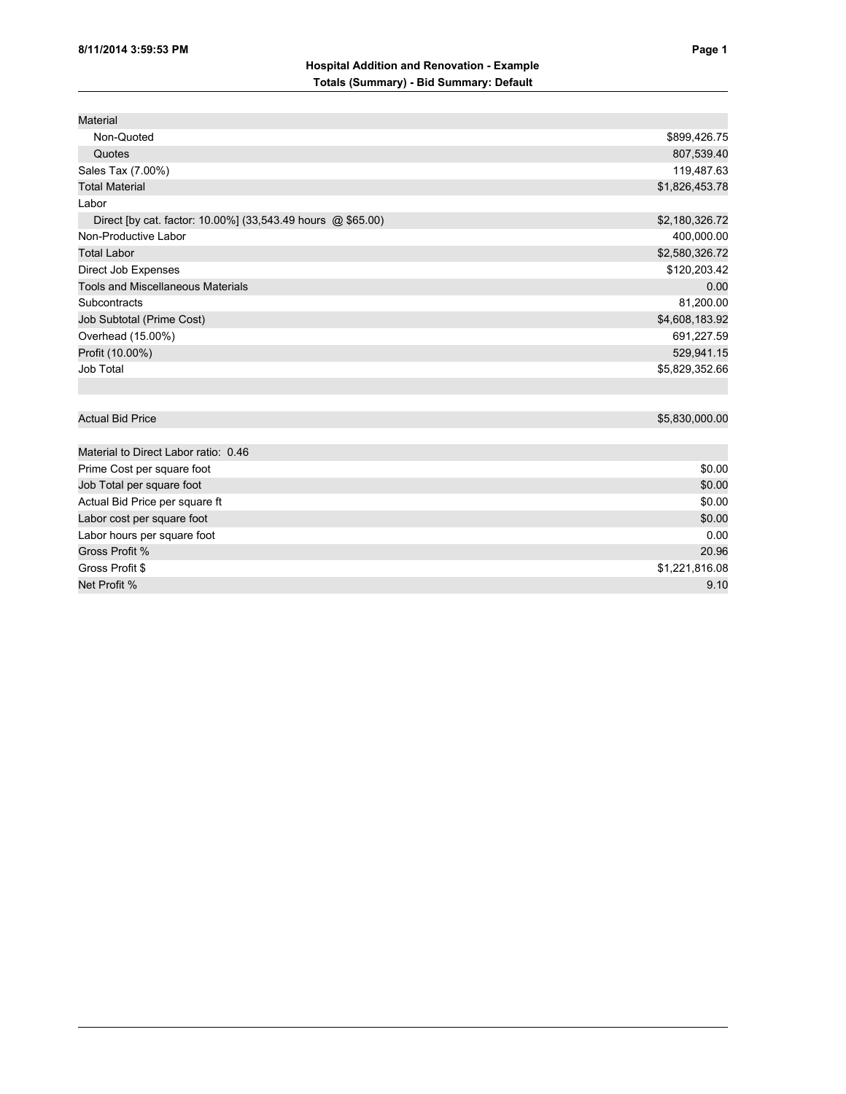| Material                                                    |                |
|-------------------------------------------------------------|----------------|
| Non-Quoted                                                  | \$899,426.75   |
| Quotes                                                      | 807,539.40     |
| Sales Tax (7.00%)                                           | 119,487.63     |
| <b>Total Material</b>                                       | \$1,826,453.78 |
| Labor                                                       |                |
| Direct [by cat. factor: 10.00%] (33,543.49 hours @ \$65.00) | \$2,180,326.72 |
| Non-Productive Labor                                        | 400,000.00     |
| <b>Total Labor</b>                                          | \$2,580,326.72 |
| Direct Job Expenses                                         | \$120,203.42   |
| <b>Tools and Miscellaneous Materials</b>                    | 0.00           |
| Subcontracts                                                | 81,200.00      |
| Job Subtotal (Prime Cost)                                   | \$4,608,183.92 |
| Overhead (15.00%)                                           | 691,227.59     |
| Profit (10.00%)                                             | 529,941.15     |
| Job Total                                                   | \$5,829,352.66 |
|                                                             |                |
|                                                             |                |
| <b>Actual Bid Price</b>                                     | \$5,830,000.00 |
|                                                             |                |
| Material to Direct Labor ratio: 0.46                        |                |
|                                                             | $\cdots$       |

| Prime Cost per square foot     | \$0.00         |
|--------------------------------|----------------|
| Job Total per square foot      | \$0.00         |
| Actual Bid Price per square ft | \$0.00         |
| Labor cost per square foot     | \$0.00         |
| Labor hours per square foot    | 0.00           |
| Gross Profit %                 | 20.96          |
| Gross Profit \$                | \$1,221,816.08 |
| Net Profit %                   | 9.10           |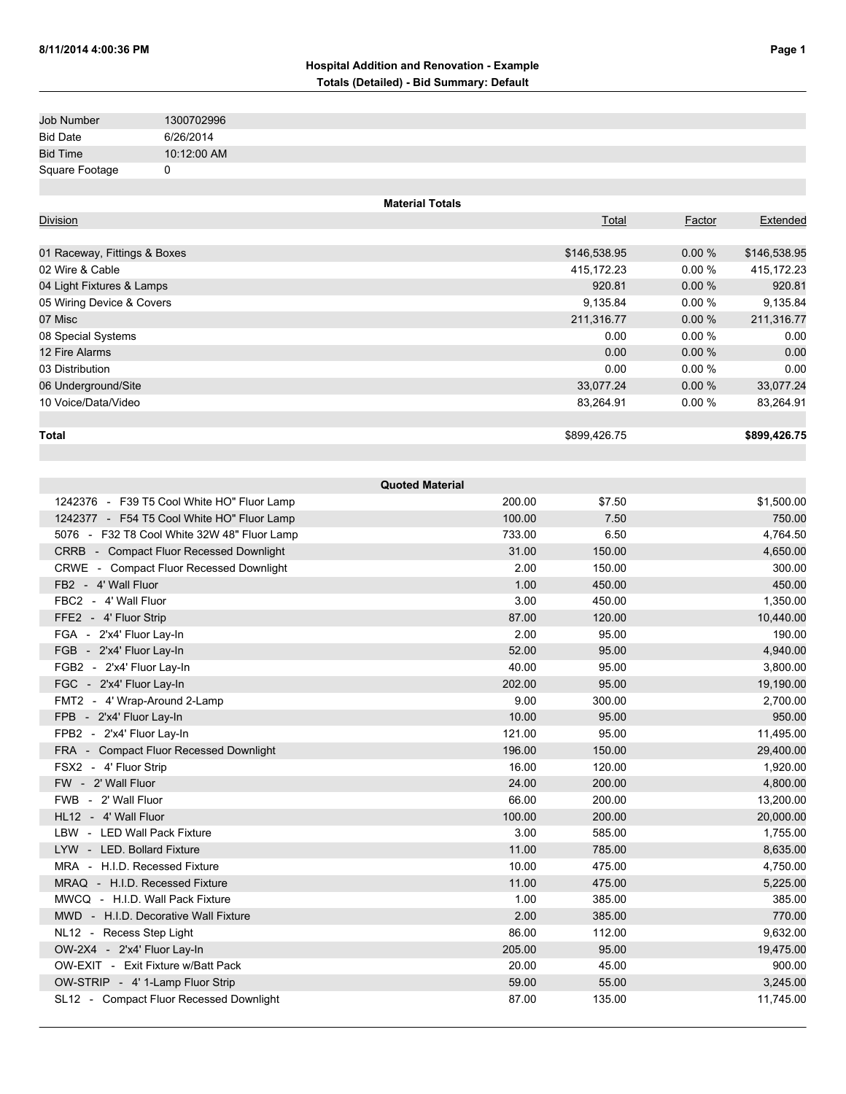## **Hospital Addition and Renovation - Example Totals (Detailed) - Bid Summary: Default**

| Job Number      | 1300702996  |
|-----------------|-------------|
| <b>Bid Date</b> | 6/26/2014   |
| <b>Bid Time</b> | 10:12:00 AM |
| Square Footage  |             |

|                              | <b>Material Totals</b> |           |              |
|------------------------------|------------------------|-----------|--------------|
| <b>Division</b>              | Total                  | Factor    | Extended     |
|                              |                        |           |              |
| 01 Raceway, Fittings & Boxes | \$146,538.95           | $0.00 \%$ | \$146,538.95 |
| 02 Wire & Cable              | 415,172.23             | $0.00 \%$ | 415,172.23   |
| 04 Light Fixtures & Lamps    | 920.81                 | $0.00 \%$ | 920.81       |
| 05 Wiring Device & Covers    | 9,135.84               | 0.00%     | 9,135.84     |
| 07 Misc                      | 211,316.77             | 0.00%     | 211,316.77   |
| 08 Special Systems           | 0.00                   | 0.00%     | 0.00         |
| 12 Fire Alarms               | 0.00                   | 0.00%     | 0.00         |
| 03 Distribution              | 0.00                   | $0.00 \%$ | 0.00         |
| 06 Underground/Site          | 33,077.24              | 0.00%     | 33,077.24    |
| 10 Voice/Data/Video          | 83,264.91              | 0.00%     | 83,264.91    |
|                              |                        |           |              |
| Total                        | \$899,426.75           |           | \$899,426.75 |

| <b>Quoted Material</b>                      |        |        |            |  |
|---------------------------------------------|--------|--------|------------|--|
| 1242376 - F39 T5 Cool White HO" Fluor Lamp  | 200.00 | \$7.50 | \$1,500.00 |  |
| 1242377 - F54 T5 Cool White HO" Fluor Lamp  | 100.00 | 7.50   | 750.00     |  |
| 5076 - F32 T8 Cool White 32W 48" Fluor Lamp | 733.00 | 6.50   | 4,764.50   |  |
| CRRB - Compact Fluor Recessed Downlight     | 31.00  | 150.00 | 4,650.00   |  |
| CRWE - Compact Fluor Recessed Downlight     | 2.00   | 150.00 | 300.00     |  |
| FB2 - 4' Wall Fluor                         | 1.00   | 450.00 | 450.00     |  |
| FBC2 - 4' Wall Fluor                        | 3.00   | 450.00 | 1,350.00   |  |
| FFE2 - 4' Fluor Strip                       | 87.00  | 120.00 | 10,440.00  |  |
| FGA - 2'x4' Fluor Lay-In                    | 2.00   | 95.00  | 190.00     |  |
| FGB - 2'x4' Fluor Lay-In                    | 52.00  | 95.00  | 4,940.00   |  |
| FGB2 - 2'x4' Fluor Lay-In                   | 40.00  | 95.00  | 3,800.00   |  |
| FGC - 2'x4' Fluor Lay-In                    | 202.00 | 95.00  | 19,190.00  |  |
| FMT2 - 4' Wrap-Around 2-Lamp                | 9.00   | 300.00 | 2,700.00   |  |
| FPB - 2'x4' Fluor Lay-In                    | 10.00  | 95.00  | 950.00     |  |
| FPB2 - 2'x4' Fluor Lay-In                   | 121.00 | 95.00  | 11,495.00  |  |
| FRA - Compact Fluor Recessed Downlight      | 196.00 | 150.00 | 29,400.00  |  |
| FSX2 - 4' Fluor Strip                       | 16.00  | 120.00 | 1,920.00   |  |
| FW - 2' Wall Fluor                          | 24.00  | 200.00 | 4,800.00   |  |
| FWB - 2' Wall Fluor                         | 66.00  | 200.00 | 13,200.00  |  |
| HL12 - 4' Wall Fluor                        | 100.00 | 200.00 | 20,000.00  |  |
| LBW - LED Wall Pack Fixture                 | 3.00   | 585.00 | 1,755.00   |  |
| LYW - LED. Bollard Fixture                  | 11.00  | 785.00 | 8,635.00   |  |
| MRA - H.I.D. Recessed Fixture               | 10.00  | 475.00 | 4,750.00   |  |
| MRAQ - H.I.D. Recessed Fixture              | 11.00  | 475.00 | 5,225.00   |  |
| MWCQ - H.I.D. Wall Pack Fixture             | 1.00   | 385.00 | 385.00     |  |
| MWD - H.I.D. Decorative Wall Fixture        | 2.00   | 385.00 | 770.00     |  |
| NL12 - Recess Step Light                    | 86.00  | 112.00 | 9,632.00   |  |
| OW-2X4 - 2'x4' Fluor Lay-In                 | 205.00 | 95.00  | 19,475.00  |  |
| OW-EXIT - Exit Fixture w/Batt Pack          | 20.00  | 45.00  | 900.00     |  |
| OW-STRIP - 4' 1-Lamp Fluor Strip            | 59.00  | 55.00  | 3,245.00   |  |
| SL12 - Compact Fluor Recessed Downlight     | 87.00  | 135.00 | 11,745.00  |  |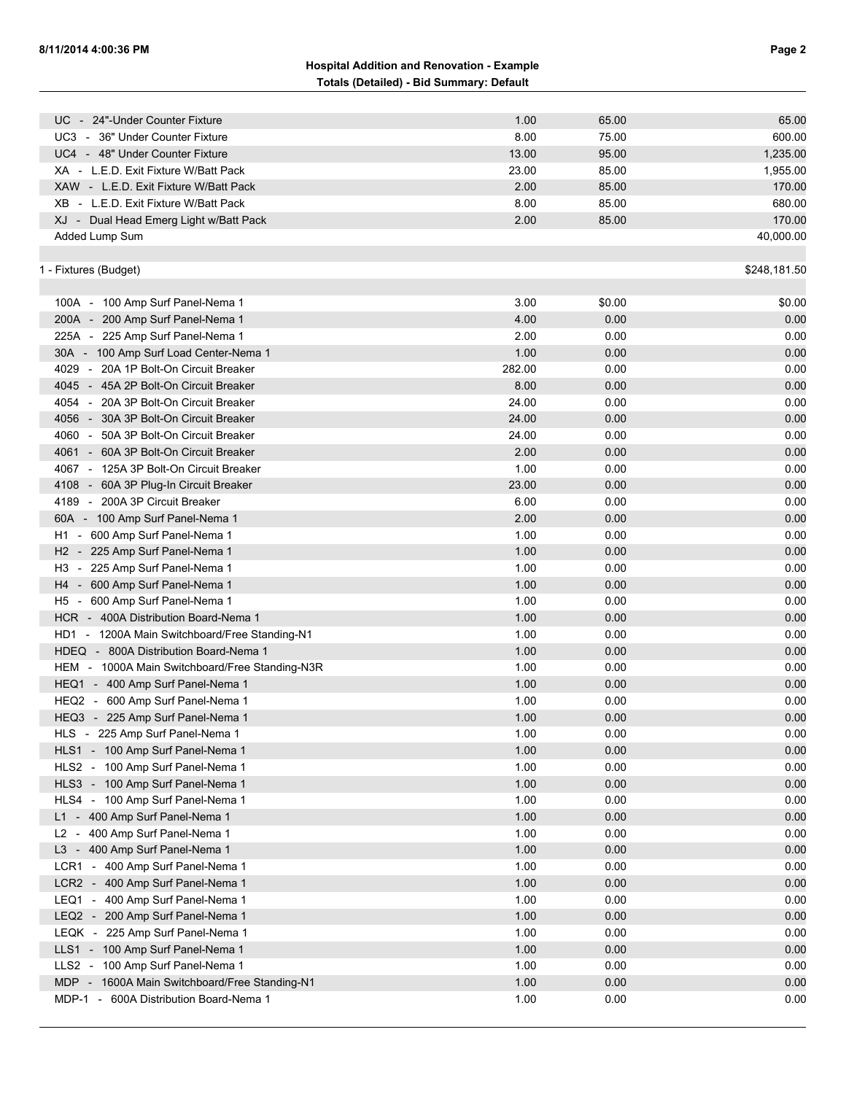## **Hospital Addition and Renovation - Example Totals (Detailed) - Bid Summary: Default**

| UC - 24"-Under Counter Fixture                 | 1.00   | 65.00  | 65.00        |
|------------------------------------------------|--------|--------|--------------|
| UC3 - 36" Under Counter Fixture                | 8.00   | 75.00  | 600.00       |
| UC4 - 48" Under Counter Fixture                | 13.00  | 95.00  | 1,235.00     |
| XA - L.E.D. Exit Fixture W/Batt Pack           | 23.00  | 85.00  | 1,955.00     |
| XAW - L.E.D. Exit Fixture W/Batt Pack          | 2.00   | 85.00  | 170.00       |
| XB - L.E.D. Exit Fixture W/Batt Pack           | 8.00   | 85.00  | 680.00       |
| XJ - Dual Head Emerg Light w/Batt Pack         | 2.00   | 85.00  | 170.00       |
| Added Lump Sum                                 |        |        | 40,000.00    |
|                                                |        |        |              |
| 1 - Fixtures (Budget)                          |        |        | \$248,181.50 |
|                                                |        |        |              |
| 100A - 100 Amp Surf Panel-Nema 1               | 3.00   | \$0.00 | \$0.00       |
| 200A - 200 Amp Surf Panel-Nema 1               | 4.00   | 0.00   | 0.00         |
| 225A - 225 Amp Surf Panel-Nema 1               | 2.00   | 0.00   | 0.00         |
| 30A - 100 Amp Surf Load Center-Nema 1          | 1.00   | 0.00   | 0.00         |
| 4029 - 20A 1P Bolt-On Circuit Breaker          | 282.00 | 0.00   | 0.00         |
| 4045 - 45A 2P Bolt-On Circuit Breaker          | 8.00   | 0.00   | 0.00         |
| 4054 - 20A 3P Bolt-On Circuit Breaker          | 24.00  | 0.00   | 0.00         |
| 4056 - 30A 3P Bolt-On Circuit Breaker          | 24.00  | 0.00   | 0.00         |
| 4060 - 50A 3P Bolt-On Circuit Breaker          | 24.00  | 0.00   | 0.00         |
| 4061 - 60A 3P Bolt-On Circuit Breaker          | 2.00   | 0.00   | 0.00         |
| 4067 - 125A 3P Bolt-On Circuit Breaker         | 1.00   | 0.00   | 0.00         |
| 4108 - 60A 3P Plug-In Circuit Breaker          | 23.00  | 0.00   | 0.00         |
| 4189 - 200A 3P Circuit Breaker                 | 6.00   | 0.00   | 0.00         |
| 60A - 100 Amp Surf Panel-Nema 1                | 2.00   | 0.00   | 0.00         |
| H1 - 600 Amp Surf Panel-Nema 1                 | 1.00   | 0.00   | 0.00         |
| H <sub>2</sub> - 225 Amp Surf Panel-Nema 1     | 1.00   | 0.00   | 0.00         |
| H3 - 225 Amp Surf Panel-Nema 1                 | 1.00   | 0.00   | 0.00         |
| H4 - 600 Amp Surf Panel-Nema 1                 | 1.00   | 0.00   | 0.00         |
| H5 - 600 Amp Surf Panel-Nema 1                 | 1.00   | 0.00   | 0.00         |
| HCR - 400A Distribution Board-Nema 1           | 1.00   | 0.00   | 0.00         |
| HD1 - 1200A Main Switchboard/Free Standing-N1  | 1.00   | 0.00   | 0.00         |
| HDEQ - 800A Distribution Board-Nema 1          | 1.00   | 0.00   | 0.00         |
| HEM - 1000A Main Switchboard/Free Standing-N3R | 1.00   | 0.00   | 0.00         |
|                                                |        |        |              |
| HEQ1 - 400 Amp Surf Panel-Nema 1               | 1.00   | 0.00   | 0.00         |
| HEQ2 - 600 Amp Surf Panel-Nema 1               | 1.00   | 0.00   | 0.00         |
| HEQ3 - 225 Amp Surf Panel-Nema 1               | 1.00   | 0.00   | 0.00         |
| HLS - 225 Amp Surf Panel-Nema 1                | 1.00   | 0.00   | 0.00         |
| HLS1 - 100 Amp Surf Panel-Nema 1               | 1.00   | 0.00   | 0.00         |
| HLS2 - 100 Amp Surf Panel-Nema 1               | 1.00   | 0.00   | 0.00         |
| HLS3 - 100 Amp Surf Panel-Nema 1               | 1.00   | 0.00   | 0.00         |
| HLS4 - 100 Amp Surf Panel-Nema 1               | 1.00   | 0.00   | 0.00         |
| L1 - 400 Amp Surf Panel-Nema 1                 | 1.00   | 0.00   | 0.00         |
| L2 - 400 Amp Surf Panel-Nema 1                 | 1.00   | 0.00   | 0.00         |
| L3 - 400 Amp Surf Panel-Nema 1                 | 1.00   | 0.00   | 0.00         |
| LCR1 - 400 Amp Surf Panel-Nema 1               | 1.00   | 0.00   | 0.00         |
| LCR2 - 400 Amp Surf Panel-Nema 1               | 1.00   | 0.00   | 0.00         |
| LEQ1 - 400 Amp Surf Panel-Nema 1               | 1.00   | 0.00   | 0.00         |
| LEQ2 - 200 Amp Surf Panel-Nema 1               | 1.00   | 0.00   | 0.00         |
| LEQK - 225 Amp Surf Panel-Nema 1               | 1.00   | 0.00   | 0.00         |
| LLS1 - 100 Amp Surf Panel-Nema 1               | 1.00   | 0.00   | 0.00         |
| LLS2 - 100 Amp Surf Panel-Nema 1               | 1.00   | 0.00   | 0.00         |
| MDP - 1600A Main Switchboard/Free Standing-N1  | 1.00   | 0.00   | 0.00         |
| MDP-1 - 600A Distribution Board-Nema 1         | 1.00   | 0.00   | 0.00         |
|                                                |        |        |              |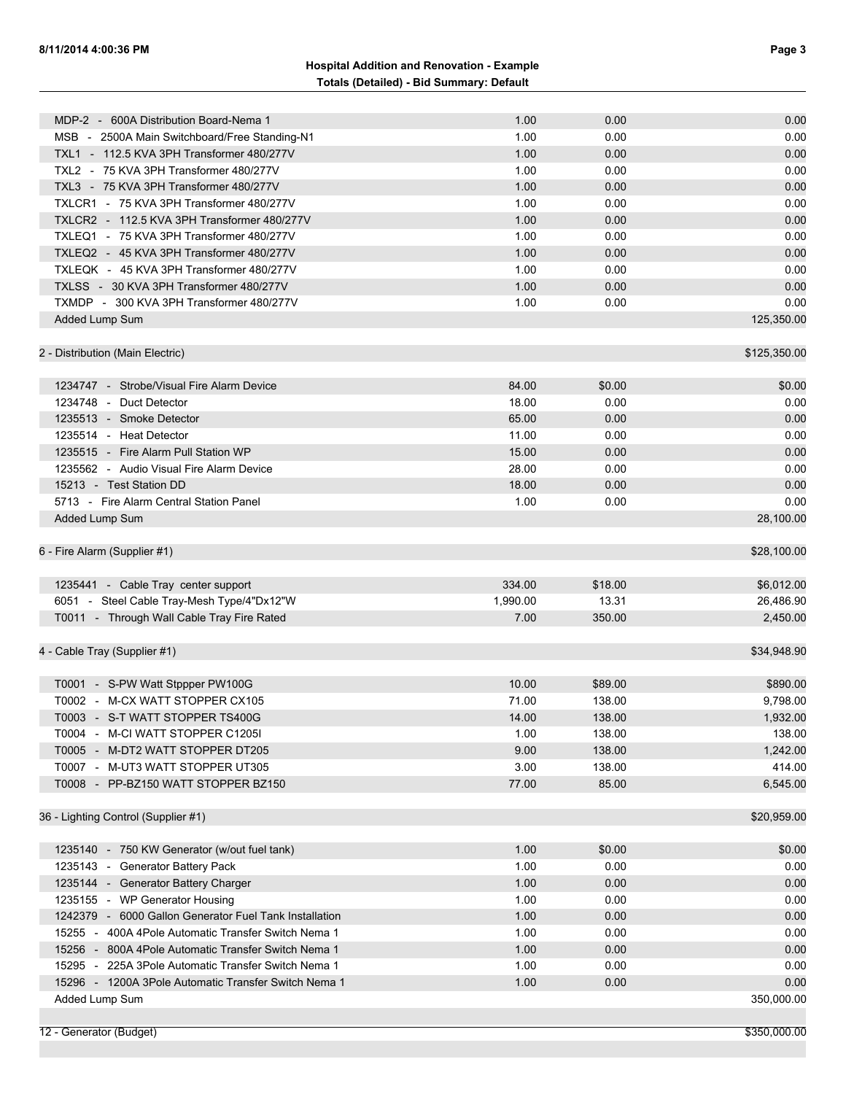## **Hospital Addition and Renovation - Example Totals (Detailed) - Bid Summary: Default**

| MDP-2 - 600A Distribution Board-Nema 1                                                                        | 1.00         | 0.00         | 0.00         |
|---------------------------------------------------------------------------------------------------------------|--------------|--------------|--------------|
| MSB - 2500A Main Switchboard/Free Standing-N1                                                                 | 1.00         | 0.00         | 0.00         |
| TXL1 - 112.5 KVA 3PH Transformer 480/277V                                                                     | 1.00         | 0.00         | 0.00         |
| TXL2 - 75 KVA 3PH Transformer 480/277V                                                                        | 1.00         | 0.00         | 0.00         |
| TXL3 - 75 KVA 3PH Transformer 480/277V                                                                        | 1.00         | 0.00         | 0.00         |
| TXLCR1 - 75 KVA 3PH Transformer 480/277V                                                                      | 1.00         | 0.00         | 0.00         |
| TXLCR2 - 112.5 KVA 3PH Transformer 480/277V                                                                   | 1.00         | 0.00         | 0.00         |
| TXLEQ1 - 75 KVA 3PH Transformer 480/277V                                                                      | 1.00         | 0.00         | 0.00         |
| TXLEQ2 - 45 KVA 3PH Transformer 480/277V                                                                      | 1.00         | 0.00         | 0.00         |
| TXLEOK - 45 KVA 3PH Transformer 480/277V                                                                      | 1.00         | 0.00         | 0.00         |
| TXLSS - 30 KVA 3PH Transformer 480/277V                                                                       | 1.00         | 0.00         | 0.00         |
| TXMDP - 300 KVA 3PH Transformer 480/277V                                                                      | 1.00         | 0.00         | 0.00         |
| Added Lump Sum                                                                                                |              |              | 125,350.00   |
|                                                                                                               |              |              |              |
| 2 - Distribution (Main Electric)                                                                              |              |              | \$125,350.00 |
|                                                                                                               |              |              |              |
| 1234747 - Strobe/Visual Fire Alarm Device                                                                     | 84.00        | \$0.00       | \$0.00       |
| 1234748 - Duct Detector                                                                                       | 18.00        | 0.00         | 0.00         |
| 1235513 - Smoke Detector                                                                                      | 65.00        | 0.00         | 0.00         |
| 1235514 - Heat Detector                                                                                       | 11.00        | 0.00         | 0.00         |
| 1235515 - Fire Alarm Pull Station WP                                                                          | 15.00        | 0.00         | 0.00         |
| 1235562 - Audio Visual Fire Alarm Device                                                                      | 28.00        | 0.00         | 0.00         |
| 15213 - Test Station DD                                                                                       | 18.00        | 0.00         | 0.00         |
| 5713 - Fire Alarm Central Station Panel                                                                       | 1.00         | 0.00         | 0.00         |
| Added Lump Sum                                                                                                |              |              | 28,100.00    |
| 6 - Fire Alarm (Supplier #1)                                                                                  |              |              | \$28,100.00  |
|                                                                                                               |              |              |              |
| 1235441 - Cable Tray center support                                                                           | 334.00       | \$18.00      | \$6,012.00   |
| 6051 - Steel Cable Tray-Mesh Type/4"Dx12"W                                                                    | 1,990.00     | 13.31        | 26,486.90    |
| T0011 - Through Wall Cable Tray Fire Rated                                                                    | 7.00         | 350.00       | 2,450.00     |
| 4 - Cable Tray (Supplier #1)                                                                                  |              |              | \$34,948.90  |
|                                                                                                               |              |              |              |
| T0001 - S-PW Watt Stppper PW100G                                                                              | 10.00        | \$89.00      | \$890.00     |
| T0002 - M-CX WATT STOPPER CX105                                                                               | 71.00        | 138.00       | 9,798.00     |
| T0003 - S-T WATT STOPPER TS400G                                                                               | 14.00        | 138.00       | 1,932.00     |
| T0004 - M-CI WATT STOPPER C1205I                                                                              | 1.00         | 138.00       | 138.00       |
| T0005 - M-DT2 WATT STOPPER DT205                                                                              | 9.00         | 138.00       | 1,242.00     |
| T0007 - M-UT3 WATT STOPPER UT305                                                                              | 3.00         | 138.00       | 414.00       |
| T0008 - PP-BZ150 WATT STOPPER BZ150                                                                           | 77.00        | 85.00        | 6,545.00     |
| 36 - Lighting Control (Supplier #1)                                                                           |              |              | \$20,959.00  |
| 1235140 - 750 KW Generator (w/out fuel tank)                                                                  | 1.00         | \$0.00       | \$0.00       |
| 1235143 - Generator Battery Pack                                                                              | 1.00         | 0.00         | 0.00         |
| 1235144 - Generator Battery Charger                                                                           | 1.00         | 0.00         | 0.00         |
| 1235155 - WP Generator Housing                                                                                | 1.00         | 0.00         | 0.00         |
|                                                                                                               |              |              | 0.00         |
| 1242379 - 6000 Gallon Generator Fuel Tank Installation<br>15255 - 400A 4Pole Automatic Transfer Switch Nema 1 | 1.00<br>1.00 | 0.00<br>0.00 | 0.00         |
| 15256 - 800A 4Pole Automatic Transfer Switch Nema 1                                                           | 1.00         | 0.00         | 0.00         |
| 15295 - 225A 3Pole Automatic Transfer Switch Nema 1                                                           | 1.00         | 0.00         | 0.00         |
| 15296 - 1200A 3Pole Automatic Transfer Switch Nema 1                                                          | 1.00         | 0.00         | 0.00         |
| Added Lump Sum                                                                                                |              |              | 350,000.00   |
|                                                                                                               |              |              |              |
|                                                                                                               |              |              |              |

12 - Generator (Budget) \$350,000.00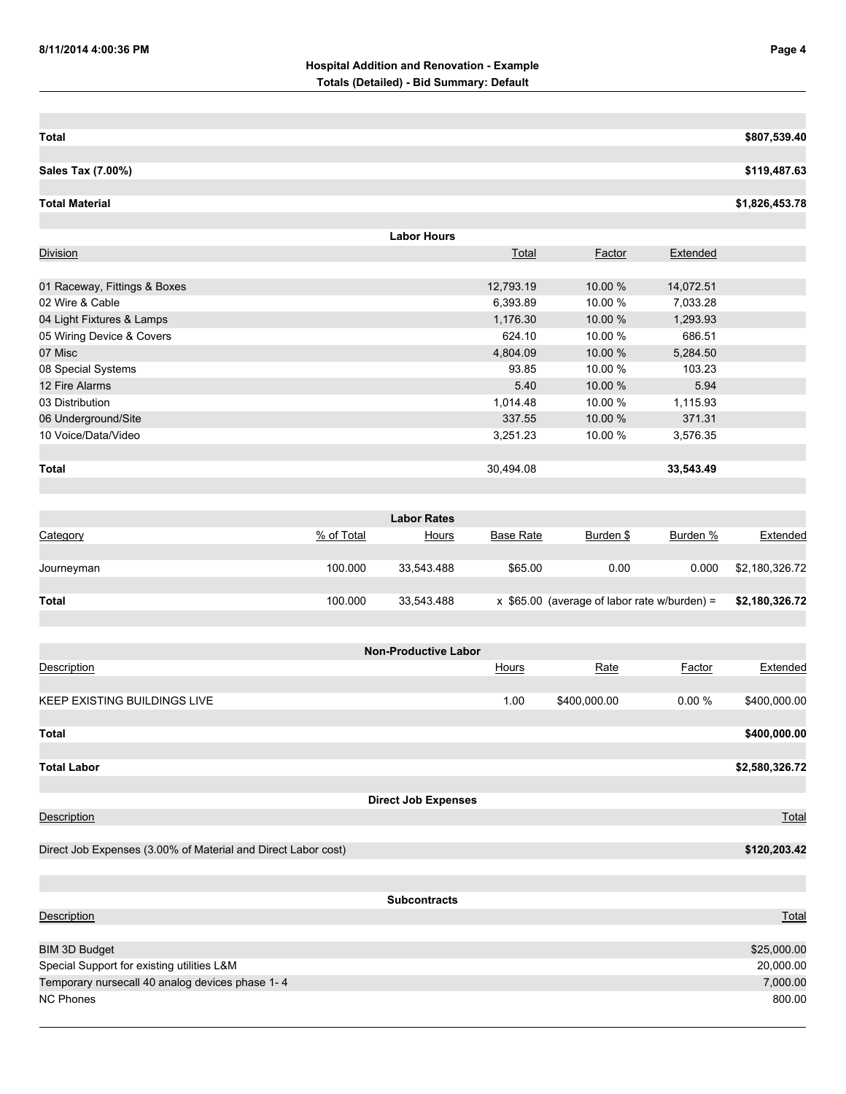| Total             | \$807,539.40 |
|-------------------|--------------|
|                   |              |
| Sales Tax (7.00%) | \$119,487.63 |
|                   |              |

**Total Material \$1,826,453.78**

| <b>Labor Hours</b>           |              |            |           |  |  |
|------------------------------|--------------|------------|-----------|--|--|
| Division                     | <b>Total</b> | Factor     | Extended  |  |  |
|                              |              |            |           |  |  |
| 01 Raceway, Fittings & Boxes | 12,793.19    | $10.00 \%$ | 14,072.51 |  |  |
| 02 Wire & Cable              | 6,393.89     | 10.00 %    | 7,033.28  |  |  |
| 04 Light Fixtures & Lamps    | 1,176.30     | 10.00 %    | 1,293.93  |  |  |
| 05 Wiring Device & Covers    | 624.10       | 10.00 %    | 686.51    |  |  |
| 07 Misc                      | 4,804.09     | 10.00 %    | 5,284.50  |  |  |
| 08 Special Systems           | 93.85        | 10.00 %    | 103.23    |  |  |
| 12 Fire Alarms               | 5.40         | 10.00 %    | 5.94      |  |  |
| 03 Distribution              | 1,014.48     | 10.00 %    | 1,115.93  |  |  |
| 06 Underground/Site          | 337.55       | 10.00 %    | 371.31    |  |  |
| 10 Voice/Data/Video          | 3,251.23     | 10.00 %    | 3,576.35  |  |  |
|                              |              |            |           |  |  |
| <b>Total</b>                 | 30,494.08    |            | 33,543.49 |  |  |

|              |            | <b>Labor Rates</b> |                  |                                                |          |                |
|--------------|------------|--------------------|------------------|------------------------------------------------|----------|----------------|
| Category     | % of Total | Hours              | <b>Base Rate</b> | Burden \$                                      | Burden % | Extended       |
|              |            |                    |                  |                                                |          |                |
| Journeyman   | 100.000    | 33.543.488         | \$65.00          | 0.00                                           | 0.000    | \$2,180,326.72 |
|              |            |                    |                  |                                                |          |                |
| <b>Total</b> | 100.000    | 33.543.488         |                  | $x$ \$65.00 (average of labor rate w/burden) = |          | \$2,180,326.72 |

|                                                               | <b>Non-Productive Labor</b> |              |              |        |                |
|---------------------------------------------------------------|-----------------------------|--------------|--------------|--------|----------------|
| Description                                                   |                             | <b>Hours</b> | Rate         | Factor | Extended       |
|                                                               |                             |              |              |        |                |
| <b>KEEP EXISTING BUILDINGS LIVE</b>                           |                             | 1.00         | \$400,000.00 | 0.00%  | \$400,000.00   |
|                                                               |                             |              |              |        |                |
| Total                                                         |                             |              |              |        | \$400,000.00   |
|                                                               |                             |              |              |        |                |
| <b>Total Labor</b>                                            |                             |              |              |        | \$2,580,326.72 |
|                                                               |                             |              |              |        |                |
|                                                               | <b>Direct Job Expenses</b>  |              |              |        |                |
| Description                                                   |                             |              |              |        | Total          |
|                                                               |                             |              |              |        |                |
| Direct Job Expenses (3.00% of Material and Direct Labor cost) |                             |              |              |        | \$120,203.42   |
|                                                               |                             |              |              |        |                |
|                                                               |                             |              |              |        |                |
|                                                               | <b>Subcontracts</b>         |              |              |        |                |
| <b>Description</b>                                            |                             |              |              |        | Total          |
|                                                               |                             |              |              |        |                |
| <b>BIM 3D Budget</b>                                          |                             |              |              |        | \$25,000.00    |
| Special Support for existing utilities L&M                    |                             |              |              |        | 20,000.00      |
| Temporary nursecall 40 analog devices phase 1-4               |                             |              |              |        | 7,000.00       |
| <b>NC Phones</b>                                              |                             |              |              |        | 800.00         |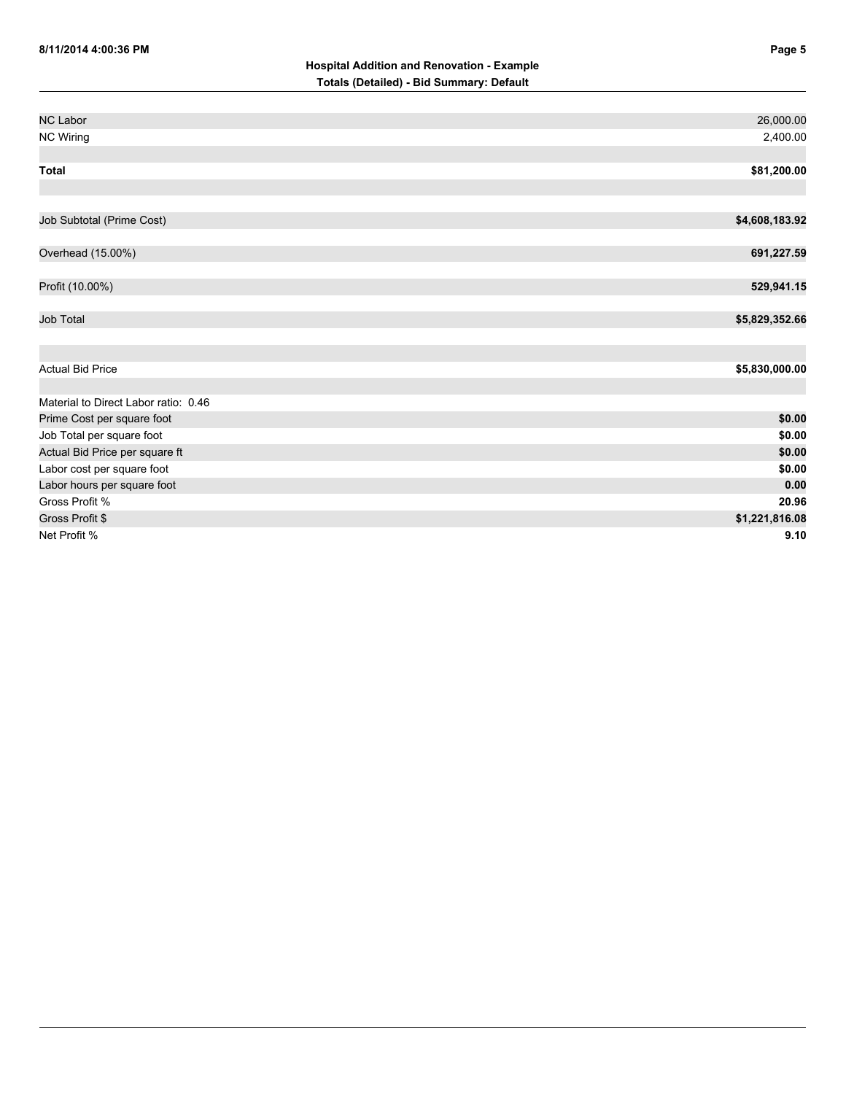| <b>NC Labor</b>                      | 26,000.00      |
|--------------------------------------|----------------|
| <b>NC Wiring</b>                     | 2,400.00       |
|                                      |                |
| <b>Total</b>                         | \$81,200.00    |
|                                      |                |
|                                      |                |
| Job Subtotal (Prime Cost)            | \$4,608,183.92 |
|                                      |                |
| Overhead (15.00%)                    | 691,227.59     |
|                                      |                |
| Profit (10.00%)                      | 529,941.15     |
|                                      |                |
| <b>Job Total</b>                     | \$5,829,352.66 |
|                                      |                |
|                                      |                |
| <b>Actual Bid Price</b>              | \$5,830,000.00 |
|                                      |                |
| Material to Direct Labor ratio: 0.46 |                |
| Prime Cost per square foot           | \$0.00         |
| Job Total per square foot            | \$0.00         |
| Actual Bid Price per square ft       | \$0.00         |
| Labor cost per square foot           | \$0.00         |
| Labor hours per square foot          | 0.00           |
| Gross Profit %                       | 20.96          |
| Gross Profit \$                      | \$1,221,816.08 |
| Net Profit %                         | 9.10           |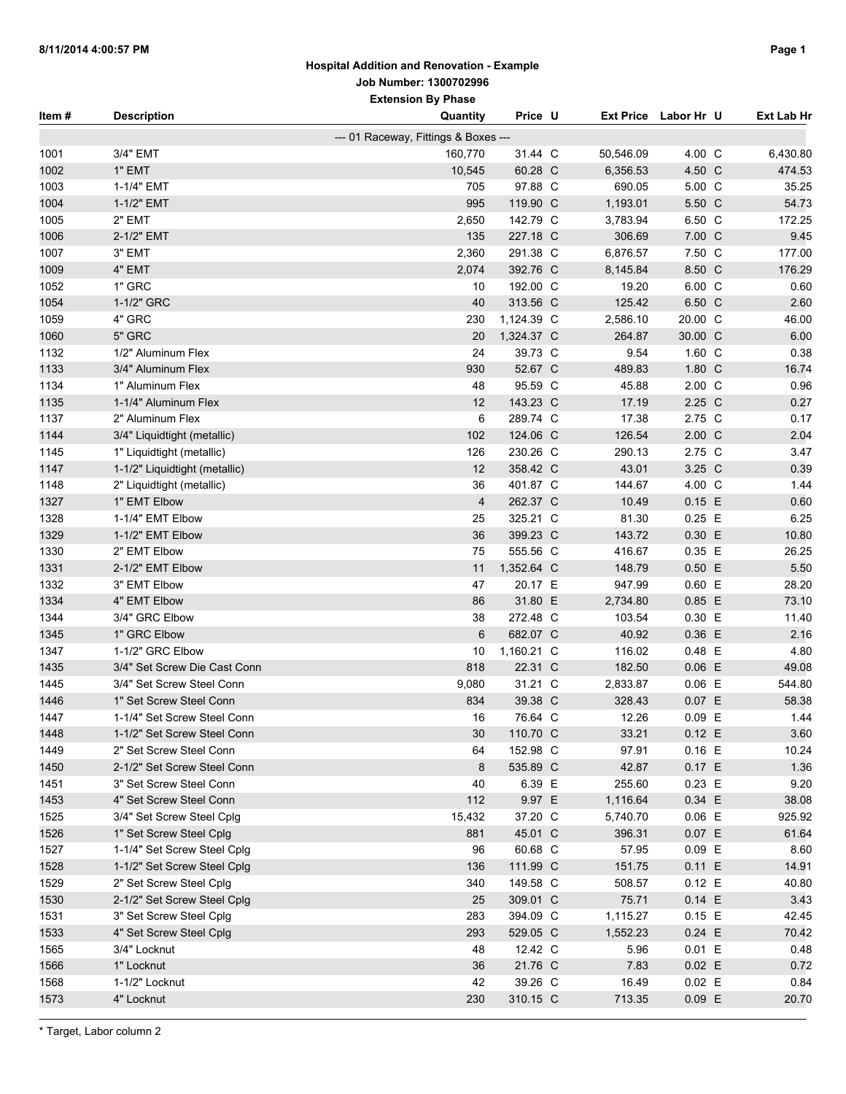### **Hospital Addition and Renovation - Example Job Number: 1300702996**

|        |                               | <b>Extension By Phase</b>            |            |           |                      |                   |
|--------|-------------------------------|--------------------------------------|------------|-----------|----------------------|-------------------|
| Item # | <b>Description</b>            | Quantity                             | Price U    |           | Ext Price Labor Hr U | <b>Ext Lab Hr</b> |
|        |                               | --- 01 Raceway, Fittings & Boxes --- |            |           |                      |                   |
| 1001   | 3/4" EMT                      | 160,770                              | 31.44 C    | 50,546.09 | 4.00 C               | 6,430.80          |
| 1002   | 1" EMT                        | 10,545                               | 60.28 C    | 6,356.53  | 4.50 C               | 474.53            |
| 1003   | 1-1/4" EMT                    | 705                                  | 97.88 C    | 690.05    | 5.00 C               | 35.25             |
| 1004   | 1-1/2" EMT                    | 995                                  | 119.90 C   | 1,193.01  | 5.50 C               | 54.73             |
| 1005   | 2" EMT                        | 2,650                                | 142.79 C   | 3,783.94  | 6.50 C               | 172.25            |
| 1006   | 2-1/2" EMT                    | 135                                  | 227.18 C   | 306.69    | 7.00 C               | 9.45              |
| 1007   | 3" EMT                        | 2,360                                | 291.38 C   | 6,876.57  | 7.50 C               | 177.00            |
| 1009   | 4" EMT                        | 2,074                                | 392.76 C   | 8,145.84  | 8.50 C               | 176.29            |
| 1052   | 1" GRC                        | 10                                   | 192.00 C   | 19.20     | 6.00 C               | 0.60              |
| 1054   | 1-1/2" GRC                    | 40                                   | 313.56 C   | 125.42    | 6.50 C               | 2.60              |
| 1059   | 4" GRC                        | 230                                  | 1,124.39 C | 2,586.10  | 20.00 C              | 46.00             |
| 1060   | 5" GRC                        | 20                                   | 1,324.37 C | 264.87    | 30.00 C              | 6.00              |
| 1132   | 1/2" Aluminum Flex            | 24                                   | 39.73 C    | 9.54      | 1.60 C               | 0.38              |
| 1133   | 3/4" Aluminum Flex            | 930                                  | 52.67 C    | 489.83    | 1.80 C               | 16.74             |
| 1134   | 1" Aluminum Flex              | 48                                   | 95.59 C    | 45.88     | $2.00\text{ C}$      | 0.96              |
| 1135   | 1-1/4" Aluminum Flex          | 12                                   | 143.23 C   | 17.19     | 2.25 C               | 0.27              |
| 1137   | 2" Aluminum Flex              | 6                                    | 289.74 C   | 17.38     | 2.75 C               | 0.17              |
| 1144   | 3/4" Liquidtight (metallic)   | 102                                  | 124.06 C   | 126.54    | $2.00\text{ C}$      | 2.04              |
| 1145   | 1" Liquidtight (metallic)     | 126                                  | 230.26 C   | 290.13    | 2.75 C               | 3.47              |
| 1147   | 1-1/2" Liquidtight (metallic) | 12                                   | 358.42 C   | 43.01     | 3.25 C               | 0.39              |
| 1148   | 2" Liquidtight (metallic)     | 36                                   | 401.87 C   | 144.67    | 4.00 C               | 1.44              |
| 1327   | 1" EMT Elbow                  | $\overline{4}$                       | 262.37 C   | 10.49     | 0.15 E               | 0.60              |
| 1328   | 1-1/4" EMT Elbow              | 25                                   | 325.21 C   | 81.30     | $0.25$ E             | 6.25              |
| 1329   | 1-1/2" EMT Elbow              | 36                                   | 399.23 C   | 143.72    | 0.30 E               | 10.80             |
| 1330   | 2" EMT Elbow                  | 75                                   | 555.56 C   | 416.67    | 0.35 E               | 26.25             |
| 1331   | 2-1/2" EMT Elbow              | 11                                   | 1,352.64 C | 148.79    | $0.50$ E             | 5.50              |
| 1332   | 3" EMT Elbow                  | 47                                   | 20.17 E    | 947.99    | $0.60$ E             | 28.20             |
| 1334   | 4" EMT Elbow                  | 86                                   | 31.80 E    | 2,734.80  | $0.85$ E             | 73.10             |
| 1344   | 3/4" GRC Elbow                | 38                                   | 272.48 C   | 103.54    | 0.30 E               | 11.40             |
| 1345   | 1" GRC Elbow                  | 6                                    | 682.07 C   | 40.92     | 0.36 E               | 2.16              |
| 1347   | 1-1/2" GRC Elbow              | 10                                   | 1,160.21 C | 116.02    | 0.48 E               | 4.80              |
| 1435   | 3/4" Set Screw Die Cast Conn  | 818                                  | 22.31 C    | 182.50    | $0.06$ E             | 49.08             |
| 1445   | 3/4" Set Screw Steel Conn     | 9,080                                | 31.21 C    | 2,833.87  | $0.06$ E             | 544.80            |
| 1446   | 1" Set Screw Steel Conn       | 834                                  | 39.38 C    | 328.43    | 0.07 E               | 58.38             |
| 1447   | 1-1/4" Set Screw Steel Conn   | 16                                   | 76.64 C    | 12.26     | $0.09$ E             | 1.44              |
| 1448   | 1-1/2" Set Screw Steel Conn   | 30                                   | 110.70 C   | 33.21     | 0.12 E               | 3.60              |
| 1449   | 2" Set Screw Steel Conn       | 64                                   | 152.98 C   | 97.91     | $0.16$ E             | 10.24             |
| 1450   | 2-1/2" Set Screw Steel Conn   | 8                                    | 535.89 C   | 42.87     | 0.17 E               | 1.36              |
| 1451   | 3" Set Screw Steel Conn       | 40                                   | 6.39 E     | 255.60    | $0.23$ E             | 9.20              |
| 1453   | 4" Set Screw Steel Conn       | 112                                  | 9.97 E     | 1,116.64  | 0.34 E               | 38.08             |
| 1525   | 3/4" Set Screw Steel Cplg     | 15,432                               | 37.20 C    | 5,740.70  | $0.06$ E             | 925.92            |
| 1526   | 1" Set Screw Steel Cplg       | 881                                  | 45.01 C    | 396.31    | $0.07$ E             | 61.64             |
| 1527   | 1-1/4" Set Screw Steel Cplg   | 96                                   | 60.68 C    | 57.95     | $0.09$ E             | 8.60              |
| 1528   | 1-1/2" Set Screw Steel Cplg   | 136                                  | 111.99 C   | 151.75    | 0.11 E               | 14.91             |
| 1529   | 2" Set Screw Steel Cplg       | 340                                  | 149.58 C   | 508.57    | 0.12 E               | 40.80             |
| 1530   | 2-1/2" Set Screw Steel Cplg   | 25                                   | 309.01 C   | 75.71     | $0.14$ E             | 3.43              |
| 1531   | 3" Set Screw Steel Cplg       | 283                                  | 394.09 C   | 1,115.27  | 0.15 E               | 42.45             |
| 1533   | 4" Set Screw Steel Cplg       | 293                                  | 529.05 C   | 1,552.23  | $0.24$ E             | 70.42             |
| 1565   | 3/4" Locknut                  | 48                                   | 12.42 C    | 5.96      | $0.01$ E             | 0.48              |
| 1566   | 1" Locknut                    | 36                                   | 21.76 C    | 7.83      | $0.02$ E             | 0.72              |
| 1568   | 1-1/2" Locknut                | 42                                   | 39.26 C    | 16.49     | $0.02$ E             | 0.84              |
| 1573   | 4" Locknut                    | 230                                  | 310.15 C   | 713.35    | $0.09$ E             | 20.70             |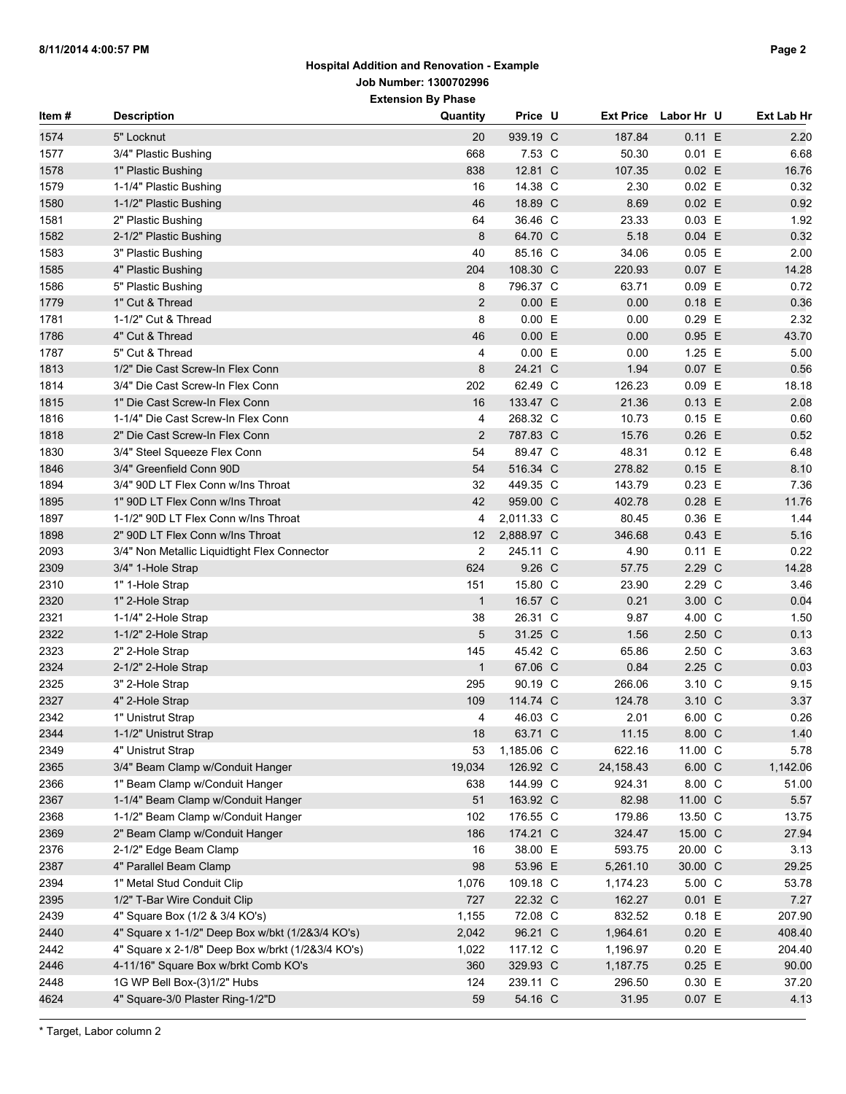# **Hospital Addition and Renovation - Example Job Number: 1300702996**

**Extension By Phase**

| Item# | <b>Description</b>                                | Quantity       | Price U    | <b>Ext Price</b> | Labor Hr U | Ext Lab Hr |
|-------|---------------------------------------------------|----------------|------------|------------------|------------|------------|
| 1574  | 5" Locknut                                        | 20             | 939.19 C   | 187.84           | 0.11 E     | 2.20       |
| 1577  | 3/4" Plastic Bushing                              | 668            | 7.53 C     | 50.30            | 0.01 E     | 6.68       |
| 1578  | 1" Plastic Bushing                                | 838            | 12.81 C    | 107.35           | $0.02$ E   | 16.76      |
| 1579  | 1-1/4" Plastic Bushing                            | 16             | 14.38 C    | 2.30             | $0.02$ E   | 0.32       |
| 1580  | 1-1/2" Plastic Bushing                            | 46             | 18.89 C    | 8.69             | $0.02$ E   | 0.92       |
| 1581  | 2" Plastic Bushing                                | 64             | 36.46 C    | 23.33            | $0.03$ E   | 1.92       |
| 1582  | 2-1/2" Plastic Bushing                            | 8              | 64.70 C    | 5.18             | 0.04 E     | 0.32       |
| 1583  | 3" Plastic Bushing                                | 40             | 85.16 C    | 34.06            | $0.05$ E   | 2.00       |
| 1585  | 4" Plastic Bushing                                | 204            | 108.30 C   | 220.93           | $0.07$ E   | 14.28      |
| 1586  | 5" Plastic Bushing                                | 8              | 796.37 C   | 63.71            | $0.09$ E   | 0.72       |
| 1779  | 1" Cut & Thread                                   | $\overline{2}$ | 0.00 E     | 0.00             | $0.18$ E   | 0.36       |
| 1781  | 1-1/2" Cut & Thread                               | 8              | 0.00 E     | 0.00             | $0.29$ E   | 2.32       |
| 1786  | 4" Cut & Thread                                   | 46             | 0.00 E     | 0.00             | 0.95 E     | 43.70      |
| 1787  | 5" Cut & Thread                                   | 4              | 0.00 E     | 0.00             | 1.25 E     | 5.00       |
| 1813  | 1/2" Die Cast Screw-In Flex Conn                  | 8              | 24.21 C    | 1.94             | $0.07$ E   | 0.56       |
| 1814  | 3/4" Die Cast Screw-In Flex Conn                  | 202            | 62.49 C    | 126.23           | $0.09$ E   | 18.18      |
| 1815  | 1" Die Cast Screw-In Flex Conn                    | 16             | 133.47 C   | 21.36            | $0.13$ E   | 2.08       |
| 1816  | 1-1/4" Die Cast Screw-In Flex Conn                | 4              | 268.32 C   | 10.73            | $0.15$ E   | 0.60       |
| 1818  | 2" Die Cast Screw-In Flex Conn                    | 2              | 787.83 C   | 15.76            | $0.26$ E   | 0.52       |
| 1830  | 3/4" Steel Squeeze Flex Conn                      | 54             | 89.47 C    | 48.31            | 0.12 E     | 6.48       |
| 1846  | 3/4" Greenfield Conn 90D                          | 54             | 516.34 C   | 278.82           | $0.15$ E   | 8.10       |
| 1894  | 3/4" 90D LT Flex Conn w/Ins Throat                | 32             | 449.35 C   | 143.79           | $0.23$ E   | 7.36       |
| 1895  | 1" 90D LT Flex Conn w/Ins Throat                  | 42             | 959.00 C   | 402.78           | $0.28$ E   | 11.76      |
| 1897  | 1-1/2" 90D LT Flex Conn w/Ins Throat              | 4              | 2,011.33 C | 80.45            | 0.36 E     | 1.44       |
| 1898  | 2" 90D LT Flex Conn w/Ins Throat                  | 12             | 2,888.97 C | 346.68           | 0.43 E     | 5.16       |
| 2093  | 3/4" Non Metallic Liquidtight Flex Connector      | $\overline{2}$ | 245.11 C   | 4.90             | 0.11 E     | 0.22       |
| 2309  | 3/4" 1-Hole Strap                                 | 624            | 9.26 C     | 57.75            | 2.29 C     | 14.28      |
| 2310  | 1" 1-Hole Strap                                   | 151            | 15.80 C    | 23.90            | 2.29 C     | 3.46       |
| 2320  | 1" 2-Hole Strap                                   | $\mathbf{1}$   | 16.57 C    | 0.21             | 3.00 C     | 0.04       |
| 2321  | 1-1/4" 2-Hole Strap                               | 38             | 26.31 C    | 9.87             | 4.00 C     | 1.50       |
| 2322  | 1-1/2" 2-Hole Strap                               | 5              | 31.25 C    | 1.56             | 2.50 C     | 0.13       |
| 2323  | 2" 2-Hole Strap                                   | 145            | 45.42 C    | 65.86            | 2.50 C     | 3.63       |
| 2324  | 2-1/2" 2-Hole Strap                               | $\mathbf{1}$   | 67.06 C    | 0.84             | 2.25 C     | 0.03       |
| 2325  | 3" 2-Hole Strap                                   | 295            | 90.19 C    | 266.06           | 3.10 C     | 9.15       |
| 2327  | 4" 2-Hole Strap                                   | 109            | 114.74 C   | 124.78           | 3.10 C     | 3.37       |
| 2342  | 1" Unistrut Strap                                 | 4              | 46.03 C    | 2.01             | 6.00 C     | 0.26       |
| 2344  | 1-1/2" Unistrut Strap                             | 18             | 63.71 C    | 11.15            | 8.00 C     | 1.40       |
| 2349  | 4" Unistrut Strap                                 | 53             | 1,185.06 C | 622.16           | 11.00 C    | 5.78       |
| 2365  | 3/4" Beam Clamp w/Conduit Hanger                  | 19,034         | 126.92 C   | 24, 158.43       | 6.00 C     | 1,142.06   |
| 2366  | 1" Beam Clamp w/Conduit Hanger                    | 638            | 144.99 C   | 924.31           | 8.00 C     | 51.00      |
| 2367  | 1-1/4" Beam Clamp w/Conduit Hanger                | $51\,$         | 163.92 C   | 82.98            | 11.00 C    | 5.57       |
| 2368  | 1-1/2" Beam Clamp w/Conduit Hanger                | 102            | 176.55 C   | 179.86           | 13.50 C    | 13.75      |
| 2369  | 2" Beam Clamp w/Conduit Hanger                    | 186            | 174.21 C   | 324.47           | 15.00 C    | 27.94      |
| 2376  | 2-1/2" Edge Beam Clamp                            | 16             | 38.00 E    | 593.75           | 20.00 C    | 3.13       |
| 2387  | 4" Parallel Beam Clamp                            | 98             | 53.96 E    | 5,261.10         | 30.00 C    | 29.25      |
| 2394  | 1" Metal Stud Conduit Clip                        | 1,076          | 109.18 C   | 1,174.23         | 5.00 C     | 53.78      |
| 2395  | 1/2" T-Bar Wire Conduit Clip                      | 727            | 22.32 C    | 162.27           | $0.01$ E   | 7.27       |
| 2439  | 4" Square Box (1/2 & 3/4 KO's)                    | 1,155          | 72.08 C    | 832.52           | $0.18$ E   | 207.90     |
| 2440  | 4" Square x 1-1/2" Deep Box w/bkt (1/2&3/4 KO's)  | 2,042          | 96.21 C    | 1,964.61         | $0.20$ E   | 408.40     |
| 2442  | 4" Square x 2-1/8" Deep Box w/brkt (1/2&3/4 KO's) | 1,022          | 117.12 C   | 1,196.97         | $0.20$ E   | 204.40     |
| 2446  | 4-11/16" Square Box w/brkt Comb KO's              | 360            | 329.93 C   | 1,187.75         | $0.25$ E   | 90.00      |
| 2448  | 1G WP Bell Box-(3)1/2" Hubs                       | 124            | 239.11 C   | 296.50           | 0.30 E     | 37.20      |
| 4624  | 4" Square-3/0 Plaster Ring-1/2"D                  | 59             | 54.16 C    | 31.95            | $0.07$ E   | 4.13       |
|       |                                                   |                |            |                  |            |            |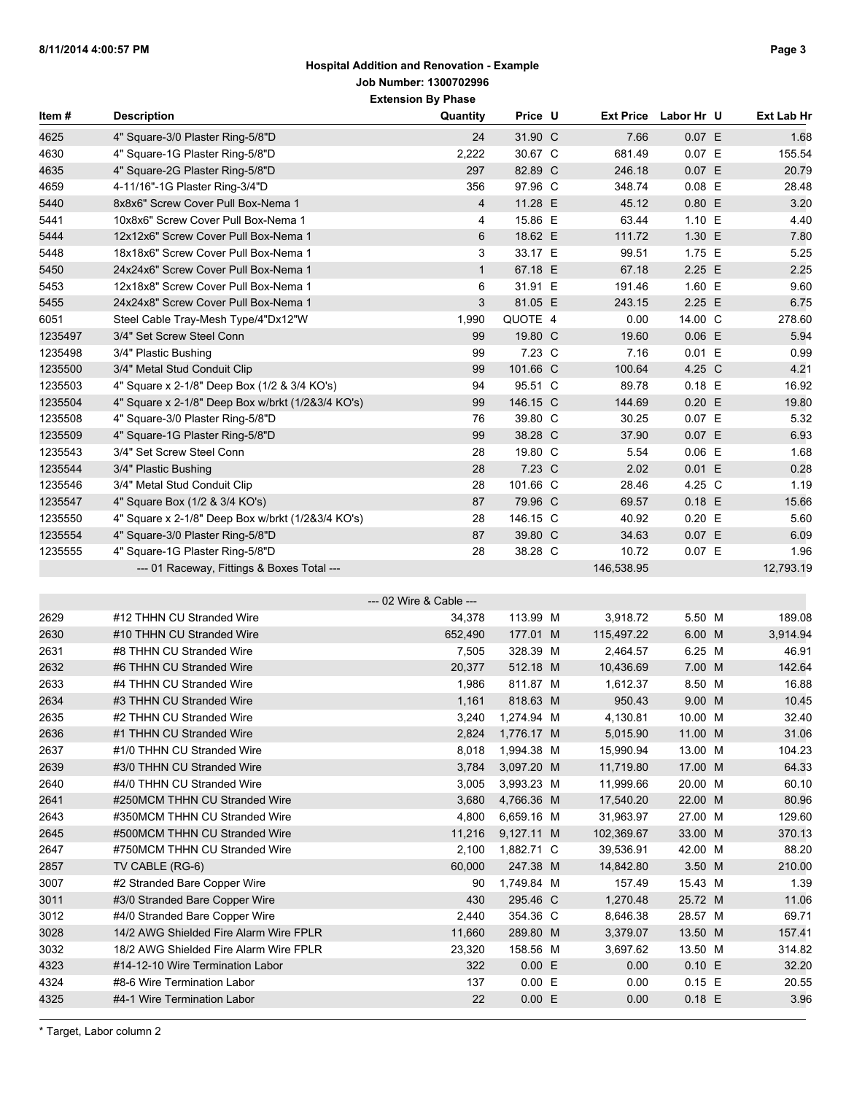| ltem #  | <b>Description</b>                                | Quantity                | Price U    | <b>Ext Price</b> | Labor Hr U | Ext Lab Hr |
|---------|---------------------------------------------------|-------------------------|------------|------------------|------------|------------|
| 4625    | 4" Square-3/0 Plaster Ring-5/8"D                  | 24                      | 31.90 C    | 7.66             | 0.07 E     | 1.68       |
| 4630    | 4" Square-1G Plaster Ring-5/8"D                   | 2,222                   | 30.67 C    | 681.49           | 0.07 E     | 155.54     |
| 4635    | 4" Square-2G Plaster Ring-5/8"D                   | 297                     | 82.89 C    | 246.18           | 0.07 E     | 20.79      |
| 4659    | 4-11/16"-1G Plaster Ring-3/4"D                    | 356                     | 97.96 C    | 348.74           | $0.08$ E   | 28.48      |
| 5440    | 8x8x6" Screw Cover Pull Box-Nema 1                | 4                       | 11.28 E    | 45.12            | $0.80$ E   | 3.20       |
| 5441    | 10x8x6" Screw Cover Pull Box-Nema 1               | 4                       | 15.86 E    | 63.44            | 1.10 E     | 4.40       |
| 5444    | 12x12x6" Screw Cover Pull Box-Nema 1              | 6                       | 18.62 E    | 111.72           | 1.30 E     | 7.80       |
| 5448    | 18x18x6" Screw Cover Pull Box-Nema 1              | 3                       | 33.17 E    | 99.51            | 1.75 E     | 5.25       |
| 5450    | 24x24x6" Screw Cover Pull Box-Nema 1              | $\mathbf{1}$            | 67.18 E    | 67.18            | 2.25 E     | 2.25       |
| 5453    | 12x18x8" Screw Cover Pull Box-Nema 1              | 6                       | 31.91 E    | 191.46           | 1.60 E     | 9.60       |
| 5455    | 24x24x8" Screw Cover Pull Box-Nema 1              | 3                       | 81.05 E    | 243.15           | 2.25 E     | 6.75       |
| 6051    | Steel Cable Tray-Mesh Type/4"Dx12"W               | 1,990                   | QUOTE 4    | 0.00             | 14.00 C    | 278.60     |
| 1235497 | 3/4" Set Screw Steel Conn                         | 99                      | 19.80 C    | 19.60            | $0.06$ E   | 5.94       |
| 1235498 | 3/4" Plastic Bushing                              | 99                      | 7.23 C     | 7.16             | 0.01 E     | 0.99       |
| 1235500 | 3/4" Metal Stud Conduit Clip                      | 99                      | 101.66 C   | 100.64           | 4.25 C     | 4.21       |
| 1235503 | 4" Square x 2-1/8" Deep Box (1/2 & 3/4 KO's)      | 94                      | 95.51 C    | 89.78            | 0.18 E     | 16.92      |
| 1235504 | 4" Square x 2-1/8" Deep Box w/brkt (1/2&3/4 KO's) | 99                      | 146.15 C   | 144.69           | $0.20$ E   | 19.80      |
| 1235508 | 4" Square-3/0 Plaster Ring-5/8"D                  | 76                      | 39.80 C    | 30.25            | 0.07 E     | 5.32       |
| 1235509 | 4" Square-1G Plaster Ring-5/8"D                   | 99                      | 38.28 C    | 37.90            | $0.07$ E   | 6.93       |
| 1235543 | 3/4" Set Screw Steel Conn                         | 28                      | 19.80 C    | 5.54             | 0.06 E     | 1.68       |
| 1235544 | 3/4" Plastic Bushing                              | 28                      | 7.23 C     | 2.02             | 0.01 E     | 0.28       |
| 1235546 | 3/4" Metal Stud Conduit Clip                      | 28                      | 101.66 C   | 28.46            | 4.25 C     | 1.19       |
| 1235547 | 4" Square Box (1/2 & 3/4 KO's)                    | 87                      | 79.96 C    | 69.57            | 0.18 E     | 15.66      |
| 1235550 | 4" Square x 2-1/8" Deep Box w/brkt (1/2&3/4 KO's) | 28                      | 146.15 C   | 40.92            | $0.20$ E   | 5.60       |
| 1235554 | 4" Square-3/0 Plaster Ring-5/8"D                  | 87                      | 39.80 C    | 34.63            | $0.07$ E   | 6.09       |
| 1235555 | 4" Square-1G Plaster Ring-5/8"D                   | 28                      | 38.28 C    | 10.72            | 0.07 E     | 1.96       |
|         | --- 01 Raceway, Fittings & Boxes Total ---        |                         |            | 146,538.95       |            | 12,793.19  |
|         |                                                   |                         |            |                  |            |            |
|         |                                                   | --- 02 Wire & Cable --- |            |                  |            |            |
| 2629    | #12 THHN CU Stranded Wire                         | 34,378                  | 113.99 M   | 3,918.72         | 5.50 M     | 189.08     |
| 2630    | #10 THHN CU Stranded Wire                         | 652,490                 | 177.01 M   | 115,497.22       | 6.00 M     | 3,914.94   |
| 2631    | #8 THHN CU Stranded Wire                          | 7,505                   | 328.39 M   | 2,464.57         | 6.25 M     | 46.91      |
| 2632    | #6 THHN CU Stranded Wire                          | 20,377                  | 512.18 M   | 10,436.69        | 7.00 M     | 142.64     |
| 2633    | #4 THHN CU Stranded Wire                          | 1,986                   | 811.87 M   | 1,612.37         | 8.50 M     | 16.88      |
| 2634    | #3 THHN CU Stranded Wire                          | 1,161                   | 818.63 M   | 950.43           | 9.00 M     | 10.45      |
| 2635    | #2 THHN CU Stranded Wire                          | 3,240                   | 1,274.94 M | 4,130.81         | 10.00 M    | 32.40      |
| 2636    | #1 THHN CU Stranded Wire                          | 2,824                   | 1,776.17 M | 5,015.90         | 11.00 M    | 31.06      |
| 2637    | #1/0 THHN CU Stranded Wire                        | 8,018                   | 1,994.38 M | 15,990.94        | 13.00 M    | 104.23     |
| 2639    | #3/0 THHN CU Stranded Wire                        | 3,784                   | 3,097.20 M | 11,719.80        | 17.00 M    | 64.33      |
| 2640    | #4/0 THHN CU Stranded Wire                        | 3,005                   | 3,993.23 M | 11,999.66        | 20.00 M    | 60.10      |
| 2641    | #250MCM THHN CU Stranded Wire                     | 3,680                   | 4,766.36 M | 17,540.20        | 22.00 M    | 80.96      |
| 2643    | #350MCM THHN CU Stranded Wire                     | 4,800                   | 6,659.16 M | 31,963.97        | 27.00 M    | 129.60     |
| 2645    | #500MCM THHN CU Stranded Wire                     | 11,216                  | 9,127.11 M | 102,369.67       | 33.00 M    | 370.13     |
| 2647    | #750MCM THHN CU Stranded Wire                     | 2,100                   | 1,882.71 C | 39,536.91        | 42.00 M    | 88.20      |
| 2857    | TV CABLE (RG-6)                                   | 60,000                  | 247.38 M   | 14,842.80        | 3.50 M     | 210.00     |
| 3007    | #2 Stranded Bare Copper Wire                      | 90                      | 1,749.84 M | 157.49           | 15.43 M    | 1.39       |
| 3011    | #3/0 Stranded Bare Copper Wire                    | 430                     | 295.46 C   | 1,270.48         | 25.72 M    | 11.06      |
| 3012    | #4/0 Stranded Bare Copper Wire                    | 2,440                   | 354.36 C   | 8,646.38         | 28.57 M    | 69.71      |
| 3028    | 14/2 AWG Shielded Fire Alarm Wire FPLR            | 11,660                  | 289.80 M   | 3,379.07         | 13.50 M    | 157.41     |
| 3032    | 18/2 AWG Shielded Fire Alarm Wire FPLR            | 23,320                  | 158.56 M   | 3,697.62         | 13.50 M    | 314.82     |
| 4323    | #14-12-10 Wire Termination Labor                  | 322                     | 0.00 E     | 0.00             | 0.10 E     | 32.20      |
| 4324    | #8-6 Wire Termination Labor                       | 137                     | 0.00 E     | 0.00             | $0.15$ E   | 20.55      |
| 4325    | #4-1 Wire Termination Labor                       | 22                      | 0.00 E     | 0.00             | 0.18 E     | 3.96       |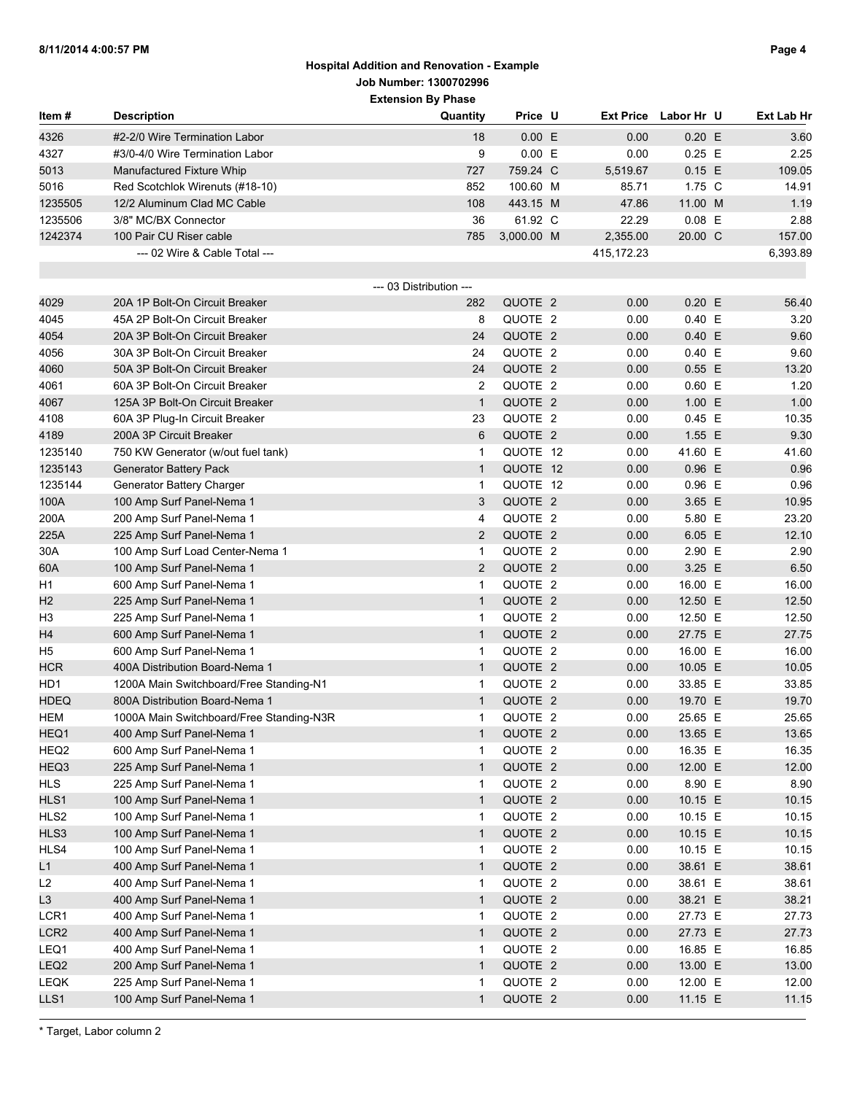| ltem #               | <b>Description</b>                                                        | Quantity                | Price U            | <b>Ext Price</b> | Labor Hr U         | Ext Lab Hr     |
|----------------------|---------------------------------------------------------------------------|-------------------------|--------------------|------------------|--------------------|----------------|
| 4326                 | #2-2/0 Wire Termination Labor                                             | 18                      | 0.00 E             | 0.00             | $0.20$ E           | 3.60           |
| 4327                 | #3/0-4/0 Wire Termination Labor                                           | 9                       | 0.00 E             | 0.00             | $0.25$ E           | 2.25           |
| 5013                 | Manufactured Fixture Whip                                                 | 727                     | 759.24 C           | 5,519.67         | 0.15 E             | 109.05         |
| 5016                 | Red Scotchlok Wirenuts (#18-10)                                           | 852                     | 100.60 M           | 85.71            | 1.75 C             | 14.91          |
| 1235505              | 12/2 Aluminum Clad MC Cable                                               | 108                     | 443.15 M           | 47.86            | 11.00 M            | 1.19           |
| 1235506              | 3/8" MC/BX Connector                                                      | 36                      | 61.92 C            | 22.29            | $0.08$ E           | 2.88           |
| 1242374              | 100 Pair CU Riser cable                                                   | 785                     | 3,000.00 M         | 2,355.00         | 20.00 C            | 157.00         |
|                      | --- 02 Wire & Cable Total ---                                             |                         |                    | 415, 172. 23     |                    | 6,393.89       |
|                      |                                                                           |                         |                    |                  |                    |                |
|                      |                                                                           | --- 03 Distribution --- |                    |                  |                    |                |
| 4029                 | 20A 1P Bolt-On Circuit Breaker                                            | 282                     | QUOTE 2            | 0.00             | $0.20$ E           | 56.40          |
| 4045                 | 45A 2P Bolt-On Circuit Breaker                                            | 8                       | QUOTE 2            | 0.00             | 0.40 E             | 3.20           |
| 4054                 | 20A 3P Bolt-On Circuit Breaker                                            | 24                      | QUOTE 2            | 0.00             | 0.40 E             | 9.60           |
| 4056                 | 30A 3P Bolt-On Circuit Breaker                                            | 24                      | QUOTE 2            | 0.00             | 0.40 E             | 9.60           |
| 4060                 | 50A 3P Bolt-On Circuit Breaker                                            | 24                      | QUOTE 2            | 0.00             | $0.55$ E           | 13.20          |
| 4061                 | 60A 3P Bolt-On Circuit Breaker                                            | $\overline{2}$          | QUOTE 2            | 0.00             | $0.60$ E           | 1.20           |
| 4067                 | 125A 3P Bolt-On Circuit Breaker                                           | $\mathbf{1}$            | QUOTE 2            | 0.00             | 1.00 E             | 1.00           |
| 4108                 | 60A 3P Plug-In Circuit Breaker                                            | 23                      | QUOTE 2            | 0.00             | $0.45$ E           | 10.35          |
| 4189                 | 200A 3P Circuit Breaker                                                   | 6                       | QUOTE 2            | 0.00             | 1.55 E             | 9.30           |
| 1235140              | 750 KW Generator (w/out fuel tank)                                        | 1                       | QUOTE 12           | 0.00             | 41.60 E            | 41.60          |
| 1235143              | <b>Generator Battery Pack</b>                                             | $\mathbf{1}$            | QUOTE 12           | 0.00             | $0.96$ E           | 0.96           |
| 1235144              | Generator Battery Charger                                                 | 1                       | QUOTE 12           | 0.00             | $0.96$ E           | 0.96           |
| 100A                 | 100 Amp Surf Panel-Nema 1                                                 | 3                       | QUOTE 2            | 0.00             | 3.65 E             | 10.95          |
| 200A                 | 200 Amp Surf Panel-Nema 1                                                 | 4                       | QUOTE 2            | 0.00             | 5.80 E             | 23.20          |
| 225A                 | 225 Amp Surf Panel-Nema 1                                                 | $\overline{2}$          | QUOTE 2            | 0.00             | 6.05 E             | 12.10          |
| 30A                  | 100 Amp Surf Load Center-Nema 1                                           | $\mathbf{1}$            | QUOTE 2<br>QUOTE 2 | 0.00             | 2.90 E<br>3.25 E   | 2.90           |
| 60A                  | 100 Amp Surf Panel-Nema 1                                                 | $\overline{2}$          | QUOTE 2            | 0.00             | 16.00 E            | 6.50           |
| H1                   | 600 Amp Surf Panel-Nema 1                                                 | $\mathbf{1}$            | QUOTE 2            | 0.00             |                    | 16.00          |
| H <sub>2</sub>       | 225 Amp Surf Panel-Nema 1                                                 | $\mathbf{1}$            | QUOTE 2            | 0.00             | 12.50 E<br>12.50 E | 12.50          |
| H <sub>3</sub>       | 225 Amp Surf Panel-Nema 1                                                 | 1<br>$\mathbf{1}$       | QUOTE 2            | 0.00<br>0.00     | 27.75 E            | 12.50<br>27.75 |
| H4<br>H <sub>5</sub> | 600 Amp Surf Panel-Nema 1                                                 |                         | QUOTE 2            | 0.00             | 16.00 E            | 16.00          |
| <b>HCR</b>           | 600 Amp Surf Panel-Nema 1<br>400A Distribution Board-Nema 1               | 1<br>$\mathbf{1}$       | QUOTE 2            | 0.00             | 10.05 E            | 10.05          |
| HD1                  |                                                                           | 1                       | QUOTE 2            | 0.00             | 33.85 E            | 33.85          |
| <b>HDEQ</b>          | 1200A Main Switchboard/Free Standing-N1<br>800A Distribution Board-Nema 1 | $\mathbf{1}$            | QUOTE 2            | 0.00             | 19.70 E            | 19.70          |
| <b>HEM</b>           | 1000A Main Switchboard/Free Standing-N3R                                  | 1                       | QUOTE 2            | 0.00             | 25.65 E            | 25.65          |
| HEQ1                 | 400 Amp Surf Panel-Nema 1                                                 | $\mathbf{1}$            | QUOTE 2            | 0.00             | 13.65 E            | 13.65          |
| HEQ2                 | 600 Amp Surf Panel-Nema 1                                                 | 1                       | QUOTE 2            | 0.00             | 16.35 E            | 16.35          |
| HEQ3                 | 225 Amp Surf Panel-Nema 1                                                 | $\mathbf{1}$            | QUOTE 2            | 0.00             | 12.00 E            | 12.00          |
| <b>HLS</b>           | 225 Amp Surf Panel-Nema 1                                                 | 1                       | QUOTE 2            | 0.00             | 8.90 E             | 8.90           |
| HLS1                 | 100 Amp Surf Panel-Nema 1                                                 | $\mathbf{1}$            | QUOTE 2            | 0.00             | 10.15 E            | 10.15          |
| HLS2                 | 100 Amp Surf Panel-Nema 1                                                 | 1                       | QUOTE 2            | 0.00             | 10.15 E            | 10.15          |
| HLS3                 | 100 Amp Surf Panel-Nema 1                                                 | $\mathbf{1}$            | QUOTE 2            | 0.00             | 10.15 E            | 10.15          |
| HLS4                 | 100 Amp Surf Panel-Nema 1                                                 | 1                       | QUOTE 2            | 0.00             | 10.15 E            | 10.15          |
| L1                   | 400 Amp Surf Panel-Nema 1                                                 | $\mathbf{1}$            | QUOTE 2            | 0.00             | 38.61 E            | 38.61          |
| L2                   | 400 Amp Surf Panel-Nema 1                                                 | 1                       | QUOTE 2            | 0.00             | 38.61 E            | 38.61          |
| L <sub>3</sub>       | 400 Amp Surf Panel-Nema 1                                                 | $\mathbf{1}$            | QUOTE 2            | 0.00             | 38.21 E            | 38.21          |
| LCR1                 | 400 Amp Surf Panel-Nema 1                                                 | 1                       | QUOTE 2            | 0.00             | 27.73 E            | 27.73          |
| LCR <sub>2</sub>     | 400 Amp Surf Panel-Nema 1                                                 | $\mathbf{1}$            | QUOTE 2            | 0.00             | 27.73 E            | 27.73          |
| LEQ1                 | 400 Amp Surf Panel-Nema 1                                                 | 1                       | QUOTE 2            | 0.00             | 16.85 E            | 16.85          |
| LEQ <sub>2</sub>     | 200 Amp Surf Panel-Nema 1                                                 | $\mathbf{1}$            | QUOTE 2            | 0.00             | 13.00 E            | 13.00          |
| LEQK                 | 225 Amp Surf Panel-Nema 1                                                 | 1                       | QUOTE 2            | 0.00             | 12.00 E            | 12.00          |
| LLS1                 | 100 Amp Surf Panel-Nema 1                                                 | $\mathbf{1}$            | QUOTE 2            | 0.00             | 11.15 E            | 11.15          |
|                      |                                                                           |                         |                    |                  |                    |                |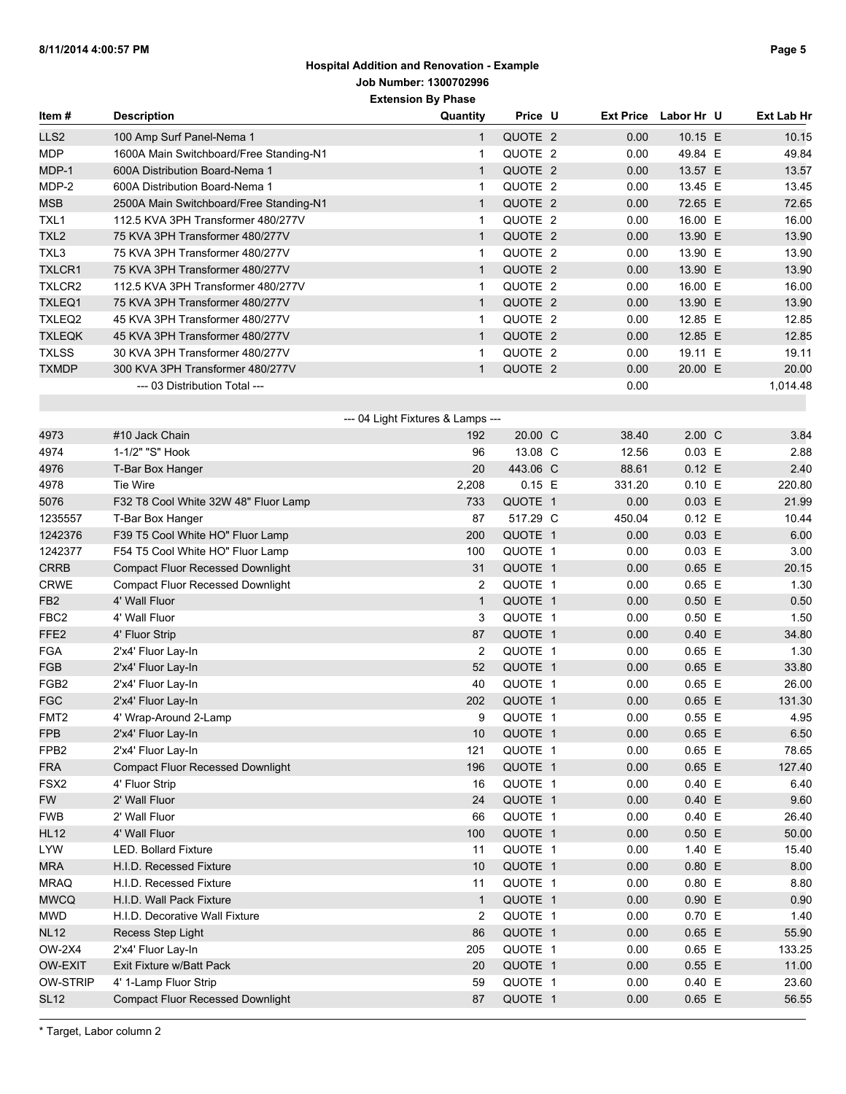| ltem #           | <b>Description</b>                      | Quantity                          | Price U  | <b>Ext Price</b> | Labor Hr U      | Ext Lab Hr |
|------------------|-----------------------------------------|-----------------------------------|----------|------------------|-----------------|------------|
| LLS <sub>2</sub> | 100 Amp Surf Panel-Nema 1               | 1                                 | QUOTE 2  | 0.00             | 10.15 E         | 10.15      |
| <b>MDP</b>       | 1600A Main Switchboard/Free Standing-N1 | $\mathbf{1}$                      | QUOTE 2  | 0.00             | 49.84 E         | 49.84      |
| MDP-1            | 600A Distribution Board-Nema 1          | $\mathbf{1}$                      | QUOTE 2  | 0.00             | 13.57 E         | 13.57      |
| MDP-2            | 600A Distribution Board-Nema 1          | $\mathbf{1}$                      | QUOTE 2  | 0.00             | 13.45 E         | 13.45      |
| <b>MSB</b>       | 2500A Main Switchboard/Free Standing-N1 | $\mathbf{1}$                      | QUOTE 2  | 0.00             | 72.65 E         | 72.65      |
| TXL1             | 112.5 KVA 3PH Transformer 480/277V      | $\mathbf{1}$                      | QUOTE 2  | 0.00             | 16.00 E         | 16.00      |
| TXL <sub>2</sub> | 75 KVA 3PH Transformer 480/277V         | $\mathbf{1}$                      | QUOTE 2  | 0.00             | 13.90 E         | 13.90      |
| TXL3             | 75 KVA 3PH Transformer 480/277V         | $\mathbf{1}$                      | QUOTE 2  | 0.00             | 13.90 E         | 13.90      |
| TXLCR1           | 75 KVA 3PH Transformer 480/277V         | $\mathbf{1}$                      | QUOTE 2  | 0.00             | 13.90 E         | 13.90      |
| TXLCR2           | 112.5 KVA 3PH Transformer 480/277V      | $\mathbf{1}$                      | QUOTE 2  | 0.00             | 16.00 E         | 16.00      |
| TXLEQ1           | 75 KVA 3PH Transformer 480/277V         | $\mathbf{1}$                      | QUOTE 2  | 0.00             | 13.90 E         | 13.90      |
| TXLEQ2           | 45 KVA 3PH Transformer 480/277V         | $\mathbf{1}$                      | QUOTE 2  | 0.00             | 12.85 E         | 12.85      |
| <b>TXLEQK</b>    | 45 KVA 3PH Transformer 480/277V         | $\mathbf{1}$                      | QUOTE 2  | 0.00             | 12.85 E         | 12.85      |
| <b>TXLSS</b>     | 30 KVA 3PH Transformer 480/277V         | $\mathbf{1}$                      | QUOTE 2  | 0.00             | 19.11 E         | 19.11      |
| <b>TXMDP</b>     | 300 KVA 3PH Transformer 480/277V        | $\mathbf{1}$                      | QUOTE 2  | 0.00             | 20.00 E         | 20.00      |
|                  | --- 03 Distribution Total ---           |                                   |          | 0.00             |                 | 1,014.48   |
|                  |                                         |                                   |          |                  |                 |            |
|                  |                                         | --- 04 Light Fixtures & Lamps --- |          |                  |                 |            |
| 4973             | #10 Jack Chain                          | 192                               | 20.00 C  | 38.40            | $2.00\text{ C}$ | 3.84       |
| 4974             | 1-1/2" "S" Hook                         | 96                                | 13.08 C  | 12.56            | $0.03$ E        | 2.88       |
| 4976             | T-Bar Box Hanger                        | 20                                | 443.06 C | 88.61            | 0.12 E          | 2.40       |
| 4978             | Tie Wire                                | 2,208                             | $0.15$ E | 331.20           | 0.10 E          | 220.80     |
| 5076             | F32 T8 Cool White 32W 48" Fluor Lamp    | 733                               | QUOTE 1  | 0.00             | $0.03$ E        | 21.99      |
| 1235557          | T-Bar Box Hanger                        | 87                                | 517.29 C | 450.04           | 0.12 E          | 10.44      |
| 1242376          | F39 T5 Cool White HO" Fluor Lamp        | 200                               | QUOTE 1  | 0.00             | $0.03$ E        | 6.00       |
| 1242377          | F54 T5 Cool White HO" Fluor Lamp        | 100                               | QUOTE 1  | 0.00             | $0.03$ E        | 3.00       |
| <b>CRRB</b>      | <b>Compact Fluor Recessed Downlight</b> | 31                                | QUOTE 1  | 0.00             | $0.65$ E        | 20.15      |
| <b>CRWE</b>      | <b>Compact Fluor Recessed Downlight</b> | $\overline{2}$                    | QUOTE 1  | 0.00             | $0.65$ E        | 1.30       |
| FB <sub>2</sub>  | 4' Wall Fluor                           | $\mathbf{1}$                      | QUOTE 1  | 0.00             | $0.50$ E        | 0.50       |
| FBC <sub>2</sub> | 4' Wall Fluor                           | 3                                 | QUOTE 1  | 0.00             | $0.50$ E        | 1.50       |
| FFE <sub>2</sub> | 4' Fluor Strip                          | 87                                | QUOTE 1  | 0.00             | 0.40 E          | 34.80      |
| <b>FGA</b>       | 2'x4' Fluor Lay-In                      | 2                                 | QUOTE 1  | 0.00             | $0.65$ E        | 1.30       |
| <b>FGB</b>       | 2'x4' Fluor Lay-In                      | 52                                | QUOTE 1  | 0.00             | $0.65$ E        | 33.80      |
| FGB <sub>2</sub> | 2'x4' Fluor Lay-In                      | 40                                | QUOTE 1  | 0.00             | $0.65$ E        | 26.00      |
| <b>FGC</b>       | 2'x4' Fluor Lay-In                      | 202                               | QUOTE 1  | 0.00             | $0.65$ E        | 131.30     |
| FMT <sub>2</sub> | 4' Wrap-Around 2-Lamp                   | 9                                 | QUOTE 1  | 0.00             | $0.55$ E        | 4.95       |
| <b>FPB</b>       | 2'x4' Fluor Lay-In                      | $10$                              | QUOTE 1  | 0.00             | $0.65$ E        | 6.50       |
| FPB <sub>2</sub> | 2'x4' Fluor Lay-In                      | 121                               | QUOTE 1  | 0.00             | $0.65$ E        | 78.65      |
| FRA              | <b>Compact Fluor Recessed Downlight</b> | 196                               | QUOTE 1  | 0.00             | $0.65$ E        | 127.40     |
| FSX <sub>2</sub> | 4' Fluor Strip                          | 16                                | QUOTE 1  | 0.00             | 0.40 E          | 6.40       |
| <b>FW</b>        | 2' Wall Fluor                           | 24                                | QUOTE 1  | 0.00             | 0.40 E          | 9.60       |
| <b>FWB</b>       | 2' Wall Fluor                           | 66                                | QUOTE 1  | 0.00             | 0.40 E          | 26.40      |
| <b>HL12</b>      | 4' Wall Fluor                           | 100                               | QUOTE 1  | 0.00             | $0.50$ E        | 50.00      |
| <b>LYW</b>       | <b>LED. Bollard Fixture</b>             | 11                                | QUOTE 1  | 0.00             | 1.40 E          | 15.40      |
| MRA              | H.I.D. Recessed Fixture                 | 10                                | QUOTE 1  | 0.00             | 0.80 E          | 8.00       |
| <b>MRAQ</b>      | H.I.D. Recessed Fixture                 | 11                                | QUOTE 1  | 0.00             | 0.80 E          | 8.80       |
| <b>MWCQ</b>      | H.I.D. Wall Pack Fixture                | $\mathbf{1}$                      | QUOTE 1  | 0.00             | 0.90 E          | 0.90       |
| <b>MWD</b>       | H.I.D. Decorative Wall Fixture          | 2                                 | QUOTE 1  | 0.00             | 0.70 E          | 1.40       |
| <b>NL12</b>      | Recess Step Light                       | 86                                | QUOTE 1  | 0.00             | $0.65$ E        | 55.90      |
| OW-2X4           | 2'x4' Fluor Lay-In                      | 205                               | QUOTE 1  | 0.00             | $0.65$ E        | 133.25     |
| OW-EXIT          | Exit Fixture w/Batt Pack                | 20                                | QUOTE 1  | 0.00             | $0.55$ E        | 11.00      |
| <b>OW-STRIP</b>  | 4' 1-Lamp Fluor Strip                   | 59                                | QUOTE 1  | 0.00             | 0.40 E          | 23.60      |
| <b>SL12</b>      | <b>Compact Fluor Recessed Downlight</b> | 87                                | QUOTE 1  | 0.00             | $0.65$ E        | 56.55      |
|                  |                                         |                                   |          |                  |                 |            |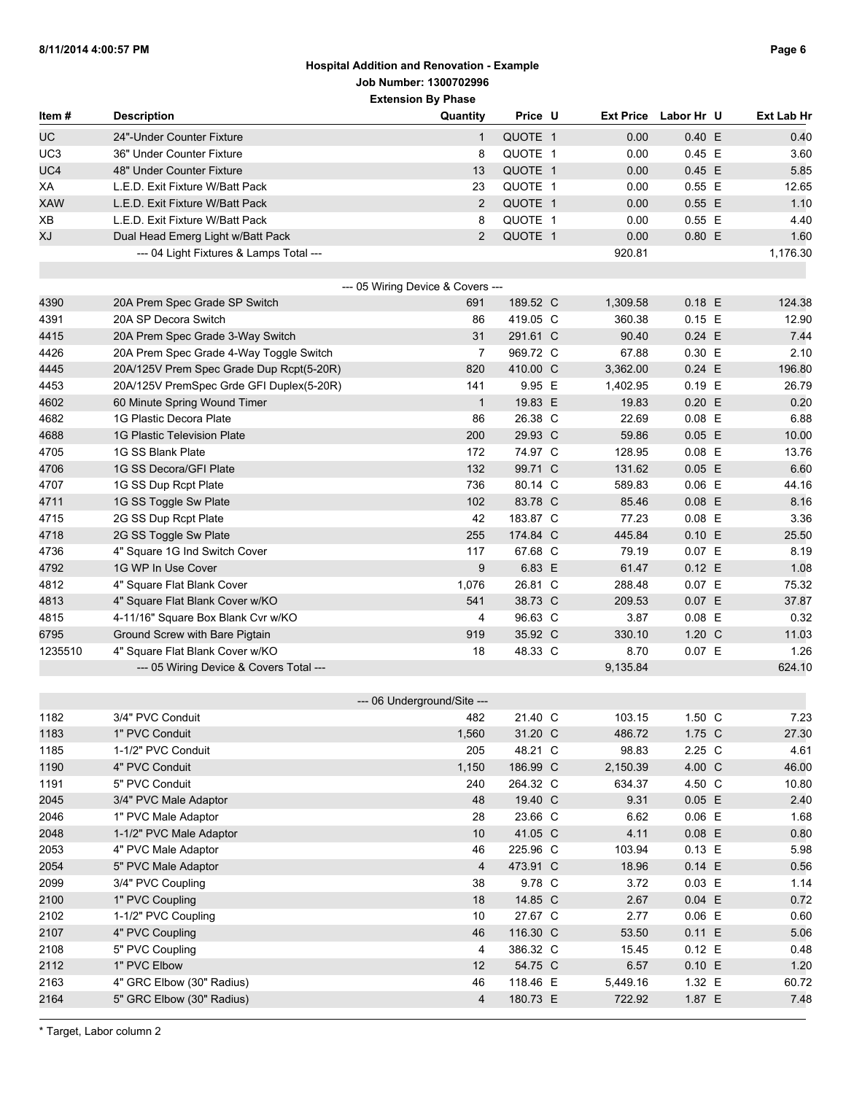| Item#           | <b>Description</b>                       | Quantity                          | Price U  | <b>Ext Price</b> | Labor Hr U | <b>Ext Lab Hr</b> |
|-----------------|------------------------------------------|-----------------------------------|----------|------------------|------------|-------------------|
| <b>UC</b>       | 24"-Under Counter Fixture                | $\mathbf{1}$                      | QUOTE 1  | 0.00             | 0.40 E     | 0.40              |
| UC <sub>3</sub> | 36" Under Counter Fixture                | 8                                 | QUOTE 1  | 0.00             | $0.45$ E   | 3.60              |
| UC4             | 48" Under Counter Fixture                | 13                                | QUOTE 1  | 0.00             | $0.45$ E   | 5.85              |
| ХA              | L.E.D. Exit Fixture W/Batt Pack          | 23                                | QUOTE 1  | 0.00             | $0.55$ E   | 12.65             |
| <b>XAW</b>      | L.E.D. Exit Fixture W/Batt Pack          | $\overline{2}$                    | QUOTE 1  | 0.00             | $0.55$ E   | 1.10              |
| XB              | L.E.D. Exit Fixture W/Batt Pack          | 8                                 | QUOTE 1  | 0.00             | $0.55$ E   | 4.40              |
| XJ              | Dual Head Emerg Light w/Batt Pack        | $\overline{2}$                    | QUOTE 1  | 0.00             | $0.80$ E   | 1.60              |
|                 | --- 04 Light Fixtures & Lamps Total ---  |                                   |          | 920.81           |            | 1,176.30          |
|                 |                                          | --- 05 Wiring Device & Covers --- |          |                  |            |                   |
| 4390            | 20A Prem Spec Grade SP Switch            | 691                               | 189.52 C | 1,309.58         | $0.18$ E   | 124.38            |
| 4391            | 20A SP Decora Switch                     | 86                                | 419.05 C | 360.38           | $0.15$ E   | 12.90             |
| 4415            | 20A Prem Spec Grade 3-Way Switch         | 31                                | 291.61 C | 90.40            | $0.24$ E   | 7.44              |
| 4426            | 20A Prem Spec Grade 4-Way Toggle Switch  | 7                                 | 969.72 C | 67.88            | 0.30 E     | 2.10              |
| 4445            | 20A/125V Prem Spec Grade Dup Rcpt(5-20R) | 820                               | 410.00 C | 3,362.00         | $0.24$ E   | 196.80            |
| 4453            | 20A/125V PremSpec Grde GFI Duplex(5-20R) | 141                               | 9.95 E   | 1,402.95         | $0.19$ E   | 26.79             |
| 4602            | 60 Minute Spring Wound Timer             | $\mathbf{1}$                      | 19.83 E  | 19.83            | $0.20$ E   | 0.20              |
| 4682            | 1G Plastic Decora Plate                  | 86                                | 26.38 C  | 22.69            | $0.08$ E   | 6.88              |
| 4688            | 1G Plastic Television Plate              | 200                               | 29.93 C  | 59.86            | $0.05$ E   | 10.00             |
| 4705            | 1G SS Blank Plate                        | 172                               | 74.97 C  | 128.95           | $0.08$ E   | 13.76             |
| 4706            | 1G SS Decora/GFI Plate                   | 132                               | 99.71 C  | 131.62           | 0.05 E     | 6.60              |
| 4707            | 1G SS Dup Rcpt Plate                     | 736                               | 80.14 C  | 589.83           | $0.06$ E   | 44.16             |
| 4711            | 1G SS Toggle Sw Plate                    | 102                               | 83.78 C  | 85.46            | $0.08$ E   | 8.16              |
| 4715            | 2G SS Dup Rcpt Plate                     | 42                                | 183.87 C | 77.23            | $0.08$ E   | 3.36              |
| 4718            | 2G SS Toggle Sw Plate                    | 255                               | 174.84 C | 445.84           | 0.10 E     | 25.50             |
| 4736            | 4" Square 1G Ind Switch Cover            | 117                               | 67.68 C  | 79.19            | 0.07 E     | 8.19              |
| 4792            | 1G WP In Use Cover                       | 9                                 | 6.83 E   | 61.47            | $0.12$ E   | 1.08              |
| 4812            | 4" Square Flat Blank Cover               | 1,076                             | 26.81 C  | 288.48           | 0.07 E     | 75.32             |
| 4813            | 4" Square Flat Blank Cover w/KO          | 541                               | 38.73 C  | 209.53           | 0.07 E     | 37.87             |
| 4815            | 4-11/16" Square Box Blank Cvr w/KO       | 4                                 | 96.63 C  | 3.87             | $0.08$ E   | 0.32              |
| 6795            | Ground Screw with Bare Pigtain           | 919                               | 35.92 C  | 330.10           | 1.20 C     | 11.03             |
| 1235510         | 4" Square Flat Blank Cover w/KO          | 18                                | 48.33 C  | 8.70             | $0.07$ E   | 1.26              |
|                 | --- 05 Wiring Device & Covers Total ---  |                                   |          | 9,135.84         |            | 624.10            |
|                 |                                          | --- 06 Underground/Site ---       |          |                  |            |                   |
| 1182            | 3/4" PVC Conduit                         | 482                               | 21.40 C  | 103.15           | 1.50 C     | 7.23              |
| 1183            | 1" PVC Conduit                           | 1,560                             | 31.20 C  | 486.72           | 1.75 C     | 27.30             |
| 1185            | 1-1/2" PVC Conduit                       | 205                               | 48.21 C  | 98.83            | 2.25 C     | 4.61              |
| 1190            | 4" PVC Conduit                           | 1,150                             | 186.99 C | 2,150.39         | 4.00 C     | 46.00             |
| 1191            | 5" PVC Conduit                           | 240                               | 264.32 C | 634.37           | 4.50 C     | 10.80             |
| 2045            | 3/4" PVC Male Adaptor                    | 48                                | 19.40 C  | 9.31             | $0.05$ E   | 2.40              |
| 2046            | 1" PVC Male Adaptor                      | 28                                | 23.66 C  | 6.62             | $0.06$ E   | 1.68              |
| 2048            | 1-1/2" PVC Male Adaptor                  | 10                                | 41.05 C  | 4.11             | $0.08$ E   | 0.80              |
| 2053            | 4" PVC Male Adaptor                      | 46                                | 225.96 C | 103.94           | $0.13$ E   | 5.98              |
| 2054            | 5" PVC Male Adaptor                      | $\overline{4}$                    | 473.91 C | 18.96            | 0.14 E     | 0.56              |
| 2099            | 3/4" PVC Coupling                        | 38                                | 9.78 C   | 3.72             | $0.03$ E   | 1.14              |
| 2100            | 1" PVC Coupling                          | 18                                | 14.85 C  | 2.67             | $0.04$ E   | 0.72              |
| 2102            | 1-1/2" PVC Coupling                      | 10                                | 27.67 C  | 2.77             | $0.06$ E   | 0.60              |
| 2107            | 4" PVC Coupling                          | 46                                | 116.30 C | 53.50            | 0.11 E     | 5.06              |
| 2108            | 5" PVC Coupling                          | 4                                 | 386.32 C | 15.45            | 0.12 E     | 0.48              |
| 2112            | 1" PVC Elbow                             | 12                                | 54.75 C  | 6.57             | 0.10 E     | 1.20              |
| 2163            | 4" GRC Elbow (30" Radius)                | 46                                | 118.46 E | 5,449.16         | 1.32 E     | 60.72             |
| 2164            | 5" GRC Elbow (30" Radius)                | $\overline{4}$                    | 180.73 E | 722.92           | 1.87 E     | 7.48              |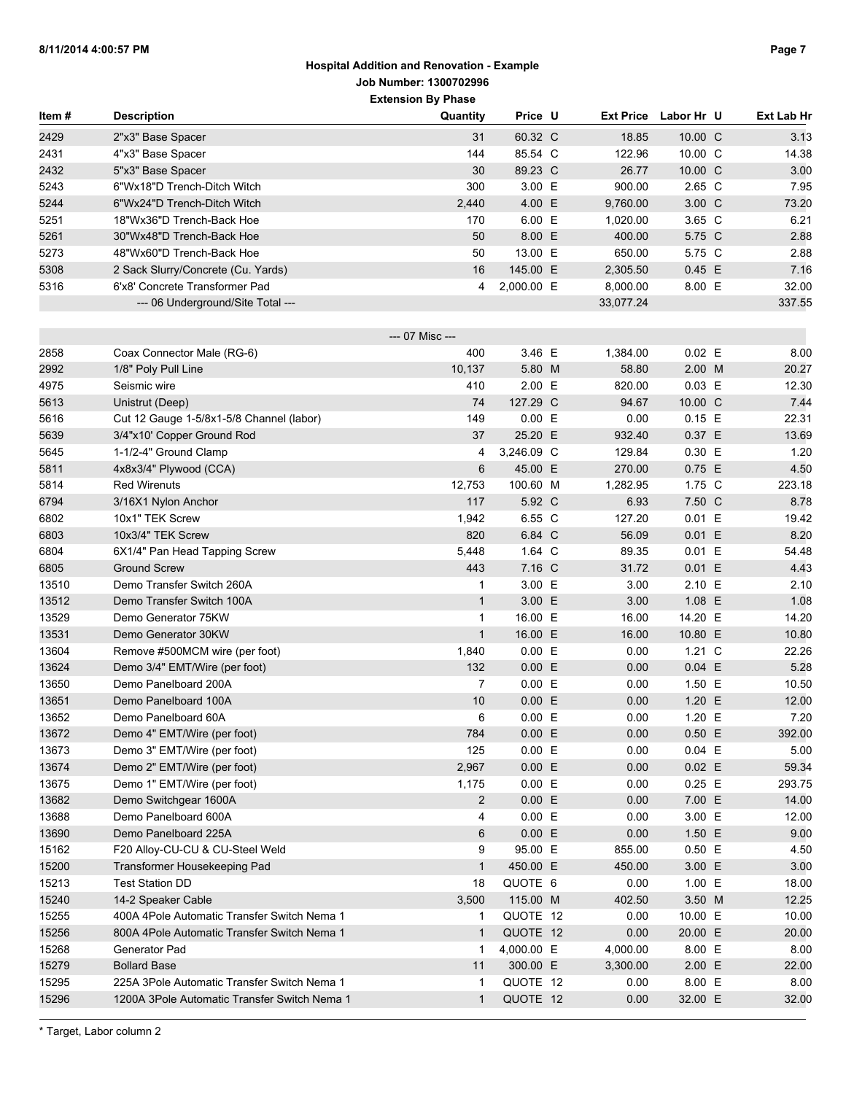| ltem # | <b>Description</b>                           | Quantity        | Price U          | <b>Ext Price</b> | Labor Hr U      | Ext Lab Hr |
|--------|----------------------------------------------|-----------------|------------------|------------------|-----------------|------------|
| 2429   | 2"x3" Base Spacer                            | 31              | 60.32 C          | 18.85            | 10.00 C         | 3.13       |
| 2431   | 4"x3" Base Spacer                            | 144             | 85.54 C          | 122.96           | 10.00 C         | 14.38      |
| 2432   | 5"x3" Base Spacer                            | 30              | 89.23 C          | 26.77            | 10.00 C         | 3.00       |
| 5243   | 6"Wx18"D Trench-Ditch Witch                  | 300             | 3.00 E           | 900.00           | $2.65$ C        | 7.95       |
| 5244   | 6"Wx24"D Trench-Ditch Witch                  | 2,440           | 4.00 E           | 9,760.00         | 3.00 C          | 73.20      |
| 5251   | 18"Wx36"D Trench-Back Hoe                    | 170             | 6.00 E           | 1,020.00         | 3.65 C          | 6.21       |
| 5261   | 30"Wx48"D Trench-Back Hoe                    | 50              | 8.00 E           | 400.00           | 5.75 C          | 2.88       |
| 5273   | 48"Wx60"D Trench-Back Hoe                    | 50              | 13.00 E          | 650.00           | 5.75 C          | 2.88       |
| 5308   | 2 Sack Slurry/Concrete (Cu. Yards)           | 16              | 145.00 E         | 2,305.50         | $0.45$ E        | 7.16       |
| 5316   | 6'x8' Concrete Transformer Pad               | 4               | 2,000.00 E       | 8,000.00         | 8.00 E          | 32.00      |
|        | --- 06 Underground/Site Total ---            |                 |                  | 33,077.24        |                 | 337.55     |
|        |                                              |                 |                  |                  |                 |            |
|        |                                              | --- 07 Misc --- |                  |                  |                 |            |
| 2858   | Coax Connector Male (RG-6)                   | 400             | 3.46 E           | 1,384.00         | $0.02$ E        | 8.00       |
| 2992   | 1/8" Poly Pull Line                          | 10,137          | 5.80 M           | 58.80            | 2.00 M          | 20.27      |
| 4975   | Seismic wire                                 | 410             | 2.00 E           | 820.00           | $0.03$ E        | 12.30      |
| 5613   | Unistrut (Deep)                              | 74              | 127.29 C         | 94.67            | 10.00 C         | 7.44       |
| 5616   | Cut 12 Gauge 1-5/8x1-5/8 Channel (labor)     | 149             | 0.00 E           | 0.00             | 0.15 E          | 22.31      |
| 5639   | 3/4"x10' Copper Ground Rod                   | 37              | 25.20 E          | 932.40           | 0.37 E          | 13.69      |
| 5645   | 1-1/2-4" Ground Clamp                        | 4               | 3,246.09 C       | 129.84           | 0.30 E          | 1.20       |
| 5811   | 4x8x3/4" Plywood (CCA)                       | $6\phantom{1}$  | 45.00 E          | 270.00           | 0.75 E          | 4.50       |
| 5814   | <b>Red Wirenuts</b>                          | 12,753          | 100.60 M         | 1,282.95         | $1.75$ C        | 223.18     |
| 6794   | 3/16X1 Nylon Anchor                          | 117             | 5.92 C           | 6.93             | 7.50 C          | 8.78       |
| 6802   | 10x1" TEK Screw                              | 1,942           | 6.55 C           | 127.20           | 0.01 E          | 19.42      |
| 6803   | 10x3/4" TEK Screw                            | 820             | 6.84 C           | 56.09            | 0.01 E          | 8.20       |
| 6804   | 6X1/4" Pan Head Tapping Screw                | 5,448           | 1.64 $\degree$ C | 89.35            | 0.01 E          | 54.48      |
| 6805   | <b>Ground Screw</b>                          | 443             | 7.16 C           | 31.72            | 0.01 E          | 4.43       |
| 13510  | Demo Transfer Switch 260A                    | 1               | 3.00 E           | 3.00             | 2.10 E          | 2.10       |
| 13512  | Demo Transfer Switch 100A                    | $\mathbf{1}$    | 3.00 E           | 3.00             | 1.08 E          | 1.08       |
| 13529  | Demo Generator 75KW                          | 1               | 16.00 E          | 16.00            | 14.20 E         | 14.20      |
| 13531  | Demo Generator 30KW                          | $\mathbf{1}$    | 16.00 E          | 16.00            | 10.80 E         | 10.80      |
| 13604  | Remove #500MCM wire (per foot)               | 1,840           | 0.00 E           | 0.00             | $1.21\text{ C}$ | 22.26      |
| 13624  | Demo 3/4" EMT/Wire (per foot)                | 132             | 0.00 E           | 0.00             | $0.04$ E        | 5.28       |
| 13650  | Demo Panelboard 200A                         | 7               | 0.00 E           | 0.00             | 1.50 E          | 10.50      |
| 13651  | Demo Panelboard 100A                         | 10              | 0.00 E           | 0.00             | 1.20 E          | 12.00      |
| 13652  | Demo Panelboard 60A                          | 6               | 0.00 E           | 0.00             | 1.20 E          | 7.20       |
| 13672  | Demo 4" EMT/Wire (per foot)                  | 784             | 0.00 E           | 0.00             | $0.50$ E        | 392.00     |
| 13673  | Demo 3" EMT/Wire (per foot)                  | 125             | 0.00 E           | 0.00             | $0.04$ E        | 5.00       |
| 13674  | Demo 2" EMT/Wire (per foot)                  | 2,967           | 0.00 E           | 0.00             | $0.02$ E        | 59.34      |
| 13675  | Demo 1" EMT/Wire (per foot)                  | 1,175           | 0.00 E           | 0.00             | $0.25$ E        | 293.75     |
| 13682  | Demo Switchgear 1600A                        | $\overline{2}$  | 0.00 E           | 0.00             | 7.00 E          | 14.00      |
| 13688  | Demo Panelboard 600A                         | 4               | 0.00 E           | 0.00             | 3.00 E          | 12.00      |
| 13690  | Demo Panelboard 225A                         | 6               | 0.00 E           | 0.00             | 1.50 E          | 9.00       |
| 15162  | F20 Alloy-CU-CU & CU-Steel Weld              | 9               | 95.00 E          | 855.00           | $0.50$ E        | 4.50       |
| 15200  | Transformer Housekeeping Pad                 | $\mathbf{1}$    | 450.00 E         | 450.00           | 3.00 E          | 3.00       |
| 15213  | <b>Test Station DD</b>                       | 18              | QUOTE 6          | 0.00             | 1.00 E          | 18.00      |
| 15240  | 14-2 Speaker Cable                           | 3,500           | 115.00 M         | 402.50           | 3.50 M          | 12.25      |
| 15255  | 400A 4Pole Automatic Transfer Switch Nema 1  | 1               | QUOTE 12         | 0.00             | 10.00 E         | 10.00      |
| 15256  | 800A 4Pole Automatic Transfer Switch Nema 1  | $\mathbf{1}$    | QUOTE 12         | 0.00             | 20.00 E         | 20.00      |
| 15268  | Generator Pad                                | 1               | 4,000.00 E       | 4,000.00         | 8.00 E          | 8.00       |
| 15279  | <b>Bollard Base</b>                          | 11              | 300.00 E         | 3,300.00         | 2.00 E          | 22.00      |
| 15295  | 225A 3Pole Automatic Transfer Switch Nema 1  | 1               | QUOTE 12         | 0.00             | 8.00 E          | 8.00       |
| 15296  | 1200A 3Pole Automatic Transfer Switch Nema 1 | $\mathbf{1}$    | QUOTE 12         | 0.00             | 32.00 E         | 32.00      |
|        |                                              |                 |                  |                  |                 |            |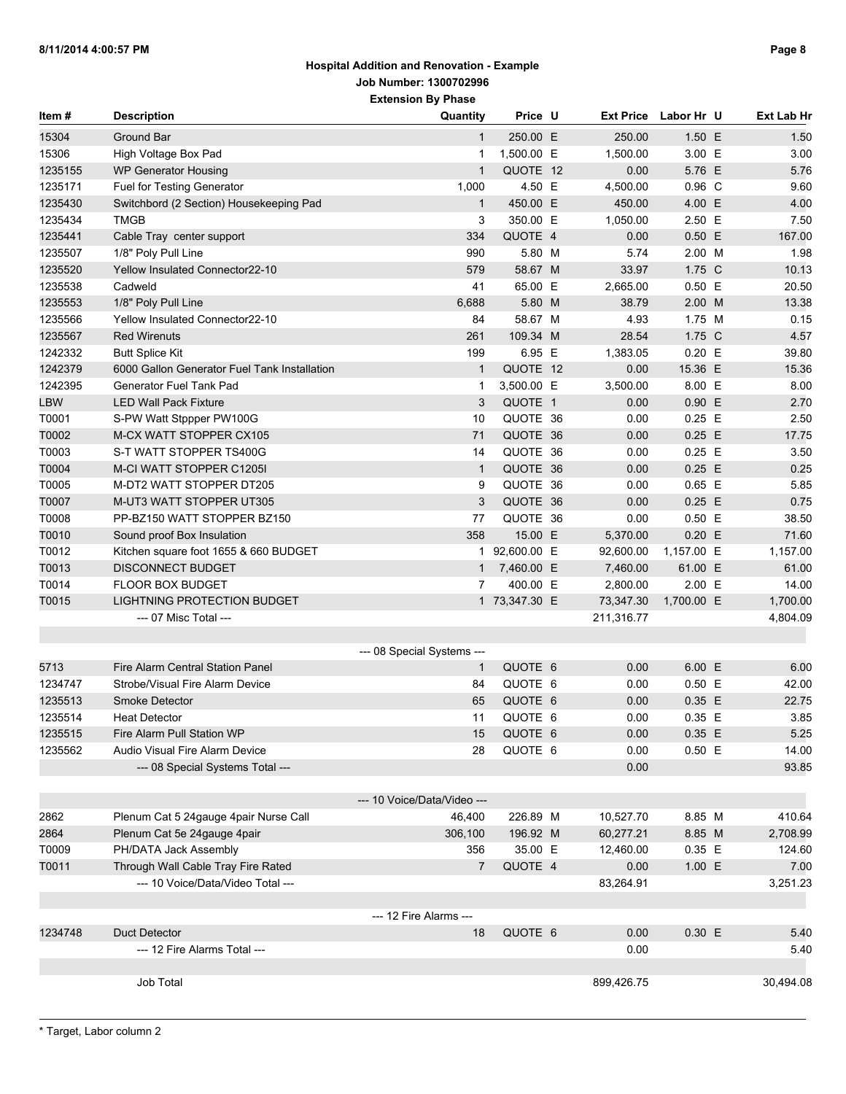| Item#      | <b>Description</b>                           | Quantity                    | Price U       |            | Ext Price Labor Hr U | Ext Lab Hr |
|------------|----------------------------------------------|-----------------------------|---------------|------------|----------------------|------------|
| 15304      | Ground Bar                                   | $\mathbf{1}$                | 250.00 E      | 250.00     | 1.50 E               | 1.50       |
| 15306      | High Voltage Box Pad                         | 1                           | 1,500.00 E    | 1,500.00   | 3.00 E               | 3.00       |
| 1235155    | <b>WP Generator Housing</b>                  | $\mathbf{1}$                | QUOTE 12      | 0.00       | 5.76 E               | 5.76       |
| 1235171    | Fuel for Testing Generator                   | 1,000                       | 4.50 E        | 4,500.00   | $0.96$ C             | 9.60       |
| 1235430    | Switchbord (2 Section) Housekeeping Pad      | $\mathbf{1}$                | 450.00 E      | 450.00     | 4.00 E               | 4.00       |
| 1235434    | <b>TMGB</b>                                  | 3                           | 350.00 E      | 1,050.00   | 2.50 E               | 7.50       |
| 1235441    | Cable Tray center support                    | 334                         | QUOTE 4       | 0.00       | $0.50$ E             | 167.00     |
| 1235507    | 1/8" Poly Pull Line                          | 990                         | 5.80 M        | 5.74       | 2.00 M               | 1.98       |
| 1235520    | <b>Yellow Insulated Connector22-10</b>       | 579                         | 58.67 M       | 33.97      | 1.75 C               | 10.13      |
| 1235538    | Cadweld                                      | 41                          | 65.00 E       | 2,665.00   | 0.50 E               | 20.50      |
| 1235553    | 1/8" Poly Pull Line                          | 6,688                       | 5.80 M        | 38.79      | 2.00 M               | 13.38      |
| 1235566    | Yellow Insulated Connector22-10              | 84                          | 58.67 M       | 4.93       | 1.75 M               | 0.15       |
| 1235567    | <b>Red Wirenuts</b>                          | 261                         | 109.34 M      | 28.54      | 1.75 C               | 4.57       |
| 1242332    | <b>Butt Splice Kit</b>                       | 199                         | 6.95 E        | 1,383.05   | $0.20$ E             | 39.80      |
| 1242379    | 6000 Gallon Generator Fuel Tank Installation | $\mathbf{1}$                | QUOTE 12      | 0.00       | 15.36 E              | 15.36      |
| 1242395    | Generator Fuel Tank Pad                      | 1                           | 3,500.00 E    | 3,500.00   | 8.00 E               | 8.00       |
| <b>LBW</b> | <b>LED Wall Pack Fixture</b>                 | 3                           | QUOTE 1       | 0.00       | 0.90 E               | 2.70       |
| T0001      | S-PW Watt Stppper PW100G                     | 10                          | QUOTE 36      | 0.00       | $0.25$ E             | 2.50       |
| T0002      | M-CX WATT STOPPER CX105                      | 71                          | QUOTE 36      | 0.00       | $0.25$ E             | 17.75      |
| T0003      | S-T WATT STOPPER TS400G                      | 14                          | QUOTE 36      | 0.00       | $0.25$ E             | 3.50       |
| T0004      | M-CI WATT STOPPER C1205I                     | $\mathbf{1}$                | QUOTE 36      | 0.00       | $0.25$ E             | 0.25       |
| T0005      | M-DT2 WATT STOPPER DT205                     | 9                           | QUOTE 36      | 0.00       | $0.65$ E             | 5.85       |
| T0007      | M-UT3 WATT STOPPER UT305                     | 3                           | QUOTE 36      | 0.00       | $0.25$ E             | 0.75       |
| T0008      | PP-BZ150 WATT STOPPER BZ150                  | 77                          | QUOTE 36      | 0.00       | $0.50$ E             | 38.50      |
| T0010      |                                              | 358                         | 15.00 E       |            | $0.20$ E             |            |
| T0012      | Sound proof Box Insulation                   |                             |               | 5,370.00   |                      | 71.60      |
|            | Kitchen square foot 1655 & 660 BUDGET        |                             | 1 92,600.00 E | 92,600.00  | 1,157.00 E           | 1,157.00   |
| T0013      | <b>DISCONNECT BUDGET</b>                     |                             | 1 7,460.00 E  | 7,460.00   | 61.00 E              | 61.00      |
| T0014      | <b>FLOOR BOX BUDGET</b>                      | $\overline{7}$              | 400.00 E      | 2,800.00   | 2.00 E               | 14.00      |
| T0015      | <b>LIGHTNING PROTECTION BUDGET</b>           |                             | 1 73,347.30 E | 73,347.30  | 1,700.00 E           | 1,700.00   |
|            | --- 07 Misc Total ---                        |                             |               | 211,316.77 |                      | 4,804.09   |
|            |                                              | --- 08 Special Systems ---  |               |            |                      |            |
| 5713       | Fire Alarm Central Station Panel             | $\mathbf{1}$                | QUOTE 6       | 0.00       | 6.00 E               | 6.00       |
| 1234747    | Strobe/Visual Fire Alarm Device              | 84                          | QUOTE 6       | 0.00       | $0.50$ E             | 42.00      |
| 1235513    | Smoke Detector                               | 65                          | QUOTE 6       | 0.00       | 0.35 E               | 22.75      |
| 1235514    | <b>Heat Detector</b>                         | 11                          | QUOTE 6       | 0.00       | 0.35 E               | 3.85       |
| 1235515    | Fire Alarm Pull Station WP                   | 15                          | QUOTE 6       | 0.00       | 0.35 E               | 5.25       |
| 1235562    | Audio Visual Fire Alarm Device               | 28                          | QUOTE 6       | 0.00       | $0.50$ E             | 14.00      |
|            | --- 08 Special Systems Total ---             |                             |               | 0.00       |                      | 93.85      |
|            |                                              |                             |               |            |                      |            |
|            |                                              | --- 10 Voice/Data/Video --- |               |            |                      |            |
| 2862       | Plenum Cat 5 24gauge 4pair Nurse Call        | 46,400                      | 226.89 M      | 10,527.70  | 8.85 M               | 410.64     |
| 2864       | Plenum Cat 5e 24gauge 4pair                  | 306,100                     | 196.92 M      | 60,277.21  | 8.85 M               | 2,708.99   |
| T0009      | PH/DATA Jack Assembly                        | 356                         | 35.00 E       | 12,460.00  | $0.35$ E             | 124.60     |
| T0011      | Through Wall Cable Tray Fire Rated           | $\overline{7}$              | QUOTE 4       | 0.00       | 1.00 E               | 7.00       |
|            | --- 10 Voice/Data/Video Total ---            |                             |               | 83,264.91  |                      | 3,251.23   |
|            |                                              |                             |               |            |                      |            |
|            |                                              | --- 12 Fire Alarms ---      |               |            |                      |            |
| 1234748    | Duct Detector                                | 18                          | QUOTE 6       | 0.00       | 0.30 E               | 5.40       |
|            | --- 12 Fire Alarms Total ---                 |                             |               | 0.00       |                      | 5.40       |
|            |                                              |                             |               |            |                      |            |
|            | Job Total                                    |                             |               | 899,426.75 |                      | 30,494.08  |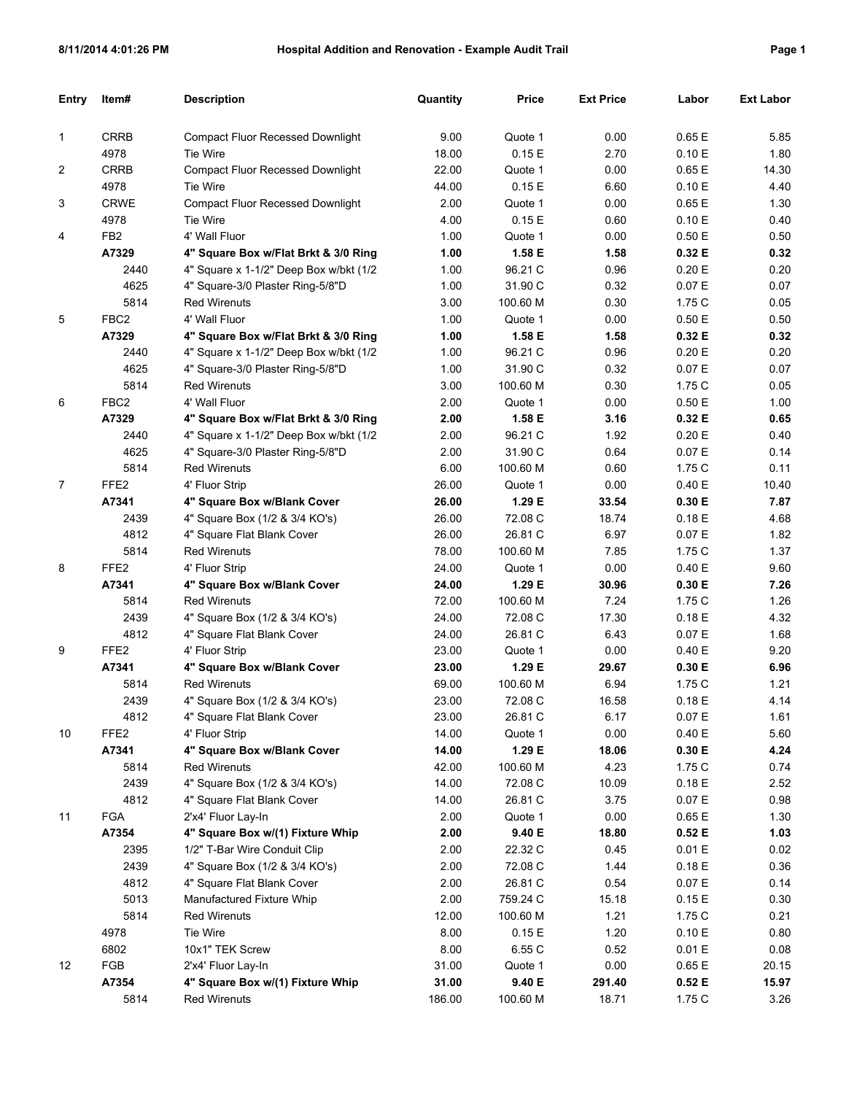| <b>Entry</b>   | Item#            | <b>Description</b>                      | Quantity | <b>Price</b> | <b>Ext Price</b> | Labor  | <b>Ext Labor</b> |
|----------------|------------------|-----------------------------------------|----------|--------------|------------------|--------|------------------|
|                |                  |                                         |          |              |                  |        |                  |
| 1              | <b>CRRB</b>      | <b>Compact Fluor Recessed Downlight</b> | 9.00     | Quote 1      | 0.00             | 0.65 E | 5.85             |
|                | 4978             | <b>Tie Wire</b>                         | 18.00    | 0.15E        | 2.70             | 0.10 E | 1.80             |
| $\overline{c}$ | <b>CRRB</b>      | <b>Compact Fluor Recessed Downlight</b> | 22.00    | Quote 1      | 0.00             | 0.65E  | 14.30            |
|                | 4978             | <b>Tie Wire</b>                         | 44.00    | 0.15E        | 6.60             | 0.10 E | 4.40             |
| 3              | <b>CRWE</b>      | <b>Compact Fluor Recessed Downlight</b> | 2.00     | Quote 1      | 0.00             | 0.65E  | 1.30             |
|                | 4978             | Tie Wire                                | 4.00     | 0.15E        | 0.60             | 0.10 E | 0.40             |
| 4              | FB <sub>2</sub>  | 4' Wall Fluor                           | 1.00     | Quote 1      | 0.00             | 0.50E  | 0.50             |
|                | A7329            | 4" Square Box w/Flat Brkt & 3/0 Ring    | 1.00     | 1.58 E       | 1.58             | 0.32 E | 0.32             |
|                | 2440             | 4" Square x 1-1/2" Deep Box w/bkt (1/2  | 1.00     | 96.21 C      | 0.96             | 0.20 E | 0.20             |
|                | 4625             | 4" Square-3/0 Plaster Ring-5/8"D        | 1.00     | 31.90 C      | 0.32             | 0.07 E | 0.07             |
|                | 5814             | <b>Red Wirenuts</b>                     | 3.00     | 100.60 M     | 0.30             | 1.75 C | 0.05             |
| 5              | FBC <sub>2</sub> | 4' Wall Fluor                           | 1.00     | Quote 1      | 0.00             | 0.50E  | 0.50             |
|                | A7329            | 4" Square Box w/Flat Brkt & 3/0 Ring    | 1.00     | 1.58 E       | 1.58             | 0.32 E | 0.32             |
|                | 2440             | 4" Square x 1-1/2" Deep Box w/bkt (1/2  | 1.00     | 96.21 C      | 0.96             | 0.20 E | 0.20             |
|                | 4625             | 4" Square-3/0 Plaster Ring-5/8"D        | 1.00     | 31.90 C      | 0.32             | 0.07 E | 0.07             |
|                | 5814             | <b>Red Wirenuts</b>                     | 3.00     | 100.60 M     | 0.30             | 1.75 C | 0.05             |
| 6              | FBC <sub>2</sub> | 4' Wall Fluor                           | 2.00     | Quote 1      | 0.00             | 0.50E  | 1.00             |
|                | A7329            | 4" Square Box w/Flat Brkt & 3/0 Ring    | 2.00     | 1.58 E       | 3.16             | 0.32 E | 0.65             |
|                | 2440             | 4" Square x 1-1/2" Deep Box w/bkt (1/2  | 2.00     | 96.21 C      | 1.92             | 0.20 E | 0.40             |
|                | 4625             | 4" Square-3/0 Plaster Ring-5/8"D        | 2.00     | 31.90 C      | 0.64             | 0.07 E | 0.14             |
|                | 5814             | <b>Red Wirenuts</b>                     | 6.00     | 100.60 M     | 0.60             | 1.75 C | 0.11             |
| $\overline{7}$ | FFE <sub>2</sub> | 4' Fluor Strip                          | 26.00    | Quote 1      | 0.00             | 0.40 E | 10.40            |
|                | A7341            | 4" Square Box w/Blank Cover             | 26.00    | 1.29 E       | 33.54            | 0.30 E | 7.87             |
|                | 2439             | 4" Square Box (1/2 & 3/4 KO's)          | 26.00    | 72.08 C      | 18.74            | 0.18E  | 4.68             |
|                | 4812             | 4" Square Flat Blank Cover              | 26.00    | 26.81 C      | 6.97             | 0.07 E | 1.82             |
|                | 5814             | <b>Red Wirenuts</b>                     | 78.00    | 100.60 M     | 7.85             | 1.75 C | 1.37             |
| 8              | FFE <sub>2</sub> | 4' Fluor Strip                          | 24.00    | Quote 1      | 0.00             | 0.40 E | 9.60             |
|                | A7341            | 4" Square Box w/Blank Cover             | 24.00    | 1.29 E       | 30.96            | 0.30 E | 7.26             |
|                | 5814             | <b>Red Wirenuts</b>                     | 72.00    | 100.60 M     | 7.24             | 1.75 C | 1.26             |
|                | 2439             | 4" Square Box (1/2 & 3/4 KO's)          | 24.00    | 72.08 C      | 17.30            | 0.18E  | 4.32             |
|                | 4812             | 4" Square Flat Blank Cover              | 24.00    | 26.81 C      | 6.43             | 0.07 E | 1.68             |
| 9              | FFE <sub>2</sub> | 4' Fluor Strip                          | 23.00    | Quote 1      | 0.00             | 0.40 E | 9.20             |
|                | A7341            | 4" Square Box w/Blank Cover             | 23.00    | 1.29 E       | 29.67            | 0.30 E | 6.96             |
|                | 5814             | <b>Red Wirenuts</b>                     | 69.00    | 100.60 M     | 6.94             | 1.75 C | 1.21             |
|                | 2439             | 4" Square Box (1/2 & 3/4 KO's)          | 23.00    | 72.08 C      | 16.58            | 0.18E  | 4.14             |
|                | 4812             | 4" Square Flat Blank Cover              | 23.00    | 26.81 C      | 6.17             | 0.07 E | 1.61             |
| 10             | FFE <sub>2</sub> | 4' Fluor Strip                          | 14.00    | Quote 1      | 0.00             | 0.40 E | 5.60             |
|                | A7341            | 4" Square Box w/Blank Cover             | 14.00    | 1.29 E       | 18.06            | 0.30 E | 4.24             |
|                | 5814             | <b>Red Wirenuts</b>                     | 42.00    | 100.60 M     | 4.23             | 1.75 C | 0.74             |
|                | 2439             | 4" Square Box (1/2 & 3/4 KO's)          | 14.00    | 72.08 C      | 10.09            | 0.18 E | 2.52             |
|                | 4812             | 4" Square Flat Blank Cover              | 14.00    | 26.81 C      | 3.75             | 0.07 E | 0.98             |
| 11             | <b>FGA</b>       | 2'x4' Fluor Lay-In                      | 2.00     | Quote 1      | 0.00             | 0.65 E | 1.30             |
|                | A7354            | 4" Square Box w/(1) Fixture Whip        | 2.00     | 9.40 E       | 18.80            | 0.52E  | 1.03             |
|                | 2395             | 1/2" T-Bar Wire Conduit Clip            | 2.00     | 22.32 C      | 0.45             | 0.01 E | 0.02             |
|                | 2439             | 4" Square Box (1/2 & 3/4 KO's)          | 2.00     | 72.08 C      | 1.44             | 0.18 E | 0.36             |
|                | 4812             | 4" Square Flat Blank Cover              | 2.00     | 26.81 C      | 0.54             | 0.07 E | 0.14             |
|                | 5013             | Manufactured Fixture Whip               | 2.00     | 759.24 C     | 15.18            | 0.15E  | 0.30             |
|                | 5814             | <b>Red Wirenuts</b>                     | 12.00    | 100.60 M     | 1.21             | 1.75 C | 0.21             |
|                | 4978             | Tie Wire                                | 8.00     | 0.15 E       | 1.20             | 0.10 E | 0.80             |
|                | 6802             | 10x1" TEK Screw                         | 8.00     | 6.55 C       | 0.52             | 0.01 E | 0.08             |
| 12             | FGB              | 2'x4' Fluor Lay-In                      | 31.00    | Quote 1      | 0.00             | 0.65 E | 20.15            |
|                | A7354            | 4" Square Box w/(1) Fixture Whip        | 31.00    | 9.40 E       | 291.40           | 0.52 E | 15.97            |
|                | 5814             | <b>Red Wirenuts</b>                     | 186.00   | 100.60 M     | 18.71            | 1.75 C | 3.26             |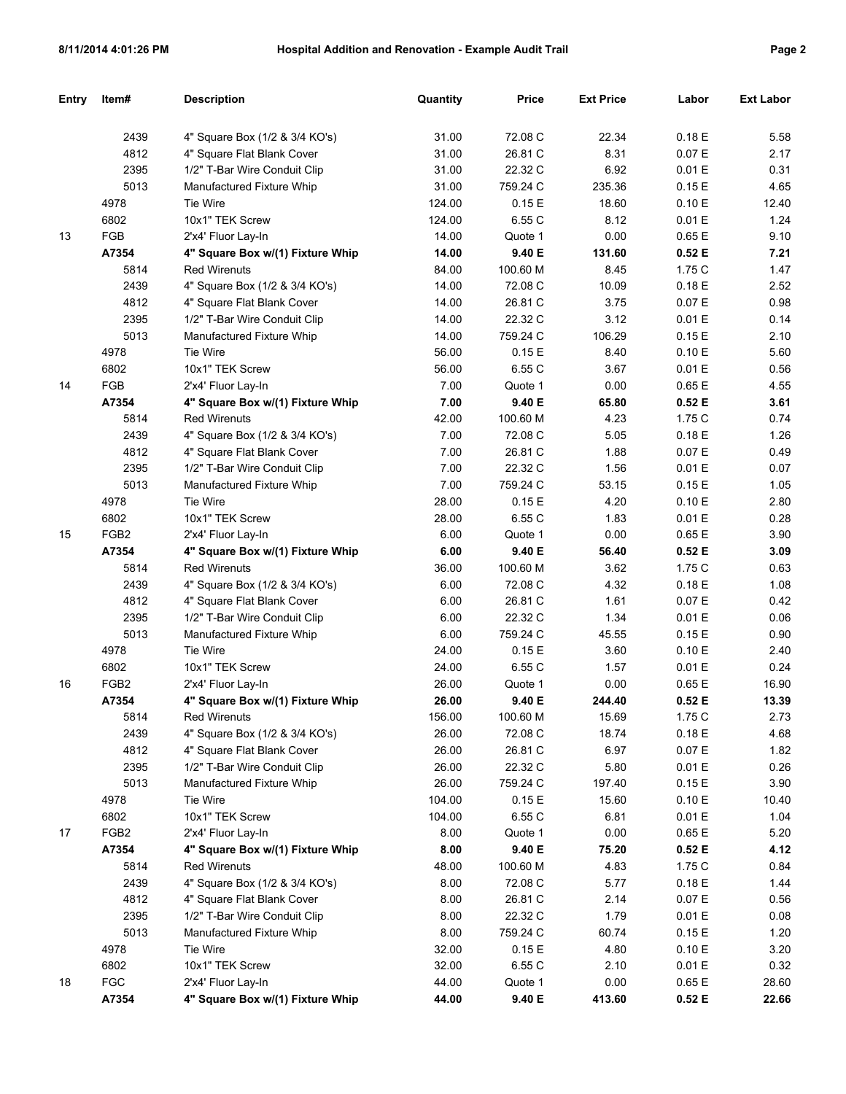|--|--|

| Entry | ltem#            | <b>Description</b>               | Quantity | <b>Price</b> | <b>Ext Price</b> | Labor  | <b>Ext Labor</b> |
|-------|------------------|----------------------------------|----------|--------------|------------------|--------|------------------|
|       |                  |                                  |          |              |                  |        |                  |
|       | 2439             | 4" Square Box (1/2 & 3/4 KO's)   | 31.00    | 72.08 C      | 22.34            | 0.18E  | 5.58             |
|       | 4812             | 4" Square Flat Blank Cover       | 31.00    | 26.81 C      | 8.31             | 0.07 E | 2.17             |
|       | 2395             | 1/2" T-Bar Wire Conduit Clip     | 31.00    | 22.32 C      | 6.92             | 0.01 E | 0.31             |
|       | 5013             | Manufactured Fixture Whip        | 31.00    | 759.24 C     | 235.36           | 0.15E  | 4.65             |
|       | 4978             | Tie Wire                         | 124.00   | 0.15 E       | 18.60            | 0.10 E | 12.40            |
|       | 6802             | 10x1" TEK Screw                  | 124.00   | 6.55 C       | 8.12             | 0.01 E | 1.24             |
| 13    | FGB              | 2'x4' Fluor Lay-In               | 14.00    | Quote 1      | 0.00             | 0.65 E | 9.10             |
|       | A7354            | 4" Square Box w/(1) Fixture Whip | 14.00    | 9.40 E       | 131.60           | 0.52E  | 7.21             |
|       | 5814             | <b>Red Wirenuts</b>              | 84.00    | 100.60 M     | 8.45             | 1.75 C | 1.47             |
|       | 2439             | 4" Square Box (1/2 & 3/4 KO's)   | 14.00    | 72.08 C      | 10.09            | 0.18 E | 2.52             |
|       | 4812             | 4" Square Flat Blank Cover       | 14.00    | 26.81 C      | 3.75             | 0.07 E | 0.98             |
|       | 2395             | 1/2" T-Bar Wire Conduit Clip     | 14.00    | 22.32 C      | 3.12             | 0.01 E | 0.14             |
|       | 5013             | Manufactured Fixture Whip        | 14.00    | 759.24 C     | 106.29           | 0.15E  | 2.10             |
|       | 4978             | Tie Wire                         | 56.00    | 0.15 E       | 8.40             | 0.10 E | 5.60             |
|       | 6802             | 10x1" TEK Screw                  | 56.00    | 6.55 C       | 3.67             | 0.01 E | 0.56             |
| 14    | FGB              | 2'x4' Fluor Lay-In               | 7.00     | Quote 1      | 0.00             | 0.65 E | 4.55             |
|       | A7354            | 4" Square Box w/(1) Fixture Whip | 7.00     | 9.40 E       | 65.80            | 0.52E  | 3.61             |
|       | 5814             | <b>Red Wirenuts</b>              | 42.00    | 100.60 M     | 4.23             | 1.75 C | 0.74             |
|       | 2439             | 4" Square Box (1/2 & 3/4 KO's)   | 7.00     | 72.08 C      | 5.05             | 0.18 E | 1.26             |
|       | 4812             | 4" Square Flat Blank Cover       | 7.00     | 26.81 C      | 1.88             | 0.07 E | 0.49             |
|       | 2395             | 1/2" T-Bar Wire Conduit Clip     | 7.00     | 22.32 C      | 1.56             | 0.01 E | 0.07             |
|       | 5013             | Manufactured Fixture Whip        | 7.00     | 759.24 C     | 53.15            | 0.15E  | 1.05             |
|       | 4978             | Tie Wire                         | 28.00    | 0.15 E       | 4.20             | 0.10 E | 2.80             |
|       | 6802             | 10x1" TEK Screw                  | 28.00    | 6.55 C       | 1.83             | 0.01 E | 0.28             |
| 15    | FGB <sub>2</sub> | 2'x4' Fluor Lay-In               | 6.00     | Quote 1      | 0.00             | 0.65 E | 3.90             |
|       | A7354            | 4" Square Box w/(1) Fixture Whip | 6.00     | 9.40 E       | 56.40            | 0.52E  | 3.09             |
|       | 5814             | <b>Red Wirenuts</b>              | 36.00    | 100.60 M     | 3.62             | 1.75 C | 0.63             |
|       | 2439             | 4" Square Box (1/2 & 3/4 KO's)   | 6.00     | 72.08 C      | 4.32             | 0.18 E | 1.08             |
|       | 4812             | 4" Square Flat Blank Cover       | 6.00     | 26.81 C      | 1.61             | 0.07 E | 0.42             |
|       | 2395             | 1/2" T-Bar Wire Conduit Clip     | 6.00     | 22.32 C      | 1.34             | 0.01 E | 0.06             |
|       | 5013             | Manufactured Fixture Whip        | 6.00     | 759.24 C     | 45.55            | 0.15E  | 0.90             |
|       | 4978             | Tie Wire                         | 24.00    | 0.15E        | 3.60             | 0.10 E | 2.40             |
|       | 6802             | 10x1" TEK Screw                  | 24.00    | 6.55 C       | 1.57             | 0.01 E | 0.24             |
| 16    | FGB <sub>2</sub> | 2'x4' Fluor Lay-In               | 26.00    | Quote 1      | 0.00             | 0.65 E | 16.90            |
|       | A7354            | 4" Square Box w/(1) Fixture Whip | 26.00    | 9.40 E       | 244.40           | 0.52E  | 13.39            |
|       | 5814             | Red Wirenuts                     | 156.00   | 100.60 M     | 15.69            | 1.75 C | 2.73             |
|       | 2439             | 4" Square Box (1/2 & 3/4 KO's)   | 26.00    | 72.08 C      | 18.74            | 0.18 E | 4.68             |
|       | 4812             | 4" Square Flat Blank Cover       | 26.00    | 26.81 C      | 6.97             | 0.07 E | 1.82             |
|       | 2395             | 1/2" T-Bar Wire Conduit Clip     | 26.00    | 22.32 C      | 5.80             | 0.01 E | 0.26             |
|       | 5013             | Manufactured Fixture Whip        | 26.00    | 759.24 C     | 197.40           | 0.15 E | 3.90             |
|       | 4978             | Tie Wire                         | 104.00   | 0.15 E       | 15.60            | 0.10 E | 10.40            |
|       | 6802             | 10x1" TEK Screw                  | 104.00   | 6.55 C       | 6.81             | 0.01 E | 1.04             |
| 17    | FGB <sub>2</sub> | 2'x4' Fluor Lay-In               | 8.00     | Quote 1      | 0.00             | 0.65 E | 5.20             |
|       | A7354            | 4" Square Box w/(1) Fixture Whip | 8.00     | 9.40 E       | 75.20            | 0.52 E | 4.12             |
|       | 5814             | <b>Red Wirenuts</b>              | 48.00    | 100.60 M     | 4.83             | 1.75C  | 0.84             |
|       | 2439             | 4" Square Box (1/2 & 3/4 KO's)   | 8.00     | 72.08 C      | 5.77             | 0.18 E | 1.44             |
|       | 4812             | 4" Square Flat Blank Cover       | 8.00     | 26.81 C      | 2.14             | 0.07 E | 0.56             |
|       | 2395             | 1/2" T-Bar Wire Conduit Clip     | 8.00     | 22.32 C      | 1.79             | 0.01 E | 0.08             |
|       | 5013             | Manufactured Fixture Whip        | 8.00     | 759.24 C     | 60.74            | 0.15 E | 1.20             |
|       | 4978             | Tie Wire                         | 32.00    | 0.15 E       | 4.80             | 0.10 E | 3.20             |
|       | 6802             | 10x1" TEK Screw                  | 32.00    | 6.55 C       | 2.10             | 0.01 E | 0.32             |
| 18    | <b>FGC</b>       | 2'x4' Fluor Lay-In               | 44.00    | Quote 1      | 0.00             | 0.65 E | 28.60            |
|       | A7354            | 4" Square Box w/(1) Fixture Whip | 44.00    | 9.40 E       | 413.60           | 0.52 E | 22.66            |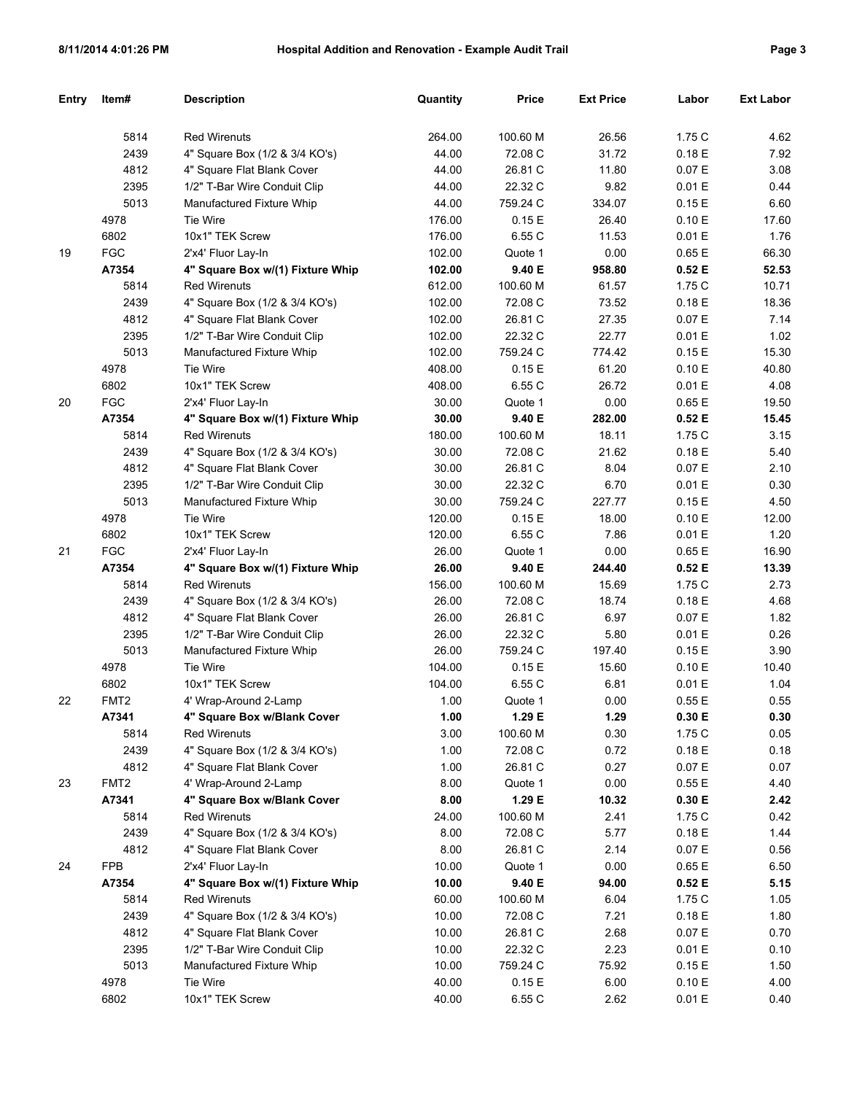| Entry | Item#            | <b>Description</b>               | Quantity | <b>Price</b> | <b>Ext Price</b> | Labor  | <b>Ext Labor</b> |
|-------|------------------|----------------------------------|----------|--------------|------------------|--------|------------------|
|       |                  |                                  |          |              |                  |        |                  |
|       | 5814             | <b>Red Wirenuts</b>              | 264.00   | 100.60 M     | 26.56            | 1.75 C | 4.62             |
|       | 2439             | 4" Square Box (1/2 & 3/4 KO's)   | 44.00    | 72.08 C      | 31.72            | 0.18E  | 7.92             |
|       | 4812             | 4" Square Flat Blank Cover       | 44.00    | 26.81 C      | 11.80            | 0.07 E | 3.08             |
|       | 2395             | 1/2" T-Bar Wire Conduit Clip     | 44.00    | 22.32 C      | 9.82             | 0.01 E | 0.44             |
|       | 5013             | Manufactured Fixture Whip        | 44.00    | 759.24 C     | 334.07           | 0.15E  | 6.60             |
|       | 4978             | Tie Wire                         | 176.00   | 0.15E        | 26.40            | 0.10 E | 17.60            |
|       | 6802             | 10x1" TEK Screw                  | 176.00   | 6.55 C       | 11.53            | 0.01 E | 1.76             |
| 19    | <b>FGC</b>       | 2'x4' Fluor Lay-In               | 102.00   | Quote 1      | 0.00             | 0.65 E | 66.30            |
|       | A7354            | 4" Square Box w/(1) Fixture Whip | 102.00   | 9.40 E       | 958.80           | 0.52E  | 52.53            |
|       | 5814             | <b>Red Wirenuts</b>              | 612.00   | 100.60 M     | 61.57            | 1.75 C | 10.71            |
|       | 2439             | 4" Square Box (1/2 & 3/4 KO's)   | 102.00   | 72.08 C      | 73.52            | 0.18E  | 18.36            |
|       | 4812             | 4" Square Flat Blank Cover       | 102.00   | 26.81 C      | 27.35            | 0.07 E | 7.14             |
|       | 2395             | 1/2" T-Bar Wire Conduit Clip     | 102.00   | 22.32 C      | 22.77            | 0.01 E | 1.02             |
|       | 5013             | Manufactured Fixture Whip        | 102.00   | 759.24 C     | 774.42           | 0.15E  | 15.30            |
|       | 4978             | Tie Wire                         | 408.00   | 0.15E        | 61.20            | 0.10 E | 40.80            |
|       | 6802             | 10x1" TEK Screw                  | 408.00   | 6.55 C       | 26.72            | 0.01 E | 4.08             |
| 20    | <b>FGC</b>       | 2'x4' Fluor Lay-In               | 30.00    | Quote 1      | 0.00             | 0.65 E | 19.50            |
|       | A7354            | 4" Square Box w/(1) Fixture Whip | 30.00    | 9.40 E       | 282.00           | 0.52E  | 15.45            |
|       | 5814             | <b>Red Wirenuts</b>              | 180.00   | 100.60 M     | 18.11            | 1.75 C | 3.15             |
|       | 2439             | 4" Square Box (1/2 & 3/4 KO's)   | 30.00    | 72.08 C      | 21.62            | 0.18E  | 5.40             |
|       | 4812             | 4" Square Flat Blank Cover       | 30.00    | 26.81 C      | 8.04             | 0.07 E | 2.10             |
|       | 2395             | 1/2" T-Bar Wire Conduit Clip     | 30.00    | 22.32 C      | 6.70             | 0.01 E | 0.30             |
|       | 5013             | Manufactured Fixture Whip        | 30.00    | 759.24 C     | 227.77           | 0.15E  | 4.50             |
|       | 4978             | Tie Wire                         | 120.00   | 0.15E        | 18.00            | 0.10 E | 12.00            |
|       | 6802             | 10x1" TEK Screw                  | 120.00   | 6.55 C       | 7.86             | 0.01 E | 1.20             |
| 21    | <b>FGC</b>       | 2'x4' Fluor Lay-In               | 26.00    | Quote 1      | 0.00             | 0.65 E | 16.90            |
|       | A7354            | 4" Square Box w/(1) Fixture Whip | 26.00    | 9.40 E       | 244.40           | 0.52E  | 13.39            |
|       | 5814             | <b>Red Wirenuts</b>              | 156.00   | 100.60 M     | 15.69            | 1.75 C | 2.73             |
|       | 2439             | 4" Square Box (1/2 & 3/4 KO's)   | 26.00    | 72.08 C      | 18.74            | 0.18E  | 4.68             |
|       | 4812             | 4" Square Flat Blank Cover       | 26.00    | 26.81 C      | 6.97             | 0.07 E | 1.82             |
|       | 2395             | 1/2" T-Bar Wire Conduit Clip     | 26.00    | 22.32 C      | 5.80             | 0.01 E | 0.26             |
|       | 5013             | Manufactured Fixture Whip        | 26.00    | 759.24 C     | 197.40           | 0.15E  | 3.90             |
|       | 4978             | Tie Wire                         | 104.00   | 0.15E        | 15.60            | 0.10 E | 10.40            |
|       | 6802             | 10x1" TEK Screw                  | 104.00   | 6.55 C       | 6.81             | 0.01 E | 1.04             |
| 22    | FMT <sub>2</sub> | 4' Wrap-Around 2-Lamp            | 1.00     | Quote 1      | 0.00             | 0.55 E | 0.55             |
|       | A7341            | 4" Square Box w/Blank Cover      | 1.00     | 1.29 E       | 1.29             | 0.30 E | 0.30             |
|       | 5814             | <b>Red Wirenuts</b>              | 3.00     | 100.60 M     | 0.30             | 1.75 C | 0.05             |
|       | 2439             | 4" Square Box (1/2 & 3/4 KO's)   | 1.00     | 72.08 C      | 0.72             | 0.18 E | 0.18             |
|       | 4812             | 4" Square Flat Blank Cover       | 1.00     | 26.81 C      | 0.27             | 0.07 E | 0.07             |
| 23    | FMT <sub>2</sub> | 4' Wrap-Around 2-Lamp            | 8.00     | Quote 1      | 0.00             | 0.55E  | 4.40             |
|       | A7341            | 4" Square Box w/Blank Cover      | 8.00     | 1.29 E       | 10.32            | 0.30 E | 2.42             |
|       | 5814             | <b>Red Wirenuts</b>              | 24.00    | 100.60 M     | 2.41             | 1.75 C | 0.42             |
|       | 2439             | 4" Square Box (1/2 & 3/4 KO's)   | 8.00     | 72.08 C      | 5.77             | 0.18 E | 1.44             |
|       | 4812             | 4" Square Flat Blank Cover       | 8.00     | 26.81 C      | 2.14             | 0.07 E | 0.56             |
| 24    | <b>FPB</b>       | 2'x4' Fluor Lay-In               | 10.00    | Quote 1      | 0.00             | 0.65 E | 6.50             |
|       | A7354            | 4" Square Box w/(1) Fixture Whip | 10.00    | 9.40 E       | 94.00            | 0.52 E | 5.15             |
|       | 5814             | <b>Red Wirenuts</b>              | 60.00    | 100.60 M     | 6.04             | 1.75 C | 1.05             |
|       | 2439             | 4" Square Box (1/2 & 3/4 KO's)   | 10.00    | 72.08 C      | 7.21             | 0.18 E | 1.80             |
|       | 4812             | 4" Square Flat Blank Cover       | 10.00    | 26.81 C      | 2.68             | 0.07 E | 0.70             |
|       | 2395             | 1/2" T-Bar Wire Conduit Clip     | 10.00    | 22.32 C      | 2.23             | 0.01 E | 0.10             |
|       | 5013             | Manufactured Fixture Whip        | 10.00    | 759.24 C     | 75.92            | 0.15E  | 1.50             |
|       | 4978             | Tie Wire                         | 40.00    | 0.15E        | 6.00             | 0.10 E | 4.00             |
|       | 6802             | 10x1" TEK Screw                  | 40.00    | 6.55C        | 2.62             | 0.01 E | 0.40             |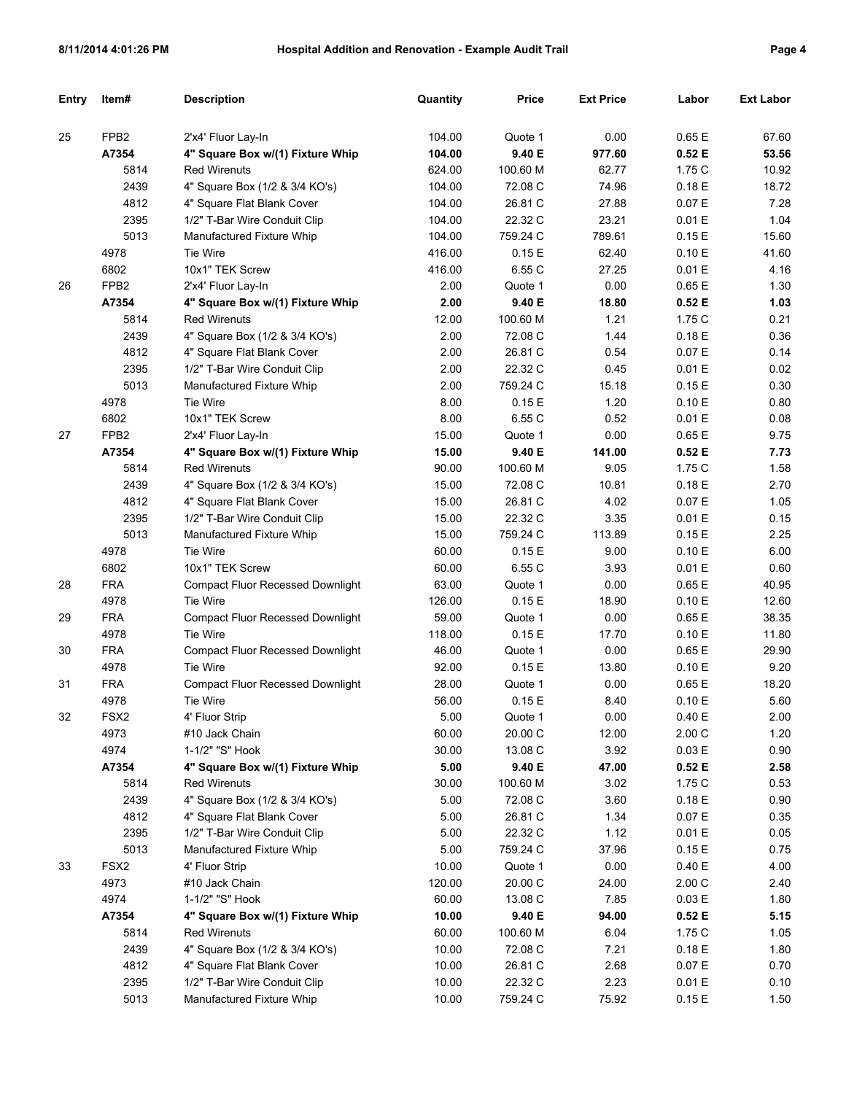|--|--|

| Entry | Item#            | <b>Description</b>                      | Quantity | <b>Price</b> | <b>Ext Price</b> | Labor  | <b>Ext Labor</b> |
|-------|------------------|-----------------------------------------|----------|--------------|------------------|--------|------------------|
|       |                  |                                         |          |              |                  |        |                  |
| 25    | FPB <sub>2</sub> | 2'x4' Fluor Lay-In                      | 104.00   | Quote 1      | 0.00             | 0.65E  | 67.60            |
|       | A7354            | 4" Square Box w/(1) Fixture Whip        | 104.00   | 9.40 E       | 977.60           | 0.52E  | 53.56            |
|       | 5814             | <b>Red Wirenuts</b>                     | 624.00   | 100.60 M     | 62.77            | 1.75 C | 10.92            |
|       | 2439             | 4" Square Box (1/2 & 3/4 KO's)          | 104.00   | 72.08 C      | 74.96            | 0.18E  | 18.72            |
|       | 4812             | 4" Square Flat Blank Cover              | 104.00   | 26.81 C      | 27.88            | 0.07 E | 7.28             |
|       | 2395             | 1/2" T-Bar Wire Conduit Clip            | 104.00   | 22.32 C      | 23.21            | 0.01 E | 1.04             |
|       | 5013             | Manufactured Fixture Whip               | 104.00   | 759.24 C     | 789.61           | 0.15E  | 15.60            |
|       | 4978             | Tie Wire                                | 416.00   | 0.15E        | 62.40            | 0.10 E | 41.60            |
|       | 6802             | 10x1" TEK Screw                         | 416.00   | 6.55 C       | 27.25            | 0.01 E | 4.16             |
| 26    | FPB <sub>2</sub> | 2'x4' Fluor Lay-In                      | 2.00     | Quote 1      | 0.00             | 0.65E  | 1.30             |
|       | A7354            | 4" Square Box w/(1) Fixture Whip        | 2.00     | 9.40 E       | 18.80            | 0.52E  | 1.03             |
|       | 5814             | <b>Red Wirenuts</b>                     | 12.00    | 100.60 M     | 1.21             | 1.75 C | 0.21             |
|       | 2439             | 4" Square Box (1/2 & 3/4 KO's)          | 2.00     | 72.08 C      | 1.44             | 0.18E  | 0.36             |
|       | 4812             | 4" Square Flat Blank Cover              | 2.00     | 26.81 C      | 0.54             | 0.07 E | 0.14             |
|       | 2395             | 1/2" T-Bar Wire Conduit Clip            | 2.00     | 22.32 C      | 0.45             | 0.01 E | 0.02             |
|       | 5013             | Manufactured Fixture Whip               | 2.00     | 759.24 C     | 15.18            | 0.15E  | 0.30             |
|       | 4978             | Tie Wire                                | 8.00     | 0.15E        | 1.20             | 0.10 E | 0.80             |
|       | 6802             | 10x1" TEK Screw                         | 8.00     | 6.55 C       | 0.52             | 0.01 E | 0.08             |
| 27    | FPB <sub>2</sub> | 2'x4' Fluor Lay-In                      | 15.00    | Quote 1      | 0.00             | 0.65E  | 9.75             |
|       | A7354            | 4" Square Box w/(1) Fixture Whip        | 15.00    | 9.40 E       | 141.00           | 0.52E  | 7.73             |
|       | 5814             | <b>Red Wirenuts</b>                     | 90.00    | 100.60 M     | 9.05             | 1.75 C | 1.58             |
|       | 2439             | 4" Square Box (1/2 & 3/4 KO's)          | 15.00    | 72.08 C      | 10.81            | 0.18E  | 2.70             |
|       | 4812             | 4" Square Flat Blank Cover              | 15.00    | 26.81 C      | 4.02             | 0.07 E | 1.05             |
|       | 2395             | 1/2" T-Bar Wire Conduit Clip            | 15.00    | 22.32 C      | 3.35             | 0.01 E | 0.15             |
|       | 5013             | Manufactured Fixture Whip               | 15.00    | 759.24 C     | 113.89           | 0.15E  | 2.25             |
|       | 4978             | Tie Wire                                | 60.00    | 0.15E        | 9.00             | 0.10 E | 6.00             |
|       | 6802             | 10x1" TEK Screw                         | 60.00    | 6.55 C       | 3.93             | 0.01 E | 0.60             |
| 28    | <b>FRA</b>       | <b>Compact Fluor Recessed Downlight</b> | 63.00    | Quote 1      | 0.00             | 0.65E  | 40.95            |
|       | 4978             | Tie Wire                                | 126.00   | 0.15E        | 18.90            | 0.10 E | 12.60            |
| 29    | <b>FRA</b>       | <b>Compact Fluor Recessed Downlight</b> | 59.00    | Quote 1      | 0.00             | 0.65E  | 38.35            |
|       | 4978             | Tie Wire                                | 118.00   | 0.15E        | 17.70            | 0.10 E | 11.80            |
| 30    | <b>FRA</b>       | <b>Compact Fluor Recessed Downlight</b> | 46.00    | Quote 1      | 0.00             | 0.65E  | 29.90            |
|       | 4978             | Tie Wire                                | 92.00    | 0.15E        | 13.80            | 0.10 E | 9.20             |
| 31    | <b>FRA</b>       | <b>Compact Fluor Recessed Downlight</b> | 28.00    | Quote 1      | 0.00             | 0.65E  | 18.20            |
|       | 4978             | Tie Wire                                | 56.00    | 0.15E        | 8.40             | 0.10 E | 5.60             |
| 32    | FSX <sub>2</sub> | 4' Fluor Strip                          | 5.00     | Quote 1      | 0.00             | 0.40 E | 2.00             |
|       | 4973             | #10 Jack Chain                          | 60.00    | 20.00 C      | 12.00            | 2.00C  | 1.20             |
|       | 4974             | 1-1/2" "S" Hook                         | 30.00    | 13.08 C      | 3.92             | 0.03 E | 0.90             |
|       | A7354            | 4" Square Box w/(1) Fixture Whip        | 5.00     | 9.40 E       | 47.00            | 0.52 E | 2.58             |
|       | 5814             | <b>Red Wirenuts</b>                     | 30.00    | 100.60 M     | 3.02             | 1.75 C | 0.53             |
|       | 2439             | 4" Square Box (1/2 & 3/4 KO's)          | 5.00     | 72.08 C      | 3.60             | 0.18 E | 0.90             |
|       | 4812             | 4" Square Flat Blank Cover              | 5.00     | 26.81 C      | 1.34             | 0.07 E | 0.35             |
|       | 2395             | 1/2" T-Bar Wire Conduit Clip            | 5.00     | 22.32 C      | 1.12             | 0.01 E | 0.05             |
|       | 5013             | Manufactured Fixture Whip               | 5.00     | 759.24 C     | 37.96            | 0.15 E | 0.75             |
| 33    | FSX <sub>2</sub> | 4' Fluor Strip                          | 10.00    | Quote 1      | 0.00             | 0.40 E | 4.00             |
|       | 4973             | #10 Jack Chain                          | 120.00   | 20.00 C      | 24.00            | 2.00C  | 2.40             |
|       | 4974             | 1-1/2" "S" Hook                         | 60.00    | 13.08 C      | 7.85             | 0.03 E | 1.80             |
|       | A7354            | 4" Square Box w/(1) Fixture Whip        | 10.00    | 9.40 E       | 94.00            | 0.52 E | 5.15             |
|       | 5814             | <b>Red Wirenuts</b>                     | 60.00    | 100.60 M     | 6.04             | 1.75 C | 1.05             |
|       | 2439             | 4" Square Box (1/2 & 3/4 KO's)          | 10.00    | 72.08 C      | 7.21             | 0.18 E | 1.80             |
|       | 4812             | 4" Square Flat Blank Cover              | 10.00    | 26.81 C      | 2.68             | 0.07 E | 0.70             |
|       | 2395             | 1/2" T-Bar Wire Conduit Clip            | 10.00    | 22.32 C      | 2.23             | 0.01 E | 0.10             |
|       | 5013             | Manufactured Fixture Whip               | 10.00    | 759.24 C     | 75.92            | 0.15 E | 1.50             |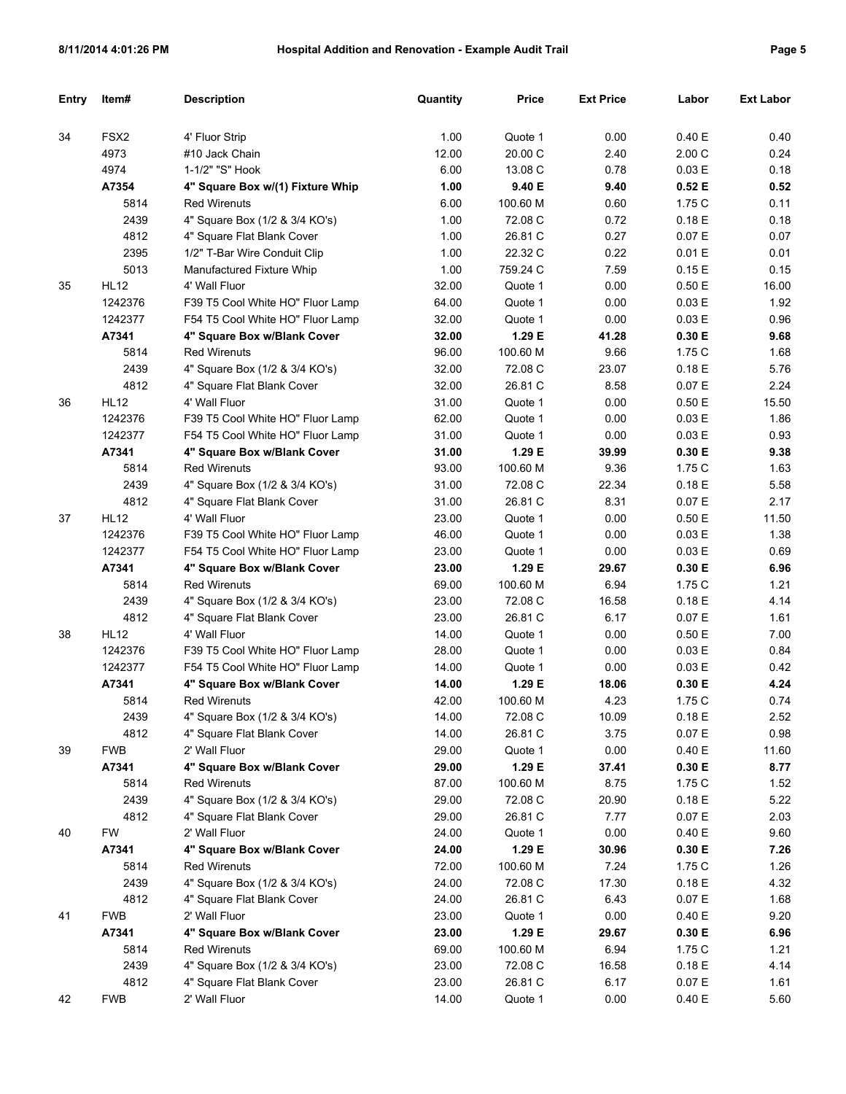| Entry | ltem#            | <b>Description</b>                          | Quantity       | <b>Price</b>       | <b>Ext Price</b> | Labor            | <b>Ext Labor</b> |
|-------|------------------|---------------------------------------------|----------------|--------------------|------------------|------------------|------------------|
| 34    | FSX <sub>2</sub> | 4' Fluor Strip                              | 1.00           | Quote 1            | 0.00             | 0.40 E           | 0.40             |
|       | 4973             | #10 Jack Chain                              | 12.00          | 20.00 C            | 2.40             | 2.00C            | 0.24             |
|       | 4974             | 1-1/2" "S" Hook                             | 6.00           | 13.08 C            | 0.78             | 0.03 E           | 0.18             |
|       | A7354            | 4" Square Box w/(1) Fixture Whip            | 1.00           | 9.40 E             | 9.40             | 0.52E            | 0.52             |
|       | 5814             | <b>Red Wirenuts</b>                         | 6.00           | 100.60 M           | 0.60             | 1.75 C           | 0.11             |
|       | 2439             | 4" Square Box (1/2 & 3/4 KO's)              | 1.00           | 72.08 C            | 0.72             | 0.18E            | 0.18             |
|       | 4812             | 4" Square Flat Blank Cover                  | 1.00           | 26.81 C            | 0.27             | 0.07 E           | 0.07             |
|       | 2395             | 1/2" T-Bar Wire Conduit Clip                | 1.00           | 22.32 C            | 0.22             | 0.01 E           | 0.01             |
|       | 5013             | Manufactured Fixture Whip                   | 1.00           | 759.24 C           | 7.59             | 0.15E            | 0.15             |
| 35    | <b>HL12</b>      | 4' Wall Fluor                               | 32.00          | Quote 1            | 0.00             | 0.50E            | 16.00            |
|       | 1242376          | F39 T5 Cool White HO" Fluor Lamp            | 64.00          | Quote 1            | 0.00             | 0.03 E           | 1.92             |
|       | 1242377          | F54 T5 Cool White HO" Fluor Lamp            | 32.00          | Quote 1            | 0.00             | 0.03 E           | 0.96             |
|       | A7341            | 4" Square Box w/Blank Cover                 | 32.00          | 1.29 E             | 41.28            | 0.30 E           | 9.68             |
|       | 5814             | <b>Red Wirenuts</b>                         | 96.00          | 100.60 M           | 9.66             | 1.75 C           | 1.68             |
|       | 2439             | 4" Square Box (1/2 & 3/4 KO's)              | 32.00          | 72.08 C            | 23.07            | 0.18E            | 5.76             |
|       | 4812             | 4" Square Flat Blank Cover                  | 32.00          | 26.81 C            | 8.58             | 0.07 E           | 2.24             |
| 36    | <b>HL12</b>      | 4' Wall Fluor                               | 31.00          | Quote 1            | 0.00             | 0.50E            | 15.50            |
|       | 1242376          | F39 T5 Cool White HO" Fluor Lamp            | 62.00          | Quote 1            | 0.00             | 0.03 E           | 1.86             |
|       | 1242377          | F54 T5 Cool White HO" Fluor Lamp            | 31.00          | Quote 1            | 0.00             | 0.03 E           | 0.93             |
|       | A7341            | 4" Square Box w/Blank Cover                 | 31.00          | 1.29 E             | 39.99            | 0.30 E           | 9.38             |
|       | 5814             | <b>Red Wirenuts</b>                         | 93.00          | 100.60 M           | 9.36             | 1.75 C           | 1.63             |
|       | 2439             | 4" Square Box (1/2 & 3/4 KO's)              | 31.00          | 72.08 C            | 22.34            | 0.18E            | 5.58             |
|       | 4812             | 4" Square Flat Blank Cover                  | 31.00          | 26.81 C            | 8.31             | 0.07 E           | 2.17             |
| 37    | <b>HL12</b>      | 4' Wall Fluor                               | 23.00          | Quote 1            | 0.00             | 0.50E            | 11.50            |
|       | 1242376          | F39 T5 Cool White HO" Fluor Lamp            | 46.00          | Quote 1            | 0.00             | 0.03 E           | 1.38             |
|       | 1242377          | F54 T5 Cool White HO" Fluor Lamp            | 23.00          | Quote 1            | 0.00             | 0.03 E           | 0.69             |
|       | A7341            | 4" Square Box w/Blank Cover                 | 23.00          | 1.29 E             | 29.67            | 0.30 E           | 6.96             |
|       | 5814             | <b>Red Wirenuts</b>                         | 69.00          | 100.60 M           | 6.94             | 1.75 C           | 1.21             |
|       | 2439             | 4" Square Box (1/2 & 3/4 KO's)              | 23.00          | 72.08 C            | 16.58            | 0.18E            | 4.14             |
|       | 4812             | 4" Square Flat Blank Cover                  | 23.00          | 26.81 C            | 6.17             | 0.07 E           | 1.61             |
| 38    | <b>HL12</b>      | 4' Wall Fluor                               | 14.00          | Quote 1            | 0.00             | 0.50 E           | 7.00             |
|       | 1242376          | F39 T5 Cool White HO" Fluor Lamp            | 28.00          | Quote 1            | 0.00             | 0.03 E           | 0.84             |
|       | 1242377          | F54 T5 Cool White HO" Fluor Lamp            | 14.00          | Quote 1            | 0.00             | 0.03 E           | 0.42             |
|       | A7341            | 4" Square Box w/Blank Cover                 | 14.00          | 1.29 E             | 18.06            | 0.30 E           | 4.24             |
|       | 5814             | Red Wirenuts                                | 42.00          | 100.60 M           | 4.23             | 1.75 C           | 0.74             |
|       | 2439             | 4" Square Box (1/2 & 3/4 KO's)              | 14.00          | 72.08 C            | 10.09            | 0.18E            | 2.52             |
|       | 4812             | 4" Square Flat Blank Cover                  | 14.00          | 26.81 C            | 3.75             | 0.07 E           | 0.98             |
| 39    | <b>FWB</b>       | 2' Wall Fluor                               | 29.00          | Quote 1            | 0.00             | 0.40 E           | 11.60            |
|       | A7341            | 4" Square Box w/Blank Cover                 | 29.00          | 1.29 E             | 37.41            | 0.30 E           | 8.77             |
|       | 5814             | <b>Red Wirenuts</b>                         | 87.00          | 100.60 M           | 8.75             | 1.75 C           | 1.52             |
|       | 2439             | 4" Square Box (1/2 & 3/4 KO's)              | 29.00          | 72.08 C            | 20.90            | 0.18 E           | 5.22             |
|       | 4812             | 4" Square Flat Blank Cover                  | 29.00          | 26.81 C            | 7.77             | 0.07 E           | 2.03             |
| 40    | <b>FW</b>        | 2' Wall Fluor                               | 24.00          | Quote 1            | 0.00             | 0.40 E           | 9.60             |
|       | A7341            | 4" Square Box w/Blank Cover                 | 24.00          | 1.29 E             | 30.96            | 0.30 E           | 7.26             |
|       | 5814             | <b>Red Wirenuts</b>                         | 72.00          | 100.60 M           | 7.24             | 1.75 C           | 1.26             |
|       | 2439             | 4" Square Box (1/2 & 3/4 KO's)              | 24.00          | 72.08 C            | 17.30            | 0.18 E           | 4.32             |
|       | 4812             |                                             | 24.00          | 26.81 C            | 6.43             | 0.07 E           |                  |
|       |                  | 4" Square Flat Blank Cover<br>2' Wall Fluor |                |                    | 0.00             |                  | 1.68             |
| 41    | <b>FWB</b>       | 4" Square Box w/Blank Cover                 | 23.00          | Quote 1<br>1.29 E  | 29.67            | 0.40 E<br>0.30 E | 9.20<br>6.96     |
|       | A7341<br>5814    | <b>Red Wirenuts</b>                         | 23.00<br>69.00 | 100.60 M           | 6.94             | 1.75 C           | 1.21             |
|       | 2439             | 4" Square Box (1/2 & 3/4 KO's)              | 23.00          |                    |                  |                  |                  |
|       | 4812             | 4" Square Flat Blank Cover                  | 23.00          | 72.08 C<br>26.81 C | 16.58<br>6.17    | 0.18 E<br>0.07 E | 4.14<br>1.61     |
| 42    | <b>FWB</b>       | 2' Wall Fluor                               | 14.00          | Quote 1            | 0.00             | 0.40 E           | 5.60             |
|       |                  |                                             |                |                    |                  |                  |                  |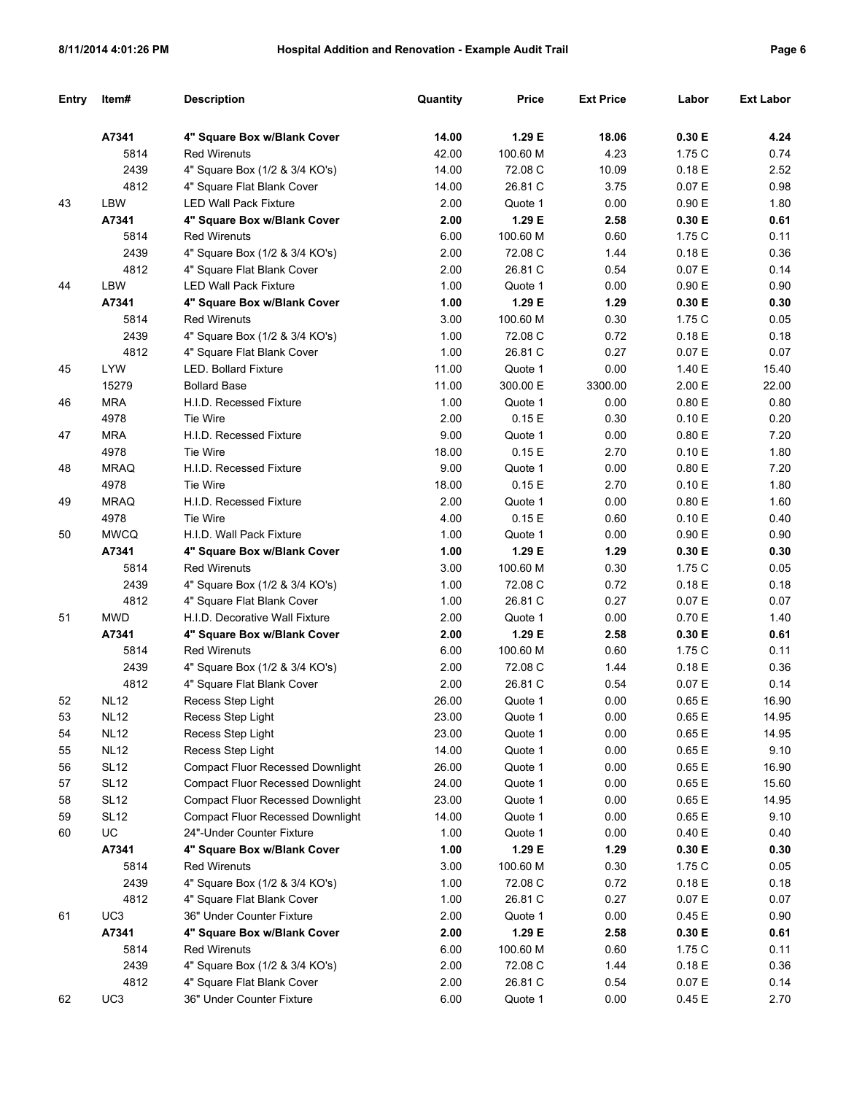|--|--|

| <b>Entry</b> | Item#           | <b>Description</b>                      | Quantity | Price    | <b>Ext Price</b> | Labor     | <b>Ext Labor</b> |
|--------------|-----------------|-----------------------------------------|----------|----------|------------------|-----------|------------------|
|              | A7341           | 4" Square Box w/Blank Cover             | 14.00    | 1.29 E   | 18.06            | 0.30 E    | 4.24             |
|              | 5814            | <b>Red Wirenuts</b>                     | 42.00    | 100.60 M | 4.23             | 1.75 C    | 0.74             |
|              | 2439            | 4" Square Box (1/2 & 3/4 KO's)          | 14.00    | 72.08 C  | 10.09            | 0.18E     | 2.52             |
|              | 4812            | 4" Square Flat Blank Cover              | 14.00    | 26.81 C  | 3.75             | 0.07 E    | 0.98             |
| 43           | LBW             | <b>LED Wall Pack Fixture</b>            | 2.00     | Quote 1  | 0.00             | 0.90 E    | 1.80             |
|              | A7341           | 4" Square Box w/Blank Cover             | 2.00     | 1.29 E   | 2.58             | 0.30 E    | 0.61             |
|              | 5814            | <b>Red Wirenuts</b>                     | 6.00     | 100.60 M | 0.60             | 1.75 C    | 0.11             |
|              | 2439            | 4" Square Box (1/2 & 3/4 KO's)          | 2.00     | 72.08 C  | 1.44             | 0.18E     | 0.36             |
|              | 4812            | 4" Square Flat Blank Cover              | 2.00     | 26.81 C  | 0.54             | 0.07 E    | 0.14             |
| 44           | LBW             | <b>LED Wall Pack Fixture</b>            | 1.00     | Quote 1  | 0.00             | 0.90 E    | 0.90             |
|              | A7341           | 4" Square Box w/Blank Cover             | 1.00     | 1.29 E   | 1.29             | 0.30 E    | 0.30             |
|              | 5814            | Red Wirenuts                            | 3.00     | 100.60 M | 0.30             | 1.75 C    | 0.05             |
|              | 2439            | 4" Square Box (1/2 & 3/4 KO's)          | 1.00     | 72.08 C  | 0.72             | 0.18 E    | 0.18             |
|              | 4812            | 4" Square Flat Blank Cover              | 1.00     | 26.81 C  | 0.27             | 0.07 E    | 0.07             |
| 45           | <b>LYW</b>      | <b>LED. Bollard Fixture</b>             | 11.00    | Quote 1  | 0.00             | 1.40 E    | 15.40            |
|              | 15279           | <b>Bollard Base</b>                     | 11.00    | 300.00 E | 3300.00          | 2.00 E    | 22.00            |
| 46           | <b>MRA</b>      | H.I.D. Recessed Fixture                 | 1.00     | Quote 1  | 0.00             | 0.80 E    | 0.80             |
|              | 4978            | Tie Wire                                | 2.00     | 0.15E    | 0.30             | 0.10 E    | 0.20             |
| 47           | <b>MRA</b>      | H.I.D. Recessed Fixture                 | 9.00     | Quote 1  | 0.00             | 0.80 E    | 7.20             |
|              | 4978            | <b>Tie Wire</b>                         | 18.00    | 0.15E    | 2.70             | 0.10 E    | 1.80             |
| 48           | <b>MRAQ</b>     | H.I.D. Recessed Fixture                 | 9.00     | Quote 1  | 0.00             | 0.80 E    | 7.20             |
|              | 4978            | Tie Wire                                | 18.00    | 0.15E    | 2.70             | 0.10 E    | 1.80             |
| 49           | <b>MRAQ</b>     | H.I.D. Recessed Fixture                 | 2.00     | Quote 1  | 0.00             | 0.80 E    | 1.60             |
|              | 4978            | Tie Wire                                | 4.00     | 0.15E    | 0.60             | 0.10 E    | 0.40             |
| 50           | <b>MWCQ</b>     | H.I.D. Wall Pack Fixture                | 1.00     | Quote 1  | 0.00             | 0.90 E    | 0.90             |
|              | A7341           | 4" Square Box w/Blank Cover             | 1.00     | 1.29 E   | 1.29             | 0.30 E    | 0.30             |
|              | 5814            | <b>Red Wirenuts</b>                     | 3.00     | 100.60 M | 0.30             | 1.75 C    | 0.05             |
|              | 2439            | 4" Square Box (1/2 & 3/4 KO's)          | 1.00     | 72.08 C  | 0.72             | 0.18 E    | 0.18             |
|              | 4812            | 4" Square Flat Blank Cover              | 1.00     | 26.81 C  | 0.27             | 0.07 E    | 0.07             |
| 51           | <b>MWD</b>      | H.I.D. Decorative Wall Fixture          | 2.00     | Quote 1  | 0.00             | 0.70 E    | 1.40             |
|              | A7341           | 4" Square Box w/Blank Cover             | 2.00     | 1.29 E   | 2.58             | 0.30 E    | 0.61             |
|              | 5814            | <b>Red Wirenuts</b>                     | 6.00     | 100.60 M | 0.60             | 1.75 C    | 0.11             |
|              | 2439            | 4" Square Box (1/2 & 3/4 KO's)          | 2.00     | 72.08 C  | 1.44             | 0.18 E    | 0.36             |
|              | 4812            | 4" Square Flat Blank Cover              | 2.00     | 26.81 C  | 0.54             | 0.07 E    | 0.14             |
| 52           | <b>NL12</b>     | Recess Step Light                       | 26.00    | Quote 1  | 0.00             | 0.65 E    | 16.90            |
| 53           | <b>NL12</b>     | Recess Step Light                       | 23.00    | Quote 1  | 0.00             | $0.65\to$ | 14.95            |
| 54           | <b>NL12</b>     | Recess Step Light                       | 23.00    | Quote 1  | 0.00             | 0.65 E    | 14.95            |
| 55           | <b>NL12</b>     | Recess Step Light                       | 14.00    | Quote 1  | 0.00             | 0.65 E    | 9.10             |
| 56           | <b>SL12</b>     | <b>Compact Fluor Recessed Downlight</b> | 26.00    | Quote 1  | 0.00             | 0.65 E    | 16.90            |
| 57           | <b>SL12</b>     | <b>Compact Fluor Recessed Downlight</b> | 24.00    | Quote 1  | 0.00             | 0.65 E    | 15.60            |
| 58           | <b>SL12</b>     | <b>Compact Fluor Recessed Downlight</b> | 23.00    | Quote 1  | 0.00             | 0.65 E    | 14.95            |
| 59           | <b>SL12</b>     | <b>Compact Fluor Recessed Downlight</b> | 14.00    | Quote 1  | 0.00             | 0.65 E    | 9.10             |
| 60           | UC              | 24"-Under Counter Fixture               | 1.00     | Quote 1  | 0.00             | 0.40 E    | 0.40             |
|              | A7341           | 4" Square Box w/Blank Cover             | 1.00     | 1.29 E   | 1.29             | 0.30 E    | 0.30             |
|              | 5814            | <b>Red Wirenuts</b>                     | 3.00     | 100.60 M | 0.30             | 1.75C     | 0.05             |
|              | 2439            | 4" Square Box (1/2 & 3/4 KO's)          | 1.00     | 72.08 C  | 0.72             | 0.18 E    | 0.18             |
|              | 4812            | 4" Square Flat Blank Cover              | 1.00     | 26.81 C  | 0.27             | 0.07 E    | 0.07             |
| 61           | UC <sub>3</sub> | 36" Under Counter Fixture               | 2.00     | Quote 1  | 0.00             | 0.45 E    | 0.90             |
|              | A7341           | 4" Square Box w/Blank Cover             | 2.00     | 1.29 E   | 2.58             | 0.30 E    | 0.61             |
|              | 5814            | <b>Red Wirenuts</b>                     | 6.00     | 100.60 M | 0.60             | 1.75C     | 0.11             |
|              | 2439            | 4" Square Box (1/2 & 3/4 KO's)          | 2.00     | 72.08 C  | 1.44             | 0.18 E    | 0.36             |
|              | 4812            | 4" Square Flat Blank Cover              | 2.00     | 26.81 C  | 0.54             | 0.07 E    | 0.14             |
| 62           | UC <sub>3</sub> | 36" Under Counter Fixture               | 6.00     | Quote 1  | 0.00             | 0.45E     | 2.70             |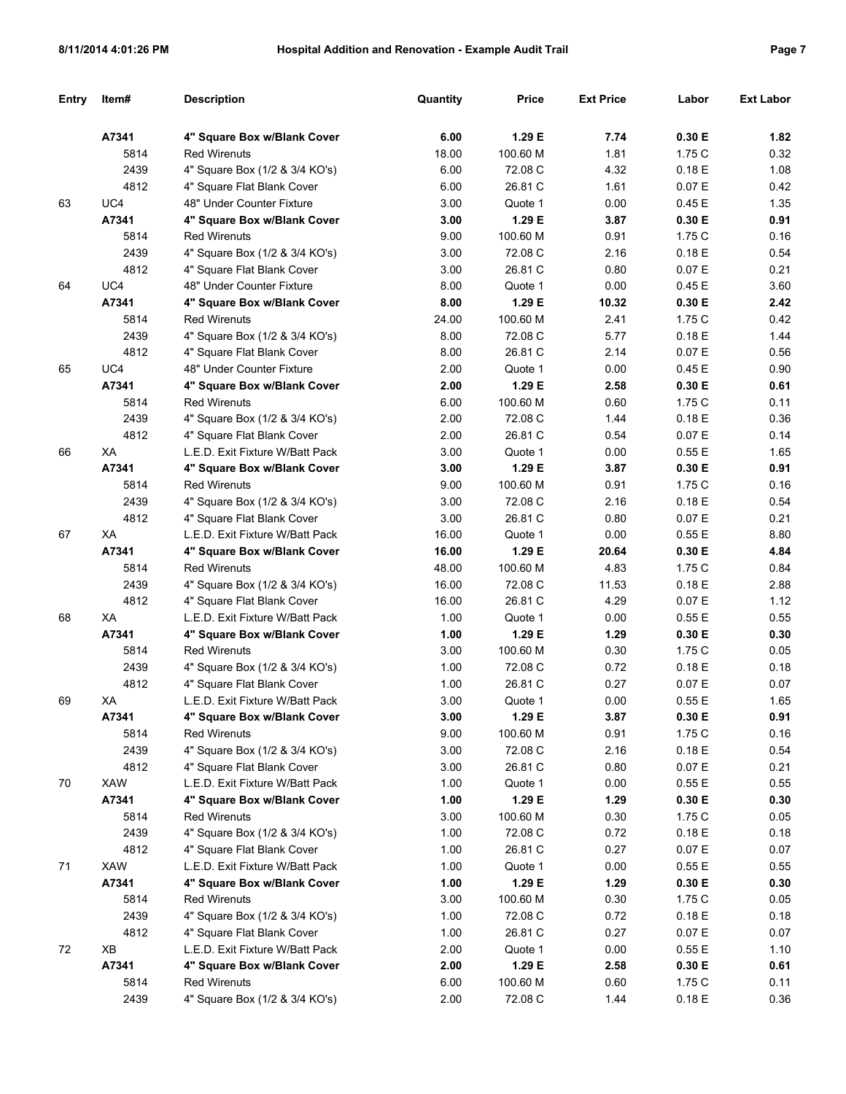|--|--|

| Entry | Item#        | <b>Description</b>                                      | Quantity | Price    | <b>Ext Price</b> | Labor  | <b>Ext Labor</b> |
|-------|--------------|---------------------------------------------------------|----------|----------|------------------|--------|------------------|
|       | A7341        | 4" Square Box w/Blank Cover                             | 6.00     | 1.29 E   | 7.74             | 0.30 E | 1.82             |
|       | 5814         | <b>Red Wirenuts</b>                                     | 18.00    | 100.60 M | 1.81             | 1.75 C | 0.32             |
|       | 2439         | 4" Square Box (1/2 & 3/4 KO's)                          | 6.00     | 72.08 C  | 4.32             | 0.18E  | 1.08             |
|       | 4812         | 4" Square Flat Blank Cover                              | 6.00     | 26.81 C  | 1.61             | 0.07 E | 0.42             |
| 63    | UC4          | 48" Under Counter Fixture                               | 3.00     | Quote 1  | 0.00             | 0.45E  | 1.35             |
|       | A7341        | 4" Square Box w/Blank Cover                             | 3.00     | 1.29 E   | 3.87             | 0.30 E | 0.91             |
|       | 5814         | <b>Red Wirenuts</b>                                     | 9.00     | 100.60 M | 0.91             | 1.75 C | 0.16             |
|       | 2439         | 4" Square Box (1/2 & 3/4 KO's)                          | 3.00     | 72.08 C  | 2.16             | 0.18E  | 0.54             |
|       | 4812         | 4" Square Flat Blank Cover                              | 3.00     | 26.81 C  | 0.80             | 0.07 E | 0.21             |
| 64    | UC4          | 48" Under Counter Fixture                               | 8.00     | Quote 1  | 0.00             | 0.45E  | 3.60             |
|       | A7341        | 4" Square Box w/Blank Cover                             | 8.00     | 1.29 E   | 10.32            | 0.30 E | 2.42             |
|       | 5814         | <b>Red Wirenuts</b>                                     | 24.00    | 100.60 M | 2.41             | 1.75 C | 0.42             |
|       |              |                                                         |          |          |                  |        |                  |
|       | 2439<br>4812 | 4" Square Box (1/2 & 3/4 KO's)                          | 8.00     | 72.08 C  | 5.77             | 0.18E  | 1.44             |
|       |              | 4" Square Flat Blank Cover<br>48" Under Counter Fixture | 8.00     | 26.81 C  | 2.14             | 0.07 E | 0.56             |
| 65    | UC4          |                                                         | 2.00     | Quote 1  | 0.00             | 0.45E  | 0.90             |
|       | A7341        | 4" Square Box w/Blank Cover                             | 2.00     | 1.29 E   | 2.58             | 0.30 E | 0.61             |
|       | 5814         | <b>Red Wirenuts</b>                                     | 6.00     | 100.60 M | 0.60             | 1.75 C | 0.11             |
|       | 2439         | 4" Square Box (1/2 & 3/4 KO's)                          | 2.00     | 72.08 C  | 1.44             | 0.18E  | 0.36             |
|       | 4812         | 4" Square Flat Blank Cover                              | 2.00     | 26.81 C  | 0.54             | 0.07 E | 0.14             |
| 66    | ХA           | L.E.D. Exit Fixture W/Batt Pack                         | 3.00     | Quote 1  | 0.00             | 0.55 E | 1.65             |
|       | A7341        | 4" Square Box w/Blank Cover                             | 3.00     | 1.29 E   | 3.87             | 0.30 E | 0.91             |
|       | 5814         | <b>Red Wirenuts</b>                                     | 9.00     | 100.60 M | 0.91             | 1.75 C | 0.16             |
|       | 2439         | 4" Square Box (1/2 & 3/4 KO's)                          | 3.00     | 72.08 C  | 2.16             | 0.18E  | 0.54             |
|       | 4812         | 4" Square Flat Blank Cover                              | 3.00     | 26.81 C  | 0.80             | 0.07 E | 0.21             |
| 67    | XA           | L.E.D. Exit Fixture W/Batt Pack                         | 16.00    | Quote 1  | 0.00             | 0.55 E | 8.80             |
|       | A7341        | 4" Square Box w/Blank Cover                             | 16.00    | 1.29 E   | 20.64            | 0.30 E | 4.84             |
|       | 5814         | <b>Red Wirenuts</b>                                     | 48.00    | 100.60 M | 4.83             | 1.75 C | 0.84             |
|       | 2439         | 4" Square Box (1/2 & 3/4 KO's)                          | 16.00    | 72.08 C  | 11.53            | 0.18E  | 2.88             |
|       | 4812         | 4" Square Flat Blank Cover                              | 16.00    | 26.81 C  | 4.29             | 0.07 E | 1.12             |
| 68    | XA           | L.E.D. Exit Fixture W/Batt Pack                         | 1.00     | Quote 1  | 0.00             | 0.55 E | 0.55             |
|       | A7341        | 4" Square Box w/Blank Cover                             | 1.00     | 1.29 E   | 1.29             | 0.30 E | 0.30             |
|       | 5814         | <b>Red Wirenuts</b>                                     | 3.00     | 100.60 M | 0.30             | 1.75 C | 0.05             |
|       | 2439         | 4" Square Box (1/2 & 3/4 KO's)                          | 1.00     | 72.08 C  | 0.72             | 0.18E  | 0.18             |
|       | 4812         | 4" Square Flat Blank Cover                              | 1.00     | 26.81 C  | 0.27             | 0.07 E | 0.07             |
| 69    | ХA           | L.E.D. Exit Fixture W/Batt Pack                         | 3.00     | Quote 1  | 0.00             | 0.55 E | 1.65             |
|       | A7341        | 4" Square Box w/Blank Cover                             | 3.00     | 1.29 E   | 3.87             | 0.30 E | 0.91             |
|       | 5814         | <b>Red Wirenuts</b>                                     | 9.00     | 100.60 M | 0.91             | 1.75 C | 0.16             |
|       | 2439         | 4" Square Box (1/2 & 3/4 KO's)                          | 3.00     | 72.08 C  | 2.16             | 0.18 E | 0.54             |
|       | 4812         | 4" Square Flat Blank Cover                              | 3.00     | 26.81 C  | 0.80             | 0.07 E | 0.21             |
| 70    | XAW          | L.E.D. Exit Fixture W/Batt Pack                         | 1.00     | Quote 1  | 0.00             | 0.55 E | 0.55             |
|       | A7341        | 4" Square Box w/Blank Cover                             | 1.00     | 1.29 E   | 1.29             | 0.30 E | 0.30             |
|       | 5814         | <b>Red Wirenuts</b>                                     | 3.00     | 100.60 M | 0.30             | 1.75 C | 0.05             |
|       | 2439         | 4" Square Box (1/2 & 3/4 KO's)                          | 1.00     | 72.08 C  | 0.72             | 0.18 E | 0.18             |
|       | 4812         | 4" Square Flat Blank Cover                              | 1.00     | 26.81 C  | 0.27             | 0.07 E | 0.07             |
| 71    | XAW          | L.E.D. Exit Fixture W/Batt Pack                         | 1.00     | Quote 1  | 0.00             | 0.55 E | 0.55             |
|       | A7341        | 4" Square Box w/Blank Cover                             | 1.00     | 1.29 E   | 1.29             | 0.30 E | 0.30             |
|       | 5814         | <b>Red Wirenuts</b>                                     | 3.00     | 100.60 M | 0.30             | 1.75 C | 0.05             |
|       | 2439         | 4" Square Box (1/2 & 3/4 KO's)                          | 1.00     | 72.08 C  | 0.72             | 0.18 E | 0.18             |
|       | 4812         | 4" Square Flat Blank Cover                              | 1.00     | 26.81 C  | 0.27             | 0.07 E | 0.07             |
| 72    | XB           | L.E.D. Exit Fixture W/Batt Pack                         | 2.00     | Quote 1  | 0.00             | 0.55 E | 1.10             |
|       | A7341        | 4" Square Box w/Blank Cover                             | 2.00     | 1.29 E   | 2.58             | 0.30 E | 0.61             |
|       | 5814         | <b>Red Wirenuts</b>                                     | 6.00     | 100.60 M | 0.60             | 1.75 C | 0.11             |
|       | 2439         | 4" Square Box (1/2 & 3/4 KO's)                          | 2.00     | 72.08 C  | 1.44             | 0.18 E | 0.36             |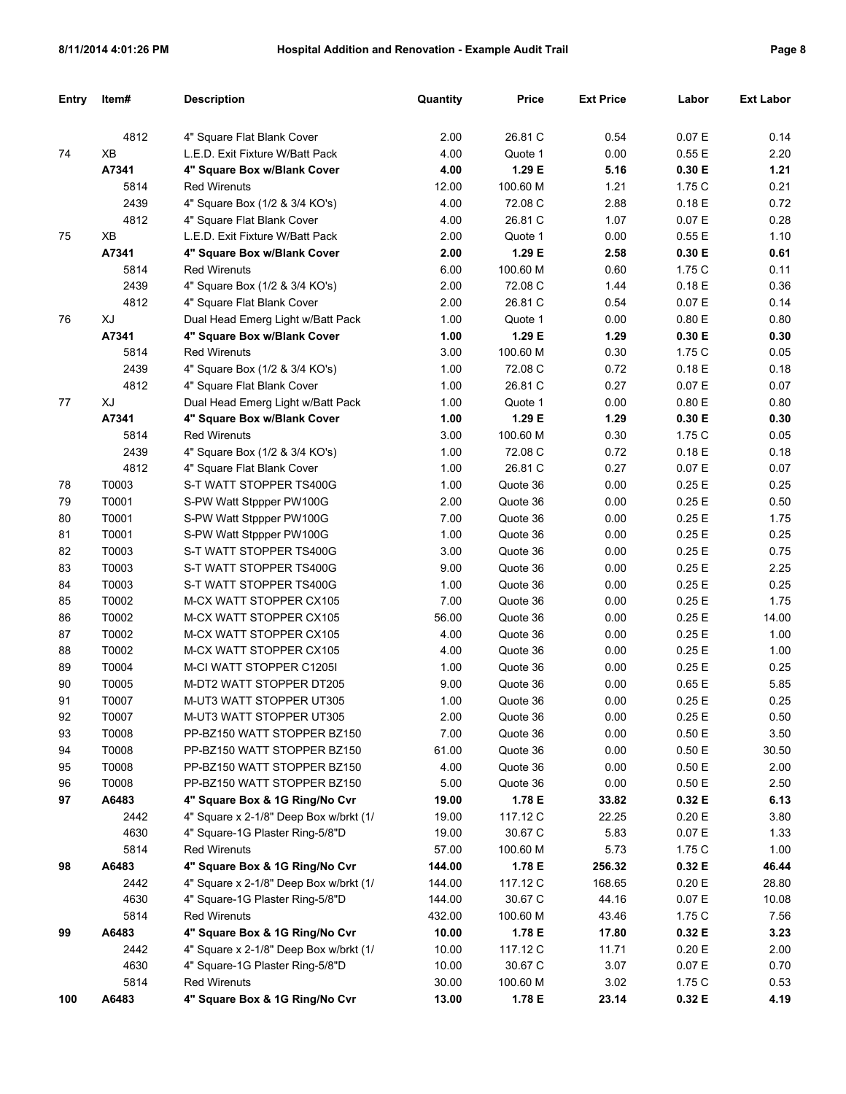| <b>Entry</b> | Item# | <b>Description</b>                                 | Quantity      | <b>Price</b>         | <b>Ext Price</b> | Labor          | <b>Ext Labor</b> |
|--------------|-------|----------------------------------------------------|---------------|----------------------|------------------|----------------|------------------|
|              | 4812  | 4" Square Flat Blank Cover                         | 2.00          | 26.81 C              | 0.54             | 0.07 E         | 0.14             |
| 74           | XB    | L.E.D. Exit Fixture W/Batt Pack                    | 4.00          | Quote 1              | 0.00             | 0.55E          | 2.20             |
|              | A7341 | 4" Square Box w/Blank Cover                        | 4.00          | 1.29 E               | 5.16             | 0.30 E         | 1.21             |
|              | 5814  | <b>Red Wirenuts</b>                                | 12.00         | 100.60 M             | 1.21             | 1.75 C         | 0.21             |
|              | 2439  | 4" Square Box (1/2 & 3/4 KO's)                     | 4.00          | 72.08 C              | 2.88             | 0.18E          | 0.72             |
|              | 4812  | 4" Square Flat Blank Cover                         | 4.00          | 26.81 C              | 1.07             | 0.07 E         | 0.28             |
| 75           | XB    | L.E.D. Exit Fixture W/Batt Pack                    | 2.00          | Quote 1              | 0.00             | 0.55 E         | 1.10             |
|              | A7341 | 4" Square Box w/Blank Cover                        | 2.00          | 1.29 E               | 2.58             | 0.30 E         | 0.61             |
|              | 5814  | <b>Red Wirenuts</b>                                | 6.00          | 100.60 M             | 0.60             | 1.75 C         | 0.11             |
|              | 2439  | 4" Square Box (1/2 & 3/4 KO's)                     | 2.00          | 72.08 C              | 1.44             | 0.18E          | 0.36             |
|              | 4812  | 4" Square Flat Blank Cover                         | 2.00          | 26.81 C              | 0.54             | 0.07 E         | 0.14             |
| 76           | XJ    | Dual Head Emerg Light w/Batt Pack                  | 1.00          | Quote 1              | 0.00             | 0.80 E         | 0.80             |
|              | A7341 | 4" Square Box w/Blank Cover                        | 1.00          | 1.29 E               | 1.29             | 0.30 E         | 0.30             |
|              | 5814  | <b>Red Wirenuts</b>                                | 3.00          | 100.60 M             | 0.30             | 1.75 C         | 0.05             |
|              | 2439  | 4" Square Box (1/2 & 3/4 KO's)                     | 1.00          | 72.08 C              | 0.72             | 0.18E          | 0.18             |
|              | 4812  | 4" Square Flat Blank Cover                         | 1.00          | 26.81 C              | 0.27             | 0.07 E         | 0.07             |
| 77           | XJ    | Dual Head Emerg Light w/Batt Pack                  | 1.00          | Quote 1              | 0.00             | 0.80 E         | 0.80             |
|              | A7341 | 4" Square Box w/Blank Cover                        | 1.00          | 1.29 E               | 1.29             | 0.30 E         | 0.30             |
|              | 5814  | <b>Red Wirenuts</b>                                | 3.00          | 100.60 M             | 0.30             | 1.75 C         | 0.05             |
|              | 2439  | 4" Square Box (1/2 & 3/4 KO's)                     | 1.00          | 72.08 C              | 0.72             | 0.18E          | 0.18             |
|              | 4812  | 4" Square Flat Blank Cover                         | 1.00          | 26.81 C              | 0.27             | 0.07 E         | 0.07             |
|              | T0003 | S-T WATT STOPPER TS400G                            | 1.00          | Quote 36             | 0.00             | 0.25E          | 0.25             |
| 78<br>79     | T0001 | S-PW Watt Stppper PW100G                           | 2.00          | Quote 36             | 0.00             | 0.25E          | 0.50             |
| 80           | T0001 | S-PW Watt Stppper PW100G                           | 7.00          | Quote 36             | 0.00             | 0.25E          | 1.75             |
| 81           | T0001 | S-PW Watt Stppper PW100G                           | 1.00          | Quote 36             | 0.00             | 0.25E          | 0.25             |
| 82           | T0003 | S-T WATT STOPPER TS400G                            | 3.00          | Quote 36             | 0.00             | 0.25E          | 0.75             |
| 83           | T0003 | S-T WATT STOPPER TS400G                            | 9.00          | Quote 36             | 0.00             | 0.25E          | 2.25             |
| 84           | T0003 | S-T WATT STOPPER TS400G                            | 1.00          | Quote 36             | 0.00             | 0.25E          | 0.25             |
|              | T0002 |                                                    |               |                      |                  |                |                  |
| 85<br>86     | T0002 | M-CX WATT STOPPER CX105<br>M-CX WATT STOPPER CX105 | 7.00<br>56.00 | Quote 36<br>Quote 36 | 0.00<br>0.00     | 0.25E<br>0.25E | 1.75<br>14.00    |
| 87           | T0002 | M-CX WATT STOPPER CX105                            | 4.00          | Quote 36             | 0.00             | 0.25E          | 1.00             |
| 88           | T0002 | M-CX WATT STOPPER CX105                            | 4.00          | Quote 36             | 0.00             | 0.25E          | 1.00             |
| 89           | T0004 | M-CI WATT STOPPER C1205I                           | 1.00          | Quote 36             | 0.00             | 0.25E          | 0.25             |
| 90           | T0005 | M-DT2 WATT STOPPER DT205                           | 9.00          | Quote 36             | 0.00             | 0.65E          | 5.85             |
| 91           | T0007 | M-UT3 WATT STOPPER UT305                           | 1.00          | Quote 36             | 0.00             | 0.25E          | 0.25             |
| 92           | T0007 | M-UT3 WATT STOPPER UT305                           | 2.00          | Quote 36             | 0.00             | 0.25E          | 0.50             |
| 93           | T0008 | PP-BZ150 WATT STOPPER BZ150                        | 7.00          | Quote 36             | 0.00             | 0.50 E         | 3.50             |
| 94           | T0008 | PP-BZ150 WATT STOPPER BZ150                        | 61.00         | Quote 36             | 0.00             | 0.50 E         | 30.50            |
| 95           | T0008 | PP-BZ150 WATT STOPPER BZ150                        | 4.00          | Quote 36             | 0.00             | 0.50 E         | 2.00             |
| 96           | T0008 | PP-BZ150 WATT STOPPER BZ150                        | 5.00          | Quote 36             | 0.00             | 0.50 E         | 2.50             |
| 97           | A6483 | 4" Square Box & 1G Ring/No Cvr                     | 19.00         | 1.78 E               | 33.82            | 0.32 E         | 6.13             |
|              | 2442  | 4" Square x 2-1/8" Deep Box w/brkt (1/             | 19.00         | 117.12 C             | 22.25            | 0.20 E         | 3.80             |
|              | 4630  | 4" Square-1G Plaster Ring-5/8"D                    | 19.00         | 30.67 C              | 5.83             | 0.07 E         | 1.33             |
|              | 5814  | <b>Red Wirenuts</b>                                | 57.00         | 100.60 M             | 5.73             | 1.75 C         | 1.00             |
| 98           | A6483 | 4" Square Box & 1G Ring/No Cvr                     | 144.00        | 1.78 E               | 256.32           | 0.32 E         | 46.44            |
|              | 2442  | 4" Square x 2-1/8" Deep Box w/brkt (1/             | 144.00        | 117.12 C             | 168.65           | 0.20 E         | 28.80            |
|              | 4630  | 4" Square-1G Plaster Ring-5/8"D                    | 144.00        | 30.67 C              | 44.16            | 0.07 E         | 10.08            |
|              | 5814  | <b>Red Wirenuts</b>                                | 432.00        | 100.60 M             | 43.46            | 1.75 C         | 7.56             |
| 99           | A6483 | 4" Square Box & 1G Ring/No Cvr                     | 10.00         | 1.78 E               | 17.80            | 0.32 E         | 3.23             |
|              | 2442  | 4" Square x 2-1/8" Deep Box w/brkt (1/             | 10.00         | 117.12 C             | 11.71            | 0.20 E         | 2.00             |
|              | 4630  | 4" Square-1G Plaster Ring-5/8"D                    | 10.00         | 30.67 C              | 3.07             | 0.07 E         | 0.70             |
|              | 5814  | <b>Red Wirenuts</b>                                | 30.00         | 100.60 M             | 3.02             | 1.75 C         | 0.53             |
| 100          | A6483 | 4" Square Box & 1G Ring/No Cvr                     | 13.00         | 1.78 E               | 23.14            | 0.32 E         | 4.19             |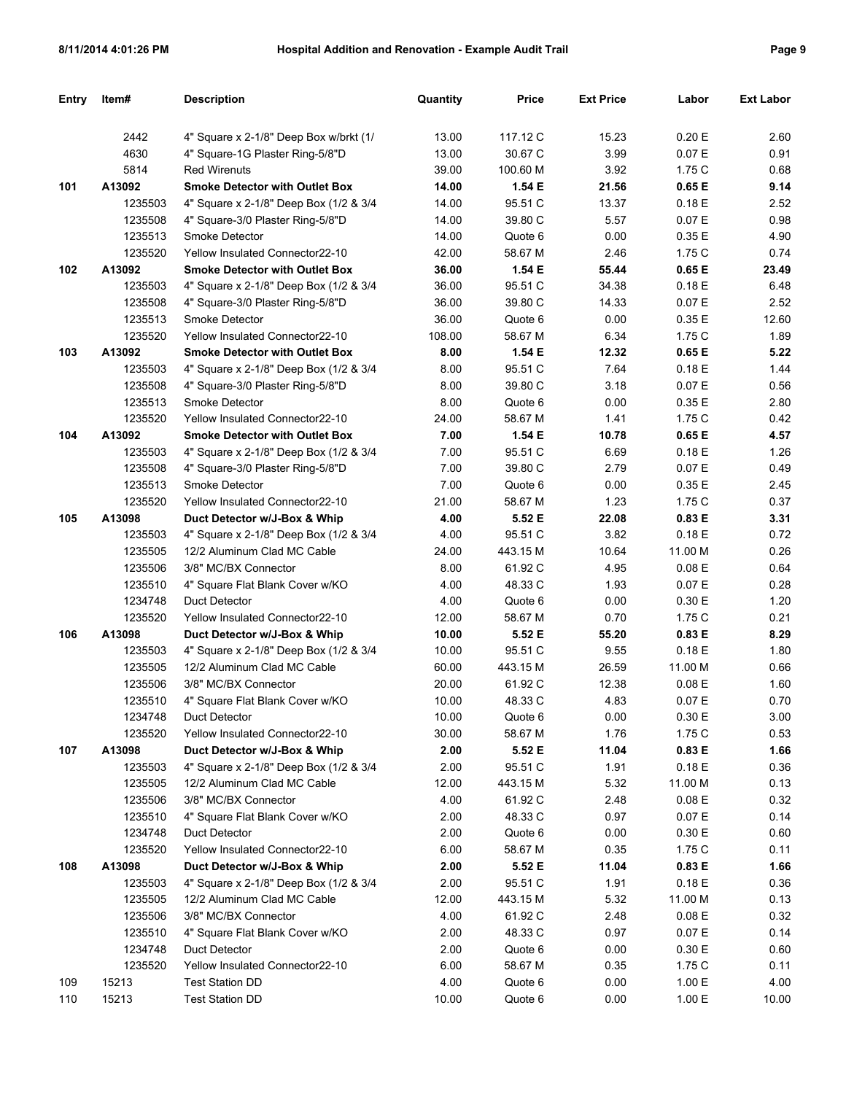| Entry | Item#   | <b>Description</b>                     | Quantity | <b>Price</b> | <b>Ext Price</b> | Labor     | <b>Ext Labor</b> |
|-------|---------|----------------------------------------|----------|--------------|------------------|-----------|------------------|
|       | 2442    | 4" Square x 2-1/8" Deep Box w/brkt (1/ | 13.00    | 117.12 C     | 15.23            | 0.20 E    | 2.60             |
|       | 4630    | 4" Square-1G Plaster Ring-5/8"D        | 13.00    | 30.67 C      | 3.99             | 0.07 E    | 0.91             |
|       | 5814    | <b>Red Wirenuts</b>                    | 39.00    | 100.60 M     | 3.92             | 1.75 C    | 0.68             |
| 101   | A13092  | <b>Smoke Detector with Outlet Box</b>  | 14.00    | 1.54 E       | 21.56            | 0.65 E    | 9.14             |
|       | 1235503 | 4" Square x 2-1/8" Deep Box (1/2 & 3/4 | 14.00    | 95.51 C      | 13.37            | 0.18E     | 2.52             |
|       | 1235508 | 4" Square-3/0 Plaster Ring-5/8"D       | 14.00    | 39.80 C      | 5.57             | 0.07 E    | 0.98             |
|       | 1235513 | Smoke Detector                         | 14.00    | Quote 6      | 0.00             | 0.35 E    | 4.90             |
|       | 1235520 | Yellow Insulated Connector22-10        | 42.00    | 58.67 M      | 2.46             | 1.75 C    | 0.74             |
| 102   | A13092  | <b>Smoke Detector with Outlet Box</b>  | 36.00    | 1.54 E       | 55.44            | 0.65 E    | 23.49            |
|       | 1235503 | 4" Square x 2-1/8" Deep Box (1/2 & 3/4 | 36.00    | 95.51 C      | 34.38            | 0.18E     | 6.48             |
|       | 1235508 | 4" Square-3/0 Plaster Ring-5/8"D       | 36.00    | 39.80 C      | 14.33            | 0.07 E    | 2.52             |
|       | 1235513 | Smoke Detector                         | 36.00    | Quote 6      | 0.00             | 0.35 E    | 12.60            |
|       | 1235520 | Yellow Insulated Connector22-10        | 108.00   | 58.67 M      | 6.34             | 1.75 C    | 1.89             |
| 103   | A13092  | <b>Smoke Detector with Outlet Box</b>  | 8.00     | 1.54 E       | 12.32            | 0.65 E    | 5.22             |
|       | 1235503 | 4" Square x 2-1/8" Deep Box (1/2 & 3/4 | 8.00     | 95.51 C      | 7.64             | 0.18E     | 1.44             |
|       | 1235508 | 4" Square-3/0 Plaster Ring-5/8"D       | 8.00     | 39.80 C      | 3.18             | 0.07 E    | 0.56             |
|       | 1235513 | Smoke Detector                         | 8.00     | Quote 6      | 0.00             | 0.35 E    | 2.80             |
|       | 1235520 | Yellow Insulated Connector22-10        | 24.00    | 58.67 M      | 1.41             | 1.75 C    | 0.42             |
| 104   | A13092  | <b>Smoke Detector with Outlet Box</b>  | 7.00     | 1.54 E       | 10.78            | 0.65 E    | 4.57             |
|       | 1235503 | 4" Square x 2-1/8" Deep Box (1/2 & 3/4 | 7.00     | 95.51 C      | 6.69             | 0.18E     | 1.26             |
|       | 1235508 | 4" Square-3/0 Plaster Ring-5/8"D       | 7.00     | 39.80 C      | 2.79             | 0.07 E    | 0.49             |
|       | 1235513 | Smoke Detector                         | 7.00     | Quote 6      | 0.00             | 0.35 E    | 2.45             |
|       | 1235520 | Yellow Insulated Connector22-10        | 21.00    | 58.67 M      | 1.23             | 1.75 C    | 0.37             |
| 105   | A13098  | Duct Detector w/J-Box & Whip           | 4.00     | 5.52 E       | 22.08            | 0.83 E    | 3.31             |
|       | 1235503 | 4" Square x 2-1/8" Deep Box (1/2 & 3/4 | 4.00     | 95.51 C      | 3.82             | 0.18E     | 0.72             |
|       | 1235505 | 12/2 Aluminum Clad MC Cable            | 24.00    | 443.15 M     | 10.64            | 11.00 M   | 0.26             |
|       | 1235506 | 3/8" MC/BX Connector                   | 8.00     | 61.92 C      | 4.95             | 0.08 E    | 0.64             |
|       | 1235510 | 4" Square Flat Blank Cover w/KO        | 4.00     | 48.33 C      | 1.93             | 0.07 E    | 0.28             |
|       | 1234748 | Duct Detector                          | 4.00     | Quote 6      | 0.00             | 0.30 E    | 1.20             |
|       | 1235520 | Yellow Insulated Connector22-10        | 12.00    | 58.67 M      | 0.70             | 1.75 C    | 0.21             |
| 106   | A13098  | Duct Detector w/J-Box & Whip           | 10.00    | 5.52 E       | 55.20            | 0.83 E    | 8.29             |
|       | 1235503 | 4" Square x 2-1/8" Deep Box (1/2 & 3/4 | 10.00    | 95.51 C      | 9.55             | 0.18E     | 1.80             |
|       | 1235505 | 12/2 Aluminum Clad MC Cable            | 60.00    | 443.15 M     | 26.59            | 11.00 M   | 0.66             |
|       | 1235506 | 3/8" MC/BX Connector                   | 20.00    | 61.92 C      | 12.38            | 0.08 E    | 1.60             |
|       | 1235510 | 4" Square Flat Blank Cover w/KO        | 10.00    | 48.33 C      | 4.83             | 0.07 E    | 0.70             |
|       | 1234748 | Duct Detector                          | 10.00    | Quote 6      | 0.00             | $0.30\to$ | 3.00             |
|       | 1235520 | Yellow Insulated Connector22-10        | 30.00    | 58.67 M      | 1.76             | 1.75C     | 0.53             |
| 107   | A13098  | Duct Detector w/J-Box & Whip           | 2.00     | 5.52 E       | 11.04            | 0.83 E    | 1.66             |
|       | 1235503 | 4" Square x 2-1/8" Deep Box (1/2 & 3/4 | 2.00     | 95.51 C      | 1.91             | 0.18 E    | 0.36             |
|       | 1235505 | 12/2 Aluminum Clad MC Cable            | 12.00    | 443.15 M     | 5.32             | 11.00 M   | 0.13             |
|       | 1235506 | 3/8" MC/BX Connector                   | 4.00     | 61.92 C      | 2.48             | 0.08 E    | 0.32             |
|       | 1235510 | 4" Square Flat Blank Cover w/KO        | 2.00     | 48.33 C      | 0.97             | 0.07 E    | 0.14             |
|       | 1234748 | Duct Detector                          | 2.00     | Quote 6      | 0.00             | 0.30 E    | 0.60             |
|       | 1235520 | Yellow Insulated Connector22-10        | 6.00     | 58.67 M      | 0.35             | 1.75C     | 0.11             |
| 108   | A13098  | Duct Detector w/J-Box & Whip           | 2.00     | 5.52 E       | 11.04            | 0.83 E    | 1.66             |
|       | 1235503 | 4" Square x 2-1/8" Deep Box (1/2 & 3/4 | 2.00     | 95.51 C      | 1.91             | 0.18 E    | 0.36             |
|       | 1235505 | 12/2 Aluminum Clad MC Cable            | 12.00    | 443.15 M     | 5.32             | 11.00 M   | 0.13             |
|       | 1235506 | 3/8" MC/BX Connector                   | 4.00     | 61.92 C      | 2.48             | 0.08 E    | 0.32             |
|       | 1235510 | 4" Square Flat Blank Cover w/KO        | 2.00     | 48.33 C      | 0.97             | 0.07 E    | 0.14             |
|       | 1234748 | Duct Detector                          | 2.00     | Quote 6      | 0.00             | 0.30 E    | 0.60             |
|       | 1235520 | Yellow Insulated Connector22-10        | 6.00     | 58.67 M      | 0.35             | 1.75C     | 0.11             |
| 109   | 15213   | <b>Test Station DD</b>                 | 4.00     | Quote 6      | 0.00             | 1.00 E    | 4.00             |
| 110   | 15213   | <b>Test Station DD</b>                 | 10.00    | Quote 6      | 0.00             | 1.00 E    | 10.00            |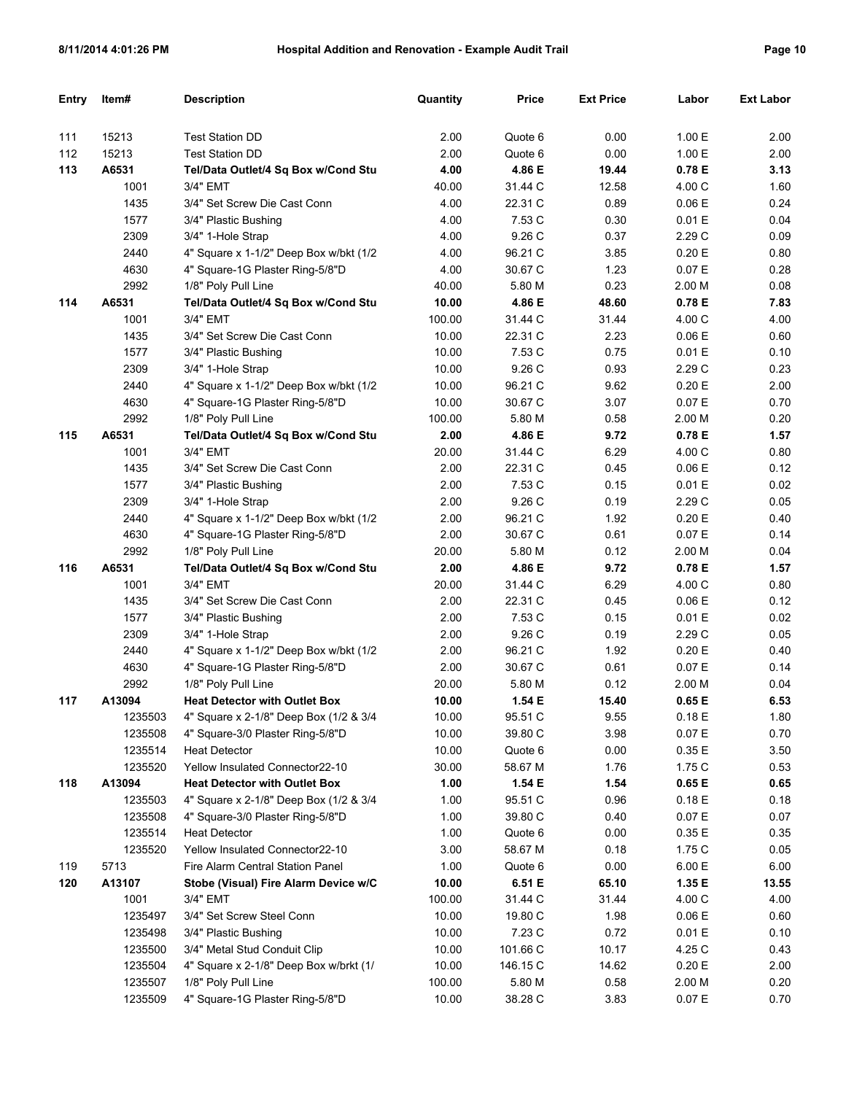| Entry | Item#   | <b>Description</b>                     | Quantity | <b>Price</b> | <b>Ext Price</b> | Labor  | <b>Ext Labor</b> |
|-------|---------|----------------------------------------|----------|--------------|------------------|--------|------------------|
|       |         |                                        |          |              |                  |        |                  |
| 111   | 15213   | <b>Test Station DD</b>                 | 2.00     | Quote 6      | 0.00             | 1.00 E | 2.00             |
| 112   | 15213   | <b>Test Station DD</b>                 | 2.00     | Quote 6      | 0.00             | 1.00 E | 2.00             |
| 113   | A6531   | Tel/Data Outlet/4 Sq Box w/Cond Stu    | 4.00     | 4.86 E       | 19.44            | 0.78 E | 3.13             |
|       | 1001    | 3/4" EMT                               | 40.00    | 31.44 C      | 12.58            | 4.00 C | 1.60             |
|       | 1435    | 3/4" Set Screw Die Cast Conn           | 4.00     | 22.31 C      | 0.89             | 0.06 E | 0.24             |
|       | 1577    | 3/4" Plastic Bushing                   | 4.00     | 7.53 C       | 0.30             | 0.01 E | 0.04             |
|       | 2309    | 3/4" 1-Hole Strap                      | 4.00     | 9.26 C       | 0.37             | 2.29 C | 0.09             |
|       | 2440    | 4" Square x 1-1/2" Deep Box w/bkt (1/2 | 4.00     | 96.21 C      | 3.85             | 0.20 E | 0.80             |
|       | 4630    | 4" Square-1G Plaster Ring-5/8"D        | 4.00     | 30.67 C      | 1.23             | 0.07 E | 0.28             |
|       | 2992    | 1/8" Poly Pull Line                    | 40.00    | 5.80 M       | 0.23             | 2.00 M | 0.08             |
| 114   | A6531   | Tel/Data Outlet/4 Sq Box w/Cond Stu    | 10.00    | 4.86 E       | 48.60            | 0.78 E | 7.83             |
|       | 1001    | 3/4" EMT                               | 100.00   | 31.44 C      | 31.44            | 4.00 C | 4.00             |
|       | 1435    | 3/4" Set Screw Die Cast Conn           | 10.00    | 22.31 C      | 2.23             | 0.06 E | 0.60             |
|       | 1577    | 3/4" Plastic Bushing                   | 10.00    | 7.53 C       | 0.75             | 0.01 E | 0.10             |
|       | 2309    | 3/4" 1-Hole Strap                      | 10.00    | 9.26 C       | 0.93             | 2.29 C | 0.23             |
|       | 2440    | 4" Square x 1-1/2" Deep Box w/bkt (1/2 | 10.00    | 96.21 C      | 9.62             | 0.20 E | 2.00             |
|       | 4630    | 4" Square-1G Plaster Ring-5/8"D        | 10.00    | 30.67 C      | 3.07             | 0.07 E | 0.70             |
|       | 2992    | 1/8" Poly Pull Line                    | 100.00   | 5.80 M       | 0.58             | 2.00 M | 0.20             |
| 115   | A6531   | Tel/Data Outlet/4 Sq Box w/Cond Stu    | 2.00     | 4.86 E       | 9.72             | 0.78 E | 1.57             |
|       | 1001    | 3/4" EMT                               | 20.00    | 31.44 C      | 6.29             | 4.00 C | 0.80             |
|       | 1435    | 3/4" Set Screw Die Cast Conn           | 2.00     | 22.31 C      | 0.45             | 0.06 E | 0.12             |
|       | 1577    | 3/4" Plastic Bushing                   | 2.00     | 7.53 C       | 0.15             | 0.01 E | 0.02             |
|       | 2309    | 3/4" 1-Hole Strap                      | 2.00     | 9.26 C       | 0.19             | 2.29 C | 0.05             |
|       | 2440    | 4" Square x 1-1/2" Deep Box w/bkt (1/2 | 2.00     | 96.21 C      | 1.92             | 0.20 E | 0.40             |
|       | 4630    | 4" Square-1G Plaster Ring-5/8"D        | 2.00     | 30.67 C      | 0.61             | 0.07 E | 0.14             |
|       | 2992    | 1/8" Poly Pull Line                    | 20.00    | 5.80 M       | 0.12             | 2.00 M | 0.04             |
| 116   | A6531   | Tel/Data Outlet/4 Sq Box w/Cond Stu    | 2.00     | 4.86 E       | 9.72             | 0.78 E | 1.57             |
|       | 1001    | 3/4" EMT                               | 20.00    | 31.44 C      | 6.29             | 4.00 C | 0.80             |
|       | 1435    | 3/4" Set Screw Die Cast Conn           | 2.00     | 22.31 C      | 0.45             | 0.06 E | 0.12             |
|       | 1577    | 3/4" Plastic Bushing                   | 2.00     | 7.53 C       | 0.15             | 0.01 E | 0.02             |
|       | 2309    | 3/4" 1-Hole Strap                      | 2.00     | 9.26 C       | 0.19             | 2.29 C | 0.05             |
|       | 2440    | 4" Square x 1-1/2" Deep Box w/bkt (1/2 | 2.00     | 96.21 C      | 1.92             | 0.20 E | 0.40             |
|       | 4630    | 4" Square-1G Plaster Ring-5/8"D        | 2.00     | 30.67 C      | 0.61             | 0.07 E | 0.14             |
|       | 2992    | 1/8" Poly Pull Line                    | 20.00    | 5.80 M       | 0.12             | 2.00 M | 0.04             |
| 117   | A13094  | <b>Heat Detector with Outlet Box</b>   | 10.00    | 1.54 E       | 15.40            | 0.65 E | 6.53             |
|       | 1235503 | 4" Square x 2-1/8" Deep Box (1/2 & 3/4 | 10.00    | 95.51 C      | 9.55             | 0.18E  | 1.80             |
|       | 1235508 | 4" Square-3/0 Plaster Ring-5/8"D       | 10.00    | 39.80 C      | 3.98             | 0.07 E | 0.70             |
|       | 1235514 | <b>Heat Detector</b>                   | 10.00    | Quote 6      | 0.00             | 0.35 E | 3.50             |
|       | 1235520 | Yellow Insulated Connector22-10        | 30.00    | 58.67 M      | 1.76             | 1.75 C | 0.53             |
| 118   | A13094  | <b>Heat Detector with Outlet Box</b>   | 1.00     | 1.54 E       | 1.54             | 0.65 E | 0.65             |
|       | 1235503 | 4" Square x 2-1/8" Deep Box (1/2 & 3/4 | 1.00     | 95.51 C      | 0.96             | 0.18E  | 0.18             |
|       | 1235508 | 4" Square-3/0 Plaster Ring-5/8"D       | 1.00     | 39.80 C      | 0.40             | 0.07 E | 0.07             |
|       | 1235514 | <b>Heat Detector</b>                   | 1.00     | Quote 6      | 0.00             | 0.35 E | 0.35             |
|       | 1235520 | Yellow Insulated Connector22-10        | 3.00     | 58.67 M      | 0.18             | 1.75 C | 0.05             |
| 119   | 5713    | Fire Alarm Central Station Panel       | 1.00     | Quote 6      | 0.00             | 6.00 E | 6.00             |
| 120   | A13107  | Stobe (Visual) Fire Alarm Device w/C   | 10.00    | 6.51 E       | 65.10            | 1.35 E | 13.55            |
|       | 1001    | 3/4" EMT                               | 100.00   | 31.44 C      | 31.44            | 4.00 C | 4.00             |
|       | 1235497 | 3/4" Set Screw Steel Conn              | 10.00    | 19.80 C      | 1.98             | 0.06 E | 0.60             |
|       | 1235498 | 3/4" Plastic Bushing                   | 10.00    | 7.23 C       | 0.72             | 0.01 E | 0.10             |
|       | 1235500 | 3/4" Metal Stud Conduit Clip           | 10.00    | 101.66 C     | 10.17            | 4.25 C | 0.43             |
|       | 1235504 | 4" Square x 2-1/8" Deep Box w/brkt (1/ | 10.00    | 146.15 C     | 14.62            | 0.20 E | 2.00             |
|       | 1235507 | 1/8" Poly Pull Line                    | 100.00   | 5.80 M       | 0.58             | 2.00 M | 0.20             |
|       | 1235509 | 4" Square-1G Plaster Ring-5/8"D        | 10.00    | 38.28 C      | 3.83             | 0.07 E | 0.70             |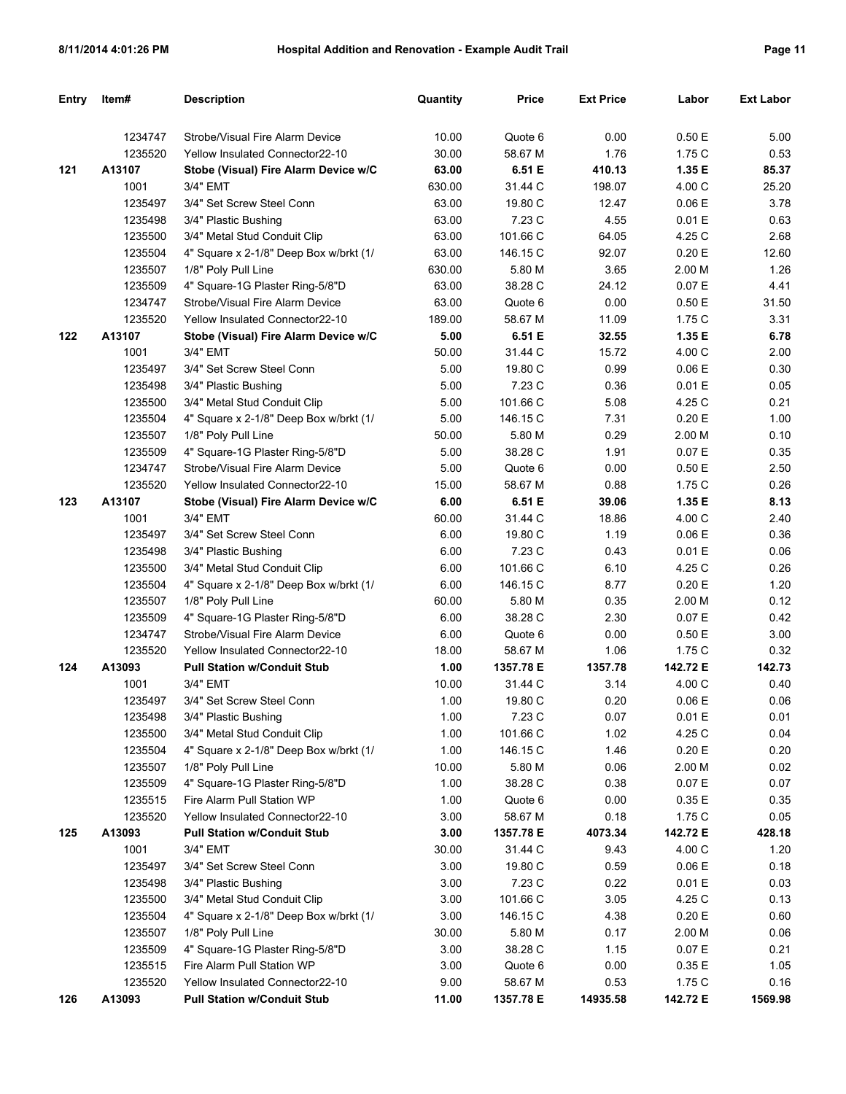| <b>Entry</b> | Item#   | <b>Description</b>                                                    | Quantity | <b>Price</b> | <b>Ext Price</b> | Labor    | <b>Ext Labor</b> |
|--------------|---------|-----------------------------------------------------------------------|----------|--------------|------------------|----------|------------------|
|              |         |                                                                       |          |              |                  |          |                  |
|              | 1234747 | Strobe/Visual Fire Alarm Device                                       | 10.00    | Quote 6      | 0.00             | 0.50 E   | 5.00             |
|              | 1235520 | Yellow Insulated Connector22-10                                       | 30.00    | 58.67 M      | 1.76             | 1.75 C   | 0.53             |
| 121          | A13107  | Stobe (Visual) Fire Alarm Device w/C                                  | 63.00    | 6.51 E       | 410.13           | 1.35 E   | 85.37            |
|              | 1001    | 3/4" EMT                                                              | 630.00   | 31.44 C      | 198.07           | 4.00 C   | 25.20            |
|              | 1235497 | 3/4" Set Screw Steel Conn                                             | 63.00    | 19.80 C      | 12.47            | 0.06E    | 3.78             |
|              | 1235498 | 3/4" Plastic Bushing                                                  | 63.00    | 7.23 C       | 4.55             | 0.01 E   | 0.63             |
|              | 1235500 | 3/4" Metal Stud Conduit Clip                                          | 63.00    | 101.66 C     | 64.05            | 4.25 C   | 2.68             |
|              | 1235504 | 4" Square x 2-1/8" Deep Box w/brkt (1/                                | 63.00    | 146.15 C     | 92.07            | 0.20 E   | 12.60            |
|              | 1235507 | 1/8" Poly Pull Line                                                   | 630.00   | 5.80 M       | 3.65             | 2.00 M   | 1.26             |
|              | 1235509 | 4" Square-1G Plaster Ring-5/8"D                                       | 63.00    | 38.28 C      | 24.12            | 0.07 E   | 4.41             |
|              | 1234747 | Strobe/Visual Fire Alarm Device                                       | 63.00    | Quote 6      | 0.00             | 0.50E    | 31.50            |
|              | 1235520 | Yellow Insulated Connector22-10                                       | 189.00   | 58.67 M      | 11.09            | 1.75 C   | 3.31             |
| 122          | A13107  | Stobe (Visual) Fire Alarm Device w/C                                  | 5.00     | 6.51 E       | 32.55            | 1.35 E   | 6.78             |
|              | 1001    | 3/4" EMT                                                              | 50.00    | 31.44 C      | 15.72            | 4.00 C   | 2.00             |
|              | 1235497 | 3/4" Set Screw Steel Conn                                             | 5.00     | 19.80 C      | 0.99             | 0.06E    | 0.30             |
|              | 1235498 | 3/4" Plastic Bushing                                                  | 5.00     | 7.23 C       | 0.36             | 0.01 E   | 0.05             |
|              | 1235500 | 3/4" Metal Stud Conduit Clip                                          | 5.00     | 101.66 C     | 5.08             | 4.25 C   | 0.21             |
|              | 1235504 | 4" Square x 2-1/8" Deep Box w/brkt (1/                                | 5.00     | 146.15 C     | 7.31             | 0.20 E   | 1.00             |
|              | 1235507 | 1/8" Poly Pull Line                                                   | 50.00    | 5.80 M       | 0.29             | 2.00 M   | 0.10             |
|              | 1235509 | 4" Square-1G Plaster Ring-5/8"D                                       | 5.00     | 38.28 C      | 1.91             | 0.07 E   | 0.35             |
|              | 1234747 | Strobe/Visual Fire Alarm Device                                       | 5.00     | Quote 6      | 0.00             | 0.50E    | 2.50             |
|              | 1235520 | <b>Yellow Insulated Connector22-10</b>                                | 15.00    | 58.67 M      | 0.88             | 1.75 C   | 0.26             |
| 123          | A13107  | Stobe (Visual) Fire Alarm Device w/C                                  | 6.00     | 6.51 E       | 39.06            | 1.35 E   | 8.13             |
|              | 1001    | 3/4" EMT                                                              | 60.00    | 31.44 C      | 18.86            | 4.00 C   | 2.40             |
|              | 1235497 | 3/4" Set Screw Steel Conn                                             | 6.00     | 19.80 C      | 1.19             | 0.06E    | 0.36             |
|              | 1235498 | 3/4" Plastic Bushing                                                  | 6.00     | 7.23 C       | 0.43             | 0.01 E   | 0.06             |
|              | 1235500 | 3/4" Metal Stud Conduit Clip                                          | 6.00     | 101.66 C     | 6.10             | 4.25 C   | 0.26             |
|              | 1235504 | 4" Square x 2-1/8" Deep Box w/brkt (1/                                | 6.00     | 146.15 C     | 8.77             | 0.20 E   | 1.20             |
|              | 1235507 | 1/8" Poly Pull Line                                                   | 60.00    | 5.80 M       | 0.35             | 2.00 M   | 0.12             |
|              | 1235509 | 4" Square-1G Plaster Ring-5/8"D                                       | 6.00     | 38.28 C      | 2.30             | 0.07 E   | 0.42             |
|              | 1234747 | Strobe/Visual Fire Alarm Device                                       | 6.00     | Quote 6      | 0.00             | 0.50E    | 3.00             |
|              | 1235520 | Yellow Insulated Connector22-10                                       | 18.00    | 58.67 M      | 1.06             | 1.75 C   | 0.32             |
| 124          | A13093  | <b>Pull Station w/Conduit Stub</b>                                    | 1.00     | 1357.78 E    | 1357.78          | 142.72 E | 142.73           |
|              | 1001    | 3/4" EMT                                                              | 10.00    | 31.44 C      | 3.14             | 4.00 C   | 0.40             |
|              | 1235497 | 3/4" Set Screw Steel Conn                                             | 1.00     | 19.80 C      | 0.20             | 0.06 E   | 0.06             |
|              | 1235498 | 3/4" Plastic Bushing                                                  | 1.00     | 7.23 C       | 0.07             | 0.01 E   | 0.01             |
|              | 1235500 | 3/4" Metal Stud Conduit Clip                                          | 1.00     | 101.66 C     | 1.02             | 4.25 C   | 0.04             |
|              | 1235504 | 4" Square x 2-1/8" Deep Box w/brkt (1/                                | 1.00     | 146.15 C     | 1.46             | 0.20 E   | 0.20             |
|              | 1235507 | 1/8" Poly Pull Line                                                   | 10.00    | 5.80 M       | 0.06             | 2.00 M   | 0.02             |
|              | 1235509 | 4" Square-1G Plaster Ring-5/8"D                                       | 1.00     | 38.28 C      | 0.38             | 0.07 E   | 0.07             |
|              | 1235515 | Fire Alarm Pull Station WP                                            | 1.00     | Quote 6      | 0.00             | 0.35E    | 0.35             |
|              | 1235520 | Yellow Insulated Connector22-10                                       | 3.00     | 58.67 M      | 0.18             | 1.75 C   | 0.05             |
| 125          | A13093  | <b>Pull Station w/Conduit Stub</b>                                    | 3.00     | 1357.78 E    | 4073.34          | 142.72 E | 428.18           |
|              | 1001    | 3/4" EMT                                                              | 30.00    | 31.44 C      | 9.43             | 4.00 C   | 1.20             |
|              | 1235497 | 3/4" Set Screw Steel Conn                                             | 3.00     | 19.80 C      | 0.59             | 0.06 E   | 0.18             |
|              | 1235498 | 3/4" Plastic Bushing                                                  | 3.00     | 7.23 C       | 0.22             | 0.01 E   | 0.03             |
|              | 1235500 | 3/4" Metal Stud Conduit Clip                                          | 3.00     | 101.66 C     | 3.05             | 4.25 C   | 0.13             |
|              | 1235504 | 4" Square x 2-1/8" Deep Box w/brkt (1/                                | 3.00     | 146.15 C     | 4.38             | 0.20 E   | 0.60             |
|              | 1235507 | 1/8" Poly Pull Line                                                   | 30.00    | 5.80 M       | 0.17             | 2.00 M   | 0.06             |
|              | 1235509 | 4" Square-1G Plaster Ring-5/8"D                                       | 3.00     | 38.28 C      | 1.15             | 0.07 E   | 0.21             |
|              | 1235515 | Fire Alarm Pull Station WP                                            | 3.00     | Quote 6      | 0.00             | 0.35 E   | 1.05             |
|              | 1235520 | Yellow Insulated Connector22-10<br><b>Pull Station w/Conduit Stub</b> | 9.00     | 58.67 M      | 0.53             | 1.75 C   | 0.16<br>1569.98  |
| 126          | A13093  |                                                                       | 11.00    | 1357.78 E    | 14935.58         | 142.72 E |                  |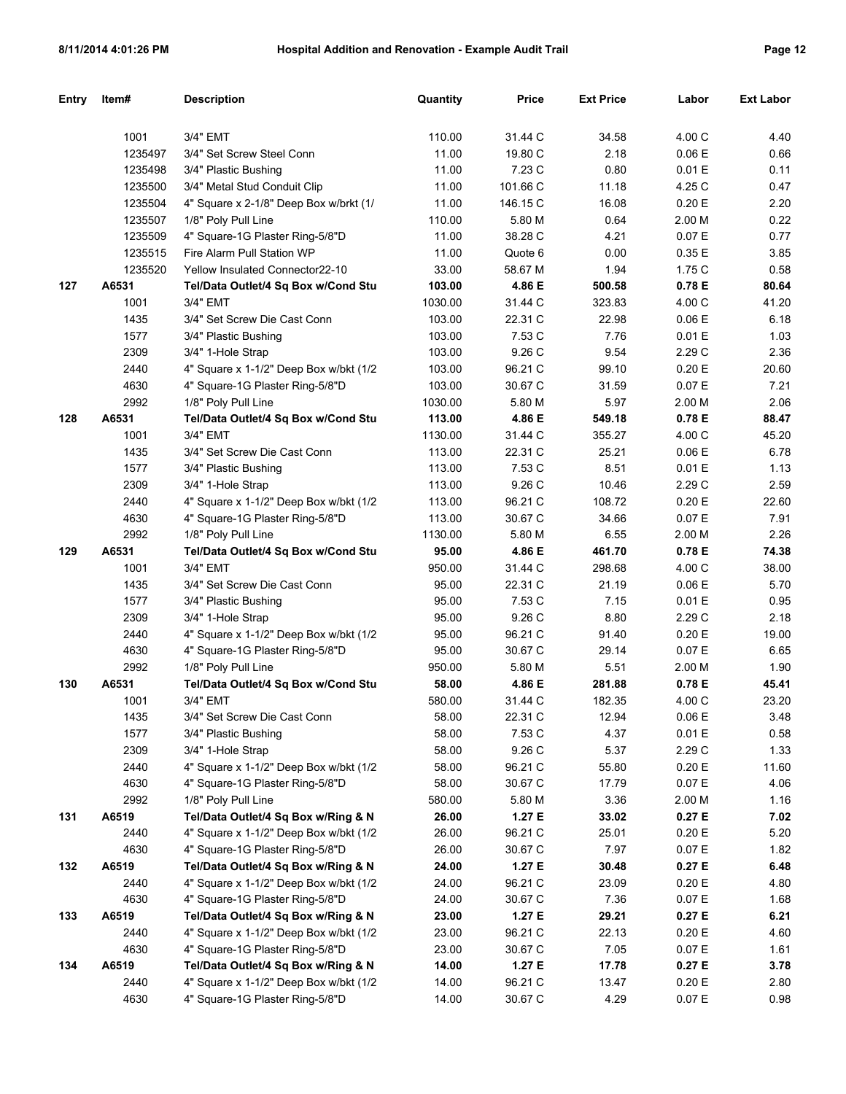| Entry | Item#   | <b>Description</b>                      | Quantity | <b>Price</b> | <b>Ext Price</b> | Labor     | <b>Ext Labor</b> |
|-------|---------|-----------------------------------------|----------|--------------|------------------|-----------|------------------|
|       |         |                                         |          |              |                  |           |                  |
|       | 1001    | 3/4" EMT                                | 110.00   | 31.44 C      | 34.58            | 4.00 C    | 4.40             |
|       | 1235497 | 3/4" Set Screw Steel Conn               | 11.00    | 19.80 C      | 2.18             | 0.06 E    | 0.66             |
|       | 1235498 | 3/4" Plastic Bushing                    | 11.00    | 7.23 C       | 0.80             | 0.01 E    | 0.11             |
|       | 1235500 | 3/4" Metal Stud Conduit Clip            | 11.00    | 101.66 C     | 11.18            | 4.25 C    | 0.47             |
|       | 1235504 | 4" Square x 2-1/8" Deep Box w/brkt (1/  | 11.00    | 146.15 C     | 16.08            | 0.20 E    | 2.20             |
|       | 1235507 | 1/8" Poly Pull Line                     | 110.00   | 5.80 M       | 0.64             | 2.00 M    | 0.22             |
|       | 1235509 | 4" Square-1G Plaster Ring-5/8"D         | 11.00    | 38.28 C      | 4.21             | 0.07 E    | 0.77             |
|       | 1235515 | Fire Alarm Pull Station WP              | 11.00    | Quote 6      | 0.00             | 0.35 E    | 3.85             |
|       | 1235520 | Yellow Insulated Connector22-10         | 33.00    | 58.67 M      | 1.94             | 1.75 C    | 0.58             |
| 127   | A6531   | Tel/Data Outlet/4 Sq Box w/Cond Stu     | 103.00   | 4.86 E       | 500.58           | 0.78 E    | 80.64            |
|       | 1001    | 3/4" EMT                                | 1030.00  | 31.44 C      | 323.83           | 4.00 C    | 41.20            |
|       | 1435    | 3/4" Set Screw Die Cast Conn            | 103.00   | 22.31 C      | 22.98            | 0.06 E    | 6.18             |
|       | 1577    | 3/4" Plastic Bushing                    | 103.00   | 7.53 C       | 7.76             | 0.01 E    | 1.03             |
|       | 2309    | 3/4" 1-Hole Strap                       | 103.00   | 9.26 C       | 9.54             | 2.29 C    | 2.36             |
|       | 2440    | 4" Square x 1-1/2" Deep Box w/bkt (1/2  | 103.00   | 96.21 C      | 99.10            | 0.20 E    | 20.60            |
|       | 4630    | 4" Square-1G Plaster Ring-5/8"D         | 103.00   | 30.67 C      | 31.59            | 0.07 E    | 7.21             |
|       | 2992    | 1/8" Poly Pull Line                     | 1030.00  | 5.80 M       | 5.97             | 2.00 M    | 2.06             |
| 128   | A6531   | Tel/Data Outlet/4 Sq Box w/Cond Stu     | 113.00   | 4.86 E       | 549.18           | 0.78 E    | 88.47            |
|       | 1001    | 3/4" EMT                                | 1130.00  | 31.44 C      | 355.27           | 4.00 C    | 45.20            |
|       | 1435    | 3/4" Set Screw Die Cast Conn            | 113.00   | 22.31 C      | 25.21            | 0.06 E    | 6.78             |
|       | 1577    | 3/4" Plastic Bushing                    | 113.00   | 7.53 C       | 8.51             | 0.01 E    | 1.13             |
|       | 2309    | 3/4" 1-Hole Strap                       | 113.00   | 9.26 C       | 10.46            | 2.29 C    | 2.59             |
|       | 2440    | 4" Square x 1-1/2" Deep Box w/bkt (1/2  | 113.00   | 96.21 C      | 108.72           | 0.20 E    | 22.60            |
|       | 4630    | 4" Square-1G Plaster Ring-5/8"D         | 113.00   | 30.67 C      | 34.66            | 0.07 E    | 7.91             |
|       | 2992    | 1/8" Poly Pull Line                     | 1130.00  | 5.80 M       | 6.55             | 2.00 M    | 2.26             |
| 129   | A6531   | Tel/Data Outlet/4 Sq Box w/Cond Stu     | 95.00    | 4.86 E       | 461.70           | 0.78 E    | 74.38            |
|       | 1001    | 3/4" EMT                                | 950.00   | 31.44 C      | 298.68           | 4.00 C    | 38.00            |
|       | 1435    | 3/4" Set Screw Die Cast Conn            | 95.00    | 22.31 C      | 21.19            | 0.06 E    | 5.70             |
|       | 1577    | 3/4" Plastic Bushing                    | 95.00    | 7.53 C       | 7.15             | 0.01 E    | 0.95             |
|       | 2309    | 3/4" 1-Hole Strap                       | 95.00    | 9.26 C       | 8.80             | 2.29 C    | 2.18             |
|       | 2440    | 4" Square x 1-1/2" Deep Box w/bkt (1/2  | 95.00    | 96.21 C      | 91.40            | 0.20 E    | 19.00            |
|       | 4630    | 4" Square-1G Plaster Ring-5/8"D         | 95.00    | 30.67 C      | 29.14            | 0.07 E    | 6.65             |
|       | 2992    | 1/8" Poly Pull Line                     | 950.00   | 5.80 M       | 5.51             | 2.00 M    | 1.90             |
| 130   | A6531   | Tel/Data Outlet/4 Sq Box w/Cond Stu     | 58.00    | 4.86 E       | 281.88           | 0.78 E    | 45.41            |
|       | 1001    | 3/4" EMT                                | 580.00   | 31.44 C      | 182.35           | 4.00 C    | 23.20            |
|       | 1435    | 3/4" Set Screw Die Cast Conn            | 58.00    | 22.31 C      | 12.94            | $0.06\to$ | 3.48             |
|       | 1577    | 3/4" Plastic Bushing                    | 58.00    | 7.53 C       | 4.37             | 0.01 E    | 0.58             |
|       | 2309    | 3/4" 1-Hole Strap                       | 58.00    | 9.26 C       | 5.37             | 2.29 C    | 1.33             |
|       | 2440    | 4" Square x 1-1/2" Deep Box w/bkt (1/2  | 58.00    | 96.21 C      | 55.80            | 0.20 E    | 11.60            |
|       | 4630    | 4" Square-1G Plaster Ring-5/8"D         | 58.00    | 30.67 C      | 17.79            | 0.07 E    | 4.06             |
|       | 2992    | 1/8" Poly Pull Line                     | 580.00   | 5.80 M       | 3.36             | 2.00 M    | 1.16             |
| 131   | A6519   | Tel/Data Outlet/4 Sq Box w/Ring & N     | 26.00    | 1.27 E       | 33.02            | 0.27 E    | 7.02             |
|       | 2440    | 4" Square x 1-1/2" Deep Box w/bkt (1/2) | 26.00    | 96.21 C      | 25.01            | 0.20 E    | 5.20             |
|       | 4630    | 4" Square-1G Plaster Ring-5/8"D         | 26.00    | 30.67 C      | 7.97             | 0.07 E    | 1.82             |
| 132   | A6519   | Tel/Data Outlet/4 Sq Box w/Ring & N     | 24.00    | 1.27 E       | 30.48            | 0.27 E    | 6.48             |
|       | 2440    | 4" Square x 1-1/2" Deep Box w/bkt (1/2) | 24.00    | 96.21 C      | 23.09            | 0.20 E    | 4.80             |
|       | 4630    | 4" Square-1G Plaster Ring-5/8"D         | 24.00    | 30.67 C      | 7.36             | 0.07 E    | 1.68             |
| 133   | A6519   | Tel/Data Outlet/4 Sq Box w/Ring & N     | 23.00    | 1.27 E       | 29.21            | 0.27 E    | 6.21             |
|       | 2440    | 4" Square x 1-1/2" Deep Box w/bkt (1/2) | 23.00    | 96.21 C      | 22.13            | 0.20 E    | 4.60             |
|       | 4630    | 4" Square-1G Plaster Ring-5/8"D         | 23.00    | 30.67 C      | 7.05             | 0.07 E    | 1.61             |
| 134   | A6519   | Tel/Data Outlet/4 Sq Box w/Ring & N     | 14.00    | 1.27 E       | 17.78            | 0.27 E    | 3.78             |
|       | 2440    | 4" Square x 1-1/2" Deep Box w/bkt (1/2) | 14.00    | 96.21 C      | 13.47            | 0.20 E    | 2.80             |
|       | 4630    | 4" Square-1G Plaster Ring-5/8"D         | 14.00    | 30.67 C      | 4.29             | 0.07 E    | 0.98             |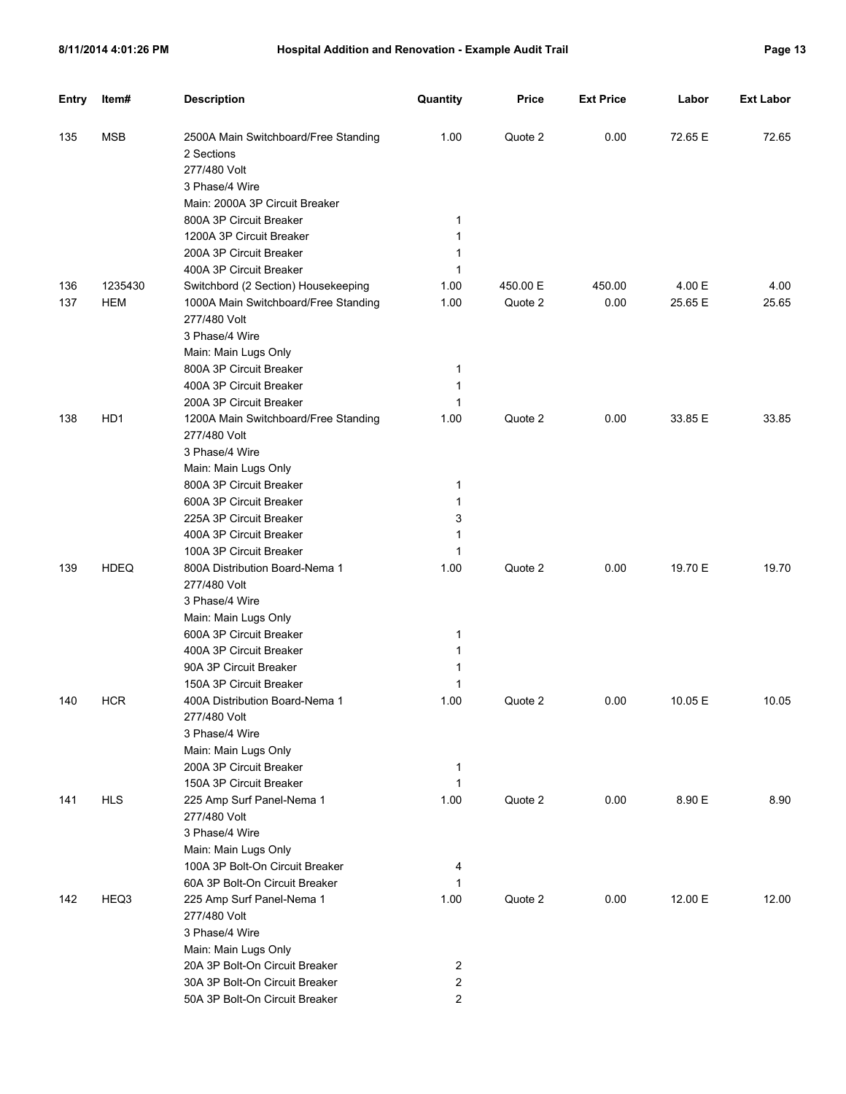| 'ฯ0⊧<br>ro |  |  |
|------------|--|--|
|------------|--|--|

| <b>Entry</b> | Item#           | <b>Description</b>                                                 | Quantity            | <b>Price</b> | <b>Ext Price</b> | Labor   | <b>Ext Labor</b> |
|--------------|-----------------|--------------------------------------------------------------------|---------------------|--------------|------------------|---------|------------------|
| 135          | <b>MSB</b>      | 2500A Main Switchboard/Free Standing<br>2 Sections<br>277/480 Volt | 1.00                | Quote 2      | 0.00             | 72.65 E | 72.65            |
|              |                 | 3 Phase/4 Wire                                                     |                     |              |                  |         |                  |
|              |                 | Main: 2000A 3P Circuit Breaker                                     |                     |              |                  |         |                  |
|              |                 | 800A 3P Circuit Breaker                                            | 1                   |              |                  |         |                  |
|              |                 | 1200A 3P Circuit Breaker                                           | 1                   |              |                  |         |                  |
|              |                 | 200A 3P Circuit Breaker                                            | 1                   |              |                  |         |                  |
|              |                 | 400A 3P Circuit Breaker                                            | 1                   |              |                  |         |                  |
| 136          | 1235430         | Switchbord (2 Section) Housekeeping                                | 1.00                | 450.00 E     | 450.00           | 4.00 E  | 4.00             |
| 137          | <b>HEM</b>      | 1000A Main Switchboard/Free Standing                               | 1.00                | Quote 2      | 0.00             | 25.65 E | 25.65            |
|              |                 | 277/480 Volt                                                       |                     |              |                  |         |                  |
|              |                 | 3 Phase/4 Wire                                                     |                     |              |                  |         |                  |
|              |                 | Main: Main Lugs Only                                               |                     |              |                  |         |                  |
|              |                 | 800A 3P Circuit Breaker                                            | 1                   |              |                  |         |                  |
|              |                 | 400A 3P Circuit Breaker                                            | 1                   |              |                  |         |                  |
|              |                 | 200A 3P Circuit Breaker                                            | 1                   |              |                  |         |                  |
| 138          | HD <sub>1</sub> | 1200A Main Switchboard/Free Standing<br>277/480 Volt               | 1.00                | Quote 2      | 0.00             | 33.85 E | 33.85            |
|              |                 | 3 Phase/4 Wire                                                     |                     |              |                  |         |                  |
|              |                 | Main: Main Lugs Only                                               |                     |              |                  |         |                  |
|              |                 | 800A 3P Circuit Breaker                                            | 1                   |              |                  |         |                  |
|              |                 | 600A 3P Circuit Breaker                                            | 1                   |              |                  |         |                  |
|              |                 | 225A 3P Circuit Breaker                                            | 3                   |              |                  |         |                  |
|              |                 | 400A 3P Circuit Breaker                                            | 1                   |              |                  |         |                  |
|              |                 | 100A 3P Circuit Breaker                                            | 1                   |              |                  |         |                  |
| 139          | <b>HDEQ</b>     | 800A Distribution Board-Nema 1<br>277/480 Volt                     | 1.00                | Quote 2      | 0.00             | 19.70 E | 19.70            |
|              |                 | 3 Phase/4 Wire                                                     |                     |              |                  |         |                  |
|              |                 | Main: Main Lugs Only                                               |                     |              |                  |         |                  |
|              |                 | 600A 3P Circuit Breaker                                            | 1                   |              |                  |         |                  |
|              |                 | 400A 3P Circuit Breaker                                            | 1                   |              |                  |         |                  |
|              |                 | 90A 3P Circuit Breaker                                             | 1                   |              |                  |         |                  |
|              |                 | 150A 3P Circuit Breaker                                            | 1                   |              |                  |         |                  |
| 140          | <b>HCR</b>      | 400A Distribution Board-Nema 1                                     | 1.00                | Quote 2      | 0.00             | 10.05 E | 10.05            |
|              |                 | 277/480 Volt                                                       |                     |              |                  |         |                  |
|              |                 | 3 Phase/4 Wire                                                     |                     |              |                  |         |                  |
|              |                 | Main: Main Lugs Only                                               |                     |              |                  |         |                  |
|              |                 | 200A 3P Circuit Breaker                                            | $\mathbf{1}$        |              |                  |         |                  |
|              |                 | 150A 3P Circuit Breaker                                            | $\mathbf{1}$        |              |                  |         |                  |
| 141          | <b>HLS</b>      | 225 Amp Surf Panel-Nema 1<br>277/480 Volt                          | 1.00                | Quote 2      | 0.00             | 8.90 E  | 8.90             |
|              |                 | 3 Phase/4 Wire                                                     |                     |              |                  |         |                  |
|              |                 | Main: Main Lugs Only                                               |                     |              |                  |         |                  |
|              |                 | 100A 3P Bolt-On Circuit Breaker                                    | 4                   |              |                  |         |                  |
|              |                 | 60A 3P Bolt-On Circuit Breaker                                     | 1                   |              |                  |         |                  |
| 142          | HEQ3            | 225 Amp Surf Panel-Nema 1                                          | 1.00                | Quote 2      | 0.00             | 12.00 E | 12.00            |
|              |                 | 277/480 Volt                                                       |                     |              |                  |         |                  |
|              |                 | 3 Phase/4 Wire                                                     |                     |              |                  |         |                  |
|              |                 | Main: Main Lugs Only                                               |                     |              |                  |         |                  |
|              |                 | 20A 3P Bolt-On Circuit Breaker<br>30A 3P Bolt-On Circuit Breaker   | $\overline{2}$<br>2 |              |                  |         |                  |
|              |                 | 50A 3P Bolt-On Circuit Breaker                                     | $\overline{c}$      |              |                  |         |                  |
|              |                 |                                                                    |                     |              |                  |         |                  |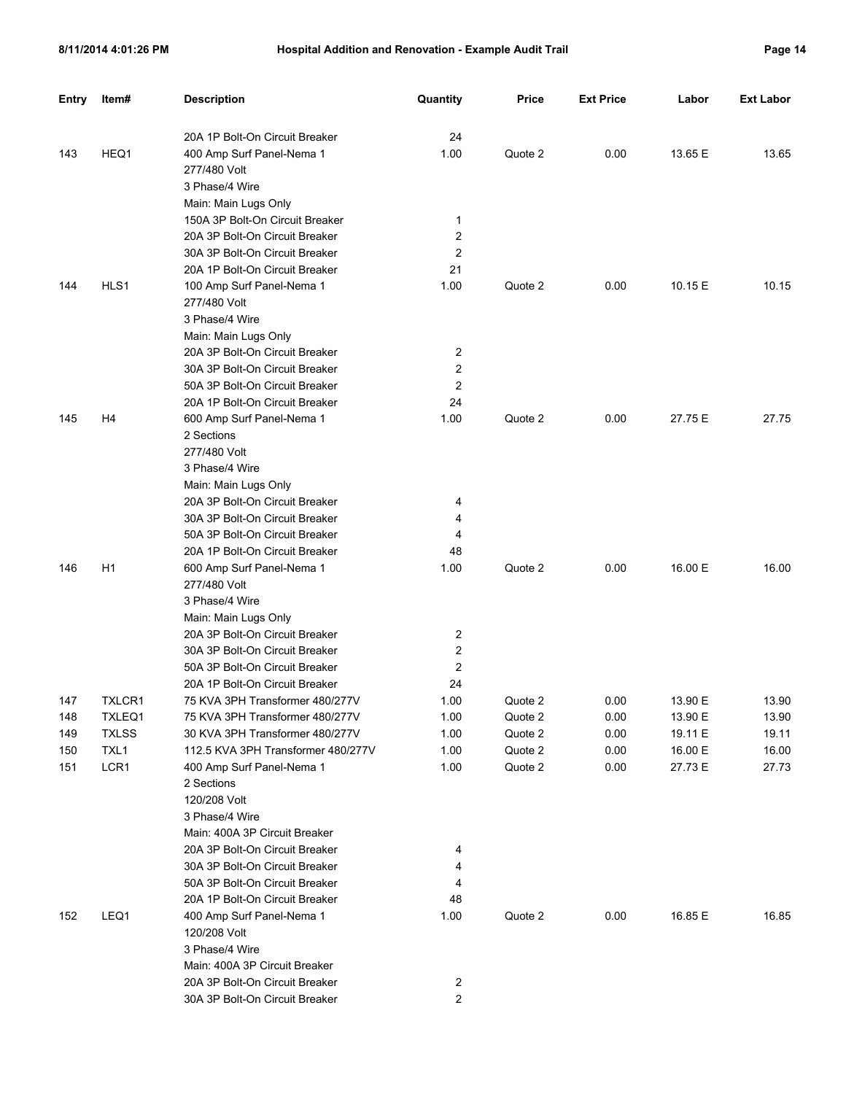| <b>Entry</b> | Item#          | <b>Description</b>                                               | Quantity            | <b>Price</b> | <b>Ext Price</b> | Labor   | <b>Ext Labor</b> |
|--------------|----------------|------------------------------------------------------------------|---------------------|--------------|------------------|---------|------------------|
|              |                | 20A 1P Bolt-On Circuit Breaker                                   | 24                  |              |                  |         |                  |
| 143          | HEQ1           | 400 Amp Surf Panel-Nema 1                                        | 1.00                | Quote 2      | 0.00             | 13.65 E | 13.65            |
|              |                | 277/480 Volt                                                     |                     |              |                  |         |                  |
|              |                | 3 Phase/4 Wire                                                   |                     |              |                  |         |                  |
|              |                | Main: Main Lugs Only                                             |                     |              |                  |         |                  |
|              |                | 150A 3P Bolt-On Circuit Breaker                                  | 1                   |              |                  |         |                  |
|              |                | 20A 3P Bolt-On Circuit Breaker                                   | 2                   |              |                  |         |                  |
|              |                | 30A 3P Bolt-On Circuit Breaker                                   | 2                   |              |                  |         |                  |
|              |                | 20A 1P Bolt-On Circuit Breaker                                   | 21                  |              |                  |         |                  |
| 144          | HLS1           | 100 Amp Surf Panel-Nema 1                                        | 1.00                | Quote 2      | 0.00             | 10.15 E | 10.15            |
|              |                | 277/480 Volt                                                     |                     |              |                  |         |                  |
|              |                | 3 Phase/4 Wire                                                   |                     |              |                  |         |                  |
|              |                | Main: Main Lugs Only                                             |                     |              |                  |         |                  |
|              |                | 20A 3P Bolt-On Circuit Breaker                                   | 2                   |              |                  |         |                  |
|              |                | 30A 3P Bolt-On Circuit Breaker                                   | 2                   |              |                  |         |                  |
|              |                | 50A 3P Bolt-On Circuit Breaker                                   | 2                   |              |                  |         |                  |
|              |                | 20A 1P Bolt-On Circuit Breaker                                   | 24                  |              |                  |         |                  |
| 145          | H4             | 600 Amp Surf Panel-Nema 1                                        | 1.00                | Quote 2      | 0.00             | 27.75 E | 27.75            |
|              |                | 2 Sections                                                       |                     |              |                  |         |                  |
|              |                | 277/480 Volt                                                     |                     |              |                  |         |                  |
|              |                | 3 Phase/4 Wire                                                   |                     |              |                  |         |                  |
|              |                | Main: Main Lugs Only                                             |                     |              |                  |         |                  |
|              |                | 20A 3P Bolt-On Circuit Breaker                                   | 4                   |              |                  |         |                  |
|              |                | 30A 3P Bolt-On Circuit Breaker                                   | 4                   |              |                  |         |                  |
|              |                | 50A 3P Bolt-On Circuit Breaker                                   | 4                   |              |                  |         |                  |
|              |                | 20A 1P Bolt-On Circuit Breaker                                   | 48                  |              |                  |         |                  |
| 146          | H <sub>1</sub> | 600 Amp Surf Panel-Nema 1                                        | 1.00                | Quote 2      | 0.00             | 16.00 E | 16.00            |
|              |                | 277/480 Volt                                                     |                     |              |                  |         |                  |
|              |                | 3 Phase/4 Wire                                                   |                     |              |                  |         |                  |
|              |                | Main: Main Lugs Only                                             |                     |              |                  |         |                  |
|              |                | 20A 3P Bolt-On Circuit Breaker<br>30A 3P Bolt-On Circuit Breaker | 2<br>2              |              |                  |         |                  |
|              |                | 50A 3P Bolt-On Circuit Breaker                                   | 2                   |              |                  |         |                  |
|              |                | 20A 1P Bolt-On Circuit Breaker                                   | 24                  |              |                  |         |                  |
| 147          | TXLCR1         | 75 KVA 3PH Transformer 480/277V                                  | 1.00                | Quote 2      | 0.00             | 13.90 E | 13.90            |
| 148          | TXLEQ1         | 75 KVA 3PH Transformer 480/277V                                  | 1.00                | Quote 2      | 0.00             | 13.90 E | 13.90            |
| 149          | <b>TXLSS</b>   | 30 KVA 3PH Transformer 480/277V                                  | 1.00                | Quote 2      | 0.00             | 19.11 E | 19.11            |
| 150          | TXL1           | 112.5 KVA 3PH Transformer 480/277V                               | 1.00                | Quote 2      | 0.00             | 16.00 E | 16.00            |
| 151          | LCR1           | 400 Amp Surf Panel-Nema 1                                        | 1.00                | Quote 2      | 0.00             | 27.73 E | 27.73            |
|              |                | 2 Sections                                                       |                     |              |                  |         |                  |
|              |                | 120/208 Volt                                                     |                     |              |                  |         |                  |
|              |                | 3 Phase/4 Wire                                                   |                     |              |                  |         |                  |
|              |                | Main: 400A 3P Circuit Breaker                                    |                     |              |                  |         |                  |
|              |                | 20A 3P Bolt-On Circuit Breaker                                   | 4                   |              |                  |         |                  |
|              |                | 30A 3P Bolt-On Circuit Breaker                                   | 4                   |              |                  |         |                  |
|              |                | 50A 3P Bolt-On Circuit Breaker                                   | 4                   |              |                  |         |                  |
|              |                | 20A 1P Bolt-On Circuit Breaker                                   | 48                  |              |                  |         |                  |
| 152          | LEQ1           | 400 Amp Surf Panel-Nema 1                                        | 1.00                | Quote 2      | 0.00             | 16.85 E | 16.85            |
|              |                | 120/208 Volt                                                     |                     |              |                  |         |                  |
|              |                | 3 Phase/4 Wire                                                   |                     |              |                  |         |                  |
|              |                | Main: 400A 3P Circuit Breaker                                    |                     |              |                  |         |                  |
|              |                | 20A 3P Bolt-On Circuit Breaker<br>30A 3P Bolt-On Circuit Breaker | 2<br>$\overline{c}$ |              |                  |         |                  |
|              |                |                                                                  |                     |              |                  |         |                  |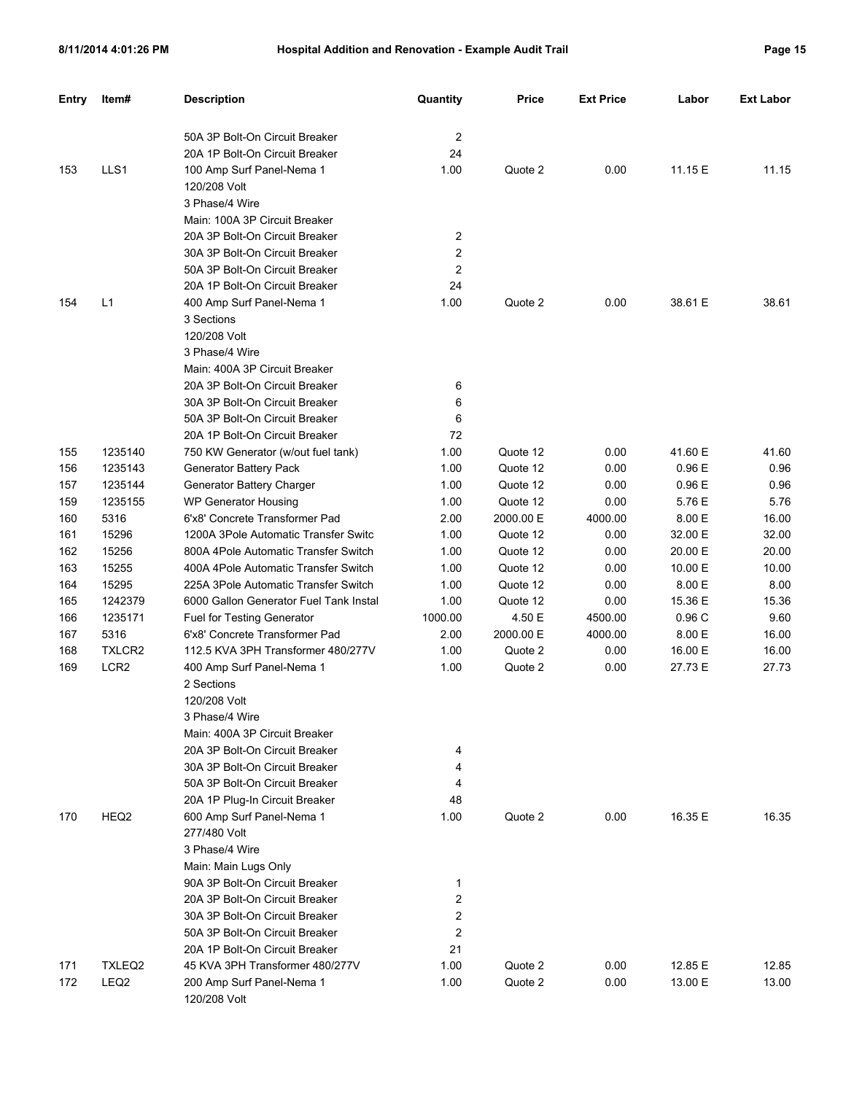| <b>Entry</b> | Item#            | <b>Description</b>                                           | Quantity | <b>Price</b>       | <b>Ext Price</b> | Labor            | <b>Ext Labor</b> |
|--------------|------------------|--------------------------------------------------------------|----------|--------------------|------------------|------------------|------------------|
|              |                  | 50A 3P Bolt-On Circuit Breaker                               | 2        |                    |                  |                  |                  |
|              |                  | 20A 1P Bolt-On Circuit Breaker                               | 24       |                    |                  |                  |                  |
| 153          | LLS1             | 100 Amp Surf Panel-Nema 1                                    | 1.00     | Quote 2            | 0.00             | 11.15 E          | 11.15            |
|              |                  | 120/208 Volt                                                 |          |                    |                  |                  |                  |
|              |                  | 3 Phase/4 Wire                                               |          |                    |                  |                  |                  |
|              |                  | Main: 100A 3P Circuit Breaker                                |          |                    |                  |                  |                  |
|              |                  | 20A 3P Bolt-On Circuit Breaker                               | 2        |                    |                  |                  |                  |
|              |                  | 30A 3P Bolt-On Circuit Breaker                               | 2        |                    |                  |                  |                  |
|              |                  | 50A 3P Bolt-On Circuit Breaker                               | 2        |                    |                  |                  |                  |
|              |                  | 20A 1P Bolt-On Circuit Breaker                               | 24       |                    |                  |                  |                  |
| 154          | L1               | 400 Amp Surf Panel-Nema 1                                    | 1.00     | Quote 2            | 0.00             | 38.61 E          | 38.61            |
|              |                  | 3 Sections                                                   |          |                    |                  |                  |                  |
|              |                  | 120/208 Volt                                                 |          |                    |                  |                  |                  |
|              |                  | 3 Phase/4 Wire                                               |          |                    |                  |                  |                  |
|              |                  | Main: 400A 3P Circuit Breaker                                |          |                    |                  |                  |                  |
|              |                  | 20A 3P Bolt-On Circuit Breaker                               | 6        |                    |                  |                  |                  |
|              |                  | 30A 3P Bolt-On Circuit Breaker                               | 6        |                    |                  |                  |                  |
|              |                  | 50A 3P Bolt-On Circuit Breaker                               | 6        |                    |                  |                  |                  |
|              |                  | 20A 1P Bolt-On Circuit Breaker                               | 72       |                    |                  |                  |                  |
|              | 1235140          |                                                              | 1.00     | Quote 12           | 0.00             | 41.60 E          | 41.60            |
| 155<br>156   | 1235143          | 750 KW Generator (w/out fuel tank)                           | 1.00     | Quote 12           | 0.00             | 0.96E            | 0.96             |
| 157          | 1235144          | Generator Battery Pack<br>Generator Battery Charger          | 1.00     | Quote 12           | 0.00             | 0.96E            | 0.96             |
| 159          | 1235155          |                                                              | 1.00     | Quote 12           | 0.00             | 5.76 E           | 5.76             |
| 160          | 5316             | WP Generator Housing<br>6'x8' Concrete Transformer Pad       | 2.00     | 2000.00 E          | 4000.00          | 8.00 E           | 16.00            |
| 161          | 15296            | 1200A 3Pole Automatic Transfer Switc                         | 1.00     | Quote 12           | 0.00             | 32.00 E          | 32.00            |
|              |                  |                                                              |          |                    |                  | 20.00 E          |                  |
| 162          | 15256<br>15255   | 800A 4Pole Automatic Transfer Switch                         | 1.00     | Quote 12           | 0.00             | 10.00 E          | 20.00            |
| 163          | 15295            | 400A 4Pole Automatic Transfer Switch                         | 1.00     | Quote 12           | 0.00             | 8.00 E           | 10.00            |
| 164          | 1242379          | 225A 3Pole Automatic Transfer Switch                         | 1.00     | Quote 12           | 0.00             |                  | 8.00             |
| 165          |                  | 6000 Gallon Generator Fuel Tank Instal                       | 1.00     | Quote 12           | 0.00             | 15.36 E<br>0.96C | 15.36            |
| 166          | 1235171          | Fuel for Testing Generator<br>6'x8' Concrete Transformer Pad | 1000.00  | 4.50 E             | 4500.00          | 8.00 E           | 9.60             |
| 167          | 5316             | 112.5 KVA 3PH Transformer 480/277V                           | 2.00     | 2000.00 E          | 4000.00          |                  | 16.00            |
| 168          | TXLCR2           |                                                              | 1.00     | Quote 2<br>Quote 2 | 0.00             | 16.00 E          | 16.00            |
| 169          | LCR <sub>2</sub> | 400 Amp Surf Panel-Nema 1                                    | 1.00     |                    | 0.00             | 27.73 E          | 27.73            |
|              |                  | 2 Sections<br>120/208 Volt                                   |          |                    |                  |                  |                  |
|              |                  |                                                              |          |                    |                  |                  |                  |
|              |                  | 3 Phase/4 Wire<br>Main: 400A 3P Circuit Breaker              |          |                    |                  |                  |                  |
|              |                  | 20A 3P Bolt-On Circuit Breaker                               |          |                    |                  |                  |                  |
|              |                  | 30A 3P Bolt-On Circuit Breaker                               | 4        |                    |                  |                  |                  |
|              |                  | 50A 3P Bolt-On Circuit Breaker                               | 4        |                    |                  |                  |                  |
|              |                  |                                                              | 4        |                    |                  |                  |                  |
|              |                  | 20A 1P Plug-In Circuit Breaker                               | 48       |                    |                  |                  |                  |
| 170          | HEQ2             | 600 Amp Surf Panel-Nema 1                                    | 1.00     | Quote 2            | 0.00             | 16.35 E          | 16.35            |
|              |                  | 277/480 Volt                                                 |          |                    |                  |                  |                  |
|              |                  | 3 Phase/4 Wire                                               |          |                    |                  |                  |                  |
|              |                  | Main: Main Lugs Only<br>90A 3P Bolt-On Circuit Breaker       |          |                    |                  |                  |                  |
|              |                  |                                                              | 1        |                    |                  |                  |                  |
|              |                  | 20A 3P Bolt-On Circuit Breaker                               | 2        |                    |                  |                  |                  |
|              |                  | 30A 3P Bolt-On Circuit Breaker                               | 2        |                    |                  |                  |                  |
|              |                  | 50A 3P Bolt-On Circuit Breaker                               | 2        |                    |                  |                  |                  |
|              |                  | 20A 1P Bolt-On Circuit Breaker                               | 21       |                    |                  |                  |                  |
| 171          | TXLEQ2           | 45 KVA 3PH Transformer 480/277V                              | 1.00     | Quote 2            | 0.00             | 12.85 E          | 12.85            |
| 172          | LEQ2             | 200 Amp Surf Panel-Nema 1<br>120/208 Volt                    | 1.00     | Quote 2            | 0.00             | 13.00 E          | 13.00            |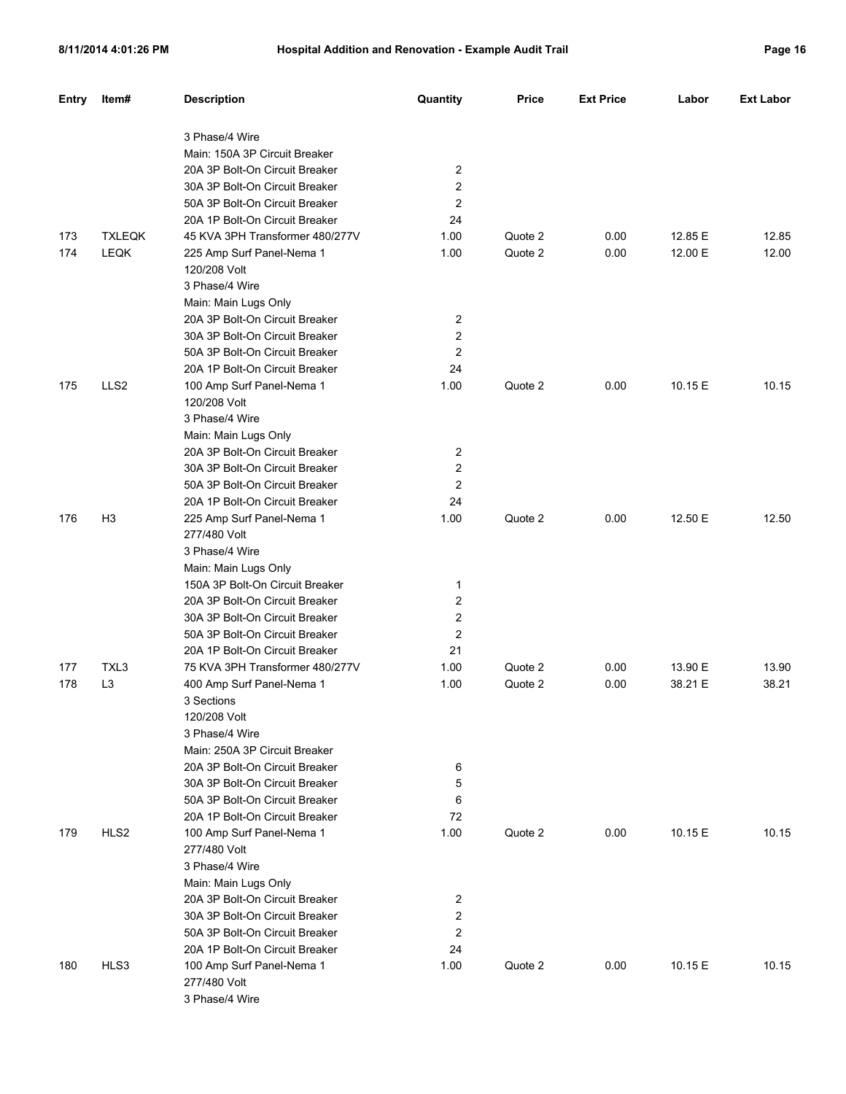| 'аα<br>۵ |  | b |
|----------|--|---|
|----------|--|---|

| Entry | Item#            | <b>Description</b>                                                | Quantity       | <b>Price</b> | <b>Ext Price</b> | Labor   | <b>Ext Labor</b> |
|-------|------------------|-------------------------------------------------------------------|----------------|--------------|------------------|---------|------------------|
|       |                  | 3 Phase/4 Wire                                                    |                |              |                  |         |                  |
|       |                  | Main: 150A 3P Circuit Breaker                                     |                |              |                  |         |                  |
|       |                  | 20A 3P Bolt-On Circuit Breaker                                    | 2              |              |                  |         |                  |
|       |                  | 30A 3P Bolt-On Circuit Breaker                                    | 2              |              |                  |         |                  |
|       |                  | 50A 3P Bolt-On Circuit Breaker                                    | 2              |              |                  |         |                  |
|       |                  | 20A 1P Bolt-On Circuit Breaker                                    | 24             |              |                  |         |                  |
| 173   | <b>TXLEQK</b>    | 45 KVA 3PH Transformer 480/277V                                   | 1.00           | Quote 2      | 0.00             | 12.85 E | 12.85            |
| 174   | <b>LEQK</b>      | 225 Amp Surf Panel-Nema 1                                         | 1.00           | Quote 2      | 0.00             | 12.00 E | 12.00            |
|       |                  | 120/208 Volt                                                      |                |              |                  |         |                  |
|       |                  | 3 Phase/4 Wire                                                    |                |              |                  |         |                  |
|       |                  | Main: Main Lugs Only                                              |                |              |                  |         |                  |
|       |                  | 20A 3P Bolt-On Circuit Breaker                                    | 2              |              |                  |         |                  |
|       |                  | 30A 3P Bolt-On Circuit Breaker                                    | 2              |              |                  |         |                  |
|       |                  | 50A 3P Bolt-On Circuit Breaker                                    | 2              |              |                  |         |                  |
|       |                  | 20A 1P Bolt-On Circuit Breaker                                    | 24             |              |                  |         |                  |
| 175   | LLS <sub>2</sub> | 100 Amp Surf Panel-Nema 1                                         | 1.00           | Quote 2      | 0.00             | 10.15 E | 10.15            |
|       |                  | 120/208 Volt                                                      |                |              |                  |         |                  |
|       |                  | 3 Phase/4 Wire                                                    |                |              |                  |         |                  |
|       |                  | Main: Main Lugs Only                                              |                |              |                  |         |                  |
|       |                  | 20A 3P Bolt-On Circuit Breaker                                    | 2              |              |                  |         |                  |
|       |                  | 30A 3P Bolt-On Circuit Breaker                                    | 2              |              |                  |         |                  |
|       |                  | 50A 3P Bolt-On Circuit Breaker                                    | 2              |              |                  |         |                  |
|       |                  | 20A 1P Bolt-On Circuit Breaker                                    | 24             |              |                  |         |                  |
| 176   | H <sub>3</sub>   | 225 Amp Surf Panel-Nema 1                                         | 1.00           | Quote 2      | 0.00             | 12.50 E | 12.50            |
|       |                  | 277/480 Volt                                                      |                |              |                  |         |                  |
|       |                  | 3 Phase/4 Wire                                                    |                |              |                  |         |                  |
|       |                  | Main: Main Lugs Only                                              |                |              |                  |         |                  |
|       |                  | 150A 3P Bolt-On Circuit Breaker<br>20A 3P Bolt-On Circuit Breaker | 1<br>2         |              |                  |         |                  |
|       |                  | 30A 3P Bolt-On Circuit Breaker                                    | 2              |              |                  |         |                  |
|       |                  | 50A 3P Bolt-On Circuit Breaker                                    | 2              |              |                  |         |                  |
|       |                  | 20A 1P Bolt-On Circuit Breaker                                    | 21             |              |                  |         |                  |
| 177   | TXL3             | 75 KVA 3PH Transformer 480/277V                                   | 1.00           | Quote 2      | 0.00             | 13.90 E | 13.90            |
| 178   | L <sub>3</sub>   | 400 Amp Surf Panel-Nema 1                                         | 1.00           | Quote 2      | 0.00             | 38.21 E | 38.21            |
|       |                  | 3 Sections                                                        |                |              |                  |         |                  |
|       |                  | 120/208 Volt                                                      |                |              |                  |         |                  |
|       |                  | 3 Phase/4 Wire                                                    |                |              |                  |         |                  |
|       |                  | Main: 250A 3P Circuit Breaker                                     |                |              |                  |         |                  |
|       |                  | 20A 3P Bolt-On Circuit Breaker                                    | 6              |              |                  |         |                  |
|       |                  | 30A 3P Bolt-On Circuit Breaker                                    | 5              |              |                  |         |                  |
|       |                  | 50A 3P Bolt-On Circuit Breaker                                    | 6              |              |                  |         |                  |
|       |                  | 20A 1P Bolt-On Circuit Breaker                                    | 72             |              |                  |         |                  |
| 179   | HLS2             | 100 Amp Surf Panel-Nema 1                                         | 1.00           | Quote 2      | 0.00             | 10.15 E | 10.15            |
|       |                  | 277/480 Volt                                                      |                |              |                  |         |                  |
|       |                  | 3 Phase/4 Wire                                                    |                |              |                  |         |                  |
|       |                  | Main: Main Lugs Only                                              |                |              |                  |         |                  |
|       |                  | 20A 3P Bolt-On Circuit Breaker                                    | 2              |              |                  |         |                  |
|       |                  | 30A 3P Bolt-On Circuit Breaker                                    | 2              |              |                  |         |                  |
|       |                  | 50A 3P Bolt-On Circuit Breaker                                    | $\overline{c}$ |              |                  |         |                  |
|       |                  | 20A 1P Bolt-On Circuit Breaker                                    | 24             |              |                  |         |                  |
| 180   | HLS3             | 100 Amp Surf Panel-Nema 1                                         | 1.00           | Quote 2      | 0.00             | 10.15 E | 10.15            |
|       |                  | 277/480 Volt                                                      |                |              |                  |         |                  |
|       |                  | 3 Phase/4 Wire                                                    |                |              |                  |         |                  |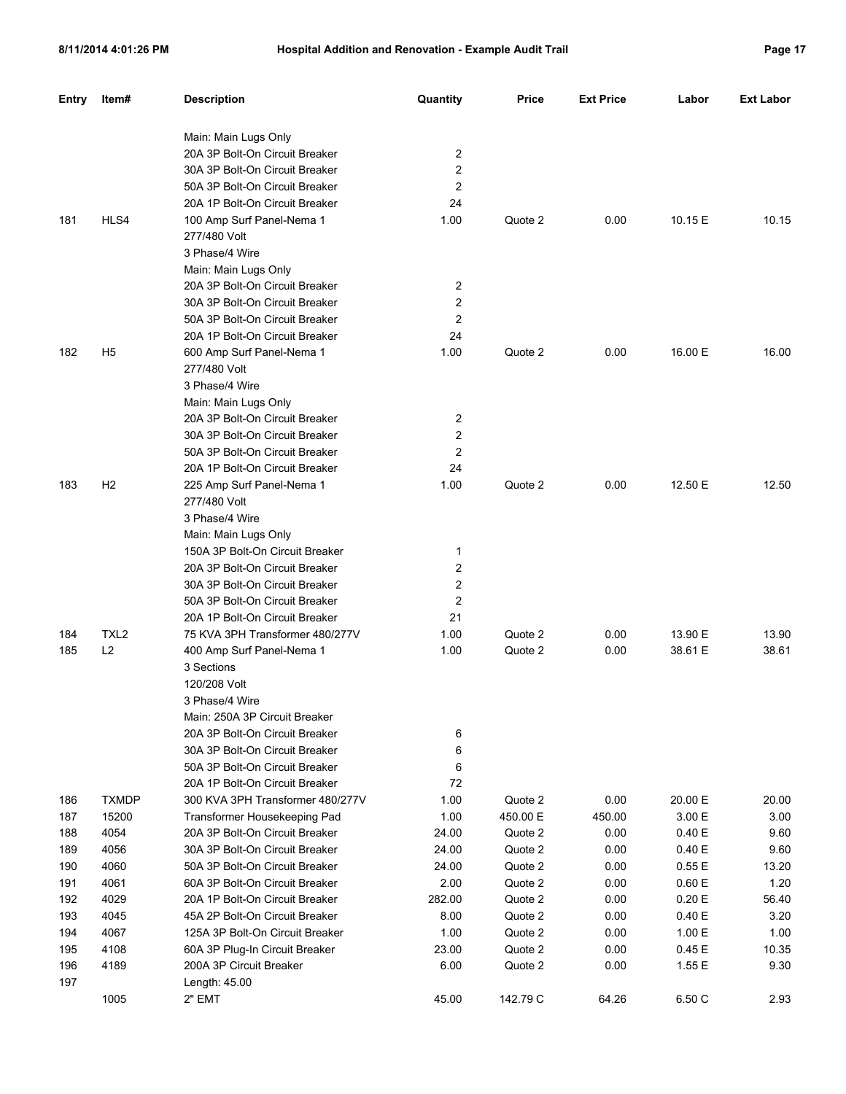| <b>Entry</b> | Item#            | <b>Description</b>                                               | Quantity | <b>Price</b> | <b>Ext Price</b> | Labor               | <b>Ext Labor</b> |
|--------------|------------------|------------------------------------------------------------------|----------|--------------|------------------|---------------------|------------------|
|              |                  | Main: Main Lugs Only                                             |          |              |                  |                     |                  |
|              |                  | 20A 3P Bolt-On Circuit Breaker                                   | 2        |              |                  |                     |                  |
|              |                  | 30A 3P Bolt-On Circuit Breaker                                   | 2        |              |                  |                     |                  |
|              |                  | 50A 3P Bolt-On Circuit Breaker                                   | 2        |              |                  |                     |                  |
|              |                  | 20A 1P Bolt-On Circuit Breaker                                   | 24       |              |                  |                     |                  |
| 181          | HLS4             | 100 Amp Surf Panel-Nema 1                                        | 1.00     | Quote 2      | 0.00             | 10.15 E             | 10.15            |
|              |                  | 277/480 Volt                                                     |          |              |                  |                     |                  |
|              |                  | 3 Phase/4 Wire                                                   |          |              |                  |                     |                  |
|              |                  | Main: Main Lugs Only                                             |          |              |                  |                     |                  |
|              |                  | 20A 3P Bolt-On Circuit Breaker                                   | 2        |              |                  |                     |                  |
|              |                  | 30A 3P Bolt-On Circuit Breaker                                   | 2        |              |                  |                     |                  |
|              |                  | 50A 3P Bolt-On Circuit Breaker                                   | 2        |              |                  |                     |                  |
|              |                  | 20A 1P Bolt-On Circuit Breaker                                   | 24       |              |                  |                     |                  |
| 182          | H <sub>5</sub>   |                                                                  | 1.00     | Quote 2      | 0.00             | 16.00 E             | 16.00            |
|              |                  | 600 Amp Surf Panel-Nema 1<br>277/480 Volt                        |          |              |                  |                     |                  |
|              |                  | 3 Phase/4 Wire                                                   |          |              |                  |                     |                  |
|              |                  |                                                                  |          |              |                  |                     |                  |
|              |                  | Main: Main Lugs Only                                             |          |              |                  |                     |                  |
|              |                  | 20A 3P Bolt-On Circuit Breaker                                   | 2        |              |                  |                     |                  |
|              |                  | 30A 3P Bolt-On Circuit Breaker                                   | 2        |              |                  |                     |                  |
|              |                  | 50A 3P Bolt-On Circuit Breaker                                   | 2        |              |                  |                     |                  |
|              |                  | 20A 1P Bolt-On Circuit Breaker                                   | 24       |              |                  |                     |                  |
| 183          | H <sub>2</sub>   | 225 Amp Surf Panel-Nema 1                                        | 1.00     | Quote 2      | 0.00             | 12.50 E             | 12.50            |
|              |                  | 277/480 Volt                                                     |          |              |                  |                     |                  |
|              |                  | 3 Phase/4 Wire                                                   |          |              |                  |                     |                  |
|              |                  | Main: Main Lugs Only                                             |          |              |                  |                     |                  |
|              |                  | 150A 3P Bolt-On Circuit Breaker                                  | 1        |              |                  |                     |                  |
|              |                  | 20A 3P Bolt-On Circuit Breaker                                   | 2        |              |                  |                     |                  |
|              |                  | 30A 3P Bolt-On Circuit Breaker                                   | 2        |              |                  |                     |                  |
|              |                  | 50A 3P Bolt-On Circuit Breaker                                   | 2        |              |                  |                     |                  |
|              |                  | 20A 1P Bolt-On Circuit Breaker                                   | 21       |              |                  |                     |                  |
| 184          | TXL <sub>2</sub> | 75 KVA 3PH Transformer 480/277V                                  | 1.00     | Quote 2      | 0.00             | 13.90 E             | 13.90            |
| 185          | L2               | 400 Amp Surf Panel-Nema 1                                        | 1.00     | Quote 2      | 0.00             | 38.61 E             | 38.61            |
|              |                  | 3 Sections<br>120/208 Volt                                       |          |              |                  |                     |                  |
|              |                  |                                                                  |          |              |                  |                     |                  |
|              |                  | 3 Phase/4 Wire                                                   |          |              |                  |                     |                  |
|              |                  | Main: 250A 3P Circuit Breaker                                    |          |              |                  |                     |                  |
|              |                  | 20A 3P Bolt-On Circuit Breaker                                   | 6        |              |                  |                     |                  |
|              |                  | 30A 3P Bolt-On Circuit Breaker<br>50A 3P Bolt-On Circuit Breaker | 6        |              |                  |                     |                  |
|              |                  |                                                                  | 6        |              |                  |                     |                  |
|              |                  | 20A 1P Bolt-On Circuit Breaker                                   | 72       |              |                  |                     |                  |
| 186          | <b>TXMDP</b>     | 300 KVA 3PH Transformer 480/277V                                 | 1.00     | Quote 2      | 0.00             | 20.00 E             | 20.00            |
| 187          | 15200            | Transformer Housekeeping Pad                                     | 1.00     | 450.00 E     | 450.00           | 3.00 E<br>$0.40\to$ | 3.00             |
| 188          | 4054             | 20A 3P Bolt-On Circuit Breaker                                   | 24.00    | Quote 2      | 0.00             |                     | 9.60             |
| 189          | 4056             | 30A 3P Bolt-On Circuit Breaker                                   | 24.00    | Quote 2      | 0.00             | 0.40 E              | 9.60             |
| 190          | 4060             | 50A 3P Bolt-On Circuit Breaker<br>60A 3P Bolt-On Circuit Breaker | 24.00    | Quote 2      | 0.00             | $0.55\to$           | 13.20            |
| 191          | 4061             |                                                                  | 2.00     | Quote 2      | 0.00             | $0.60 \to$          | 1.20             |
| 192          | 4029             | 20A 1P Bolt-On Circuit Breaker                                   | 282.00   | Quote 2      | 0.00             | 0.20 E              | 56.40            |
| 193          | 4045             | 45A 2P Bolt-On Circuit Breaker                                   | 8.00     | Quote 2      | 0.00             | 0.40 E              | 3.20             |
| 194          | 4067             | 125A 3P Bolt-On Circuit Breaker                                  | 1.00     | Quote 2      | 0.00             | 1.00 E              | 1.00             |
| 195          | 4108             | 60A 3P Plug-In Circuit Breaker                                   | 23.00    | Quote 2      | 0.00             | 0.45 E              | 10.35            |
| 196          | 4189             | 200A 3P Circuit Breaker                                          | 6.00     | Quote 2      | 0.00             | 1.55 E              | 9.30             |
| 197          |                  | Length: 45.00                                                    |          |              |                  |                     |                  |
|              | 1005             | 2" EMT                                                           | 45.00    | 142.79 C     | 64.26            | 6.50 C              | 2.93             |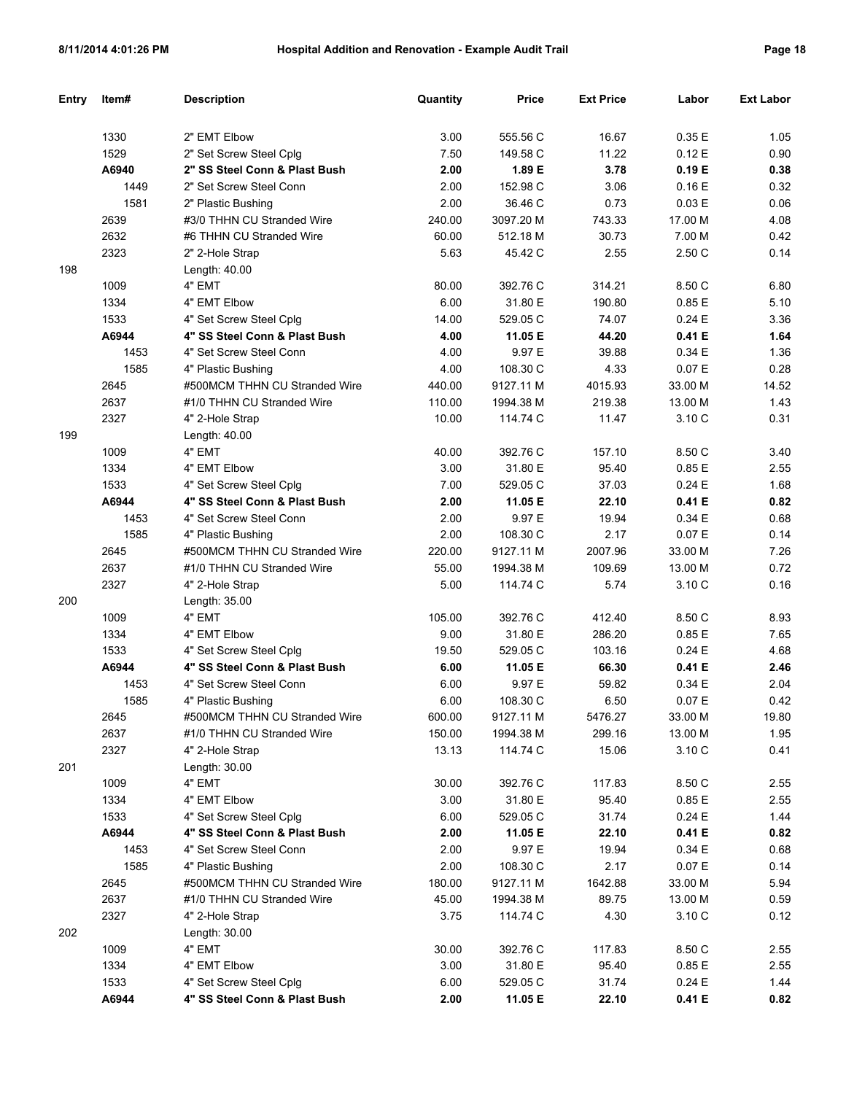| Entry | Item# | <b>Description</b>            | Quantity | Price     | <b>Ext Price</b> | Labor   | <b>Ext Labor</b> |
|-------|-------|-------------------------------|----------|-----------|------------------|---------|------------------|
|       |       |                               |          |           |                  |         |                  |
|       | 1330  | 2" EMT Elbow                  | 3.00     | 555.56 C  | 16.67            | 0.35E   | 1.05             |
|       | 1529  | 2" Set Screw Steel Cplg       | 7.50     | 149.58 C  | 11.22            | 0.12E   | 0.90             |
|       | A6940 | 2" SS Steel Conn & Plast Bush | 2.00     | 1.89 E    | 3.78             | 0.19E   | 0.38             |
|       | 1449  | 2" Set Screw Steel Conn       | 2.00     | 152.98 C  | 3.06             | 0.16E   | 0.32             |
|       | 1581  | 2" Plastic Bushing            | 2.00     | 36.46 C   | 0.73             | 0.03 E  | 0.06             |
|       | 2639  | #3/0 THHN CU Stranded Wire    | 240.00   | 3097.20 M | 743.33           | 17.00 M | 4.08             |
|       | 2632  | #6 THHN CU Stranded Wire      | 60.00    | 512.18 M  | 30.73            | 7.00 M  | 0.42             |
|       | 2323  | 2" 2-Hole Strap               | 5.63     | 45.42 C   | 2.55             | 2.50C   | 0.14             |
| 198   |       | Length: 40.00                 |          |           |                  |         |                  |
|       | 1009  | 4" EMT                        | 80.00    | 392.76 C  | 314.21           | 8.50 C  | 6.80             |
|       | 1334  | 4" EMT Elbow                  | 6.00     | 31.80 E   | 190.80           | 0.85E   | 5.10             |
|       | 1533  | 4" Set Screw Steel Cplg       | 14.00    | 529.05 C  | 74.07            | 0.24E   | 3.36             |
|       | A6944 | 4" SS Steel Conn & Plast Bush | 4.00     | 11.05 E   | 44.20            | 0.41 E  | 1.64             |
|       | 1453  | 4" Set Screw Steel Conn       | 4.00     | 9.97 E    | 39.88            | 0.34E   | 1.36             |
|       | 1585  | 4" Plastic Bushing            | 4.00     | 108.30 C  | 4.33             | 0.07E   | 0.28             |
|       | 2645  | #500MCM THHN CU Stranded Wire | 440.00   | 9127.11 M | 4015.93          | 33.00 M | 14.52            |
|       | 2637  | #1/0 THHN CU Stranded Wire    | 110.00   | 1994.38 M | 219.38           | 13.00 M | 1.43             |
|       | 2327  | 4" 2-Hole Strap               | 10.00    | 114.74 C  | 11.47            | 3.10 C  | 0.31             |
| 199   |       | Length: 40.00                 |          |           |                  |         |                  |
|       | 1009  | 4" EMT                        | 40.00    | 392.76 C  | 157.10           | 8.50 C  | 3.40             |
|       | 1334  | 4" EMT Elbow                  | 3.00     | 31.80 E   | 95.40            | 0.85E   | 2.55             |
|       | 1533  | 4" Set Screw Steel Cplg       | 7.00     | 529.05 C  | 37.03            | 0.24E   | 1.68             |
|       | A6944 | 4" SS Steel Conn & Plast Bush | 2.00     | 11.05 E   | 22.10            | 0.41 E  | 0.82             |
|       | 1453  | 4" Set Screw Steel Conn       | 2.00     | 9.97 E    | 19.94            | 0.34E   | 0.68             |
|       | 1585  | 4" Plastic Bushing            | 2.00     | 108.30 C  | 2.17             | 0.07E   | 0.14             |
|       | 2645  | #500MCM THHN CU Stranded Wire | 220.00   | 9127.11 M | 2007.96          | 33.00 M | 7.26             |
|       | 2637  | #1/0 THHN CU Stranded Wire    | 55.00    | 1994.38 M | 109.69           | 13.00 M | 0.72             |
|       | 2327  | 4" 2-Hole Strap               | 5.00     | 114.74 C  | 5.74             | 3.10 C  | 0.16             |
| 200   |       | Length: 35.00                 |          |           |                  |         |                  |
|       | 1009  | 4" EMT                        | 105.00   | 392.76 C  | 412.40           | 8.50 C  | 8.93             |
|       | 1334  | 4" EMT Elbow                  | 9.00     | 31.80 E   | 286.20           | 0.85E   | 7.65             |
|       | 1533  | 4" Set Screw Steel Cplg       | 19.50    | 529.05 C  | 103.16           | 0.24E   | 4.68             |
|       | A6944 | 4" SS Steel Conn & Plast Bush | 6.00     | 11.05 E   | 66.30            | 0.41 E  | 2.46             |
|       | 1453  | 4" Set Screw Steel Conn       | 6.00     | 9.97 E    | 59.82            | 0.34E   | 2.04             |
|       | 1585  | 4" Plastic Bushing            | 6.00     | 108.30 C  | 6.50             | 0.07 E  | 0.42             |
|       | 2645  | #500MCM THHN CU Stranded Wire | 600.00   | 9127.11 M | 5476.27          | 33.00 M | 19.80            |
|       | 2637  | #1/0 THHN CU Stranded Wire    | 150.00   | 1994.38 M | 299.16           | 13.00 M | 1.95             |
|       | 2327  | 4" 2-Hole Strap               | 13.13    | 114.74 C  | 15.06            | 3.10 C  | 0.41             |
| 201   |       | Length: 30.00                 |          |           |                  |         |                  |
|       | 1009  | 4" EMT                        | 30.00    | 392.76 C  | 117.83           | 8.50 C  | 2.55             |
|       | 1334  | 4" EMT Elbow                  | 3.00     | 31.80 E   | 95.40            | 0.85 E  | 2.55             |
|       | 1533  | 4" Set Screw Steel Cplg       | 6.00     | 529.05 C  | 31.74            | 0.24E   | 1.44             |
|       | A6944 | 4" SS Steel Conn & Plast Bush | 2.00     | 11.05 E   | 22.10            | 0.41 E  | 0.82             |
|       | 1453  | 4" Set Screw Steel Conn       | 2.00     | 9.97 E    | 19.94            | 0.34 E  | 0.68             |
|       | 1585  | 4" Plastic Bushing            | 2.00     | 108.30 C  | 2.17             | 0.07 E  | 0.14             |
|       | 2645  | #500MCM THHN CU Stranded Wire | 180.00   | 9127.11 M | 1642.88          | 33.00 M | 5.94             |
|       | 2637  | #1/0 THHN CU Stranded Wire    | 45.00    | 1994.38 M | 89.75            | 13.00 M | 0.59             |
|       | 2327  | 4" 2-Hole Strap               | 3.75     | 114.74 C  | 4.30             | 3.10 C  | 0.12             |
| 202   |       | Length: 30.00                 |          |           |                  |         |                  |
|       | 1009  | 4" EMT                        | 30.00    | 392.76 C  | 117.83           | 8.50 C  | 2.55             |
|       | 1334  | 4" EMT Elbow                  | 3.00     | 31.80 E   | 95.40            | 0.85 E  | 2.55             |
|       | 1533  | 4" Set Screw Steel Cplg       | 6.00     | 529.05 C  | 31.74            | 0.24 E  | 1.44             |
|       | A6944 | 4" SS Steel Conn & Plast Bush | 2.00     | 11.05 E   | 22.10            | 0.41 E  | 0.82             |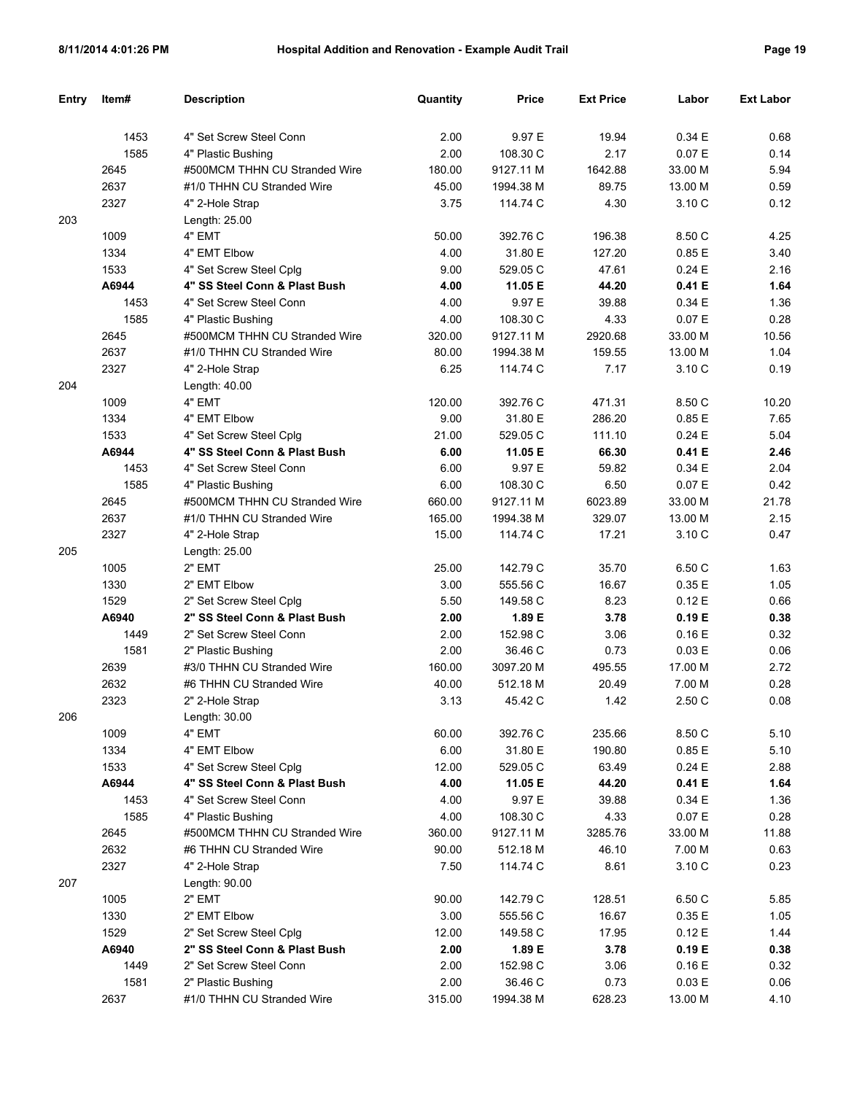| Entry | ltem# | <b>Description</b>            | Quantity | Price     | <b>Ext Price</b> | Labor   | <b>Ext Labor</b> |
|-------|-------|-------------------------------|----------|-----------|------------------|---------|------------------|
|       |       |                               |          |           |                  |         |                  |
|       | 1453  | 4" Set Screw Steel Conn       | 2.00     | 9.97 E    | 19.94            | 0.34 E  | 0.68             |
|       | 1585  | 4" Plastic Bushing            | 2.00     | 108.30 C  | 2.17             | 0.07 E  | 0.14             |
|       | 2645  | #500MCM THHN CU Stranded Wire | 180.00   | 9127.11 M | 1642.88          | 33.00 M | 5.94             |
|       | 2637  | #1/0 THHN CU Stranded Wire    | 45.00    | 1994.38 M | 89.75            | 13.00 M | 0.59             |
|       | 2327  | 4" 2-Hole Strap               | 3.75     | 114.74 C  | 4.30             | 3.10 C  | 0.12             |
| 203   |       | Length: 25.00                 |          |           |                  |         |                  |
|       | 1009  | 4" EMT                        | 50.00    | 392.76 C  | 196.38           | 8.50 C  | 4.25             |
|       | 1334  | 4" EMT Elbow                  | 4.00     | 31.80 E   | 127.20           | 0.85 E  | 3.40             |
|       | 1533  | 4" Set Screw Steel Cplg       | 9.00     | 529.05 C  | 47.61            | 0.24 E  | 2.16             |
|       | A6944 | 4" SS Steel Conn & Plast Bush | 4.00     | 11.05 E   | 44.20            | 0.41 E  | 1.64             |
|       | 1453  | 4" Set Screw Steel Conn       | 4.00     | 9.97 E    | 39.88            | 0.34 E  | 1.36             |
|       | 1585  | 4" Plastic Bushing            | 4.00     | 108.30 C  | 4.33             | 0.07 E  | 0.28             |
|       | 2645  | #500MCM THHN CU Stranded Wire | 320.00   | 9127.11 M | 2920.68          | 33.00 M | 10.56            |
|       | 2637  | #1/0 THHN CU Stranded Wire    | 80.00    | 1994.38 M | 159.55           | 13.00 M | 1.04             |
|       | 2327  | 4" 2-Hole Strap               | 6.25     | 114.74 C  | 7.17             | 3.10 C  | 0.19             |
| 204   |       | Length: 40.00                 |          |           |                  |         |                  |
|       | 1009  | 4" EMT                        | 120.00   | 392.76 C  | 471.31           | 8.50 C  | 10.20            |
|       | 1334  | 4" EMT Elbow                  | 9.00     | 31.80 E   | 286.20           | 0.85E   | 7.65             |
|       | 1533  | 4" Set Screw Steel Cplq       | 21.00    | 529.05 C  | 111.10           | 0.24 E  | 5.04             |
|       | A6944 | 4" SS Steel Conn & Plast Bush | 6.00     | 11.05 E   | 66.30            | 0.41 E  | 2.46             |
|       | 1453  | 4" Set Screw Steel Conn       | 6.00     | 9.97 E    | 59.82            | 0.34 E  | 2.04             |
|       | 1585  | 4" Plastic Bushing            | 6.00     | 108.30 C  | 6.50             | 0.07 E  | 0.42             |
|       | 2645  | #500MCM THHN CU Stranded Wire | 660.00   | 9127.11 M | 6023.89          | 33.00 M | 21.78            |
|       | 2637  | #1/0 THHN CU Stranded Wire    | 165.00   | 1994.38 M | 329.07           | 13.00 M | 2.15             |
|       | 2327  | 4" 2-Hole Strap               | 15.00    | 114.74 C  | 17.21            | 3.10 C  | 0.47             |
| 205   |       | Length: 25.00                 |          |           |                  |         |                  |
|       | 1005  | 2" EMT                        | 25.00    | 142.79 C  | 35.70            | 6.50 C  | 1.63             |
|       | 1330  | 2" EMT Elbow                  | 3.00     | 555.56 C  | 16.67            | 0.35E   | 1.05             |
|       | 1529  | 2" Set Screw Steel Cplg       | 5.50     | 149.58 C  | 8.23             | 0.12E   | 0.66             |
|       | A6940 | 2" SS Steel Conn & Plast Bush | 2.00     | 1.89 E    | 3.78             | 0.19E   | 0.38             |
|       | 1449  | 2" Set Screw Steel Conn       | 2.00     | 152.98 C  | 3.06             | 0.16E   | 0.32             |
|       | 1581  | 2" Plastic Bushing            | 2.00     | 36.46 C   | 0.73             | 0.03 E  | 0.06             |
|       | 2639  | #3/0 THHN CU Stranded Wire    | 160.00   | 3097.20 M | 495.55           | 17.00 M | 2.72             |
|       | 2632  | #6 THHN CU Stranded Wire      | 40.00    | 512.18 M  | 20.49            | 7.00 M  | 0.28             |
|       | 2323  | 2" 2-Hole Strap               | 3.13     | 45.42 C   | 1.42             | 2.50 C  | 0.08             |
| 206   |       | Length: 30.00                 |          |           |                  |         |                  |
|       | 1009  | 4" EMT                        | 60.00    | 392.76 C  | 235.66           | 8.50 C  | 5.10             |
|       | 1334  | 4" EMT Elbow                  | 6.00     | 31.80 E   | 190.80           | 0.85E   | 5.10             |
|       | 1533  | 4" Set Screw Steel Cplg       | 12.00    | 529.05 C  | 63.49            | 0.24E   | 2.88             |
|       | A6944 | 4" SS Steel Conn & Plast Bush | 4.00     | 11.05 E   | 44.20            | 0.41 E  | 1.64             |
|       | 1453  | 4" Set Screw Steel Conn       | 4.00     | 9.97 E    | 39.88            | 0.34 E  | 1.36             |
|       | 1585  | 4" Plastic Bushing            | 4.00     | 108.30 C  | 4.33             | 0.07 E  | 0.28             |
|       | 2645  | #500MCM THHN CU Stranded Wire | 360.00   | 9127.11 M | 3285.76          | 33.00 M | 11.88            |
|       | 2632  | #6 THHN CU Stranded Wire      | 90.00    | 512.18 M  | 46.10            | 7.00 M  | 0.63             |
|       | 2327  | 4" 2-Hole Strap               | 7.50     | 114.74 C  | 8.61             | 3.10 C  | 0.23             |
| 207   |       | Length: 90.00                 |          |           |                  |         |                  |
|       | 1005  | 2" EMT                        | 90.00    | 142.79 C  | 128.51           | 6.50 C  | 5.85             |
|       | 1330  | 2" EMT Elbow                  | 3.00     | 555.56 C  | 16.67            | 0.35 E  | 1.05             |
|       | 1529  | 2" Set Screw Steel Cplg       | 12.00    | 149.58 C  | 17.95            | 0.12E   | 1.44             |
|       | A6940 | 2" SS Steel Conn & Plast Bush | 2.00     | 1.89 E    | 3.78             | 0.19 E  | 0.38             |
|       | 1449  | 2" Set Screw Steel Conn       | 2.00     | 152.98 C  | 3.06             | 0.16 E  | 0.32             |
|       | 1581  | 2" Plastic Bushing            | 2.00     | 36.46 C   | 0.73             | 0.03 E  | 0.06             |
|       | 2637  | #1/0 THHN CU Stranded Wire    | 315.00   | 1994.38 M | 628.23           | 13.00 M | 4.10             |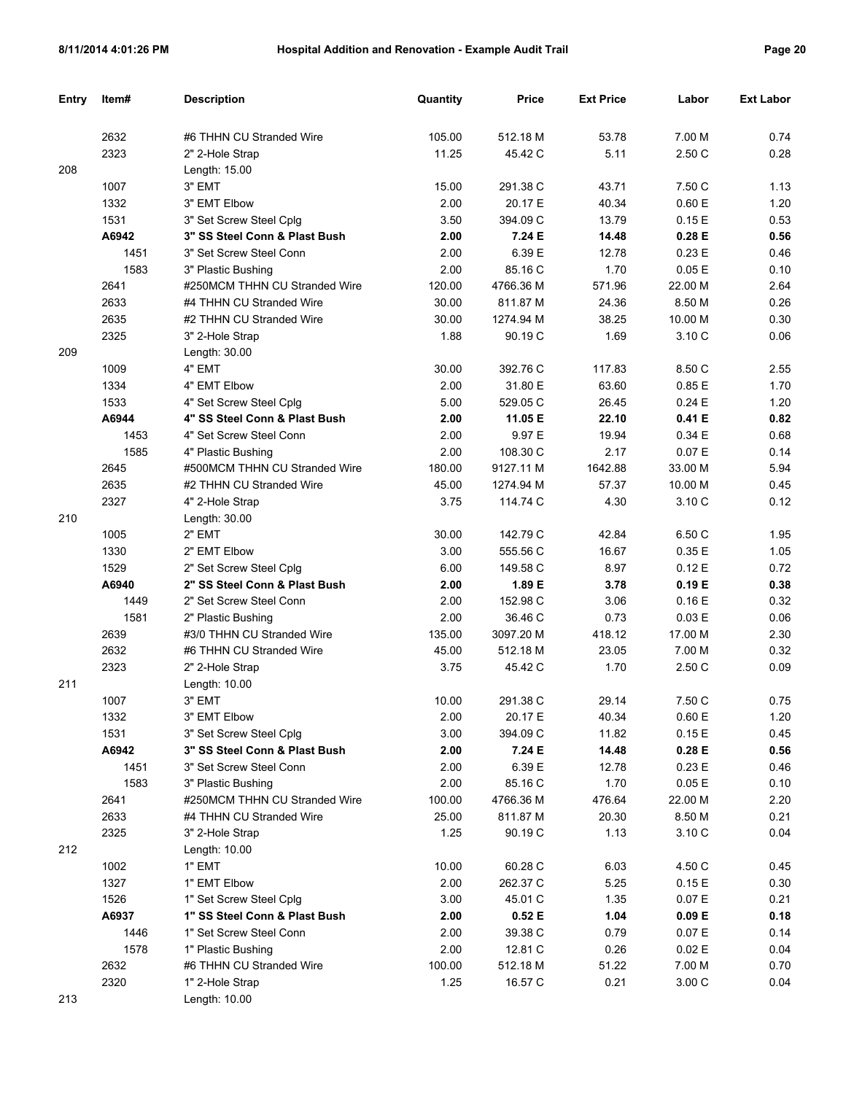| Entry | Item# | <b>Description</b>            | Quantity | <b>Price</b> | <b>Ext Price</b> | Labor     | <b>Ext Labor</b> |
|-------|-------|-------------------------------|----------|--------------|------------------|-----------|------------------|
|       |       |                               |          |              |                  |           |                  |
|       | 2632  | #6 THHN CU Stranded Wire      | 105.00   | 512.18 M     | 53.78            | 7.00 M    | 0.74             |
|       | 2323  | 2" 2-Hole Strap               | 11.25    | 45.42 C      | 5.11             | 2.50 C    | 0.28             |
| 208   |       | Length: 15.00                 |          |              |                  |           |                  |
|       | 1007  | 3" EMT                        | 15.00    | 291.38 C     | 43.71            | 7.50 C    | 1.13             |
|       | 1332  | 3" EMT Elbow                  | 2.00     | 20.17 E      | 40.34            | 0.60 E    | 1.20             |
|       | 1531  | 3" Set Screw Steel Cplg       | 3.50     | 394.09 C     | 13.79            | 0.15E     | 0.53             |
|       | A6942 | 3" SS Steel Conn & Plast Bush | 2.00     | 7.24 E       | 14.48            | 0.28 E    | 0.56             |
|       | 1451  | 3" Set Screw Steel Conn       | 2.00     | 6.39 E       | 12.78            | 0.23E     | 0.46             |
|       | 1583  | 3" Plastic Bushing            | 2.00     | 85.16 C      | 1.70             | 0.05E     | 0.10             |
|       | 2641  | #250MCM THHN CU Stranded Wire | 120.00   | 4766.36 M    | 571.96           | 22.00 M   | 2.64             |
|       | 2633  | #4 THHN CU Stranded Wire      | 30.00    | 811.87 M     | 24.36            | 8.50 M    | 0.26             |
|       | 2635  | #2 THHN CU Stranded Wire      | 30.00    | 1274.94 M    | 38.25            | 10.00 M   | 0.30             |
|       | 2325  | 3" 2-Hole Strap               | 1.88     | 90.19 C      | 1.69             | 3.10 C    | 0.06             |
| 209   |       | Length: 30.00                 |          |              |                  |           |                  |
|       | 1009  | 4" EMT                        | 30.00    | 392.76 C     | 117.83           | 8.50 C    | 2.55             |
|       | 1334  | 4" EMT Elbow                  | 2.00     | 31.80 E      | 63.60            | 0.85E     | 1.70             |
|       | 1533  | 4" Set Screw Steel Cplg       | 5.00     | 529.05 C     | 26.45            | 0.24E     | 1.20             |
|       | A6944 | 4" SS Steel Conn & Plast Bush | 2.00     | 11.05 E      | 22.10            | 0.41 E    | 0.82             |
|       | 1453  | 4" Set Screw Steel Conn       | 2.00     | 9.97 E       | 19.94            | 0.34E     | 0.68             |
|       | 1585  | 4" Plastic Bushing            | 2.00     | 108.30 C     | 2.17             | 0.07 E    | 0.14             |
|       | 2645  | #500MCM THHN CU Stranded Wire | 180.00   | 9127.11 M    | 1642.88          | 33.00 M   | 5.94             |
|       | 2635  | #2 THHN CU Stranded Wire      | 45.00    | 1274.94 M    | 57.37            | 10.00 M   | 0.45             |
|       | 2327  | 4" 2-Hole Strap               | 3.75     | 114.74 C     | 4.30             | 3.10 C    | 0.12             |
| 210   |       | Length: 30.00                 |          |              |                  |           |                  |
|       | 1005  | 2" EMT                        | 30.00    | 142.79 C     | 42.84            | 6.50 C    | 1.95             |
|       | 1330  | 2" EMT Elbow                  | 3.00     | 555.56 C     | 16.67            | 0.35E     | 1.05             |
|       | 1529  | 2" Set Screw Steel Cplg       | 6.00     | 149.58 C     | 8.97             | 0.12E     | 0.72             |
|       | A6940 | 2" SS Steel Conn & Plast Bush | 2.00     | 1.89 E       | 3.78             | 0.19E     | 0.38             |
|       | 1449  | 2" Set Screw Steel Conn       | 2.00     | 152.98 C     | 3.06             | 0.16E     | 0.32             |
|       | 1581  | 2" Plastic Bushing            | 2.00     | 36.46 C      | 0.73             | 0.03 E    | 0.06             |
|       | 2639  | #3/0 THHN CU Stranded Wire    | 135.00   | 3097.20 M    | 418.12           | 17.00 M   | 2.30             |
|       | 2632  | #6 THHN CU Stranded Wire      | 45.00    | 512.18 M     | 23.05            | 7.00 M    | 0.32             |
|       | 2323  | 2" 2-Hole Strap               | 3.75     | 45.42 C      | 1.70             | 2.50 C    | 0.09             |
| 211   |       | Length: 10.00                 |          |              |                  |           |                  |
|       | 1007  | 3" EMT                        | 10.00    | 291.38 C     | 29.14            | 7.50 C    | 0.75             |
|       | 1332  | 3" EMT Elbow                  | 2.00     | 20.17 E      | 40.34            | $0.60\to$ | 1.20             |
|       | 1531  | 3" Set Screw Steel Cplg       | 3.00     | 394.09 C     | 11.82            | 0.15E     | 0.45             |
|       | A6942 | 3" SS Steel Conn & Plast Bush | 2.00     | 7.24 E       | 14.48            | 0.28 E    | 0.56             |
|       | 1451  | 3" Set Screw Steel Conn       | 2.00     | 6.39 E       | 12.78            | 0.23 E    | 0.46             |
|       | 1583  | 3" Plastic Bushing            | 2.00     | 85.16 C      | 1.70             | 0.05E     | 0.10             |
|       | 2641  | #250MCM THHN CU Stranded Wire | 100.00   | 4766.36 M    | 476.64           | 22.00 M   | 2.20             |
|       | 2633  | #4 THHN CU Stranded Wire      | 25.00    | 811.87 M     | 20.30            | 8.50 M    | 0.21             |
|       | 2325  | 3" 2-Hole Strap               | 1.25     | 90.19 C      | 1.13             | 3.10 C    | 0.04             |
| 212   |       | Length: 10.00                 |          |              |                  |           |                  |
|       | 1002  | 1" EMT                        | 10.00    | 60.28 C      | 6.03             | 4.50 C    | 0.45             |
|       | 1327  | 1" EMT Elbow                  | 2.00     | 262.37 C     | 5.25             | 0.15E     | 0.30             |
|       | 1526  | 1" Set Screw Steel Cplg       | 3.00     | 45.01 C      | 1.35             | 0.07 E    | 0.21             |
|       | A6937 | 1" SS Steel Conn & Plast Bush | 2.00     | 0.52 E       | 1.04             | 0.09 E    | 0.18             |
|       | 1446  | 1" Set Screw Steel Conn       | 2.00     | 39.38 C      | 0.79             | 0.07 E    | 0.14             |
|       | 1578  | 1" Plastic Bushing            | 2.00     | 12.81 C      | 0.26             | 0.02 E    | 0.04             |
|       | 2632  | #6 THHN CU Stranded Wire      | 100.00   | 512.18 M     | 51.22            | 7.00 M    | 0.70             |
|       | 2320  | 1" 2-Hole Strap               | 1.25     | 16.57 C      | 0.21             | 3.00 C    | 0.04             |
| 213   |       | Length: 10.00                 |          |              |                  |           |                  |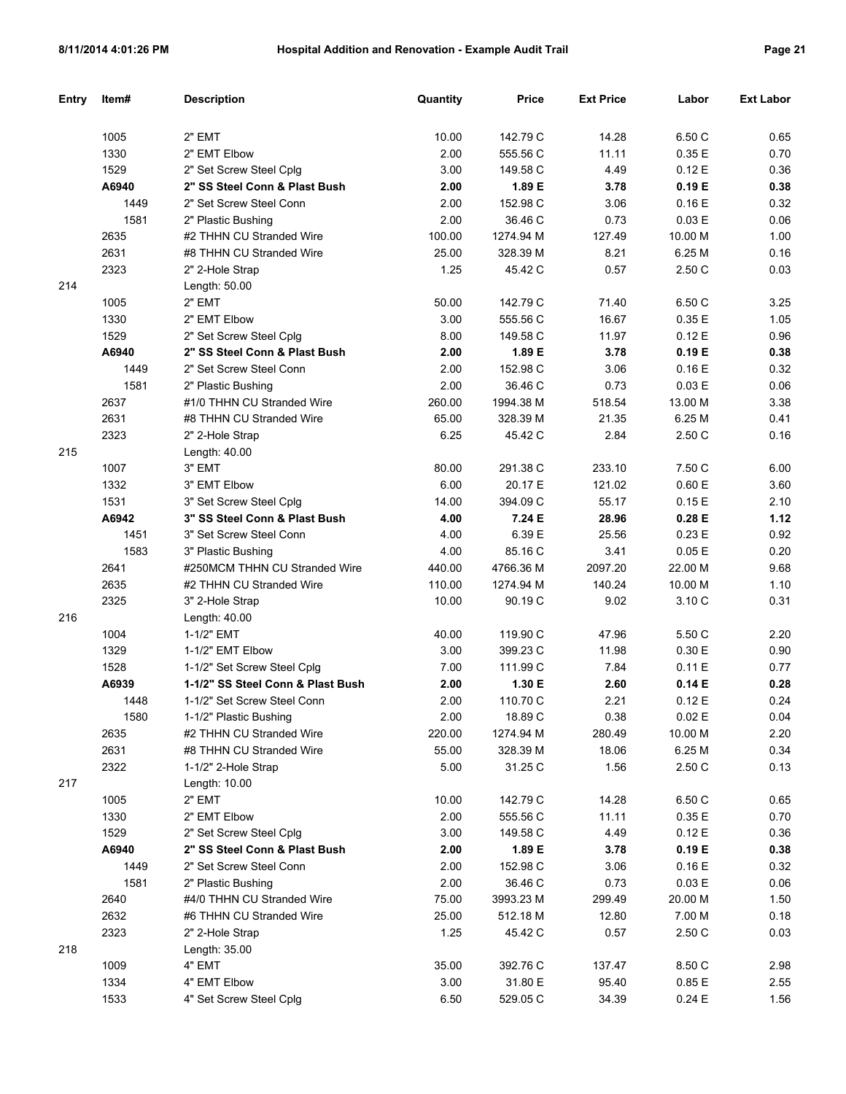| Entry | Item# | <b>Description</b>                | Quantity | <b>Price</b> | <b>Ext Price</b> | Labor   | <b>Ext Labor</b> |
|-------|-------|-----------------------------------|----------|--------------|------------------|---------|------------------|
|       |       |                                   |          |              |                  |         |                  |
|       | 1005  | 2" EMT                            | 10.00    | 142.79 C     | 14.28            | 6.50 C  | 0.65             |
|       | 1330  | 2" EMT Elbow                      | 2.00     | 555.56 C     | 11.11            | 0.35E   | 0.70             |
|       | 1529  | 2" Set Screw Steel Cplq           | 3.00     | 149.58 C     | 4.49             | 0.12E   | 0.36             |
|       | A6940 | 2" SS Steel Conn & Plast Bush     | 2.00     | 1.89 E       | 3.78             | 0.19E   | 0.38             |
|       | 1449  | 2" Set Screw Steel Conn           | 2.00     | 152.98 C     | 3.06             | 0.16E   | 0.32             |
|       | 1581  | 2" Plastic Bushing                | 2.00     | 36.46 C      | 0.73             | 0.03 E  | 0.06             |
|       | 2635  | #2 THHN CU Stranded Wire          | 100.00   | 1274.94 M    | 127.49           | 10.00 M | 1.00             |
|       | 2631  | #8 THHN CU Stranded Wire          | 25.00    | 328.39 M     | 8.21             | 6.25 M  | 0.16             |
|       | 2323  | 2" 2-Hole Strap                   | 1.25     | 45.42 C      | 0.57             | 2.50 C  | 0.03             |
| 214   |       | Length: 50.00                     |          |              |                  |         |                  |
|       | 1005  | 2" EMT                            | 50.00    | 142.79 C     | 71.40            | 6.50 C  | 3.25             |
|       | 1330  | 2" EMT Elbow                      | 3.00     | 555.56 C     | 16.67            | 0.35E   | 1.05             |
|       | 1529  | 2" Set Screw Steel Cplg           | 8.00     | 149.58 C     | 11.97            | 0.12E   | 0.96             |
|       | A6940 | 2" SS Steel Conn & Plast Bush     | 2.00     | 1.89 E       | 3.78             | 0.19E   | 0.38             |
|       | 1449  | 2" Set Screw Steel Conn           | 2.00     | 152.98 C     | 3.06             | 0.16E   | 0.32             |
|       | 1581  | 2" Plastic Bushing                | 2.00     | 36.46 C      | 0.73             | 0.03 E  | 0.06             |
|       | 2637  | #1/0 THHN CU Stranded Wire        | 260.00   | 1994.38 M    | 518.54           | 13.00 M | 3.38             |
|       | 2631  | #8 THHN CU Stranded Wire          | 65.00    | 328.39 M     | 21.35            | 6.25 M  | 0.41             |
|       | 2323  | 2" 2-Hole Strap                   | 6.25     | 45.42 C      | 2.84             | 2.50 C  | 0.16             |
| 215   |       | Length: 40.00                     |          |              |                  |         |                  |
|       | 1007  | 3" EMT                            | 80.00    | 291.38 C     | 233.10           | 7.50 C  | 6.00             |
|       | 1332  | 3" EMT Elbow                      | 6.00     | 20.17 E      | 121.02           | 0.60 E  | 3.60             |
|       | 1531  | 3" Set Screw Steel Cplg           | 14.00    | 394.09 C     | 55.17            | 0.15E   | 2.10             |
|       | A6942 | 3" SS Steel Conn & Plast Bush     | 4.00     | 7.24 E       | 28.96            | 0.28E   | 1.12             |
|       | 1451  | 3" Set Screw Steel Conn           | 4.00     | 6.39 E       | 25.56            | 0.23 E  | 0.92             |
|       | 1583  | 3" Plastic Bushing                | 4.00     | 85.16 C      | 3.41             | 0.05E   | 0.20             |
|       | 2641  | #250MCM THHN CU Stranded Wire     | 440.00   | 4766.36 M    | 2097.20          | 22.00 M | 9.68             |
|       | 2635  | #2 THHN CU Stranded Wire          | 110.00   | 1274.94 M    | 140.24           | 10.00 M | 1.10             |
|       | 2325  | 3" 2-Hole Strap                   | 10.00    | 90.19 C      | 9.02             | 3.10 C  | 0.31             |
| 216   |       | Length: 40.00                     |          |              |                  |         |                  |
|       | 1004  | 1-1/2" EMT                        | 40.00    | 119.90 C     | 47.96            | 5.50 C  | 2.20             |
|       | 1329  | 1-1/2" EMT Elbow                  | 3.00     | 399.23 C     | 11.98            | 0.30 E  | 0.90             |
|       | 1528  | 1-1/2" Set Screw Steel Cplg       | 7.00     | 111.99 C     | 7.84             | 0.11 E  | 0.77             |
|       | A6939 | 1-1/2" SS Steel Conn & Plast Bush | 2.00     | 1.30 E       | 2.60             | 0.14E   | 0.28             |
|       | 1448  | 1-1/2" Set Screw Steel Conn       | 2.00     | 110.70 C     | 2.21             | 0.12E   | 0.24             |
|       | 1580  | 1-1/2" Plastic Bushing            | 2.00     | 18.89 C      | 0.38             | 0.02 E  | 0.04             |
|       | 2635  | #2 THHN CU Stranded Wire          | 220.00   | 1274.94 M    | 280.49           | 10.00 M | 2.20             |
|       | 2631  | #8 THHN CU Stranded Wire          | 55.00    | 328.39 M     | 18.06            | 6.25 M  | 0.34             |
|       | 2322  | 1-1/2" 2-Hole Strap               | 5.00     | 31.25 C      | 1.56             | 2.50 C  | 0.13             |
| 217   |       | Length: 10.00                     |          |              |                  |         |                  |
|       | 1005  | 2" EMT                            | 10.00    | 142.79 C     | 14.28            | 6.50 C  | 0.65             |
|       | 1330  | 2" EMT Elbow                      | 2.00     | 555.56 C     | 11.11            | 0.35 E  | 0.70             |
|       | 1529  | 2" Set Screw Steel Cplg           | 3.00     | 149.58 C     | 4.49             | 0.12 E  | 0.36             |
|       | A6940 | 2" SS Steel Conn & Plast Bush     | 2.00     | 1.89 E       | 3.78             | 0.19 E  | 0.38             |
|       | 1449  | 2" Set Screw Steel Conn           | 2.00     | 152.98 C     | 3.06             | 0.16E   | 0.32             |
|       | 1581  | 2" Plastic Bushing                | 2.00     | 36.46 C      | 0.73             | 0.03 E  | 0.06             |
|       | 2640  | #4/0 THHN CU Stranded Wire        | 75.00    | 3993.23 M    | 299.49           | 20.00 M | 1.50             |
|       | 2632  | #6 THHN CU Stranded Wire          | 25.00    | 512.18 M     | 12.80            | 7.00 M  | 0.18             |
|       | 2323  | 2" 2-Hole Strap                   | 1.25     | 45.42 C      | 0.57             | 2.50 C  | 0.03             |
| 218   |       | Length: 35.00                     |          |              |                  |         |                  |
|       | 1009  | 4" EMT                            | 35.00    | 392.76 C     | 137.47           | 8.50 C  | 2.98             |
|       | 1334  | 4" EMT Elbow                      | 3.00     | 31.80 E      | 95.40            | 0.85 E  | 2.55             |
|       | 1533  | 4" Set Screw Steel Cplg           | 6.50     | 529.05 C     | 34.39            | 0.24 E  | 1.56             |
|       |       |                                   |          |              |                  |         |                  |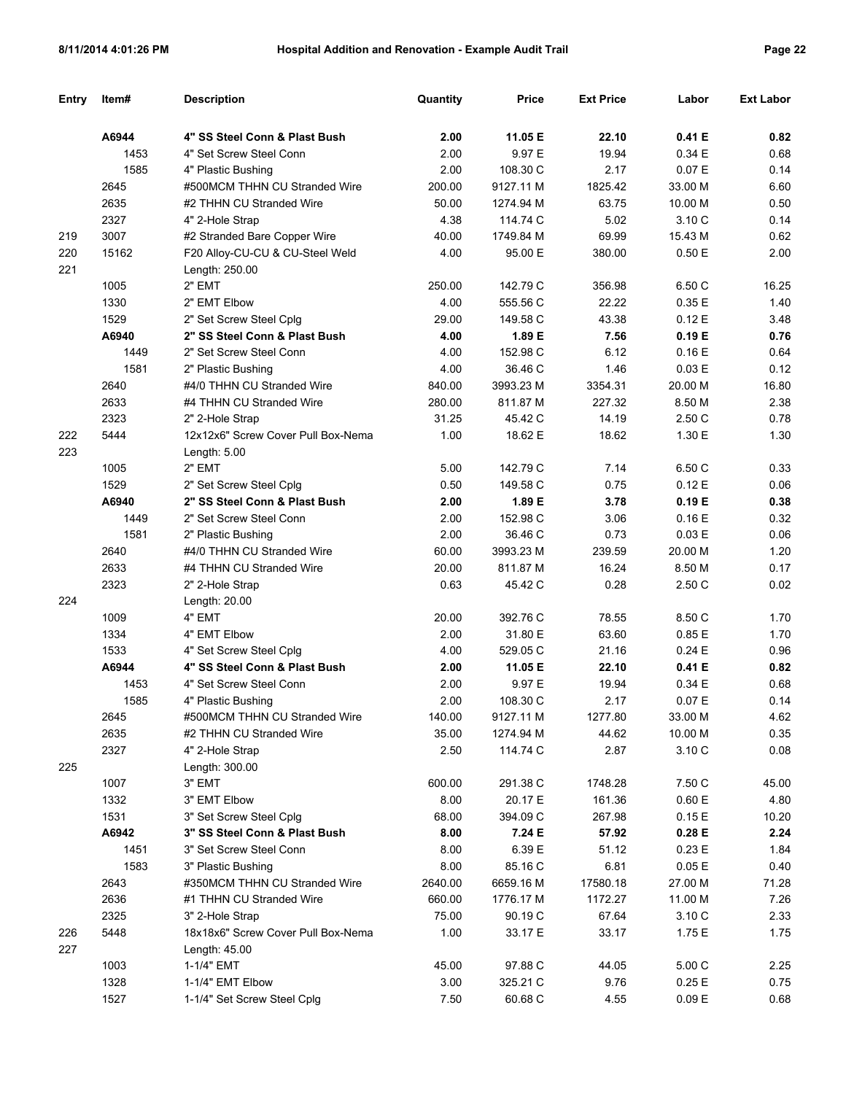| Entry | Item#        | <b>Description</b>                                       | Quantity | Price     | <b>Ext Price</b> | Labor    | <b>Ext Labor</b> |
|-------|--------------|----------------------------------------------------------|----------|-----------|------------------|----------|------------------|
|       | A6944        | 4" SS Steel Conn & Plast Bush                            | 2.00     | 11.05 E   | 22.10            | 0.41 E   | 0.82             |
|       | 1453         |                                                          | 2.00     | 9.97 E    | 19.94            | 0.34 E   | 0.68             |
|       | 1585         | 4" Set Screw Steel Conn                                  | 2.00     | 108.30 C  | 2.17             | 0.07 E   | 0.14             |
|       | 2645         | 4" Plastic Bushing<br>#500MCM THHN CU Stranded Wire      | 200.00   | 9127.11 M | 1825.42          | 33.00 M  | 6.60             |
|       | 2635         | #2 THHN CU Stranded Wire                                 | 50.00    | 1274.94 M | 63.75            | 10.00 M  | 0.50             |
|       | 2327         | 4" 2-Hole Strap                                          | 4.38     | 114.74 C  | 5.02             | 3.10 C   | 0.14             |
| 219   | 3007         | #2 Stranded Bare Copper Wire                             | 40.00    | 1749.84 M | 69.99            | 15.43 M  | 0.62             |
| 220   | 15162        | F20 Alloy-CU-CU & CU-Steel Weld                          | 4.00     | 95.00 E   | 380.00           | 0.50E    | 2.00             |
| 221   |              | Length: 250.00                                           |          |           |                  |          |                  |
|       | 1005         | 2" EMT                                                   | 250.00   | 142.79 C  | 356.98           | 6.50 C   | 16.25            |
|       | 1330         | 2" EMT Elbow                                             | 4.00     | 555.56 C  | 22.22            | 0.35E    | 1.40             |
|       | 1529         | 2" Set Screw Steel Cplg                                  | 29.00    | 149.58 C  | 43.38            | 0.12E    | 3.48             |
|       | A6940        | 2" SS Steel Conn & Plast Bush                            | 4.00     | 1.89 E    | 7.56             | 0.19E    | 0.76             |
|       | 1449         | 2" Set Screw Steel Conn                                  | 4.00     | 152.98 C  | 6.12             | 0.16E    | 0.64             |
|       | 1581         | 2" Plastic Bushing                                       | 4.00     | 36.46 C   | 1.46             | 0.03 E   | 0.12             |
|       | 2640         | #4/0 THHN CU Stranded Wire                               | 840.00   | 3993.23 M | 3354.31          | 20.00 M  | 16.80            |
|       | 2633         | #4 THHN CU Stranded Wire                                 | 280.00   | 811.87 M  | 227.32           | 8.50 M   | 2.38             |
|       | 2323         |                                                          | 31.25    | 45.42 C   | 14.19            | 2.50 C   | 0.78             |
| 222   | 5444         | 2" 2-Hole Strap<br>12x12x6" Screw Cover Pull Box-Nema    | 1.00     | 18.62 E   | 18.62            | 1.30 E   | 1.30             |
| 223   |              |                                                          |          |           |                  |          |                  |
|       | 1005         | Length: 5.00<br>2" EMT                                   | 5.00     | 142.79 C  | 7.14             | 6.50 C   | 0.33             |
|       | 1529         |                                                          | 0.50     | 149.58 C  | 0.75             | 0.12E    | 0.06             |
|       | A6940        | 2" Set Screw Steel Cplg<br>2" SS Steel Conn & Plast Bush | 2.00     | 1.89 E    | 3.78             | 0.19E    | 0.38             |
|       |              | 2" Set Screw Steel Conn                                  | 2.00     | 152.98 C  | 3.06             | 0.16E    | 0.32             |
|       | 1449<br>1581 |                                                          | 2.00     | 36.46 C   | 0.73             | 0.03 E   | 0.06             |
|       | 2640         | 2" Plastic Bushing<br>#4/0 THHN CU Stranded Wire         | 60.00    | 3993.23 M | 239.59           | 20.00 M  |                  |
|       | 2633         | #4 THHN CU Stranded Wire                                 | 20.00    | 811.87 M  | 16.24            | 8.50 M   | 1.20<br>0.17     |
|       | 2323         |                                                          | 0.63     | 45.42 C   | 0.28             | 2.50 C   | 0.02             |
| 224   |              | 2" 2-Hole Strap                                          |          |           |                  |          |                  |
|       | 1009         | Length: 20.00<br>4" EMT                                  | 20.00    | 392.76 C  | 78.55            | 8.50 C   | 1.70             |
|       | 1334         | 4" EMT Elbow                                             | 2.00     | 31.80 E   | 63.60            | 0.85E    | 1.70             |
|       | 1533         | 4" Set Screw Steel Cplg                                  | 4.00     | 529.05 C  | 21.16            | 0.24E    | 0.96             |
|       | A6944        | 4" SS Steel Conn & Plast Bush                            | 2.00     | 11.05 E   | 22.10            | 0.41 E   | 0.82             |
|       | 1453         | 4" Set Screw Steel Conn                                  | 2.00     | 9.97 E    | 19.94            | 0.34 E   | 0.68             |
|       | 1585         | 4" Plastic Bushing                                       | 2.00     | 108.30 C  | 2.17             | 0.07E    | 0.14             |
|       | 2645         | #500MCM THHN CU Stranded Wire                            | 140.00   | 9127.11 M | 1277.80          | 33.00 M  | 4.62             |
|       | 2635         | #2 THHN CU Stranded Wire                                 | 35.00    | 1274.94 M | 44.62            | 10.00 M  | 0.35             |
|       | 2327         | 4" 2-Hole Strap                                          | 2.50     | 114.74 C  | 2.87             | 3.10 C   | 0.08             |
| 225   |              | Length: 300.00                                           |          |           |                  |          |                  |
|       | 1007         | 3" EMT                                                   | 600.00   | 291.38 C  | 1748.28          | 7.50 C   | 45.00            |
|       | 1332         | 3" EMT Elbow                                             | 8.00     | 20.17 E   | 161.36           | 0.60 E   | 4.80             |
|       | 1531         | 3" Set Screw Steel Cplg                                  | 68.00    | 394.09 C  | 267.98           | 0.15E    | 10.20            |
|       | A6942        | 3" SS Steel Conn & Plast Bush                            | 8.00     | 7.24 E    | 57.92            | 0.28E    | 2.24             |
|       | 1451         | 3" Set Screw Steel Conn                                  | 8.00     | 6.39 E    | 51.12            | 0.23 E   | 1.84             |
|       | 1583         | 3" Plastic Bushing                                       | 8.00     | 85.16 C   | 6.81             | 0.05 E   | 0.40             |
|       | 2643         | #350MCM THHN CU Stranded Wire                            | 2640.00  | 6659.16 M | 17580.18         | 27.00 M  | 71.28            |
|       | 2636         | #1 THHN CU Stranded Wire                                 | 660.00   | 1776.17 M | 1172.27          | 11.00 M  | 7.26             |
|       | 2325         | 3" 2-Hole Strap                                          | 75.00    | 90.19 C   | 67.64            | 3.10 C   | 2.33             |
| 226   | 5448         | 18x18x6" Screw Cover Pull Box-Nema                       | 1.00     | 33.17 E   | 33.17            | 1.75 E   | 1.75             |
| 227   |              | Length: 45.00                                            |          |           |                  |          |                  |
|       | 1003         | 1-1/4" EMT                                               | 45.00    | 97.88 C   | 44.05            | 5.00 C   | 2.25             |
|       | 1328         | 1-1/4" EMT Elbow                                         | 3.00     | 325.21 C  | 9.76             | 0.25E    | 0.75             |
|       | 1527         | 1-1/4" Set Screw Steel Cplg                              | 7.50     | 60.68 C   | 4.55             | $0.09 E$ | 0.68             |
|       |              |                                                          |          |           |                  |          |                  |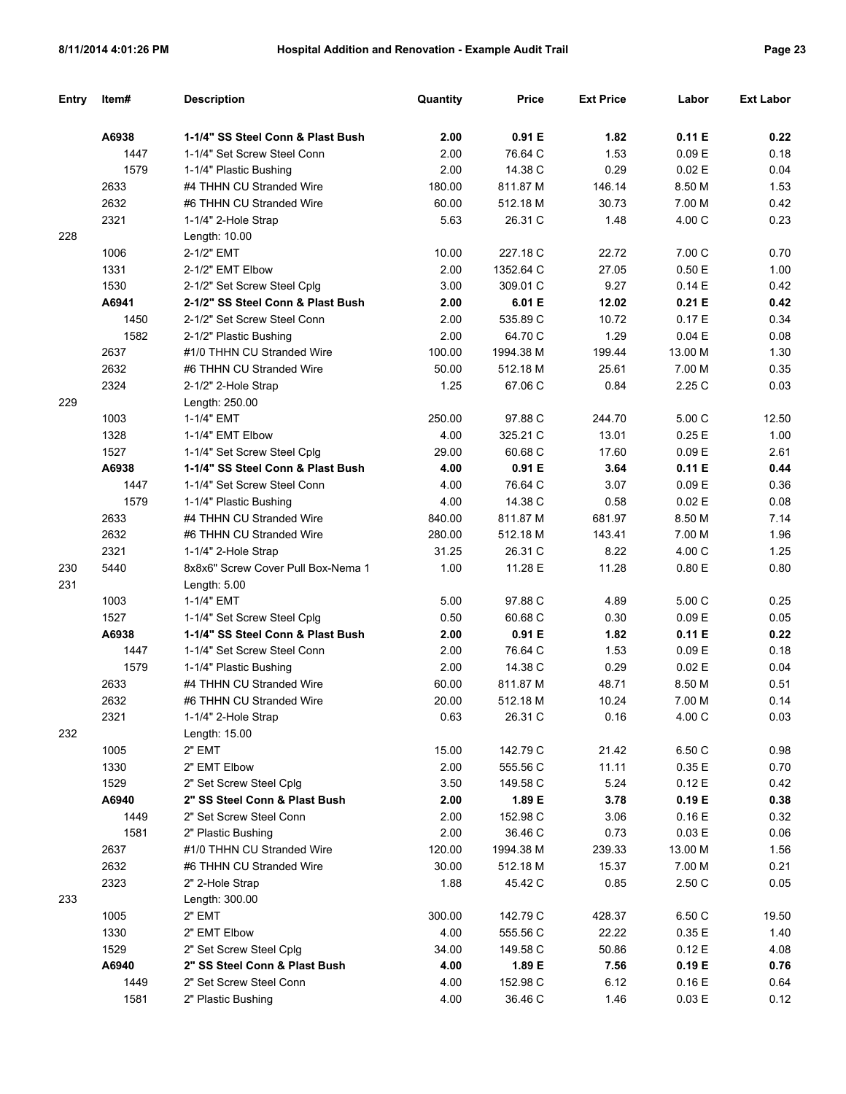| Entry | Item# | <b>Description</b>                                               | Quantity | <b>Price</b> | <b>Ext Price</b> | Labor   | <b>Ext Labor</b> |
|-------|-------|------------------------------------------------------------------|----------|--------------|------------------|---------|------------------|
|       | A6938 | 1-1/4" SS Steel Conn & Plast Bush                                | 2.00     | 0.91 E       | 1.82             | 0.11 E  | 0.22             |
|       | 1447  | 1-1/4" Set Screw Steel Conn                                      | 2.00     | 76.64 C      | 1.53             | 0.09 E  | 0.18             |
|       | 1579  | 1-1/4" Plastic Bushing                                           | 2.00     | 14.38 C      | 0.29             | 0.02E   | 0.04             |
|       | 2633  | #4 THHN CU Stranded Wire                                         | 180.00   | 811.87 M     | 146.14           | 8.50 M  | 1.53             |
|       | 2632  | #6 THHN CU Stranded Wire                                         | 60.00    | 512.18 M     | 30.73            | 7.00 M  | 0.42             |
|       | 2321  | 1-1/4" 2-Hole Strap                                              | 5.63     | 26.31 C      | 1.48             | 4.00 C  | 0.23             |
| 228   |       | Length: 10.00                                                    |          |              |                  |         |                  |
|       | 1006  | 2-1/2" EMT                                                       | 10.00    | 227.18 C     | 22.72            | 7.00 C  | 0.70             |
|       | 1331  | 2-1/2" EMT Elbow                                                 | 2.00     | 1352.64 C    | 27.05            | 0.50E   | 1.00             |
|       | 1530  | 2-1/2" Set Screw Steel Cplg                                      | 3.00     | 309.01 C     | 9.27             | 0.14E   | 0.42             |
|       | A6941 | 2-1/2" SS Steel Conn & Plast Bush                                | 2.00     | 6.01 E       | 12.02            | 0.21 E  | 0.42             |
|       | 1450  | 2-1/2" Set Screw Steel Conn                                      | 2.00     | 535.89 C     | 10.72            | 0.17E   | 0.34             |
|       | 1582  | 2-1/2" Plastic Bushing                                           | 2.00     | 64.70 C      | 1.29             | 0.04 E  | 0.08             |
|       | 2637  | #1/0 THHN CU Stranded Wire                                       | 100.00   | 1994.38 M    | 199.44           | 13.00 M | 1.30             |
|       | 2632  | #6 THHN CU Stranded Wire                                         | 50.00    | 512.18 M     | 25.61            | 7.00 M  | 0.35             |
|       | 2324  | 2-1/2" 2-Hole Strap                                              | 1.25     | 67.06 C      | 0.84             | 2.25 C  | 0.03             |
| 229   |       | Length: 250.00                                                   |          |              |                  |         |                  |
|       | 1003  | 1-1/4" EMT                                                       | 250.00   | 97.88 C      | 244.70           | 5.00 C  | 12.50            |
|       | 1328  | 1-1/4" EMT Elbow                                                 | 4.00     | 325.21 C     | 13.01            | 0.25E   | 1.00             |
|       | 1527  | 1-1/4" Set Screw Steel Cplg                                      | 29.00    | 60.68 C      | 17.60            | 0.09 E  | 2.61             |
|       | A6938 | 1-1/4" SS Steel Conn & Plast Bush                                | 4.00     | 0.91 E       | 3.64             | 0.11 E  | 0.44             |
|       | 1447  | 1-1/4" Set Screw Steel Conn                                      | 4.00     | 76.64 C      | 3.07             | 0.09 E  | 0.36             |
|       | 1579  | 1-1/4" Plastic Bushing                                           | 4.00     | 14.38 C      | 0.58             | 0.02E   | 0.08             |
|       | 2633  | #4 THHN CU Stranded Wire                                         | 840.00   | 811.87 M     | 681.97           | 8.50 M  | 7.14             |
|       | 2632  | #6 THHN CU Stranded Wire                                         | 280.00   | 512.18 M     | 143.41           | 7.00 M  | 1.96             |
|       | 2321  | 1-1/4" 2-Hole Strap                                              | 31.25    | 26.31 C      | 8.22             | 4.00 C  | 1.25             |
| 230   | 5440  | 8x8x6" Screw Cover Pull Box-Nema 1                               | 1.00     | 11.28 E      | 11.28            | 0.80 E  | 0.80             |
| 231   |       |                                                                  |          |              |                  |         |                  |
|       | 1003  | Length: 5.00                                                     | 5.00     | 97.88 C      | 4.89             | 5.00 C  | 0.25             |
|       | 1527  | 1-1/4" EMT                                                       |          | 60.68 C      |                  | 0.09 E  |                  |
|       | A6938 | 1-1/4" Set Screw Steel Cplg<br>1-1/4" SS Steel Conn & Plast Bush | 0.50     | 0.91 E       | 0.30<br>1.82     | 0.11 E  | 0.05<br>0.22     |
|       |       |                                                                  | 2.00     | 76.64 C      |                  |         |                  |
|       | 1447  | 1-1/4" Set Screw Steel Conn                                      | 2.00     |              | 1.53             | 0.09 E  | 0.18             |
|       | 1579  | 1-1/4" Plastic Bushing                                           | 2.00     | 14.38 C      | 0.29             | 0.02E   | 0.04             |
|       | 2633  | #4 THHN CU Stranded Wire                                         | 60.00    | 811.87 M     | 48.71            | 8.50 M  | 0.51             |
|       | 2632  | #6 THHN CU Stranded Wire                                         | 20.00    | 512.18 M     | 10.24            | 7.00 M  | 0.14             |
|       | 2321  | 1-1/4" 2-Hole Strap                                              | 0.63     | 26.31 C      | 0.16             | 4.00 C  | 0.03             |
| 232   |       | Length: 15.00                                                    |          |              |                  |         |                  |
|       | 1005  | 2" EMT                                                           | 15.00    | 142.79 C     | 21.42            | 6.50 C  | 0.98             |
|       | 1330  | 2" EMT Elbow                                                     | 2.00     | 555.56 C     | 11.11            | 0.35 E  | 0.70             |
|       | 1529  | 2" Set Screw Steel Cplg                                          | 3.50     | 149.58 C     | 5.24             | 0.12 E  | 0.42             |
|       | A6940 | 2" SS Steel Conn & Plast Bush                                    | 2.00     | 1.89 E       | 3.78             | 0.19 E  | 0.38             |
|       | 1449  | 2" Set Screw Steel Conn                                          | 2.00     | 152.98 C     | 3.06             | 0.16E   | 0.32             |
|       | 1581  | 2" Plastic Bushing                                               | 2.00     | 36.46 C      | 0.73             | 0.03 E  | 0.06             |
|       | 2637  | #1/0 THHN CU Stranded Wire                                       | 120.00   | 1994.38 M    | 239.33           | 13.00 M | 1.56             |
|       | 2632  | #6 THHN CU Stranded Wire                                         | 30.00    | 512.18 M     | 15.37            | 7.00 M  | 0.21             |
|       | 2323  | 2" 2-Hole Strap                                                  | 1.88     | 45.42 C      | 0.85             | 2.50C   | 0.05             |
| 233   |       | Length: 300.00                                                   |          |              |                  |         |                  |
|       | 1005  | 2" EMT                                                           | 300.00   | 142.79 C     | 428.37           | 6.50 C  | 19.50            |
|       | 1330  | 2" EMT Elbow                                                     | 4.00     | 555.56 C     | 22.22            | 0.35 E  | 1.40             |
|       | 1529  | 2" Set Screw Steel Cplg                                          | 34.00    | 149.58 C     | 50.86            | 0.12 E  | 4.08             |
|       | A6940 | 2" SS Steel Conn & Plast Bush                                    | 4.00     | 1.89 E       | 7.56             | 0.19 E  | 0.76             |
|       | 1449  | 2" Set Screw Steel Conn                                          | 4.00     | 152.98 C     | 6.12             | 0.16 E  | 0.64             |
|       | 1581  | 2" Plastic Bushing                                               | 4.00     | 36.46 C      | 1.46             | 0.03 E  | 0.12             |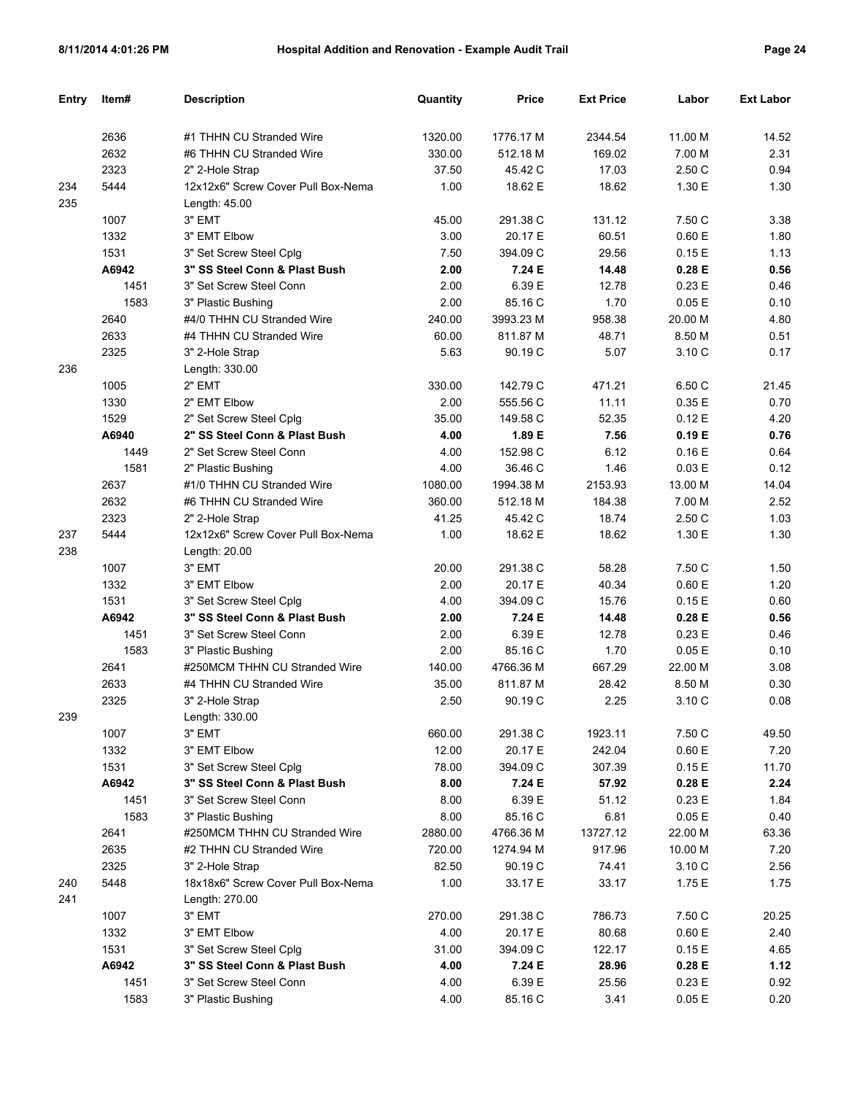| Entry | Item# | <b>Description</b>                 | Quantity | Price     | <b>Ext Price</b> | Labor   | <b>Ext Labor</b> |
|-------|-------|------------------------------------|----------|-----------|------------------|---------|------------------|
|       |       |                                    |          |           |                  |         |                  |
|       | 2636  | #1 THHN CU Stranded Wire           | 1320.00  | 1776.17 M | 2344.54          | 11.00 M | 14.52            |
|       | 2632  | #6 THHN CU Stranded Wire           | 330.00   | 512.18 M  | 169.02           | 7.00 M  | 2.31             |
|       | 2323  | 2" 2-Hole Strap                    | 37.50    | 45.42 C   | 17.03            | 2.50 C  | 0.94             |
| 234   | 5444  | 12x12x6" Screw Cover Pull Box-Nema | 1.00     | 18.62 E   | 18.62            | 1.30 E  | 1.30             |
| 235   |       | Length: $45.00$                    |          |           |                  |         |                  |
|       | 1007  | 3" EMT                             | 45.00    | 291.38 C  | 131.12           | 7.50 C  | 3.38             |
|       | 1332  | 3" EMT Elbow                       | 3.00     | 20.17 E   | 60.51            | 0.60 E  | 1.80             |
|       | 1531  | 3" Set Screw Steel Cplg            | 7.50     | 394.09 C  | 29.56            | 0.15E   | 1.13             |
|       | A6942 | 3" SS Steel Conn & Plast Bush      | 2.00     | 7.24 E    | 14.48            | 0.28 E  | 0.56             |
|       | 1451  | 3" Set Screw Steel Conn            | 2.00     | 6.39 E    | 12.78            | 0.23E   | 0.46             |
|       | 1583  | 3" Plastic Bushing                 | 2.00     | 85.16 C   | 1.70             | 0.05E   | 0.10             |
|       | 2640  | #4/0 THHN CU Stranded Wire         | 240.00   | 3993.23 M | 958.38           | 20.00 M | 4.80             |
|       | 2633  | #4 THHN CU Stranded Wire           | 60.00    | 811.87 M  | 48.71            | 8.50 M  | 0.51             |
|       | 2325  | 3" 2-Hole Strap                    | 5.63     | 90.19 C   | 5.07             | 3.10 C  | 0.17             |
| 236   |       | Length: 330.00                     |          |           |                  |         |                  |
|       | 1005  | 2" EMT                             | 330.00   | 142.79 C  | 471.21           | 6.50 C  | 21.45            |
|       | 1330  | 2" EMT Elbow                       | 2.00     | 555.56 C  | 11.11            | 0.35E   | 0.70             |
|       | 1529  | 2" Set Screw Steel Cplg            | 35.00    | 149.58 C  | 52.35            | 0.12E   | 4.20             |
|       | A6940 | 2" SS Steel Conn & Plast Bush      | 4.00     | 1.89 E    | 7.56             | 0.19E   | 0.76             |
|       | 1449  | 2" Set Screw Steel Conn            | 4.00     | 152.98 C  | 6.12             | 0.16E   | 0.64             |
|       | 1581  | 2" Plastic Bushing                 | 4.00     | 36.46 C   | 1.46             | 0.03 E  | 0.12             |
|       | 2637  | #1/0 THHN CU Stranded Wire         | 1080.00  | 1994.38 M | 2153.93          | 13.00 M | 14.04            |
|       | 2632  | #6 THHN CU Stranded Wire           | 360.00   | 512.18 M  | 184.38           | 7.00 M  | 2.52             |
|       | 2323  | 2" 2-Hole Strap                    | 41.25    | 45.42 C   | 18.74            | 2.50 C  | 1.03             |
| 237   | 5444  | 12x12x6" Screw Cover Pull Box-Nema | 1.00     | 18.62 E   | 18.62            | 1.30 E  | 1.30             |
| 238   |       | Length: 20.00                      |          |           |                  |         |                  |
|       | 1007  | 3" EMT                             | 20.00    | 291.38 C  | 58.28            | 7.50 C  | 1.50             |
|       | 1332  | 3" EMT Elbow                       | 2.00     | 20.17 E   | 40.34            | 0.60 E  | 1.20             |
|       | 1531  | 3" Set Screw Steel Cplg            | 4.00     | 394.09 C  | 15.76            | 0.15E   | 0.60             |
|       | A6942 | 3" SS Steel Conn & Plast Bush      | 2.00     | 7.24 E    | 14.48            | 0.28 E  | 0.56             |
|       | 1451  | 3" Set Screw Steel Conn            | 2.00     | 6.39 E    | 12.78            | 0.23E   | 0.46             |
|       | 1583  | 3" Plastic Bushing                 | 2.00     | 85.16 C   | 1.70             | 0.05E   | 0.10             |
|       | 2641  | #250MCM THHN CU Stranded Wire      | 140.00   | 4766.36 M | 667.29           | 22.00 M | 3.08             |
|       | 2633  | #4 THHN CU Stranded Wire           | 35.00    | 811.87 M  | 28.42            | 8.50 M  | 0.30             |
|       | 2325  | 3" 2-Hole Strap                    | 2.50     | 90.19 C   | 2.25             | 3.10 C  | 0.08             |
| 239   |       | Length: 330.00                     |          |           |                  |         |                  |
|       | 1007  | 3" EMT                             | 660.00   | 291.38 C  | 1923.11          | 7.50 C  | 49.50            |
|       | 1332  | 3" EMT Elbow                       | 12.00    | 20.17 E   | 242.04           | 0.60 E  | 7.20             |
|       | 1531  | 3" Set Screw Steel Cplq            | 78.00    | 394.09 C  | 307.39           | 0.15E   | 11.70            |
|       | A6942 | 3" SS Steel Conn & Plast Bush      | 8.00     | 7.24 E    | 57.92            | 0.28 E  | 2.24             |
|       | 1451  | 3" Set Screw Steel Conn            | 8.00     | 6.39 E    | 51.12            | 0.23 E  | 1.84             |
|       | 1583  | 3" Plastic Bushing                 | 8.00     | 85.16 C   | 6.81             | 0.05E   | 0.40             |
|       | 2641  | #250MCM THHN CU Stranded Wire      | 2880.00  | 4766.36 M | 13727.12         | 22.00 M | 63.36            |
|       | 2635  | #2 THHN CU Stranded Wire           | 720.00   | 1274.94 M | 917.96           | 10.00 M | 7.20             |
|       | 2325  | 3" 2-Hole Strap                    | 82.50    | 90.19 C   | 74.41            | 3.10 C  | 2.56             |
| 240   | 5448  | 18x18x6" Screw Cover Pull Box-Nema | 1.00     | 33.17 E   | 33.17            | 1.75 E  | 1.75             |
| 241   |       | Length: 270.00                     |          |           |                  |         |                  |
|       | 1007  | 3" EMT                             | 270.00   | 291.38 C  | 786.73           | 7.50 C  | 20.25            |
|       | 1332  | 3" EMT Elbow                       | 4.00     | 20.17 E   | 80.68            | 0.60 E  | 2.40             |
|       | 1531  | 3" Set Screw Steel Cplg            | 31.00    | 394.09 C  | 122.17           | 0.15E   | 4.65             |
|       | A6942 | 3" SS Steel Conn & Plast Bush      | 4.00     | 7.24 E    | 28.96            | 0.28 E  | 1.12             |
|       | 1451  | 3" Set Screw Steel Conn            | 4.00     | 6.39 E    | 25.56            | 0.23 E  | 0.92             |
|       | 1583  | 3" Plastic Bushing                 | 4.00     | 85.16 C   | 3.41             | 0.05 E  | 0.20             |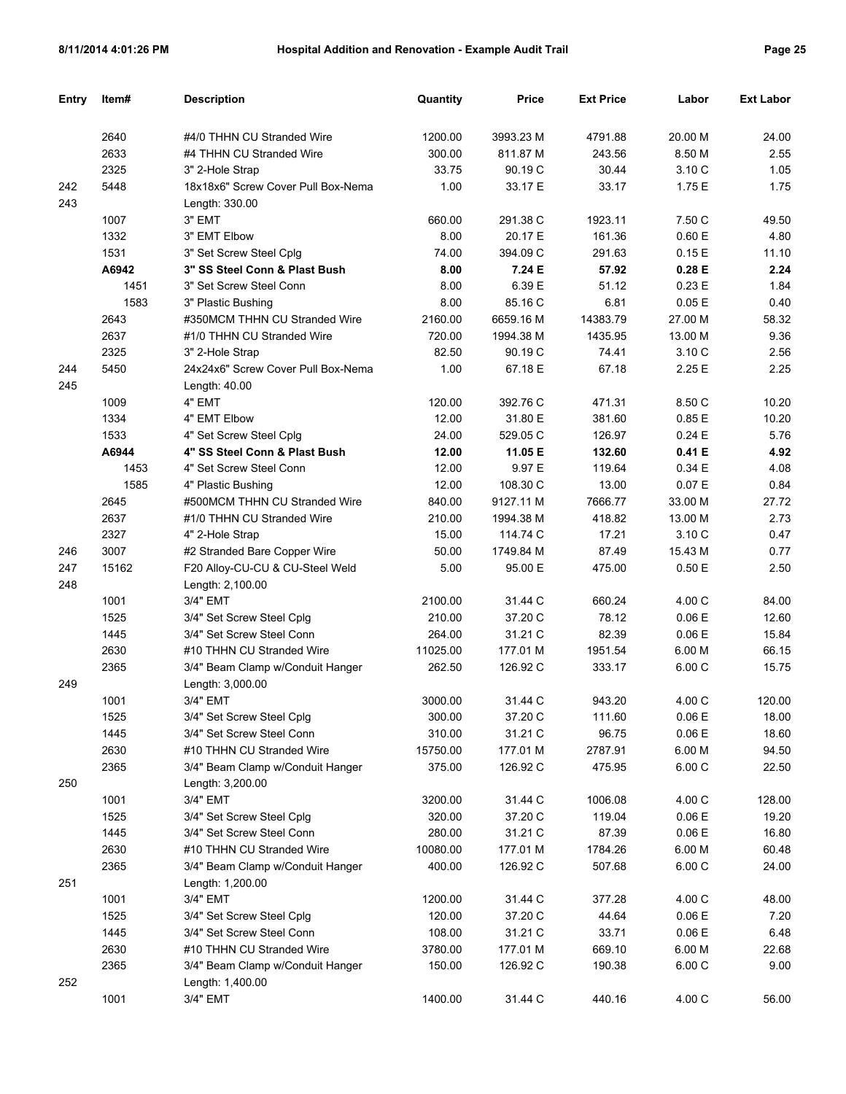| Entry      | Item# | <b>Description</b>                                   | Quantity | <b>Price</b> | <b>Ext Price</b> | Labor   | <b>Ext Labor</b> |
|------------|-------|------------------------------------------------------|----------|--------------|------------------|---------|------------------|
|            |       |                                                      |          |              |                  |         |                  |
|            | 2640  | #4/0 THHN CU Stranded Wire                           | 1200.00  | 3993.23 M    | 4791.88          | 20.00 M | 24.00            |
|            | 2633  | #4 THHN CU Stranded Wire                             | 300.00   | 811.87 M     | 243.56           | 8.50 M  | 2.55             |
|            | 2325  | 3" 2-Hole Strap                                      | 33.75    | 90.19 C      | 30.44            | 3.10 C  | 1.05             |
| 242<br>243 | 5448  | 18x18x6" Screw Cover Pull Box-Nema<br>Length: 330.00 | 1.00     | 33.17 E      | 33.17            | 1.75 E  | 1.75             |
|            | 1007  | 3" EMT                                               | 660.00   | 291.38 C     | 1923.11          | 7.50 C  | 49.50            |
|            | 1332  | 3" EMT Elbow                                         | 8.00     | 20.17 E      | 161.36           | 0.60 E  | 4.80             |
|            | 1531  | 3" Set Screw Steel Cplg                              | 74.00    | 394.09 C     | 291.63           | 0.15E   | 11.10            |
|            | A6942 | 3" SS Steel Conn & Plast Bush                        | 8.00     | 7.24 E       | 57.92            | 0.28 E  | 2.24             |
|            | 1451  | 3" Set Screw Steel Conn                              | 8.00     | 6.39 E       | 51.12            | 0.23E   | 1.84             |
|            | 1583  | 3" Plastic Bushing                                   | 8.00     | 85.16 C      | 6.81             | 0.05E   | 0.40             |
|            | 2643  | #350MCM THHN CU Stranded Wire                        | 2160.00  | 6659.16 M    | 14383.79         | 27.00 M | 58.32            |
|            | 2637  | #1/0 THHN CU Stranded Wire                           | 720.00   | 1994.38 M    | 1435.95          | 13.00 M | 9.36             |
|            | 2325  | 3" 2-Hole Strap                                      | 82.50    | 90.19 C      | 74.41            | 3.10 C  | 2.56             |
| 244        | 5450  | 24x24x6" Screw Cover Pull Box-Nema                   | 1.00     | 67.18 E      | 67.18            | 2.25 E  | 2.25             |
| 245        |       | Length: 40.00                                        |          |              |                  |         |                  |
|            | 1009  | 4" EMT                                               | 120.00   | 392.76 C     | 471.31           | 8.50 C  | 10.20            |
|            | 1334  | 4" EMT Elbow                                         | 12.00    | 31.80 E      | 381.60           | 0.85E   | 10.20            |
|            | 1533  | 4" Set Screw Steel Cplq                              | 24.00    | 529.05 C     | 126.97           | 0.24E   | 5.76             |
|            | A6944 | 4" SS Steel Conn & Plast Bush                        | 12.00    | 11.05 E      | 132.60           | 0.41 E  | 4.92             |
|            | 1453  | 4" Set Screw Steel Conn                              | 12.00    | 9.97 E       | 119.64           | 0.34E   | 4.08             |
|            | 1585  | 4" Plastic Bushing                                   | 12.00    | 108.30 C     | 13.00            | 0.07E   | 0.84             |
|            | 2645  | #500MCM THHN CU Stranded Wire                        | 840.00   | 9127.11 M    | 7666.77          | 33.00 M | 27.72            |
|            | 2637  | #1/0 THHN CU Stranded Wire                           | 210.00   | 1994.38 M    | 418.82           | 13.00 M | 2.73             |
|            | 2327  | 4" 2-Hole Strap                                      | 15.00    | 114.74 C     | 17.21            | 3.10 C  | 0.47             |
| 246        | 3007  | #2 Stranded Bare Copper Wire                         | 50.00    | 1749.84 M    | 87.49            | 15.43 M | 0.77             |
| 247        | 15162 | F20 Alloy-CU-CU & CU-Steel Weld                      | 5.00     | 95.00 E      | 475.00           | 0.50E   | 2.50             |
| 248        |       | Length: 2,100.00                                     |          |              |                  |         |                  |
|            | 1001  | 3/4" EMT                                             | 2100.00  | 31.44 C      | 660.24           | 4.00 C  | 84.00            |
|            | 1525  | 3/4" Set Screw Steel Cplg                            | 210.00   | 37.20 C      | 78.12            | 0.06E   | 12.60            |
|            | 1445  | 3/4" Set Screw Steel Conn                            | 264.00   | 31.21 C      | 82.39            | 0.06 E  | 15.84            |
|            | 2630  | #10 THHN CU Stranded Wire                            | 11025.00 | 177.01 M     | 1951.54          | 6.00 M  | 66.15            |
|            | 2365  | 3/4" Beam Clamp w/Conduit Hanger                     | 262.50   | 126.92 C     | 333.17           | 6.00 C  | 15.75            |
| 249        |       | Length: 3,000.00                                     |          |              |                  |         |                  |
|            | 1001  | 3/4" EMT                                             | 3000.00  | 31.44 C      | 943.20           | 4.00 C  | 120.00           |
|            | 1525  | 3/4" Set Screw Steel Cplg                            | 300.00   | 37.20 C      | 111.60           | 0.06E   | 18.00            |
|            | 1445  | 3/4" Set Screw Steel Conn                            | 310.00   | 31.21 C      | 96.75            | 0.06E   | 18.60            |
|            | 2630  | #10 THHN CU Stranded Wire                            | 15750.00 | 177.01 M     | 2787.91          | 6.00 M  | 94.50            |
|            | 2365  | 3/4" Beam Clamp w/Conduit Hanger                     | 375.00   | 126.92 C     | 475.95           | 6.00 C  | 22.50            |
| 250        |       | Length: 3,200.00                                     |          |              |                  |         |                  |
|            | 1001  | 3/4" EMT                                             | 3200.00  | 31.44 C      | 1006.08          | 4.00 C  | 128.00           |
|            | 1525  | 3/4" Set Screw Steel Cplg                            | 320.00   | 37.20 C      | 119.04           | 0.06E   | 19.20            |
|            | 1445  | 3/4" Set Screw Steel Conn                            | 280.00   | 31.21 C      | 87.39            | 0.06E   | 16.80            |
|            | 2630  | #10 THHN CU Stranded Wire                            | 10080.00 | 177.01 M     | 1784.26          | 6.00 M  | 60.48            |
|            | 2365  | 3/4" Beam Clamp w/Conduit Hanger                     | 400.00   | 126.92 C     | 507.68           | 6.00 C  | 24.00            |
| 251        |       | Length: 1,200.00                                     |          |              |                  |         |                  |
|            | 1001  | 3/4" EMT                                             | 1200.00  | 31.44 C      | 377.28           | 4.00 C  | 48.00            |
|            | 1525  | 3/4" Set Screw Steel Cplg                            | 120.00   | 37.20 C      | 44.64            | 0.06E   | 7.20             |
|            | 1445  | 3/4" Set Screw Steel Conn                            | 108.00   | 31.21 C      | 33.71            | 0.06E   | 6.48             |
|            | 2630  | #10 THHN CU Stranded Wire                            | 3780.00  | 177.01 M     | 669.10           | 6.00 M  | 22.68            |
|            | 2365  | 3/4" Beam Clamp w/Conduit Hanger                     | 150.00   | 126.92 C     | 190.38           | 6.00 C  | 9.00             |
| 252        |       | Length: 1,400.00                                     |          |              |                  |         |                  |
|            | 1001  | 3/4" EMT                                             | 1400.00  | 31.44 C      | 440.16           | 4.00 C  | 56.00            |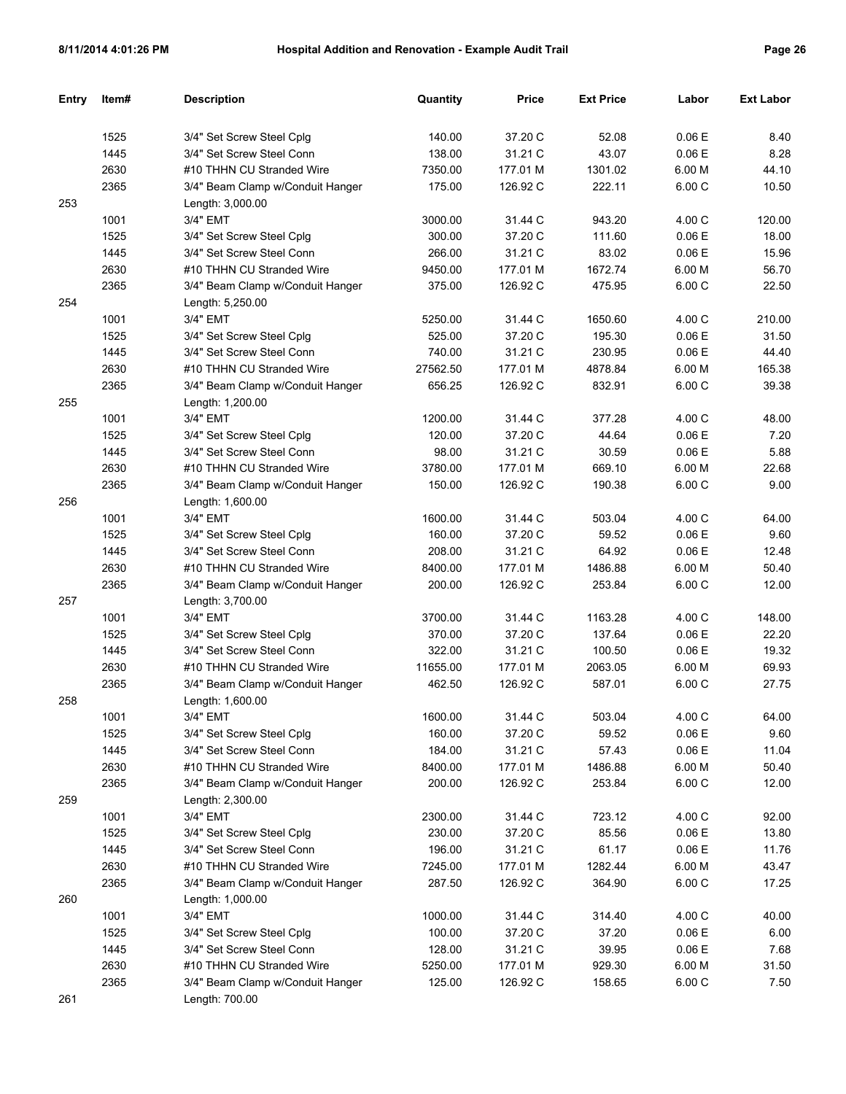| Entry | Item# | <b>Description</b>                                   | Quantity | Price    | <b>Ext Price</b> | Labor  | <b>Ext Labor</b> |
|-------|-------|------------------------------------------------------|----------|----------|------------------|--------|------------------|
|       |       |                                                      |          |          |                  |        |                  |
|       | 1525  | 3/4" Set Screw Steel Cplg                            | 140.00   | 37.20 C  | 52.08            | 0.06E  | 8.40             |
|       | 1445  | 3/4" Set Screw Steel Conn                            | 138.00   | 31.21 C  | 43.07            | 0.06E  | 8.28             |
|       | 2630  | #10 THHN CU Stranded Wire                            | 7350.00  | 177.01 M | 1301.02          | 6.00 M | 44.10            |
| 253   | 2365  | 3/4" Beam Clamp w/Conduit Hanger<br>Length: 3,000.00 | 175.00   | 126.92 C | 222.11           | 6.00 C | 10.50            |
|       | 1001  | 3/4" EMT                                             | 3000.00  | 31.44 C  | 943.20           | 4.00 C | 120.00           |
|       | 1525  | 3/4" Set Screw Steel Cplg                            | 300.00   | 37.20 C  | 111.60           | 0.06 E | 18.00            |
|       | 1445  | 3/4" Set Screw Steel Conn                            | 266.00   | 31.21 C  | 83.02            | 0.06E  | 15.96            |
|       | 2630  | #10 THHN CU Stranded Wire                            | 9450.00  | 177.01 M | 1672.74          | 6.00 M | 56.70            |
|       | 2365  | 3/4" Beam Clamp w/Conduit Hanger                     | 375.00   | 126.92 C | 475.95           | 6.00 C | 22.50            |
| 254   |       | Length: 5,250.00                                     |          |          |                  |        |                  |
|       | 1001  | 3/4" EMT                                             | 5250.00  | 31.44 C  | 1650.60          | 4.00 C | 210.00           |
|       | 1525  | 3/4" Set Screw Steel Cplg                            | 525.00   | 37.20 C  | 195.30           | 0.06 E | 31.50            |
|       | 1445  | 3/4" Set Screw Steel Conn                            | 740.00   | 31.21 C  | 230.95           | 0.06E  | 44.40            |
|       | 2630  | #10 THHN CU Stranded Wire                            | 27562.50 | 177.01 M | 4878.84          | 6.00 M | 165.38           |
|       | 2365  |                                                      | 656.25   | 126.92 C | 832.91           | 6.00 C | 39.38            |
| 255   |       | 3/4" Beam Clamp w/Conduit Hanger<br>Length: 1,200.00 |          |          |                  |        |                  |
|       | 1001  | 3/4" EMT                                             | 1200.00  | 31.44 C  | 377.28           | 4.00 C | 48.00            |
|       | 1525  | 3/4" Set Screw Steel Cplg                            | 120.00   | 37.20 C  | 44.64            | 0.06 E | 7.20             |
|       | 1445  | 3/4" Set Screw Steel Conn                            | 98.00    | 31.21 C  | 30.59            | 0.06E  | 5.88             |
|       | 2630  | #10 THHN CU Stranded Wire                            | 3780.00  | 177.01 M | 669.10           | 6.00 M | 22.68            |
|       | 2365  | 3/4" Beam Clamp w/Conduit Hanger                     | 150.00   | 126.92 C | 190.38           | 6.00 C | 9.00             |
| 256   |       | Length: 1,600.00                                     |          |          |                  |        |                  |
|       | 1001  | 3/4" EMT                                             | 1600.00  | 31.44 C  | 503.04           | 4.00 C | 64.00            |
|       | 1525  | 3/4" Set Screw Steel Cplg                            | 160.00   | 37.20 C  | 59.52            | 0.06E  | 9.60             |
|       | 1445  | 3/4" Set Screw Steel Conn                            | 208.00   | 31.21 C  | 64.92            | 0.06E  | 12.48            |
|       | 2630  | #10 THHN CU Stranded Wire                            | 8400.00  | 177.01 M | 1486.88          | 6.00 M | 50.40            |
|       | 2365  | 3/4" Beam Clamp w/Conduit Hanger                     | 200.00   | 126.92 C | 253.84           | 6.00 C | 12.00            |
| 257   |       | Length: 3,700.00                                     |          |          |                  |        |                  |
|       | 1001  | 3/4" EMT                                             | 3700.00  | 31.44 C  | 1163.28          | 4.00 C | 148.00           |
|       | 1525  | 3/4" Set Screw Steel Cplg                            | 370.00   | 37.20 C  | 137.64           | 0.06E  | 22.20            |
|       | 1445  | 3/4" Set Screw Steel Conn                            | 322.00   | 31.21 C  | 100.50           | 0.06E  | 19.32            |
|       | 2630  | #10 THHN CU Stranded Wire                            | 11655.00 | 177.01 M | 2063.05          | 6.00 M | 69.93            |
|       | 2365  | 3/4" Beam Clamp w/Conduit Hanger                     | 462.50   | 126.92 C | 587.01           | 6.00 C | 27.75            |
| 258   |       | Length: 1,600.00                                     |          |          |                  |        |                  |
|       | 1001  | 3/4" EMT                                             | 1600.00  | 31.44 C  | 503.04           | 4.00 C | 64.00            |
|       | 1525  | 3/4" Set Screw Steel Cplg                            | 160.00   | 37.20 C  | 59.52            | 0.06E  | 9.60             |
|       | 1445  | 3/4" Set Screw Steel Conn                            | 184.00   | 31.21 C  | 57.43            | 0.06E  | 11.04            |
|       | 2630  | #10 THHN CU Stranded Wire                            | 8400.00  | 177.01 M | 1486.88          | 6.00 M | 50.40            |
|       | 2365  | 3/4" Beam Clamp w/Conduit Hanger                     | 200.00   | 126.92 C | 253.84           | 6.00C  | 12.00            |
| 259   |       | Length: 2,300.00                                     |          |          |                  |        |                  |
|       | 1001  | 3/4" EMT                                             | 2300.00  | 31.44 C  | 723.12           | 4.00 C | 92.00            |
|       | 1525  | 3/4" Set Screw Steel Cplg                            | 230.00   | 37.20 C  | 85.56            | 0.06E  | 13.80            |
|       | 1445  | 3/4" Set Screw Steel Conn                            | 196.00   | 31.21 C  | 61.17            | 0.06 E | 11.76            |
|       | 2630  | #10 THHN CU Stranded Wire                            | 7245.00  | 177.01 M | 1282.44          | 6.00 M | 43.47            |
|       | 2365  | 3/4" Beam Clamp w/Conduit Hanger                     | 287.50   | 126.92 C | 364.90           | 6.00C  | 17.25            |
| 260   |       | Length: 1,000.00                                     |          |          |                  |        |                  |
|       | 1001  | 3/4" EMT                                             | 1000.00  | 31.44 C  | 314.40           | 4.00 C | 40.00            |
|       | 1525  | 3/4" Set Screw Steel Cplg                            | 100.00   | 37.20 C  | 37.20            | 0.06E  | 6.00             |
|       | 1445  | 3/4" Set Screw Steel Conn                            | 128.00   | 31.21 C  | 39.95            | 0.06 E | 7.68             |
|       | 2630  | #10 THHN CU Stranded Wire                            | 5250.00  | 177.01 M | 929.30           | 6.00 M | 31.50            |
|       | 2365  | 3/4" Beam Clamp w/Conduit Hanger                     | 125.00   | 126.92 C | 158.65           | 6.00 C | 7.50             |
| 261   |       | Length: 700.00                                       |          |          |                  |        |                  |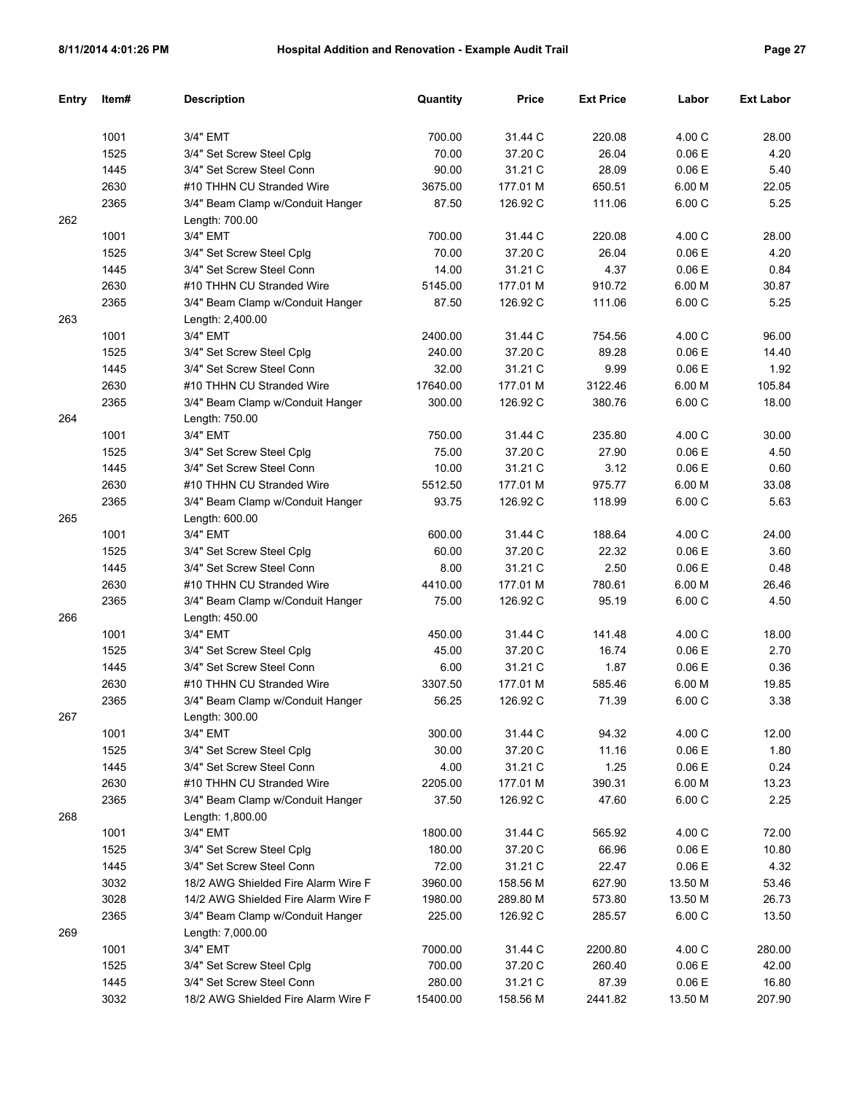| <b>Entry</b> | Item# | <b>Description</b>                  | Quantity | Price    | <b>Ext Price</b> | Labor   | <b>Ext Labor</b> |
|--------------|-------|-------------------------------------|----------|----------|------------------|---------|------------------|
|              |       |                                     |          |          |                  |         |                  |
|              | 1001  | 3/4" EMT                            | 700.00   | 31.44 C  | 220.08           | 4.00 C  | 28.00            |
|              | 1525  | 3/4" Set Screw Steel Cplg           | 70.00    | 37.20 C  | 26.04            | 0.06E   | 4.20             |
|              | 1445  | 3/4" Set Screw Steel Conn           | 90.00    | 31.21 C  | 28.09            | 0.06E   | 5.40             |
|              | 2630  | #10 THHN CU Stranded Wire           | 3675.00  | 177.01 M | 650.51           | 6.00 M  | 22.05            |
|              | 2365  | 3/4" Beam Clamp w/Conduit Hanger    | 87.50    | 126.92 C | 111.06           | 6.00 C  | 5.25             |
| 262          |       | Length: 700.00                      |          |          |                  |         |                  |
|              | 1001  | 3/4" EMT                            | 700.00   | 31.44 C  | 220.08           | 4.00 C  | 28.00            |
|              | 1525  | 3/4" Set Screw Steel Cplg           | 70.00    | 37.20 C  | 26.04            | 0.06E   | 4.20             |
|              | 1445  | 3/4" Set Screw Steel Conn           | 14.00    | 31.21 C  | 4.37             | 0.06E   | 0.84             |
|              | 2630  | #10 THHN CU Stranded Wire           | 5145.00  | 177.01 M | 910.72           | 6.00 M  | 30.87            |
|              | 2365  | 3/4" Beam Clamp w/Conduit Hanger    | 87.50    | 126.92 C | 111.06           | 6.00 C  | 5.25             |
| 263          |       | Length: 2,400.00                    |          |          |                  |         |                  |
|              | 1001  | 3/4" EMT                            | 2400.00  | 31.44 C  | 754.56           | 4.00 C  | 96.00            |
|              | 1525  | 3/4" Set Screw Steel Cplg           | 240.00   | 37.20 C  | 89.28            | 0.06E   | 14.40            |
|              | 1445  | 3/4" Set Screw Steel Conn           | 32.00    | 31.21 C  | 9.99             | 0.06E   | 1.92             |
|              | 2630  | #10 THHN CU Stranded Wire           | 17640.00 | 177.01 M | 3122.46          | 6.00 M  | 105.84           |
|              | 2365  | 3/4" Beam Clamp w/Conduit Hanger    | 300.00   | 126.92 C | 380.76           | 6.00 C  | 18.00            |
| 264          |       | Length: 750.00                      |          |          |                  |         |                  |
|              | 1001  | 3/4" EMT                            | 750.00   | 31.44 C  | 235.80           | 4.00 C  | 30.00            |
|              | 1525  | 3/4" Set Screw Steel Cplg           | 75.00    | 37.20 C  | 27.90            | 0.06E   | 4.50             |
|              | 1445  | 3/4" Set Screw Steel Conn           | 10.00    | 31.21 C  | 3.12             | 0.06E   | 0.60             |
|              | 2630  | #10 THHN CU Stranded Wire           | 5512.50  | 177.01 M | 975.77           | 6.00 M  | 33.08            |
|              | 2365  | 3/4" Beam Clamp w/Conduit Hanger    | 93.75    | 126.92 C | 118.99           | 6.00 C  | 5.63             |
| 265          |       | Length: 600.00                      |          |          |                  |         |                  |
|              | 1001  | 3/4" EMT                            | 600.00   | 31.44 C  | 188.64           | 4.00 C  | 24.00            |
|              | 1525  | 3/4" Set Screw Steel Cplg           | 60.00    | 37.20 C  | 22.32            | 0.06E   | 3.60             |
|              | 1445  | 3/4" Set Screw Steel Conn           | 8.00     | 31.21 C  | 2.50             | 0.06E   | 0.48             |
|              | 2630  | #10 THHN CU Stranded Wire           | 4410.00  | 177.01 M | 780.61           | 6.00 M  | 26.46            |
|              | 2365  | 3/4" Beam Clamp w/Conduit Hanger    | 75.00    | 126.92 C | 95.19            | 6.00 C  | 4.50             |
| 266          |       | Length: 450.00                      |          |          |                  |         |                  |
|              | 1001  | 3/4" EMT                            | 450.00   | 31.44 C  | 141.48           | 4.00 C  | 18.00            |
|              | 1525  | 3/4" Set Screw Steel Cplg           | 45.00    | 37.20 C  | 16.74            | 0.06E   | 2.70             |
|              | 1445  | 3/4" Set Screw Steel Conn           | 6.00     | 31.21 C  | 1.87             | 0.06E   | 0.36             |
|              | 2630  | #10 THHN CU Stranded Wire           | 3307.50  | 177.01 M | 585.46           | 6.00 M  | 19.85            |
|              | 2365  | 3/4" Beam Clamp w/Conduit Hanger    | 56.25    | 126.92 C | 71.39            | 6.00 C  | 3.38             |
| 267          |       | Length: 300.00                      |          |          |                  |         |                  |
|              | 1001  | 3/4" EMT                            | 300.00   | 31.44 C  | 94.32            | 4.00 C  | 12.00            |
|              | 1525  | 3/4" Set Screw Steel Cplg           | 30.00    | 37.20 C  | 11.16            | 0.06E   | 1.80             |
|              | 1445  | 3/4" Set Screw Steel Conn           | 4.00     | 31.21 C  | 1.25             | 0.06 E  | 0.24             |
|              | 2630  | #10 THHN CU Stranded Wire           | 2205.00  | 177.01 M | 390.31           | 6.00 M  | 13.23            |
|              | 2365  | 3/4" Beam Clamp w/Conduit Hanger    | 37.50    | 126.92 C | 47.60            | 6.00 C  | 2.25             |
| 268          |       | Length: 1,800.00                    |          |          |                  |         |                  |
|              | 1001  | 3/4" EMT                            | 1800.00  | 31.44 C  | 565.92           | 4.00 C  | 72.00            |
|              | 1525  | 3/4" Set Screw Steel Cplg           | 180.00   | 37.20 C  | 66.96            | 0.06 E  | 10.80            |
|              | 1445  | 3/4" Set Screw Steel Conn           | 72.00    | 31.21 C  | 22.47            | 0.06 E  | 4.32             |
|              | 3032  | 18/2 AWG Shielded Fire Alarm Wire F | 3960.00  | 158.56 M | 627.90           | 13.50 M | 53.46            |
|              | 3028  | 14/2 AWG Shielded Fire Alarm Wire F | 1980.00  | 289.80 M | 573.80           | 13.50 M | 26.73            |
|              | 2365  | 3/4" Beam Clamp w/Conduit Hanger    | 225.00   | 126.92 C | 285.57           | 6.00 C  | 13.50            |
| 269          |       | Length: 7,000.00                    |          |          |                  |         |                  |
|              | 1001  | 3/4" EMT                            | 7000.00  | 31.44 C  | 2200.80          | 4.00 C  | 280.00           |
|              | 1525  | 3/4" Set Screw Steel Cplg           | 700.00   | 37.20 C  | 260.40           | 0.06 E  | 42.00            |
|              | 1445  | 3/4" Set Screw Steel Conn           | 280.00   | 31.21 C  | 87.39            | 0.06 E  | 16.80            |
|              | 3032  | 18/2 AWG Shielded Fire Alarm Wire F | 15400.00 | 158.56 M | 2441.82          | 13.50 M | 207.90           |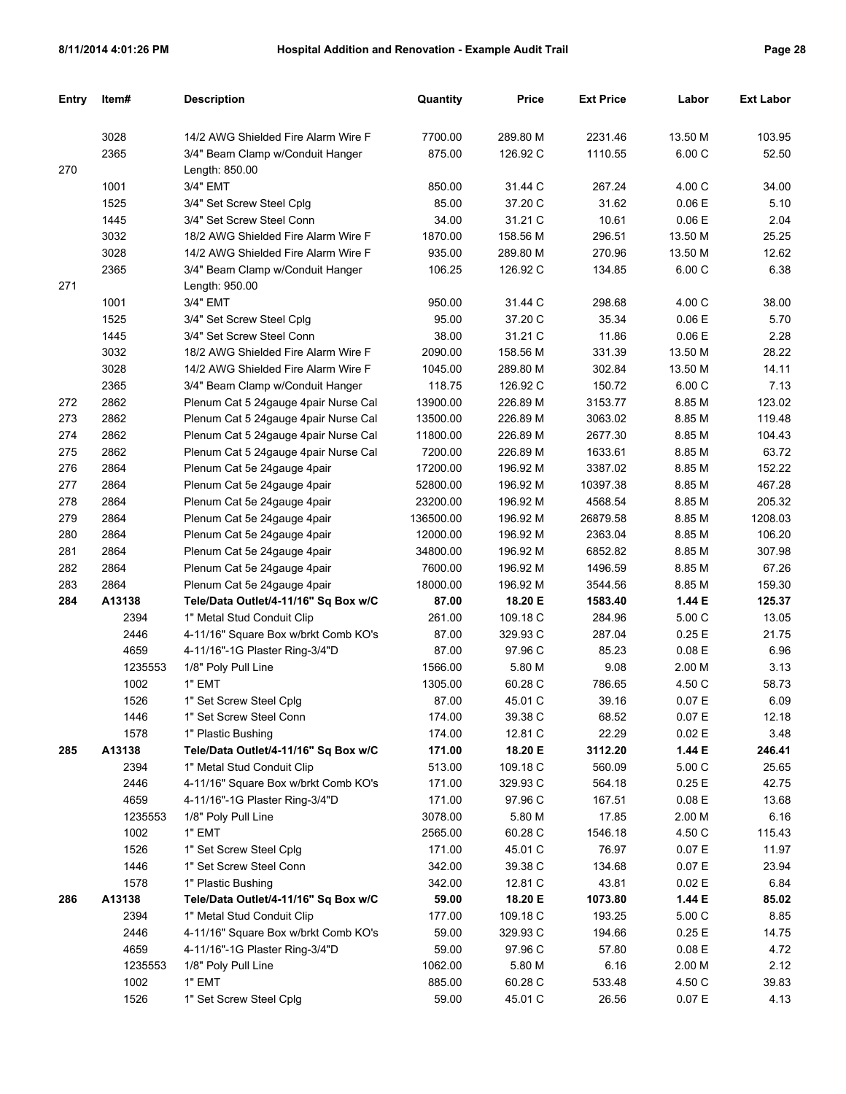| Entry | Item#   | <b>Description</b>                   | Quantity  | <b>Price</b>         | <b>Ext Price</b> | Labor     | <b>Ext Labor</b> |
|-------|---------|--------------------------------------|-----------|----------------------|------------------|-----------|------------------|
|       | 3028    | 14/2 AWG Shielded Fire Alarm Wire F  | 7700.00   | 289.80 M             | 2231.46          | 13.50 M   | 103.95           |
|       | 2365    | 3/4" Beam Clamp w/Conduit Hanger     | 875.00    | 126.92 C             | 1110.55          | 6.00 C    | 52.50            |
| 270   |         | Length: 850.00                       |           |                      |                  |           |                  |
|       | 1001    | 3/4" EMT                             | 850.00    | 31.44 C              | 267.24           | 4.00 C    | 34.00            |
|       | 1525    | 3/4" Set Screw Steel Cplg            | 85.00     | 37.20 C              | 31.62            | 0.06E     | 5.10             |
|       | 1445    | 3/4" Set Screw Steel Conn            | 34.00     | 31.21 C              | 10.61            | 0.06E     | 2.04             |
|       | 3032    | 18/2 AWG Shielded Fire Alarm Wire F  | 1870.00   | 158.56 M             | 296.51           | 13.50 M   | 25.25            |
|       | 3028    | 14/2 AWG Shielded Fire Alarm Wire F  | 935.00    | 289.80 M             | 270.96           | 13.50 M   | 12.62            |
|       | 2365    | 3/4" Beam Clamp w/Conduit Hanger     | 106.25    | 126.92 C             | 134.85           | 6.00 C    | 6.38             |
| 271   |         | Length: 950.00                       |           |                      |                  |           |                  |
|       | 1001    | 3/4" EMT                             | 950.00    | 31.44 C              | 298.68           | 4.00 C    | 38.00            |
|       | 1525    | 3/4" Set Screw Steel Cplg            | 95.00     | 37.20 C              | 35.34            | 0.06E     | 5.70             |
|       | 1445    | 3/4" Set Screw Steel Conn            | 38.00     | 31.21 C              | 11.86            | 0.06E     | 2.28             |
|       | 3032    | 18/2 AWG Shielded Fire Alarm Wire F  | 2090.00   | 158.56 M             | 331.39           | 13.50 M   | 28.22            |
|       | 3028    |                                      |           |                      | 302.84           | 13.50 M   |                  |
|       | 2365    | 14/2 AWG Shielded Fire Alarm Wire F  | 1045.00   | 289.80 M<br>126.92 C | 150.72           | 6.00 C    | 14.11<br>7.13    |
|       |         | 3/4" Beam Clamp w/Conduit Hanger     | 118.75    |                      |                  |           |                  |
| 272   | 2862    | Plenum Cat 5 24gauge 4pair Nurse Cal | 13900.00  | 226.89 M             | 3153.77          | 8.85 M    | 123.02           |
| 273   | 2862    | Plenum Cat 5 24gauge 4pair Nurse Cal | 13500.00  | 226.89 M             | 3063.02          | 8.85 M    | 119.48           |
| 274   | 2862    | Plenum Cat 5 24gauge 4pair Nurse Cal | 11800.00  | 226.89 M             | 2677.30          | 8.85 M    | 104.43           |
| 275   | 2862    | Plenum Cat 5 24gauge 4pair Nurse Cal | 7200.00   | 226.89 M             | 1633.61          | 8.85 M    | 63.72            |
| 276   | 2864    | Plenum Cat 5e 24gauge 4pair          | 17200.00  | 196.92 M             | 3387.02          | 8.85 M    | 152.22           |
| 277   | 2864    | Plenum Cat 5e 24gauge 4pair          | 52800.00  | 196.92 M             | 10397.38         | 8.85 M    | 467.28           |
| 278   | 2864    | Plenum Cat 5e 24gauge 4pair          | 23200.00  | 196.92 M             | 4568.54          | 8.85 M    | 205.32           |
| 279   | 2864    | Plenum Cat 5e 24gauge 4pair          | 136500.00 | 196.92 M             | 26879.58         | 8.85 M    | 1208.03          |
| 280   | 2864    | Plenum Cat 5e 24gauge 4pair          | 12000.00  | 196.92 M             | 2363.04          | 8.85 M    | 106.20           |
| 281   | 2864    | Plenum Cat 5e 24gauge 4pair          | 34800.00  | 196.92 M             | 6852.82          | 8.85 M    | 307.98           |
| 282   | 2864    | Plenum Cat 5e 24gauge 4pair          | 7600.00   | 196.92 M             | 1496.59          | 8.85 M    | 67.26            |
| 283   | 2864    | Plenum Cat 5e 24gauge 4pair          | 18000.00  | 196.92 M             | 3544.56          | 8.85 M    | 159.30           |
| 284   | A13138  | Tele/Data Outlet/4-11/16" Sq Box w/C | 87.00     | 18.20 E              | 1583.40          | 1.44 E    | 125.37           |
|       | 2394    | 1" Metal Stud Conduit Clip           | 261.00    | 109.18 C             | 284.96           | 5.00 C    | 13.05            |
|       | 2446    | 4-11/16" Square Box w/brkt Comb KO's | 87.00     | 329.93 C             | 287.04           | 0.25E     | 21.75            |
|       | 4659    | 4-11/16"-1G Plaster Ring-3/4"D       | 87.00     | 97.96 C              | 85.23            | 0.08E     | 6.96             |
|       | 1235553 | 1/8" Poly Pull Line                  | 1566.00   | 5.80 M               | 9.08             | 2.00 M    | 3.13             |
|       | 1002    | 1" EMT                               | 1305.00   | 60.28 C              | 786.65           | 4.50 C    | 58.73            |
|       | 1526    | 1" Set Screw Steel Cplg              | 87.00     | 45.01 C              | 39.16            | 0.07 E    | 6.09             |
|       | 1446    | 1" Set Screw Steel Conn              | 174.00    | 39.38 C              | 68.52            | $0.07\to$ | 12.18            |
|       | 1578    | 1" Plastic Bushing                   | 174.00    | 12.81 C              | 22.29            | 0.02 E    | 3.48             |
| 285   | A13138  | Tele/Data Outlet/4-11/16" Sq Box w/C | 171.00    | 18.20 E              | 3112.20          | 1.44 E    | 246.41           |
|       | 2394    | 1" Metal Stud Conduit Clip           | 513.00    | 109.18 C             | 560.09           | 5.00 C    | 25.65            |
|       | 2446    | 4-11/16" Square Box w/brkt Comb KO's | 171.00    | 329.93 C             | 564.18           | 0.25E     | 42.75            |
|       | 4659    | 4-11/16"-1G Plaster Ring-3/4"D       | 171.00    | 97.96 C              | 167.51           | 0.08 E    | 13.68            |
|       | 1235553 | 1/8" Poly Pull Line                  | 3078.00   | 5.80 M               | 17.85            | 2.00 M    | 6.16             |
|       | 1002    | 1" EMT                               | 2565.00   | 60.28 C              | 1546.18          | 4.50 C    | 115.43           |
|       | 1526    | 1" Set Screw Steel Cplg              | 171.00    | 45.01 C              | 76.97            | 0.07 E    | 11.97            |
|       | 1446    | 1" Set Screw Steel Conn              | 342.00    | 39.38 C              | 134.68           | 0.07 E    | 23.94            |
|       | 1578    | 1" Plastic Bushing                   | 342.00    | 12.81 C              | 43.81            | 0.02 E    | 6.84             |
| 286   | A13138  | Tele/Data Outlet/4-11/16" Sq Box w/C | 59.00     | 18.20 E              | 1073.80          | 1.44 E    | 85.02            |
|       | 2394    | 1" Metal Stud Conduit Clip           | 177.00    | 109.18 C             | 193.25           | 5.00 C    | 8.85             |
|       | 2446    | 4-11/16" Square Box w/brkt Comb KO's | 59.00     | 329.93 C             | 194.66           | 0.25E     | 14.75            |
|       | 4659    | 4-11/16"-1G Plaster Ring-3/4"D       | 59.00     | 97.96 C              | 57.80            | 0.08 E    | 4.72             |
|       | 1235553 | 1/8" Poly Pull Line                  | 1062.00   | 5.80 M               | 6.16             | 2.00 M    | 2.12             |
|       | 1002    | 1" EMT                               | 885.00    | 60.28 C              | 533.48           | 4.50 C    | 39.83            |
|       | 1526    | 1" Set Screw Steel Cplg              | 59.00     | 45.01 C              | 26.56            | 0.07 E    | 4.13             |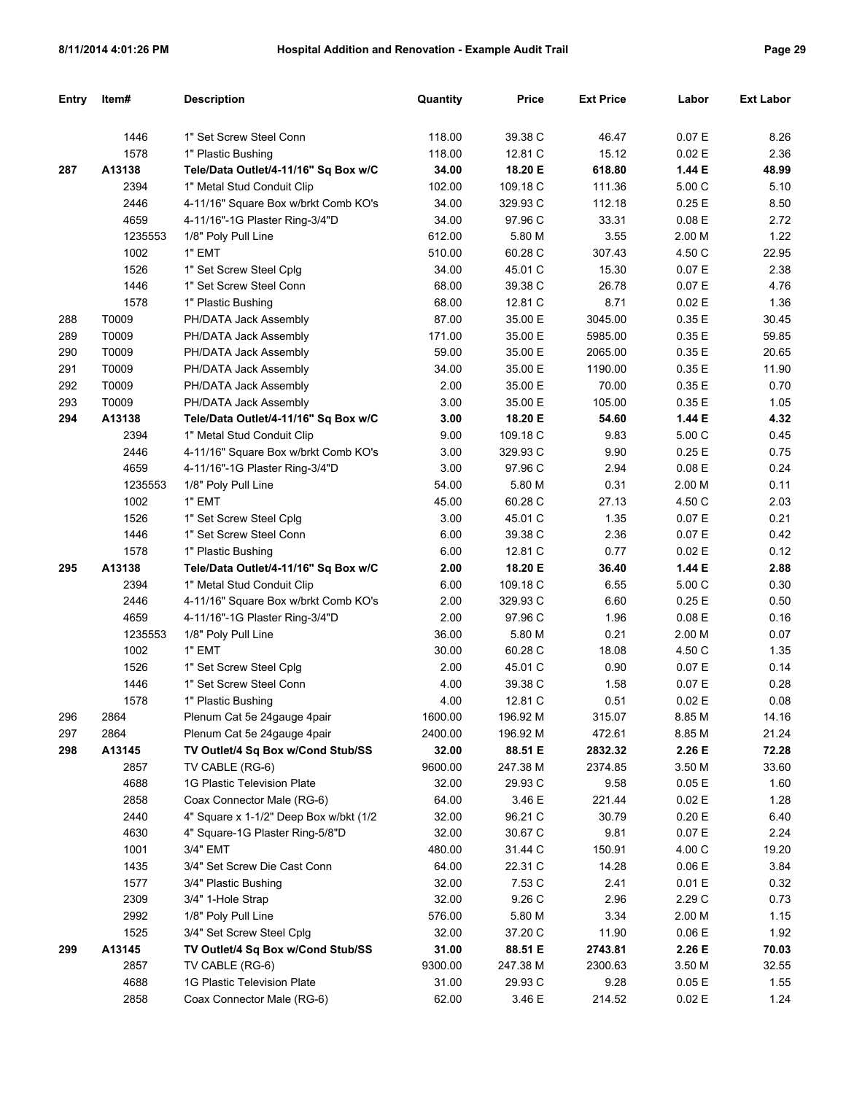| Entry | Item#   | <b>Description</b>                     | Quantity | <b>Price</b> | <b>Ext Price</b> | Labor  | <b>Ext Labor</b> |
|-------|---------|----------------------------------------|----------|--------------|------------------|--------|------------------|
|       |         |                                        |          |              |                  |        |                  |
|       | 1446    | 1" Set Screw Steel Conn                | 118.00   | 39.38 C      | 46.47            | 0.07 E | 8.26             |
|       | 1578    | 1" Plastic Bushing                     | 118.00   | 12.81 C      | 15.12            | 0.02 E | 2.36             |
| 287   | A13138  | Tele/Data Outlet/4-11/16" Sq Box w/C   | 34.00    | 18.20 E      | 618.80           | 1.44 E | 48.99            |
|       | 2394    | 1" Metal Stud Conduit Clip             | 102.00   | 109.18 C     | 111.36           | 5.00 C | 5.10             |
|       | 2446    | 4-11/16" Square Box w/brkt Comb KO's   | 34.00    | 329.93 C     | 112.18           | 0.25E  | 8.50             |
|       | 4659    | 4-11/16"-1G Plaster Ring-3/4"D         | 34.00    | 97.96 C      | 33.31            | 0.08 E | 2.72             |
|       | 1235553 | 1/8" Poly Pull Line                    | 612.00   | 5.80 M       | 3.55             | 2.00 M | 1.22             |
|       | 1002    | 1" EMT                                 | 510.00   | 60.28 C      | 307.43           | 4.50 C | 22.95            |
|       | 1526    | 1" Set Screw Steel Cplg                | 34.00    | 45.01 C      | 15.30            | 0.07 E | 2.38             |
|       | 1446    | 1" Set Screw Steel Conn                | 68.00    | 39.38 C      | 26.78            | 0.07 E | 4.76             |
|       | 1578    | 1" Plastic Bushing                     | 68.00    | 12.81 C      | 8.71             | 0.02 E | 1.36             |
| 288   | T0009   | PH/DATA Jack Assembly                  | 87.00    | 35.00 E      | 3045.00          | 0.35E  | 30.45            |
| 289   | T0009   | PH/DATA Jack Assembly                  | 171.00   | 35.00 E      | 5985.00          | 0.35E  | 59.85            |
| 290   | T0009   | PH/DATA Jack Assembly                  | 59.00    | 35.00 E      | 2065.00          | 0.35E  | 20.65            |
| 291   | T0009   | PH/DATA Jack Assembly                  | 34.00    | 35.00 E      | 1190.00          | 0.35E  | 11.90            |
| 292   | T0009   | PH/DATA Jack Assembly                  | 2.00     | 35.00 E      | 70.00            | 0.35E  | 0.70             |
| 293   | T0009   | PH/DATA Jack Assembly                  | 3.00     | 35.00 E      | 105.00           | 0.35E  | 1.05             |
| 294   | A13138  | Tele/Data Outlet/4-11/16" Sq Box w/C   | 3.00     | 18.20 E      | 54.60            | 1.44 E | 4.32             |
|       | 2394    | 1" Metal Stud Conduit Clip             | 9.00     | 109.18 C     | 9.83             | 5.00 C | 0.45             |
|       | 2446    | 4-11/16" Square Box w/brkt Comb KO's   | 3.00     | 329.93 C     | 9.90             | 0.25E  | 0.75             |
|       | 4659    | 4-11/16"-1G Plaster Ring-3/4"D         | 3.00     | 97.96 C      | 2.94             | 0.08 E | 0.24             |
|       | 1235553 | 1/8" Poly Pull Line                    | 54.00    | 5.80 M       | 0.31             | 2.00 M | 0.11             |
|       | 1002    | 1" EMT                                 | 45.00    | 60.28 C      | 27.13            | 4.50 C | 2.03             |
|       | 1526    | 1" Set Screw Steel Cplg                | 3.00     | 45.01 C      | 1.35             | 0.07 E | 0.21             |
|       | 1446    | 1" Set Screw Steel Conn                | 6.00     | 39.38 C      | 2.36             | 0.07 E | 0.42             |
|       | 1578    | 1" Plastic Bushing                     | 6.00     | 12.81 C      | 0.77             | 0.02 E | 0.12             |
| 295   | A13138  | Tele/Data Outlet/4-11/16" Sq Box w/C   | 2.00     | 18.20 E      | 36.40            | 1.44 E | 2.88             |
|       | 2394    | 1" Metal Stud Conduit Clip             | 6.00     | 109.18 C     | 6.55             | 5.00 C | 0.30             |
|       | 2446    | 4-11/16" Square Box w/brkt Comb KO's   | 2.00     | 329.93 C     | 6.60             | 0.25E  | 0.50             |
|       | 4659    | 4-11/16"-1G Plaster Ring-3/4"D         | 2.00     | 97.96 C      | 1.96             | 0.08 E | 0.16             |
|       | 1235553 | 1/8" Poly Pull Line                    | 36.00    | 5.80 M       | 0.21             | 2.00 M | 0.07             |
|       | 1002    | 1" EMT                                 | 30.00    | 60.28 C      | 18.08            | 4.50 C | 1.35             |
|       | 1526    | 1" Set Screw Steel Cplg                | 2.00     | 45.01 C      | 0.90             | 0.07 E | 0.14             |
|       | 1446    | 1" Set Screw Steel Conn                | 4.00     | 39.38 C      | 1.58             | 0.07 E | 0.28             |
|       | 1578    | 1" Plastic Bushing                     | 4.00     | 12.81 C      | 0.51             | 0.02 E | 0.08             |
| 296   | 2864    | Plenum Cat 5e 24gauge 4pair            | 1600.00  | 196.92 M     | 315.07           | 8.85 M | 14.16            |
| 297   | 2864    | Plenum Cat 5e 24gauge 4pair            | 2400.00  | 196.92 M     | 472.61           | 8.85 M | 21.24            |
| 298   | A13145  | TV Outlet/4 Sq Box w/Cond Stub/SS      | 32.00    | 88.51 E      | 2832.32          | 2.26 E | 72.28            |
|       | 2857    | TV CABLE (RG-6)                        | 9600.00  | 247.38 M     | 2374.85          | 3.50 M | 33.60            |
|       | 4688    | 1G Plastic Television Plate            | 32.00    | 29.93 C      | 9.58             | 0.05 E | 1.60             |
|       | 2858    | Coax Connector Male (RG-6)             | 64.00    | 3.46 E       | 221.44           | 0.02 E | 1.28             |
|       | 2440    | 4" Square x 1-1/2" Deep Box w/bkt (1/2 | 32.00    | 96.21 C      | 30.79            | 0.20 E | 6.40             |
|       | 4630    | 4" Square-1G Plaster Ring-5/8"D        | 32.00    | 30.67 C      | 9.81             | 0.07 E | 2.24             |
|       | 1001    | 3/4" EMT                               | 480.00   | 31.44 C      | 150.91           | 4.00 C | 19.20            |
|       | 1435    | 3/4" Set Screw Die Cast Conn           | 64.00    | 22.31 C      | 14.28            | 0.06 E | 3.84             |
|       | 1577    | 3/4" Plastic Bushing                   | 32.00    | 7.53 C       | 2.41             | 0.01 E | 0.32             |
|       | 2309    | 3/4" 1-Hole Strap                      | 32.00    | 9.26 C       | 2.96             | 2.29 C | 0.73             |
|       | 2992    | 1/8" Poly Pull Line                    | 576.00   | 5.80 M       | 3.34             | 2.00 M | 1.15             |
|       | 1525    | 3/4" Set Screw Steel Cplg              | 32.00    | 37.20 C      | 11.90            | 0.06 E | 1.92             |
| 299   | A13145  | TV Outlet/4 Sq Box w/Cond Stub/SS      | 31.00    | 88.51 E      | 2743.81          | 2.26 E | 70.03            |
|       | 2857    | TV CABLE (RG-6)                        | 9300.00  | 247.38 M     | 2300.63          | 3.50 M | 32.55            |
|       | 4688    | 1G Plastic Television Plate            | 31.00    | 29.93 C      | 9.28             | 0.05 E | 1.55             |
|       | 2858    | Coax Connector Male (RG-6)             | 62.00    | 3.46 E       | 214.52           | 0.02 E | 1.24             |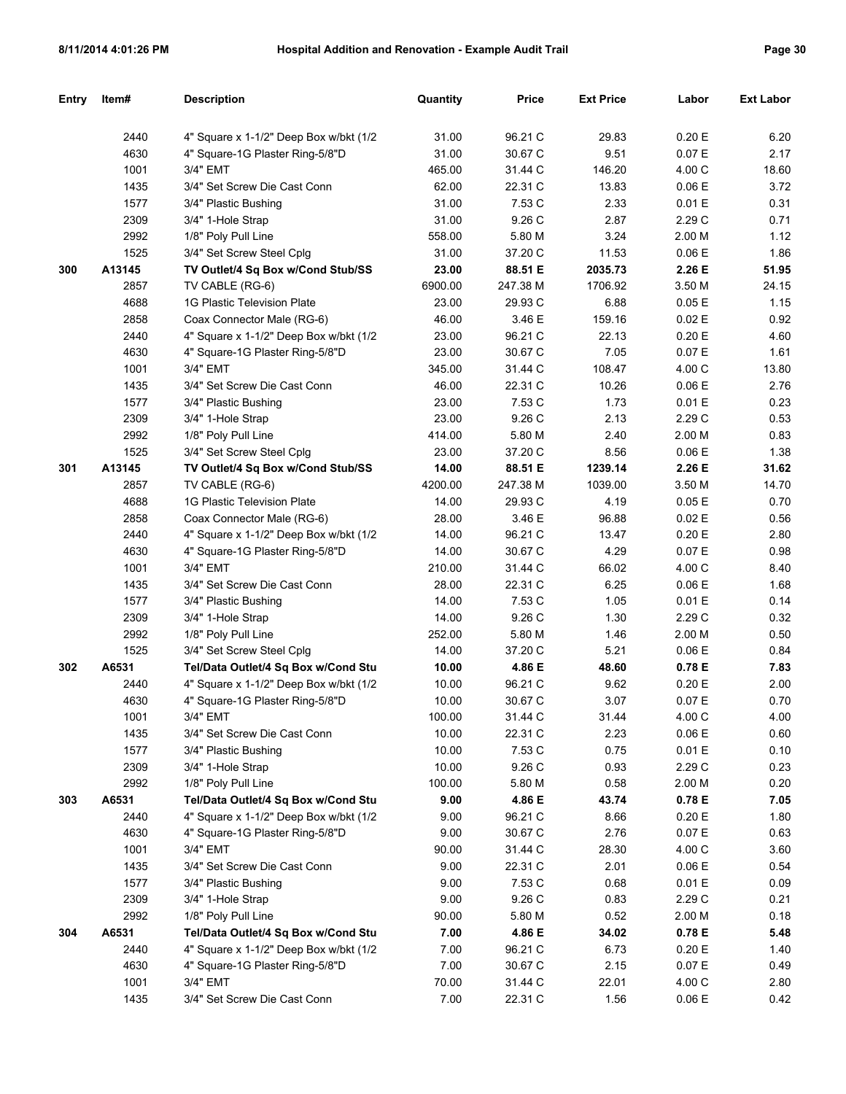| Entry | Item#  | <b>Description</b>                      | Quantity | <b>Price</b> | <b>Ext Price</b> | Labor  | <b>Ext Labor</b> |
|-------|--------|-----------------------------------------|----------|--------------|------------------|--------|------------------|
|       |        |                                         |          |              |                  |        |                  |
|       | 2440   | 4" Square x 1-1/2" Deep Box w/bkt (1/2  | 31.00    | 96.21 C      | 29.83            | 0.20 E | 6.20             |
|       | 4630   | 4" Square-1G Plaster Ring-5/8"D         | 31.00    | 30.67 C      | 9.51             | 0.07 E | 2.17             |
|       | 1001   | 3/4" EMT                                | 465.00   | 31.44 C      | 146.20           | 4.00 C | 18.60            |
|       | 1435   | 3/4" Set Screw Die Cast Conn            | 62.00    | 22.31 C      | 13.83            | 0.06 E | 3.72             |
|       | 1577   | 3/4" Plastic Bushing                    | 31.00    | 7.53 C       | 2.33             | 0.01 E | 0.31             |
|       | 2309   | 3/4" 1-Hole Strap                       | 31.00    | 9.26 C       | 2.87             | 2.29 C | 0.71             |
|       | 2992   | 1/8" Poly Pull Line                     | 558.00   | 5.80 M       | 3.24             | 2.00 M | 1.12             |
|       | 1525   | 3/4" Set Screw Steel Cplg               | 31.00    | 37.20 C      | 11.53            | 0.06 E | 1.86             |
| 300   | A13145 | TV Outlet/4 Sq Box w/Cond Stub/SS       | 23.00    | 88.51 E      | 2035.73          | 2.26 E | 51.95            |
|       | 2857   | TV CABLE (RG-6)                         | 6900.00  | 247.38 M     | 1706.92          | 3.50 M | 24.15            |
|       | 4688   | 1G Plastic Television Plate             | 23.00    | 29.93 C      | 6.88             | 0.05E  | 1.15             |
|       | 2858   | Coax Connector Male (RG-6)              | 46.00    | 3.46 E       | 159.16           | 0.02 E | 0.92             |
|       | 2440   | 4" Square x 1-1/2" Deep Box w/bkt (1/2  | 23.00    | 96.21 C      | 22.13            | 0.20 E | 4.60             |
|       | 4630   | 4" Square-1G Plaster Ring-5/8"D         | 23.00    | 30.67 C      | 7.05             | 0.07 E | 1.61             |
|       | 1001   | 3/4" EMT                                | 345.00   | 31.44 C      | 108.47           | 4.00 C | 13.80            |
|       | 1435   | 3/4" Set Screw Die Cast Conn            | 46.00    | 22.31 C      | 10.26            | 0.06 E | 2.76             |
|       | 1577   | 3/4" Plastic Bushing                    | 23.00    | 7.53 C       | 1.73             | 0.01 E | 0.23             |
|       | 2309   | 3/4" 1-Hole Strap                       | 23.00    | 9.26 C       | 2.13             | 2.29 C | 0.53             |
|       | 2992   | 1/8" Poly Pull Line                     | 414.00   | 5.80 M       | 2.40             | 2.00 M | 0.83             |
|       | 1525   | 3/4" Set Screw Steel Cplg               | 23.00    | 37.20 C      | 8.56             | 0.06 E | 1.38             |
| 301   | A13145 | TV Outlet/4 Sq Box w/Cond Stub/SS       | 14.00    | 88.51 E      | 1239.14          | 2.26 E | 31.62            |
|       | 2857   | TV CABLE (RG-6)                         | 4200.00  | 247.38 M     | 1039.00          | 3.50 M | 14.70            |
|       | 4688   | 1G Plastic Television Plate             | 14.00    | 29.93 C      | 4.19             | 0.05E  | 0.70             |
|       | 2858   | Coax Connector Male (RG-6)              | 28.00    | 3.46 E       | 96.88            | 0.02 E | 0.56             |
|       | 2440   | 4" Square x 1-1/2" Deep Box w/bkt (1/2  | 14.00    | 96.21 C      | 13.47            | 0.20 E | 2.80             |
|       | 4630   | 4" Square-1G Plaster Ring-5/8"D         | 14.00    | 30.67 C      | 4.29             | 0.07 E | 0.98             |
|       | 1001   | 3/4" EMT                                | 210.00   | 31.44 C      | 66.02            | 4.00 C | 8.40             |
|       | 1435   | 3/4" Set Screw Die Cast Conn            | 28.00    | 22.31 C      | 6.25             | 0.06 E | 1.68             |
|       | 1577   | 3/4" Plastic Bushing                    | 14.00    | 7.53 C       | 1.05             | 0.01 E | 0.14             |
|       | 2309   | 3/4" 1-Hole Strap                       | 14.00    | 9.26 C       | 1.30             | 2.29 C | 0.32             |
|       | 2992   | 1/8" Poly Pull Line                     | 252.00   | 5.80 M       | 1.46             | 2.00 M | 0.50             |
|       | 1525   | 3/4" Set Screw Steel Cplg               | 14.00    | 37.20 C      | 5.21             | 0.06 E | 0.84             |
| 302   | A6531  | Tel/Data Outlet/4 Sq Box w/Cond Stu     | 10.00    | 4.86 E       | 48.60            | 0.78 E | 7.83             |
|       | 2440   | 4" Square x 1-1/2" Deep Box w/bkt (1/2) | 10.00    | 96.21 C      | 9.62             | 0.20 E | 2.00             |
|       | 4630   | 4" Square-1G Plaster Ring-5/8"D         | 10.00    | 30.67 C      | 3.07             | 0.07 E | 0.70             |
|       | 1001   | 3/4" EMT                                | 100.00   | 31.44 C      | 31.44            | 4.00 C | 4.00             |
|       | 1435   | 3/4" Set Screw Die Cast Conn            | 10.00    | 22.31 C      | 2.23             | 0.06E  | 0.60             |
|       | 1577   | 3/4" Plastic Bushing                    | 10.00    | 7.53 C       | 0.75             | 0.01 E | 0.10             |
|       | 2309   | 3/4" 1-Hole Strap                       | 10.00    | 9.26 C       | 0.93             | 2.29 C | 0.23             |
|       | 2992   | 1/8" Poly Pull Line                     | 100.00   | 5.80 M       | 0.58             | 2.00 M | 0.20             |
| 303   | A6531  | Tel/Data Outlet/4 Sq Box w/Cond Stu     | 9.00     | 4.86 E       | 43.74            | 0.78 E | 7.05             |
|       | 2440   | 4" Square x 1-1/2" Deep Box w/bkt (1/2  | 9.00     | 96.21 C      | 8.66             | 0.20 E | 1.80             |
|       | 4630   | 4" Square-1G Plaster Ring-5/8"D         | 9.00     | 30.67 C      | 2.76             | 0.07 E | 0.63             |
|       | 1001   | 3/4" EMT                                | 90.00    | 31.44 C      | 28.30            | 4.00 C | 3.60             |
|       | 1435   | 3/4" Set Screw Die Cast Conn            | 9.00     | 22.31 C      | 2.01             | 0.06 E | 0.54             |
|       | 1577   | 3/4" Plastic Bushing                    | 9.00     | 7.53 C       | 0.68             | 0.01 E | 0.09             |
|       | 2309   | 3/4" 1-Hole Strap                       | 9.00     | 9.26 C       | 0.83             | 2.29 C | 0.21             |
|       | 2992   | 1/8" Poly Pull Line                     | 90.00    | 5.80 M       | 0.52             | 2.00 M | 0.18             |
| 304   | A6531  | Tel/Data Outlet/4 Sq Box w/Cond Stu     | 7.00     | 4.86 E       | 34.02            | 0.78 E | 5.48             |
|       | 2440   | 4" Square x 1-1/2" Deep Box w/bkt (1/2  | 7.00     | 96.21 C      | 6.73             | 0.20 E | 1.40             |
|       | 4630   | 4" Square-1G Plaster Ring-5/8"D         | 7.00     | 30.67 C      | 2.15             | 0.07 E | 0.49             |
|       | 1001   | 3/4" EMT                                | 70.00    | 31.44 C      | 22.01            | 4.00 C | 2.80             |
|       | 1435   | 3/4" Set Screw Die Cast Conn            | 7.00     | 22.31 C      | 1.56             | 0.06E  | 0.42             |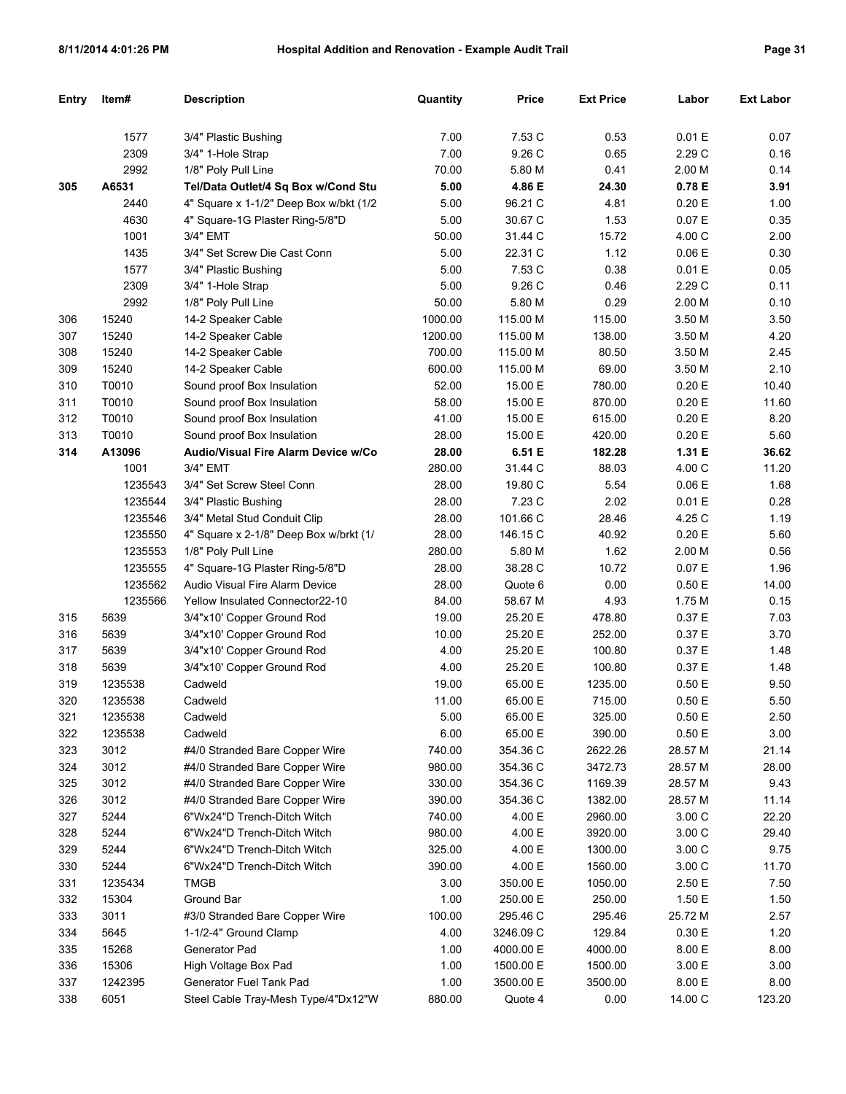| Entry | Item#   | <b>Description</b>                     | Quantity | <b>Price</b> | <b>Ext Price</b> | Labor     | <b>Ext Labor</b> |
|-------|---------|----------------------------------------|----------|--------------|------------------|-----------|------------------|
|       | 1577    | 3/4" Plastic Bushing                   | 7.00     | 7.53 C       | 0.53             | 0.01 E    | 0.07             |
|       | 2309    | 3/4" 1-Hole Strap                      | 7.00     | 9.26 C       | 0.65             | 2.29 C    | 0.16             |
|       | 2992    | 1/8" Poly Pull Line                    | 70.00    | 5.80 M       | 0.41             | 2.00 M    | 0.14             |
| 305   | A6531   | Tel/Data Outlet/4 Sq Box w/Cond Stu    | 5.00     | 4.86 E       | 24.30            | 0.78 E    | 3.91             |
|       | 2440    | 4" Square x 1-1/2" Deep Box w/bkt (1/2 | 5.00     | 96.21 C      | 4.81             | 0.20 E    | 1.00             |
|       | 4630    | 4" Square-1G Plaster Ring-5/8"D        | 5.00     | 30.67 C      | 1.53             | 0.07 E    | 0.35             |
|       | 1001    | 3/4" EMT                               | 50.00    | 31.44 C      | 15.72            | 4.00 C    | 2.00             |
|       | 1435    | 3/4" Set Screw Die Cast Conn           | 5.00     | 22.31 C      | 1.12             | 0.06 E    | 0.30             |
|       | 1577    | 3/4" Plastic Bushing                   | 5.00     | 7.53 C       | 0.38             | 0.01 E    | 0.05             |
|       | 2309    | 3/4" 1-Hole Strap                      | 5.00     | 9.26 C       | 0.46             | 2.29 C    | 0.11             |
|       | 2992    | 1/8" Poly Pull Line                    | 50.00    | 5.80 M       | 0.29             | 2.00 M    | 0.10             |
| 306   | 15240   | 14-2 Speaker Cable                     | 1000.00  | 115.00 M     | 115.00           | 3.50 M    | 3.50             |
| 307   | 15240   | 14-2 Speaker Cable                     | 1200.00  | 115.00 M     | 138.00           | 3.50 M    | 4.20             |
| 308   | 15240   | 14-2 Speaker Cable                     | 700.00   | 115.00 M     | 80.50            | 3.50 M    | 2.45             |
| 309   | 15240   | 14-2 Speaker Cable                     | 600.00   | 115.00 M     | 69.00            | 3.50 M    | 2.10             |
| 310   | T0010   | Sound proof Box Insulation             | 52.00    | 15.00 E      | 780.00           | 0.20 E    | 10.40            |
| 311   | T0010   | Sound proof Box Insulation             | 58.00    | 15.00 E      | 870.00           | 0.20 E    | 11.60            |
| 312   | T0010   | Sound proof Box Insulation             | 41.00    | 15.00 E      | 615.00           | 0.20 E    | 8.20             |
| 313   | T0010   | Sound proof Box Insulation             | 28.00    | 15.00 E      | 420.00           | 0.20 E    | 5.60             |
| 314   | A13096  | Audio/Visual Fire Alarm Device w/Co    | 28.00    | 6.51 E       | 182.28           | 1.31 E    | 36.62            |
|       | 1001    | 3/4" EMT                               | 280.00   | 31.44 C      | 88.03            | 4.00 C    | 11.20            |
|       | 1235543 | 3/4" Set Screw Steel Conn              | 28.00    | 19.80 C      | 5.54             | 0.06 E    | 1.68             |
|       | 1235544 | 3/4" Plastic Bushing                   | 28.00    | 7.23 C       | 2.02             | 0.01 E    | 0.28             |
|       | 1235546 | 3/4" Metal Stud Conduit Clip           | 28.00    | 101.66 C     | 28.46            | 4.25 C    | 1.19             |
|       | 1235550 | 4" Square x 2-1/8" Deep Box w/brkt (1/ | 28.00    | 146.15 C     | 40.92            | 0.20 E    | 5.60             |
|       | 1235553 | 1/8" Poly Pull Line                    | 280.00   | 5.80 M       | 1.62             | 2.00 M    | 0.56             |
|       | 1235555 | 4" Square-1G Plaster Ring-5/8"D        | 28.00    | 38.28 C      | 10.72            | 0.07 E    | 1.96             |
|       | 1235562 | Audio Visual Fire Alarm Device         | 28.00    | Quote 6      | 0.00             | 0.50 E    | 14.00            |
|       | 1235566 | Yellow Insulated Connector22-10        | 84.00    | 58.67 M      | 4.93             | 1.75 M    | 0.15             |
| 315   | 5639    | 3/4"x10' Copper Ground Rod             | 19.00    | 25.20 E      | 478.80           | 0.37 E    | 7.03             |
| 316   | 5639    | 3/4"x10' Copper Ground Rod             | 10.00    | 25.20 E      | 252.00           | 0.37 E    | 3.70             |
| 317   | 5639    | 3/4"x10' Copper Ground Rod             | 4.00     | 25.20 E      | 100.80           | 0.37 E    | 1.48             |
| 318   | 5639    | 3/4"x10' Copper Ground Rod             | 4.00     | 25.20 E      | 100.80           | 0.37 E    | 1.48             |
| 319   | 1235538 | Cadweld                                | 19.00    | 65.00 E      | 1235.00          | 0.50 E    | 9.50             |
| 320   | 1235538 | Cadweld                                | 11.00    | 65.00 E      | 715.00           | 0.50 E    | 5.50             |
| 321   | 1235538 | Cadweld                                | 5.00     | 65.00 E      | 325.00           | $0.50\to$ | 2.50             |
| 322   | 1235538 | Cadweld                                | 6.00     | 65.00 E      | 390.00           | 0.50 E    | 3.00             |
| 323   | 3012    | #4/0 Stranded Bare Copper Wire         | 740.00   | 354.36 C     | 2622.26          | 28.57 M   | 21.14            |
| 324   | 3012    | #4/0 Stranded Bare Copper Wire         | 980.00   | 354.36 C     | 3472.73          | 28.57 M   | 28.00            |
| 325   | 3012    | #4/0 Stranded Bare Copper Wire         | 330.00   | 354.36 C     | 1169.39          | 28.57 M   | 9.43             |
| 326   | 3012    | #4/0 Stranded Bare Copper Wire         | 390.00   | 354.36 C     | 1382.00          | 28.57 M   | 11.14            |
| 327   | 5244    | 6"Wx24"D Trench-Ditch Witch            | 740.00   | 4.00 E       | 2960.00          | 3.00 C    | 22.20            |
| 328   | 5244    | 6"Wx24"D Trench-Ditch Witch            | 980.00   | 4.00 E       | 3920.00          | 3.00 C    | 29.40            |
| 329   | 5244    | 6"Wx24"D Trench-Ditch Witch            | 325.00   | 4.00 E       | 1300.00          | 3.00 C    | 9.75             |
| 330   | 5244    | 6"Wx24"D Trench-Ditch Witch            | 390.00   | 4.00 E       | 1560.00          | 3.00 C    | 11.70            |
| 331   | 1235434 | <b>TMGB</b>                            | 3.00     | 350.00 E     | 1050.00          | 2.50 E    | 7.50             |
| 332   | 15304   | Ground Bar                             | 1.00     | 250.00 E     | 250.00           | 1.50 E    | 1.50             |
| 333   | 3011    | #3/0 Stranded Bare Copper Wire         | 100.00   | 295.46 C     | 295.46           | 25.72 M   | 2.57             |
| 334   | 5645    | 1-1/2-4" Ground Clamp                  | 4.00     | 3246.09 C    | 129.84           | 0.30 E    | 1.20             |
| 335   | 15268   | Generator Pad                          | 1.00     | 4000.00 E    | 4000.00          | 8.00 E    | 8.00             |
| 336   | 15306   | High Voltage Box Pad                   | 1.00     | 1500.00 E    | 1500.00          | 3.00 E    | 3.00             |
| 337   | 1242395 | Generator Fuel Tank Pad                | 1.00     | 3500.00 E    | 3500.00          | 8.00 E    | 8.00             |
| 338   | 6051    | Steel Cable Tray-Mesh Type/4"Dx12"W    | 880.00   | Quote 4      | 0.00             | 14.00 C   | 123.20           |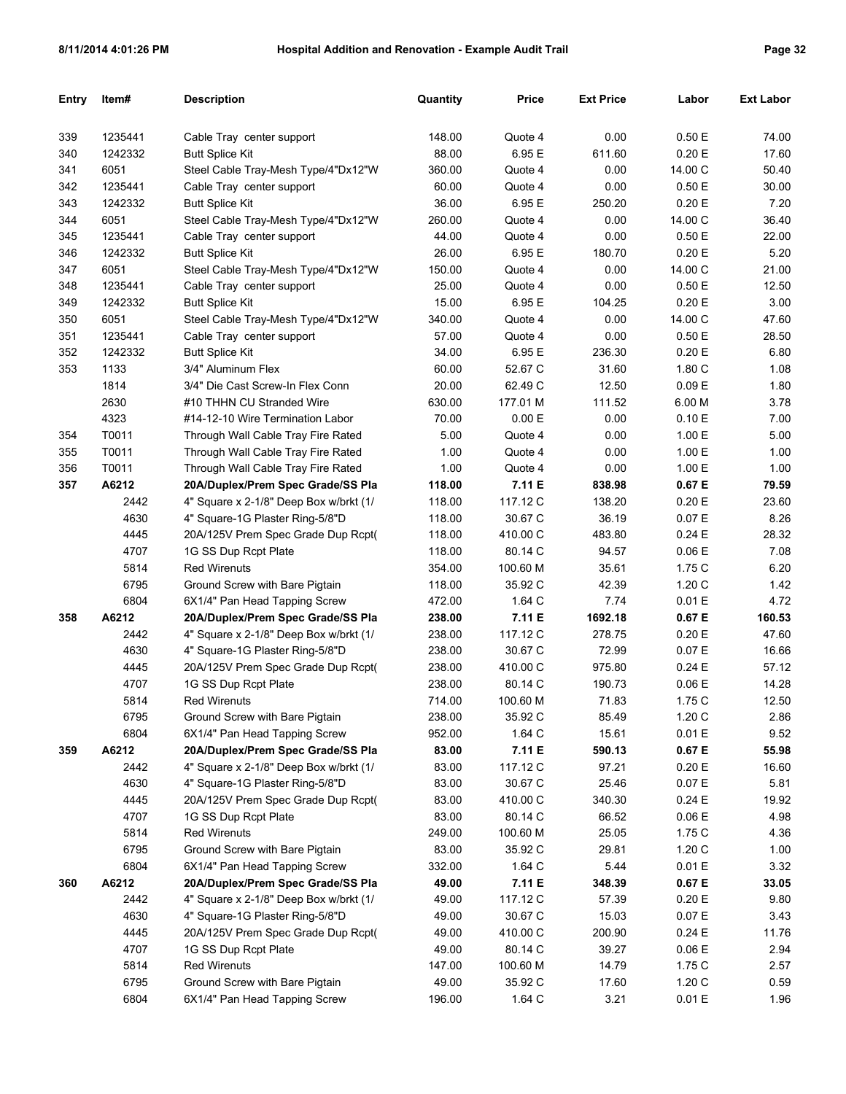| <b>Entry</b> | Item#   | <b>Description</b>                     | Quantity | Price    | <b>Ext Price</b> | Labor   | <b>Ext Labor</b> |
|--------------|---------|----------------------------------------|----------|----------|------------------|---------|------------------|
|              |         |                                        |          |          |                  |         |                  |
| 339          | 1235441 | Cable Tray center support              | 148.00   | Quote 4  | 0.00             | 0.50 E  | 74.00            |
| 340          | 1242332 | <b>Butt Splice Kit</b>                 | 88.00    | 6.95 E   | 611.60           | 0.20 E  | 17.60            |
| 341          | 6051    | Steel Cable Tray-Mesh Type/4"Dx12"W    | 360.00   | Quote 4  | 0.00             | 14.00 C | 50.40            |
| 342          | 1235441 | Cable Tray center support              | 60.00    | Quote 4  | 0.00             | 0.50 E  | 30.00            |
| 343          | 1242332 | <b>Butt Splice Kit</b>                 | 36.00    | 6.95 E   | 250.20           | 0.20 E  | 7.20             |
| 344          | 6051    | Steel Cable Tray-Mesh Type/4"Dx12"W    | 260.00   | Quote 4  | 0.00             | 14.00 C | 36.40            |
| 345          | 1235441 | Cable Tray center support              | 44.00    | Quote 4  | 0.00             | 0.50E   | 22.00            |
| 346          | 1242332 | <b>Butt Splice Kit</b>                 | 26.00    | 6.95 E   | 180.70           | 0.20 E  | 5.20             |
| 347          | 6051    | Steel Cable Tray-Mesh Type/4"Dx12"W    | 150.00   | Quote 4  | 0.00             | 14.00 C | 21.00            |
| 348          | 1235441 | Cable Tray center support              | 25.00    | Quote 4  | 0.00             | 0.50 E  | 12.50            |
| 349          | 1242332 | <b>Butt Splice Kit</b>                 | 15.00    | 6.95 E   | 104.25           | 0.20 E  | 3.00             |
| 350          | 6051    | Steel Cable Tray-Mesh Type/4"Dx12"W    | 340.00   | Quote 4  | 0.00             | 14.00 C | 47.60            |
| 351          | 1235441 | Cable Tray center support              | 57.00    | Quote 4  | 0.00             | 0.50 E  | 28.50            |
| 352          | 1242332 | <b>Butt Splice Kit</b>                 | 34.00    | 6.95 E   | 236.30           | 0.20 E  | 6.80             |
| 353          | 1133    | 3/4" Aluminum Flex                     | 60.00    | 52.67 C  | 31.60            | 1.80C   | 1.08             |
|              | 1814    | 3/4" Die Cast Screw-In Flex Conn       | 20.00    | 62.49 C  | 12.50            | 0.09 E  | 1.80             |
|              | 2630    | #10 THHN CU Stranded Wire              | 630.00   | 177.01 M | 111.52           | 6.00 M  | 3.78             |
|              | 4323    | #14-12-10 Wire Termination Labor       | 70.00    | 0.00 E   | 0.00             | 0.10 E  | 7.00             |
| 354          | T0011   | Through Wall Cable Tray Fire Rated     | 5.00     | Quote 4  | 0.00             | 1.00 E  | 5.00             |
| 355          | T0011   | Through Wall Cable Tray Fire Rated     | 1.00     | Quote 4  | 0.00             | 1.00 E  | 1.00             |
| 356          | T0011   | Through Wall Cable Tray Fire Rated     | 1.00     | Quote 4  | 0.00             | 1.00 E  | 1.00             |
| 357          | A6212   | 20A/Duplex/Prem Spec Grade/SS Pla      | 118.00   | 7.11 E   | 838.98           | 0.67 E  | 79.59            |
|              | 2442    | 4" Square x 2-1/8" Deep Box w/brkt (1/ | 118.00   | 117.12 C | 138.20           | 0.20 E  | 23.60            |
|              | 4630    | 4" Square-1G Plaster Ring-5/8"D        | 118.00   | 30.67 C  | 36.19            | 0.07 E  | 8.26             |
|              | 4445    | 20A/125V Prem Spec Grade Dup Rcpt(     | 118.00   | 410.00 C | 483.80           | 0.24 E  | 28.32            |
|              | 4707    | 1G SS Dup Rcpt Plate                   | 118.00   | 80.14 C  | 94.57            | 0.06 E  | 7.08             |
|              | 5814    | <b>Red Wirenuts</b>                    | 354.00   | 100.60 M | 35.61            | 1.75C   | 6.20             |
|              | 6795    | Ground Screw with Bare Pigtain         | 118.00   | 35.92 C  | 42.39            | 1.20C   | 1.42             |
|              | 6804    | 6X1/4" Pan Head Tapping Screw          | 472.00   | 1.64 C   | 7.74             | 0.01 E  | 4.72             |
| 358          | A6212   | 20A/Duplex/Prem Spec Grade/SS Pla      | 238.00   | 7.11 E   | 1692.18          | 0.67 E  | 160.53           |
|              | 2442    | 4" Square x 2-1/8" Deep Box w/brkt (1/ | 238.00   | 117.12 C | 278.75           | 0.20 E  | 47.60            |
|              | 4630    | 4" Square-1G Plaster Ring-5/8"D        | 238.00   | 30.67 C  | 72.99            | 0.07 E  | 16.66            |
|              | 4445    | 20A/125V Prem Spec Grade Dup Rcpt(     | 238.00   | 410.00 C | 975.80           | 0.24 E  | 57.12            |
|              | 4707    | 1G SS Dup Rcpt Plate                   | 238.00   | 80.14 C  | 190.73           | 0.06 E  | 14.28            |
|              | 5814    | <b>Red Wirenuts</b>                    | 714.00   | 100.60 M | 71.83            | 1.75 C  | 12.50            |
|              | 6795    | Ground Screw with Bare Pigtain         | 238.00   | 35.92 C  | 85.49            | 1.20C   | 2.86             |
|              | 6804    | 6X1/4" Pan Head Tapping Screw          | 952.00   | 1.64 C   | 15.61            | 0.01 E  | 9.52             |
| 359          | A6212   | 20A/Duplex/Prem Spec Grade/SS Pla      | 83.00    | 7.11 E   | 590.13           | 0.67 E  | 55.98            |
|              | 2442    | 4" Square x 2-1/8" Deep Box w/brkt (1/ | 83.00    | 117.12 C | 97.21            | 0.20 E  | 16.60            |
|              | 4630    | 4" Square-1G Plaster Ring-5/8"D        | 83.00    | 30.67 C  | 25.46            | 0.07 E  | 5.81             |
|              | 4445    | 20A/125V Prem Spec Grade Dup Rcpt(     | 83.00    | 410.00 C | 340.30           | 0.24 E  | 19.92            |
|              | 4707    | 1G SS Dup Rcpt Plate                   | 83.00    | 80.14 C  | 66.52            | 0.06 E  | 4.98             |
|              | 5814    | <b>Red Wirenuts</b>                    | 249.00   | 100.60 M | 25.05            | 1.75C   | 4.36             |
|              | 6795    | Ground Screw with Bare Pigtain         | 83.00    | 35.92 C  | 29.81            | 1.20C   | 1.00             |
|              | 6804    | 6X1/4" Pan Head Tapping Screw          | 332.00   | 1.64 C   | 5.44             | 0.01 E  | 3.32             |
| 360          | A6212   | 20A/Duplex/Prem Spec Grade/SS Pla      | 49.00    | 7.11 E   | 348.39           | 0.67 E  | 33.05            |
|              | 2442    | 4" Square x 2-1/8" Deep Box w/brkt (1/ | 49.00    | 117.12 C | 57.39            | 0.20 E  | 9.80             |
|              | 4630    | 4" Square-1G Plaster Ring-5/8"D        | 49.00    | 30.67 C  | 15.03            | 0.07 E  | 3.43             |
|              | 4445    | 20A/125V Prem Spec Grade Dup Rcpt(     | 49.00    | 410.00 C | 200.90           | 0.24 E  | 11.76            |
|              | 4707    | 1G SS Dup Rcpt Plate                   | 49.00    | 80.14 C  | 39.27            | 0.06 E  | 2.94             |
|              | 5814    | <b>Red Wirenuts</b>                    | 147.00   | 100.60 M | 14.79            | 1.75C   | 2.57             |
|              | 6795    | Ground Screw with Bare Pigtain         | 49.00    | 35.92 C  | 17.60            | 1.20C   | 0.59             |
|              | 6804    | 6X1/4" Pan Head Tapping Screw          | 196.00   | 1.64 C   | 3.21             | 0.01 E  | 1.96             |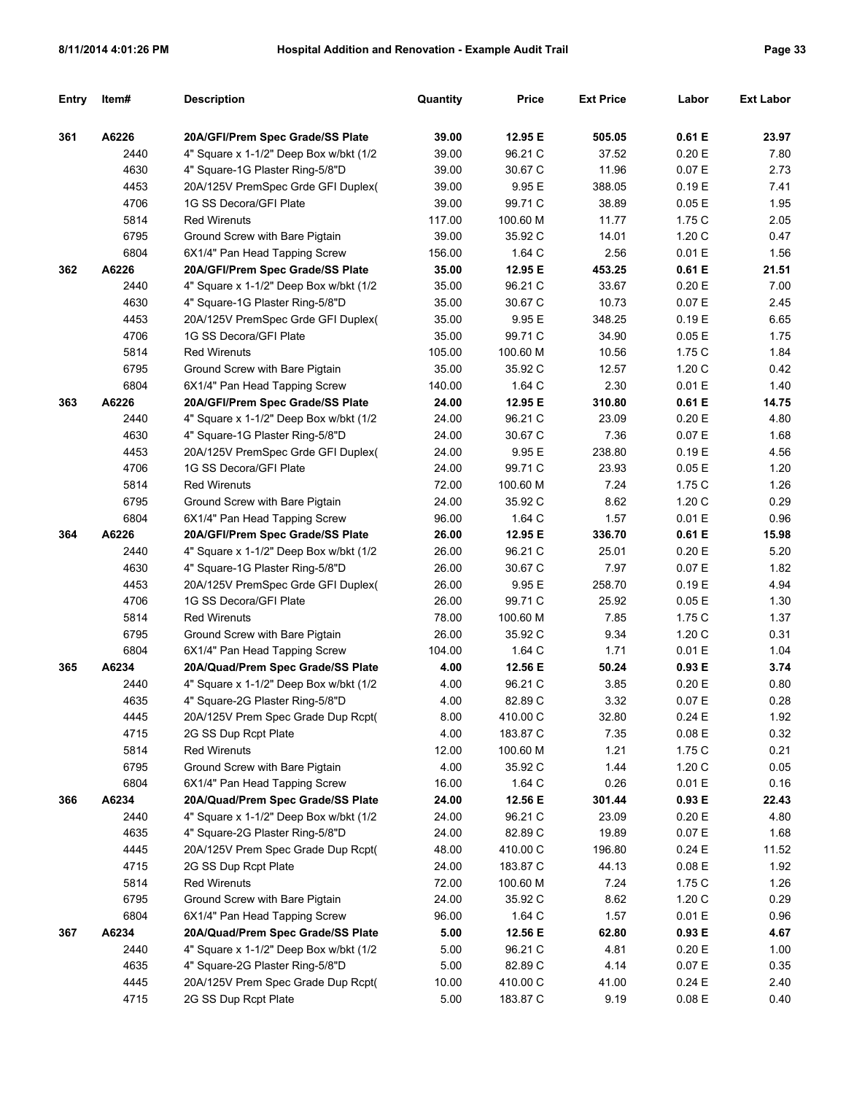| Entry | Item# | <b>Description</b>                      | Quantity | <b>Price</b> | <b>Ext Price</b> | Labor     | <b>Ext Labor</b> |
|-------|-------|-----------------------------------------|----------|--------------|------------------|-----------|------------------|
|       |       |                                         |          |              |                  |           |                  |
| 361   | A6226 | 20A/GFI/Prem Spec Grade/SS Plate        | 39.00    | 12.95 E      | 505.05           | 0.61 E    | 23.97            |
|       | 2440  | 4" Square x 1-1/2" Deep Box w/bkt (1/2  | 39.00    | 96.21 C      | 37.52            | 0.20 E    | 7.80             |
|       | 4630  | 4" Square-1G Plaster Ring-5/8"D         | 39.00    | 30.67 C      | 11.96            | 0.07 E    | 2.73             |
|       | 4453  | 20A/125V PremSpec Grde GFI Duplex(      | 39.00    | 9.95 E       | 388.05           | 0.19 E    | 7.41             |
|       | 4706  | 1G SS Decora/GFI Plate                  | 39.00    | 99.71 C      | 38.89            | 0.05E     | 1.95             |
|       | 5814  | <b>Red Wirenuts</b>                     | 117.00   | 100.60 M     | 11.77            | 1.75 C    | 2.05             |
|       | 6795  | Ground Screw with Bare Pigtain          | 39.00    | 35.92 C      | 14.01            | 1.20C     | 0.47             |
|       | 6804  | 6X1/4" Pan Head Tapping Screw           | 156.00   | 1.64 C       | 2.56             | 0.01 E    | 1.56             |
| 362   | A6226 | 20A/GFI/Prem Spec Grade/SS Plate        | 35.00    | 12.95 E      | 453.25           | 0.61 E    | 21.51            |
|       | 2440  | 4" Square x 1-1/2" Deep Box w/bkt (1/2  | 35.00    | 96.21 C      | 33.67            | 0.20 E    | 7.00             |
|       | 4630  | 4" Square-1G Plaster Ring-5/8"D         | 35.00    | 30.67 C      | 10.73            | 0.07 E    | 2.45             |
|       | 4453  | 20A/125V PremSpec Grde GFI Duplex(      | 35.00    | 9.95 E       | 348.25           | 0.19 E    | 6.65             |
|       | 4706  | 1G SS Decora/GFI Plate                  | 35.00    | 99.71 C      | 34.90            | 0.05E     | 1.75             |
|       | 5814  | <b>Red Wirenuts</b>                     | 105.00   | 100.60 M     | 10.56            | 1.75 C    | 1.84             |
|       | 6795  | Ground Screw with Bare Pigtain          | 35.00    | 35.92 C      | 12.57            | 1.20C     | 0.42             |
|       | 6804  | 6X1/4" Pan Head Tapping Screw           | 140.00   | 1.64 C       | 2.30             | 0.01 E    | 1.40             |
| 363   | A6226 | 20A/GFI/Prem Spec Grade/SS Plate        | 24.00    | 12.95 E      | 310.80           | 0.61 E    | 14.75            |
|       | 2440  | 4" Square x 1-1/2" Deep Box w/bkt (1/2  | 24.00    | 96.21 C      | 23.09            | 0.20 E    | 4.80             |
|       | 4630  | 4" Square-1G Plaster Ring-5/8"D         | 24.00    | 30.67 C      | 7.36             | 0.07 E    | 1.68             |
|       | 4453  | 20A/125V PremSpec Grde GFI Duplex(      | 24.00    | 9.95 E       | 238.80           | 0.19 E    | 4.56             |
|       | 4706  | 1G SS Decora/GFI Plate                  | 24.00    | 99.71 C      | 23.93            | 0.05E     | 1.20             |
|       | 5814  | <b>Red Wirenuts</b>                     | 72.00    | 100.60 M     | 7.24             | 1.75 C    | 1.26             |
|       | 6795  | Ground Screw with Bare Pigtain          | 24.00    | 35.92 C      | 8.62             | 1.20C     | 0.29             |
|       | 6804  | 6X1/4" Pan Head Tapping Screw           | 96.00    | 1.64 C       | 1.57             | 0.01 E    | 0.96             |
| 364   | A6226 | 20A/GFI/Prem Spec Grade/SS Plate        | 26.00    | 12.95 E      | 336.70           | 0.61 E    | 15.98            |
|       | 2440  | 4" Square x 1-1/2" Deep Box w/bkt (1/2  | 26.00    | 96.21 C      | 25.01            | 0.20 E    | 5.20             |
|       | 4630  | 4" Square-1G Plaster Ring-5/8"D         | 26.00    | 30.67 C      | 7.97             | 0.07 E    | 1.82             |
|       | 4453  | 20A/125V PremSpec Grde GFI Duplex(      | 26.00    | 9.95 E       | 258.70           | 0.19 E    | 4.94             |
|       | 4706  | 1G SS Decora/GFI Plate                  | 26.00    | 99.71 C      | 25.92            | 0.05E     | 1.30             |
|       | 5814  | <b>Red Wirenuts</b>                     | 78.00    | 100.60 M     | 7.85             | 1.75 C    | 1.37             |
|       | 6795  | Ground Screw with Bare Pigtain          | 26.00    | 35.92 C      | 9.34             | 1.20 C    | 0.31             |
|       | 6804  | 6X1/4" Pan Head Tapping Screw           | 104.00   | 1.64 C       | 1.71             | 0.01 E    | 1.04             |
| 365   | A6234 | 20A/Quad/Prem Spec Grade/SS Plate       | 4.00     | 12.56 E      | 50.24            | 0.93 E    | 3.74             |
|       | 2440  | 4" Square x 1-1/2" Deep Box w/bkt (1/2  | 4.00     | 96.21 C      | 3.85             | 0.20 E    | 0.80             |
|       | 4635  | 4" Square-2G Plaster Ring-5/8"D         | 4.00     | 82.89 C      | 3.32             | 0.07 E    | 0.28             |
|       | 4445  | 20A/125V Prem Spec Grade Dup Rcpt(      | 8.00     | 410.00 C     | 32.80            | 0.24E     | 1.92             |
|       | 4715  | 2G SS Dup Rcpt Plate                    | 4.00     | 183.87 C     | 7.35             | $0.08\to$ | 0.32             |
|       | 5814  | <b>Red Wirenuts</b>                     | 12.00    | 100.60 M     | 1.21             | 1.75 C    | 0.21             |
|       | 6795  | Ground Screw with Bare Pigtain          | 4.00     | 35.92 C      | 1.44             | 1.20C     | 0.05             |
|       | 6804  | 6X1/4" Pan Head Tapping Screw           | 16.00    | 1.64 C       | 0.26             | 0.01 E    | 0.16             |
| 366   | A6234 | 20A/Quad/Prem Spec Grade/SS Plate       | 24.00    | 12.56 E      | 301.44           | 0.93 E    | 22.43            |
|       | 2440  | 4" Square x 1-1/2" Deep Box w/bkt (1/2) | 24.00    | 96.21 C      | 23.09            | 0.20 E    | 4.80             |
|       | 4635  | 4" Square-2G Plaster Ring-5/8"D         | 24.00    | 82.89 C      | 19.89            | 0.07 E    | 1.68             |
|       | 4445  | 20A/125V Prem Spec Grade Dup Rcpt(      | 48.00    | 410.00 C     | 196.80           | 0.24E     | 11.52            |
|       | 4715  | 2G SS Dup Rcpt Plate                    | 24.00    | 183.87 C     | 44.13            | 0.08 E    | 1.92             |
|       | 5814  | <b>Red Wirenuts</b>                     | 72.00    | 100.60 M     | 7.24             | 1.75 C    | 1.26             |
|       | 6795  | Ground Screw with Bare Pigtain          | 24.00    | 35.92 C      | 8.62             | 1.20C     | 0.29             |
|       | 6804  | 6X1/4" Pan Head Tapping Screw           | 96.00    | 1.64 C       | 1.57             | 0.01 E    | 0.96             |
| 367   | A6234 | 20A/Quad/Prem Spec Grade/SS Plate       | 5.00     | 12.56 E      | 62.80            | 0.93 E    | 4.67             |
|       | 2440  | 4" Square x 1-1/2" Deep Box w/bkt (1/2) | 5.00     | 96.21 C      | 4.81             | 0.20 E    | 1.00             |
|       | 4635  | 4" Square-2G Plaster Ring-5/8"D         | 5.00     | 82.89 C      | 4.14             | 0.07 E    | 0.35             |
|       | 4445  | 20A/125V Prem Spec Grade Dup Rcpt(      | 10.00    | 410.00 C     | 41.00            | 0.24 E    | 2.40             |
|       | 4715  | 2G SS Dup Rcpt Plate                    | 5.00     | 183.87 C     | 9.19             | 0.08 E    | 0.40             |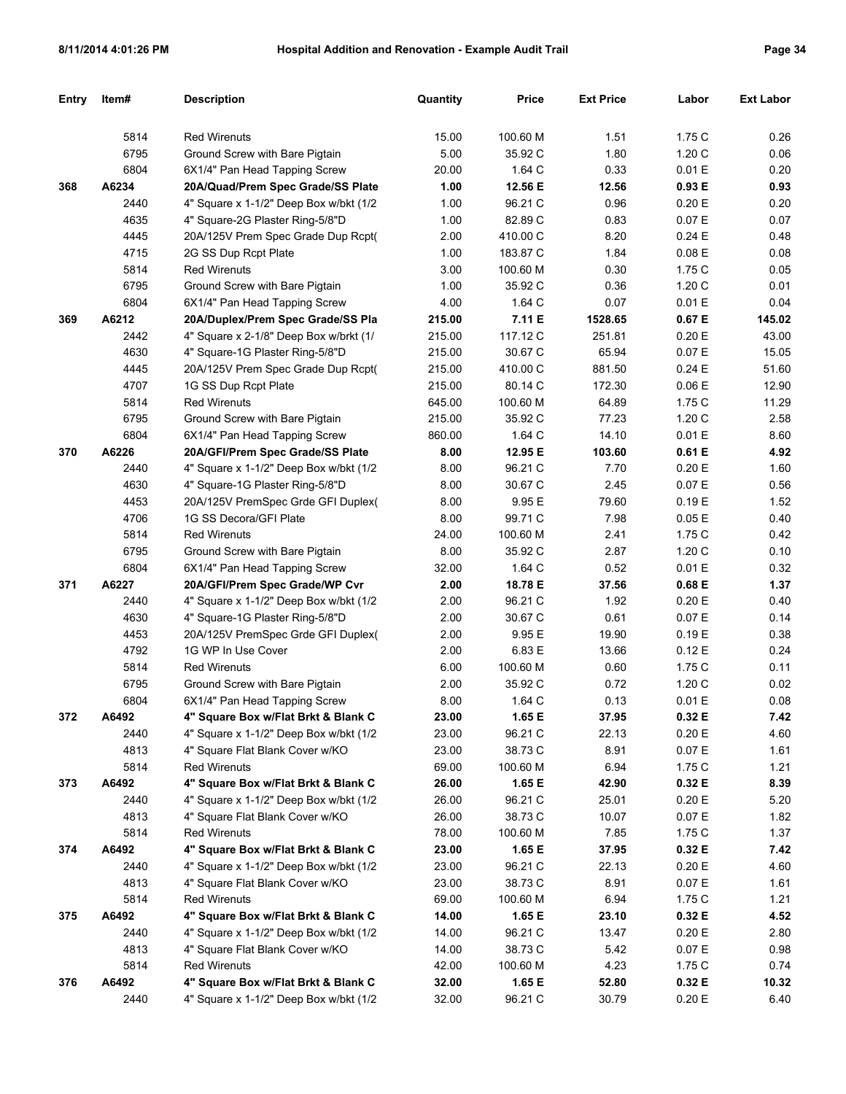| <b>Entry</b> | Item# | <b>Description</b>                      | Quantity | <b>Price</b> | <b>Ext Price</b> | Labor  | <b>Ext Labor</b> |
|--------------|-------|-----------------------------------------|----------|--------------|------------------|--------|------------------|
|              |       |                                         |          |              |                  |        |                  |
|              | 5814  | <b>Red Wirenuts</b>                     | 15.00    | 100.60 M     | 1.51             | 1.75C  | 0.26             |
|              | 6795  | Ground Screw with Bare Pigtain          | 5.00     | 35.92 C      | 1.80             | 1.20C  | 0.06             |
|              | 6804  | 6X1/4" Pan Head Tapping Screw           | 20.00    | 1.64 C       | 0.33             | 0.01 E | 0.20             |
| 368          | A6234 | 20A/Quad/Prem Spec Grade/SS Plate       | 1.00     | 12.56 E      | 12.56            | 0.93 E | 0.93             |
|              | 2440  | 4" Square x 1-1/2" Deep Box w/bkt (1/2) | 1.00     | 96.21 C      | 0.96             | 0.20 E | 0.20             |
|              | 4635  | 4" Square-2G Plaster Ring-5/8"D         | 1.00     | 82.89 C      | 0.83             | 0.07 E | 0.07             |
|              | 4445  | 20A/125V Prem Spec Grade Dup Rcpt(      | 2.00     | 410.00 C     | 8.20             | 0.24E  | 0.48             |
|              | 4715  | 2G SS Dup Rcpt Plate                    | 1.00     | 183.87 C     | 1.84             | 0.08 E | 0.08             |
|              | 5814  | <b>Red Wirenuts</b>                     | 3.00     | 100.60 M     | 0.30             | 1.75 C | 0.05             |
|              | 6795  | Ground Screw with Bare Pigtain          | 1.00     | 35.92 C      | 0.36             | 1.20C  | 0.01             |
|              | 6804  | 6X1/4" Pan Head Tapping Screw           | 4.00     | 1.64 C       | 0.07             | 0.01 E | 0.04             |
| 369          | A6212 | 20A/Duplex/Prem Spec Grade/SS Pla       | 215.00   | 7.11 E       | 1528.65          | 0.67 E | 145.02           |
|              | 2442  | 4" Square x 2-1/8" Deep Box w/brkt (1/  | 215.00   | 117.12 C     | 251.81           | 0.20 E | 43.00            |
|              | 4630  | 4" Square-1G Plaster Ring-5/8"D         | 215.00   | 30.67 C      | 65.94            | 0.07 E | 15.05            |
|              | 4445  | 20A/125V Prem Spec Grade Dup Rcpt(      | 215.00   | 410.00 C     | 881.50           | 0.24E  | 51.60            |
|              | 4707  | 1G SS Dup Rcpt Plate                    | 215.00   | 80.14 C      | 172.30           | 0.06 E | 12.90            |
|              | 5814  | <b>Red Wirenuts</b>                     | 645.00   | 100.60 M     | 64.89            | 1.75 C | 11.29            |
|              | 6795  | Ground Screw with Bare Pigtain          | 215.00   | 35.92 C      | 77.23            | 1.20C  | 2.58             |
|              | 6804  | 6X1/4" Pan Head Tapping Screw           | 860.00   | 1.64 C       | 14.10            | 0.01 E | 8.60             |
| 370          | A6226 | 20A/GFI/Prem Spec Grade/SS Plate        | 8.00     | 12.95 E      | 103.60           | 0.61 E | 4.92             |
|              | 2440  | 4" Square x 1-1/2" Deep Box w/bkt (1/2  | 8.00     | 96.21 C      | 7.70             | 0.20 E | 1.60             |
|              | 4630  | 4" Square-1G Plaster Ring-5/8"D         | 8.00     | 30.67 C      | 2.45             | 0.07 E | 0.56             |
|              | 4453  | 20A/125V PremSpec Grde GFI Duplex(      | 8.00     | 9.95 E       | 79.60            | 0.19E  | 1.52             |
|              | 4706  | 1G SS Decora/GFI Plate                  | 8.00     | 99.71 C      | 7.98             | 0.05E  | 0.40             |
|              | 5814  | <b>Red Wirenuts</b>                     | 24.00    | 100.60 M     | 2.41             | 1.75 C | 0.42             |
|              | 6795  | Ground Screw with Bare Pigtain          | 8.00     | 35.92 C      | 2.87             | 1.20C  | 0.10             |
|              | 6804  | 6X1/4" Pan Head Tapping Screw           | 32.00    | 1.64 C       | 0.52             | 0.01 E | 0.32             |
| 371          | A6227 | 20A/GFI/Prem Spec Grade/WP Cvr          | 2.00     | 18.78 E      | 37.56            | 0.68 E | 1.37             |
|              | 2440  | 4" Square x 1-1/2" Deep Box w/bkt (1/2  | 2.00     | 96.21 C      | 1.92             | 0.20 E | 0.40             |
|              | 4630  | 4" Square-1G Plaster Ring-5/8"D         | 2.00     | 30.67 C      | 0.61             | 0.07 E | 0.14             |
|              | 4453  | 20A/125V PremSpec Grde GFI Duplex(      | 2.00     | 9.95 E       | 19.90            | 0.19E  | 0.38             |
|              | 4792  | 1G WP In Use Cover                      | 2.00     | 6.83 E       | 13.66            | 0.12E  | 0.24             |
|              | 5814  | <b>Red Wirenuts</b>                     | 6.00     | 100.60 M     | 0.60             | 1.75 C | 0.11             |
|              | 6795  | Ground Screw with Bare Pigtain          | 2.00     | 35.92 C      | 0.72             | 1.20 C | 0.02             |
|              | 6804  | 6X1/4" Pan Head Tapping Screw           | 8.00     | 1.64 C       | 0.13             | 0.01 E | 0.08             |
| 372          | A6492 | 4" Square Box w/Flat Brkt & Blank C     | 23.00    | 1.65 E       | 37.95            | 0.32 E | 7.42             |
|              | 2440  | 4" Square x 1-1/2" Deep Box w/bkt (1/2) | 23.00    | 96.21 C      | 22.13            | 0.20 E | 4.60             |
|              | 4813  | 4" Square Flat Blank Cover w/KO         | 23.00    | 38.73 C      | 8.91             | 0.07 E | 1.61             |
|              | 5814  | Red Wirenuts                            | 69.00    | 100.60 M     | 6.94             | 1.75C  | 1.21             |
| 373          | A6492 | 4" Square Box w/Flat Brkt & Blank C     | 26.00    | 1.65 E       | 42.90            | 0.32 E | 8.39             |
|              | 2440  | 4" Square x 1-1/2" Deep Box w/bkt (1/2) | 26.00    | 96.21 C      | 25.01            | 0.20 E | 5.20             |
|              | 4813  | 4" Square Flat Blank Cover w/KO         | 26.00    | 38.73 C      | 10.07            | 0.07 E | 1.82             |
|              | 5814  | <b>Red Wirenuts</b>                     | 78.00    | 100.60 M     | 7.85             | 1.75C  | 1.37             |
| 374          | A6492 | 4" Square Box w/Flat Brkt & Blank C     | 23.00    | 1.65 E       | 37.95            | 0.32 E | 7.42             |
|              | 2440  | 4" Square x 1-1/2" Deep Box w/bkt (1/2) | 23.00    | 96.21 C      | 22.13            | 0.20 E | 4.60             |
|              | 4813  | 4" Square Flat Blank Cover w/KO         | 23.00    | 38.73 C      | 8.91             | 0.07 E | 1.61             |
|              | 5814  | <b>Red Wirenuts</b>                     | 69.00    | 100.60 M     | 6.94             | 1.75C  | 1.21             |
| 375          | A6492 | 4" Square Box w/Flat Brkt & Blank C     | 14.00    | 1.65 E       | 23.10            | 0.32 E | 4.52             |
|              | 2440  | 4" Square x 1-1/2" Deep Box w/bkt (1/2) | 14.00    | 96.21 C      | 13.47            | 0.20 E | 2.80             |
|              | 4813  | 4" Square Flat Blank Cover w/KO         | 14.00    | 38.73 C      | 5.42             | 0.07 E | 0.98             |
|              | 5814  | <b>Red Wirenuts</b>                     | 42.00    | 100.60 M     | 4.23             | 1.75C  | 0.74             |
| 376          | A6492 | 4" Square Box w/Flat Brkt & Blank C     | 32.00    | 1.65 E       | 52.80            | 0.32 E | 10.32            |
|              | 2440  | 4" Square x 1-1/2" Deep Box w/bkt (1/2) | 32.00    | 96.21 C      | 30.79            | 0.20 E | 6.40             |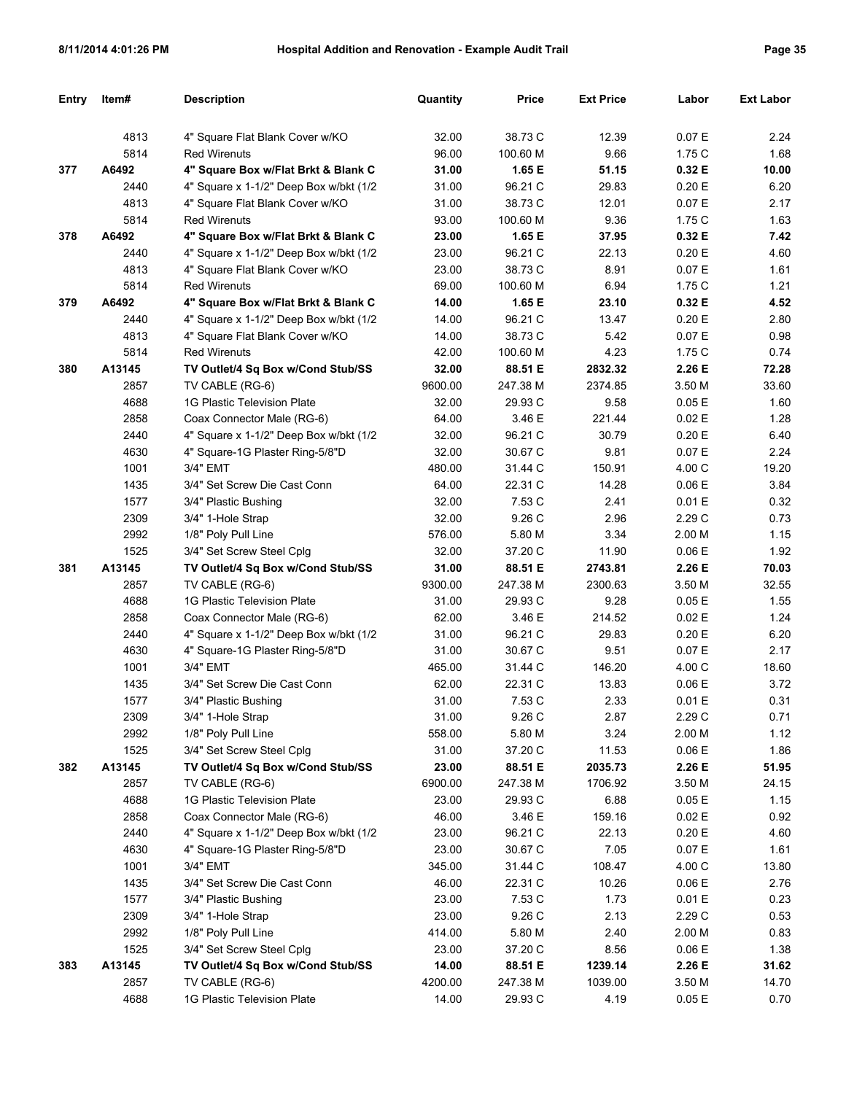| <b>Entry</b> | Item#  | <b>Description</b>                     | Quantity | <b>Price</b> | <b>Ext Price</b> | Labor  | <b>Ext Labor</b> |
|--------------|--------|----------------------------------------|----------|--------------|------------------|--------|------------------|
|              |        |                                        |          |              |                  |        |                  |
|              | 4813   | 4" Square Flat Blank Cover w/KO        | 32.00    | 38.73 C      | 12.39            | 0.07 E | 2.24             |
|              | 5814   | <b>Red Wirenuts</b>                    | 96.00    | 100.60 M     | 9.66             | 1.75 C | 1.68             |
| 377          | A6492  | 4" Square Box w/Flat Brkt & Blank C    | 31.00    | 1.65 E       | 51.15            | 0.32 E | 10.00            |
|              | 2440   | 4" Square x 1-1/2" Deep Box w/bkt (1/2 | 31.00    | 96.21 C      | 29.83            | 0.20 E | 6.20             |
|              | 4813   | 4" Square Flat Blank Cover w/KO        | 31.00    | 38.73 C      | 12.01            | 0.07 E | 2.17             |
|              | 5814   | <b>Red Wirenuts</b>                    | 93.00    | 100.60 M     | 9.36             | 1.75 C | 1.63             |
| 378          | A6492  | 4" Square Box w/Flat Brkt & Blank C    | 23.00    | 1.65 E       | 37.95            | 0.32 E | 7.42             |
|              | 2440   | 4" Square x 1-1/2" Deep Box w/bkt (1/2 | 23.00    | 96.21 C      | 22.13            | 0.20 E | 4.60             |
|              | 4813   | 4" Square Flat Blank Cover w/KO        | 23.00    | 38.73 C      | 8.91             | 0.07 E | 1.61             |
|              | 5814   | <b>Red Wirenuts</b>                    | 69.00    | 100.60 M     | 6.94             | 1.75 C | 1.21             |
| 379          | A6492  | 4" Square Box w/Flat Brkt & Blank C    | 14.00    | 1.65 E       | 23.10            | 0.32 E | 4.52             |
|              | 2440   | 4" Square x 1-1/2" Deep Box w/bkt (1/2 | 14.00    | 96.21 C      | 13.47            | 0.20 E | 2.80             |
|              | 4813   | 4" Square Flat Blank Cover w/KO        | 14.00    | 38.73 C      | 5.42             | 0.07 E | 0.98             |
|              | 5814   | <b>Red Wirenuts</b>                    | 42.00    | 100.60 M     | 4.23             | 1.75 C | 0.74             |
| 380          | A13145 | TV Outlet/4 Sq Box w/Cond Stub/SS      | 32.00    | 88.51 E      | 2832.32          | 2.26 E | 72.28            |
|              | 2857   | TV CABLE (RG-6)                        | 9600.00  | 247.38 M     | 2374.85          | 3.50 M | 33.60            |
|              | 4688   | 1G Plastic Television Plate            | 32.00    | 29.93 C      | 9.58             | 0.05 E | 1.60             |
|              | 2858   | Coax Connector Male (RG-6)             | 64.00    | 3.46 E       | 221.44           | 0.02 E | 1.28             |
|              | 2440   | 4" Square x 1-1/2" Deep Box w/bkt (1/2 | 32.00    | 96.21 C      | 30.79            | 0.20 E | 6.40             |
|              | 4630   | 4" Square-1G Plaster Ring-5/8"D        | 32.00    | 30.67 C      | 9.81             | 0.07 E | 2.24             |
|              | 1001   | 3/4" EMT                               | 480.00   | 31.44 C      | 150.91           | 4.00 C | 19.20            |
|              | 1435   | 3/4" Set Screw Die Cast Conn           | 64.00    | 22.31 C      | 14.28            | 0.06 E | 3.84             |
|              | 1577   | 3/4" Plastic Bushing                   | 32.00    | 7.53 C       | 2.41             | 0.01 E | 0.32             |
|              | 2309   | 3/4" 1-Hole Strap                      | 32.00    | 9.26 C       | 2.96             | 2.29 C | 0.73             |
|              | 2992   | 1/8" Poly Pull Line                    | 576.00   | 5.80 M       | 3.34             | 2.00 M | 1.15             |
|              | 1525   | 3/4" Set Screw Steel Cplg              | 32.00    | 37.20 C      | 11.90            | 0.06 E | 1.92             |
| 381          | A13145 | TV Outlet/4 Sq Box w/Cond Stub/SS      | 31.00    | 88.51 E      | 2743.81          | 2.26 E | 70.03            |
|              | 2857   | TV CABLE (RG-6)                        | 9300.00  | 247.38 M     | 2300.63          | 3.50 M | 32.55            |
|              | 4688   | 1G Plastic Television Plate            | 31.00    | 29.93 C      | 9.28             | 0.05 E | 1.55             |
|              | 2858   | Coax Connector Male (RG-6)             | 62.00    | 3.46 E       | 214.52           | 0.02 E | 1.24             |
|              | 2440   | 4" Square x 1-1/2" Deep Box w/bkt (1/2 | 31.00    | 96.21 C      | 29.83            | 0.20 E | 6.20             |
|              | 4630   | 4" Square-1G Plaster Ring-5/8"D        | 31.00    | 30.67 C      | 9.51             | 0.07 E | 2.17             |
|              | 1001   | 3/4" EMT                               | 465.00   | 31.44 C      | 146.20           | 4.00 C | 18.60            |
|              | 1435   | 3/4" Set Screw Die Cast Conn           | 62.00    | 22.31 C      | 13.83            | 0.06 E | 3.72             |
|              | 1577   | 3/4" Plastic Bushing                   | 31.00    | 7.53 C       | 2.33             | 0.01 E | 0.31             |
|              | 2309   | 3/4" 1-Hole Strap                      | 31.00    | 9.26 C       | 2.87             | 2.29 C | 0.71             |
|              | 2992   | 1/8" Poly Pull Line                    | 558.00   | 5.80 M       | 3.24             | 2.00 M | 1.12             |
|              | 1525   | 3/4" Set Screw Steel Cplg              | 31.00    | 37.20 C      | 11.53            | 0.06 E | 1.86             |
| 382          | A13145 | TV Outlet/4 Sq Box w/Cond Stub/SS      | 23.00    | 88.51 E      | 2035.73          | 2.26 E | 51.95            |
|              | 2857   | TV CABLE (RG-6)                        | 6900.00  | 247.38 M     | 1706.92          | 3.50 M | 24.15            |
|              | 4688   | 1G Plastic Television Plate            | 23.00    | 29.93 C      | 6.88             | 0.05E  | 1.15             |
|              | 2858   | Coax Connector Male (RG-6)             | 46.00    | 3.46 E       | 159.16           | 0.02 E | 0.92             |
|              | 2440   | 4" Square x 1-1/2" Deep Box w/bkt (1/2 | 23.00    | 96.21 C      | 22.13            | 0.20 E | 4.60             |
|              | 4630   | 4" Square-1G Plaster Ring-5/8"D        | 23.00    | 30.67 C      | 7.05             | 0.07 E | 1.61             |
|              | 1001   | 3/4" EMT                               | 345.00   | 31.44 C      | 108.47           | 4.00 C | 13.80            |
|              | 1435   | 3/4" Set Screw Die Cast Conn           | 46.00    | 22.31 C      | 10.26            | 0.06 E | 2.76             |
|              | 1577   | 3/4" Plastic Bushing                   | 23.00    | 7.53 C       | 1.73             | 0.01 E | 0.23             |
|              | 2309   | 3/4" 1-Hole Strap                      | 23.00    | 9.26 C       | 2.13             | 2.29 C | 0.53             |
|              | 2992   | 1/8" Poly Pull Line                    | 414.00   | 5.80 M       | 2.40             | 2.00 M | 0.83             |
|              | 1525   | 3/4" Set Screw Steel Cplg              | 23.00    | 37.20 C      | 8.56             | 0.06 E | 1.38             |
| 383          | A13145 | TV Outlet/4 Sq Box w/Cond Stub/SS      | 14.00    | 88.51 E      | 1239.14          | 2.26 E | 31.62            |
|              | 2857   | TV CABLE (RG-6)                        | 4200.00  | 247.38 M     | 1039.00          | 3.50 M | 14.70            |
|              | 4688   | 1G Plastic Television Plate            | 14.00    | 29.93 C      | 4.19             | 0.05 E | 0.70             |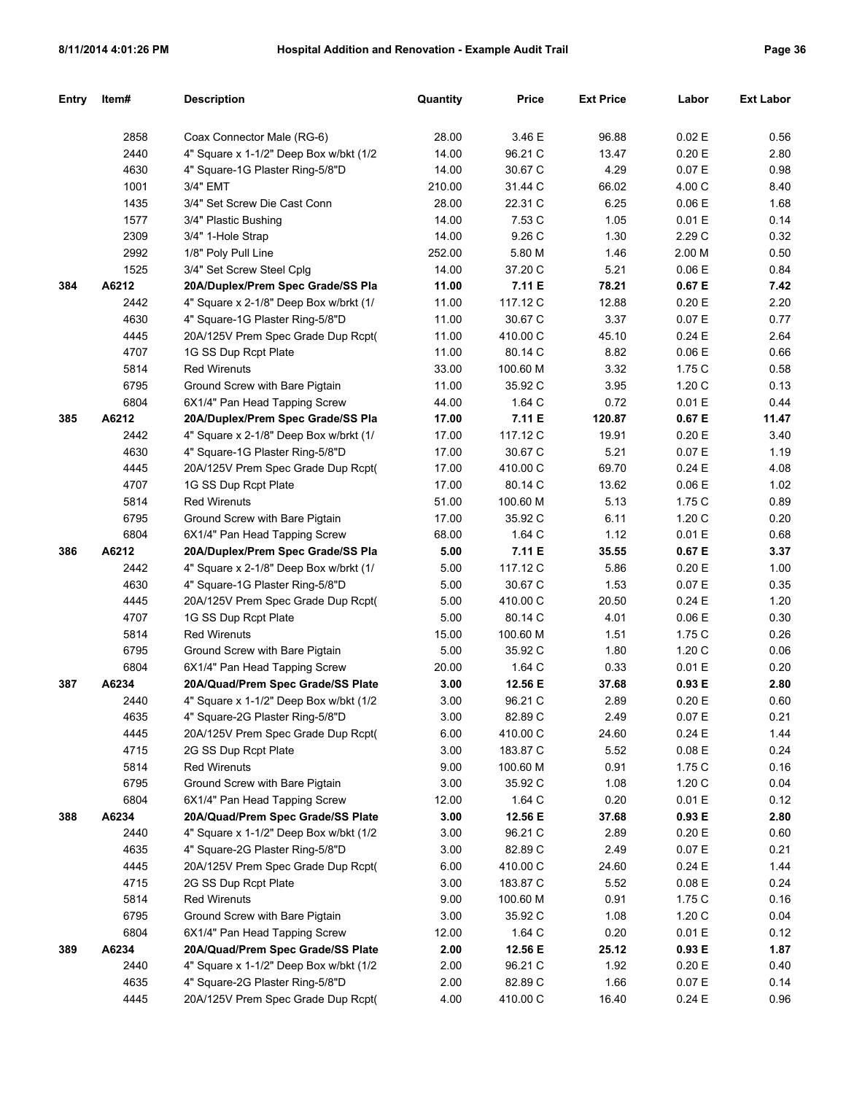| Entry | Item# | Description                            | Quantity | <b>Price</b> | <b>Ext Price</b> | Labor     | Ext Labor |
|-------|-------|----------------------------------------|----------|--------------|------------------|-----------|-----------|
|       |       |                                        |          |              |                  |           |           |
|       | 2858  | Coax Connector Male (RG-6)             | 28.00    | 3.46 E       | 96.88            | 0.02 E    | 0.56      |
|       | 2440  | 4" Square x 1-1/2" Deep Box w/bkt (1/2 | 14.00    | 96.21 C      | 13.47            | 0.20 E    | 2.80      |
|       | 4630  | 4" Square-1G Plaster Ring-5/8"D        | 14.00    | 30.67 C      | 4.29             | 0.07 E    | 0.98      |
|       | 1001  | 3/4" EMT                               | 210.00   | 31.44 C      | 66.02            | 4.00 C    | 8.40      |
|       | 1435  | 3/4" Set Screw Die Cast Conn           | 28.00    | 22.31 C      | 6.25             | 0.06 E    | 1.68      |
|       | 1577  | 3/4" Plastic Bushing                   | 14.00    | 7.53 C       | 1.05             | 0.01 E    | 0.14      |
|       | 2309  | 3/4" 1-Hole Strap                      | 14.00    | 9.26 C       | 1.30             | 2.29 C    | 0.32      |
|       | 2992  | 1/8" Poly Pull Line                    | 252.00   | 5.80 M       | 1.46             | 2.00 M    | 0.50      |
|       | 1525  | 3/4" Set Screw Steel Cplg              | 14.00    | 37.20 C      | 5.21             | 0.06E     | 0.84      |
| 384   | A6212 | 20A/Duplex/Prem Spec Grade/SS Pla      | 11.00    | 7.11 E       | 78.21            | 0.67 E    | 7.42      |
|       | 2442  | 4" Square x 2-1/8" Deep Box w/brkt (1/ | 11.00    | 117.12 C     | 12.88            | 0.20 E    | 2.20      |
|       | 4630  | 4" Square-1G Plaster Ring-5/8"D        | 11.00    | 30.67 C      | 3.37             | 0.07 E    | 0.77      |
|       | 4445  | 20A/125V Prem Spec Grade Dup Rcpt(     | 11.00    | 410.00 C     | 45.10            | 0.24E     | 2.64      |
|       | 4707  | 1G SS Dup Rcpt Plate                   | 11.00    | 80.14 C      | 8.82             | 0.06 E    | 0.66      |
|       | 5814  | <b>Red Wirenuts</b>                    | 33.00    | 100.60 M     | 3.32             | 1.75C     | 0.58      |
|       | 6795  | Ground Screw with Bare Pigtain         | 11.00    | 35.92 C      | 3.95             | 1.20C     | 0.13      |
|       | 6804  | 6X1/4" Pan Head Tapping Screw          | 44.00    | 1.64 C       | 0.72             | 0.01 E    | 0.44      |
| 385   | A6212 | 20A/Duplex/Prem Spec Grade/SS Pla      | 17.00    | 7.11 E       | 120.87           | 0.67 E    | 11.47     |
|       | 2442  | 4" Square x 2-1/8" Deep Box w/brkt (1/ | 17.00    | 117.12 C     | 19.91            | 0.20 E    | 3.40      |
|       | 4630  | 4" Square-1G Plaster Ring-5/8"D        | 17.00    | 30.67 C      | 5.21             | 0.07 E    | 1.19      |
|       | 4445  | 20A/125V Prem Spec Grade Dup Rcpt(     | 17.00    | 410.00 C     | 69.70            | 0.24E     | 4.08      |
|       | 4707  | 1G SS Dup Rcpt Plate                   | 17.00    | 80.14 C      | 13.62            | 0.06 E    | 1.02      |
|       | 5814  | <b>Red Wirenuts</b>                    | 51.00    | 100.60 M     | 5.13             | 1.75 C    | 0.89      |
|       | 6795  | Ground Screw with Bare Pigtain         | 17.00    | 35.92 C      | 6.11             | 1.20C     | 0.20      |
|       | 6804  | 6X1/4" Pan Head Tapping Screw          | 68.00    | 1.64 C       | 1.12             | 0.01 E    | 0.68      |
| 386   | A6212 | 20A/Duplex/Prem Spec Grade/SS Pla      | 5.00     | 7.11 E       | 35.55            | 0.67 E    | 3.37      |
|       | 2442  | 4" Square x 2-1/8" Deep Box w/brkt (1/ | 5.00     | 117.12 C     | 5.86             | 0.20 E    | 1.00      |
|       | 4630  | 4" Square-1G Plaster Ring-5/8"D        | 5.00     | 30.67 C      | 1.53             | 0.07 E    | 0.35      |
|       | 4445  | 20A/125V Prem Spec Grade Dup Rcpt(     | 5.00     | 410.00 C     | 20.50            | 0.24 E    | 1.20      |
|       | 4707  | 1G SS Dup Rcpt Plate                   | 5.00     | 80.14 C      | 4.01             | 0.06 E    | 0.30      |
|       | 5814  | <b>Red Wirenuts</b>                    | 15.00    | 100.60 M     | 1.51             | 1.75 C    | 0.26      |
|       | 6795  | Ground Screw with Bare Pigtain         | 5.00     | 35.92 C      | 1.80             | 1.20C     | 0.06      |
|       | 6804  | 6X1/4" Pan Head Tapping Screw          | 20.00    | 1.64 C       | 0.33             | 0.01 E    | 0.20      |
| 387   | A6234 | 20A/Quad/Prem Spec Grade/SS Plate      | 3.00     | 12.56 E      | 37.68            | 0.93E     | 2.80      |
|       | 2440  | 4" Square x 1-1/2" Deep Box w/bkt (1/2 | 3.00     | 96.21 C      | 2.89             | 0.20 E    | 0.60      |
|       | 4635  | 4" Square-2G Plaster Ring-5/8"D        | 3.00     | 82.89 C      | 2.49             | 0.07 E    | 0.21      |
|       | 4445  | 20A/125V Prem Spec Grade Dup Rcpt(     | 6.00     | 410.00 C     | 24.60            | $0.24\to$ | 1.44      |
|       | 4715  | 2G SS Dup Rcpt Plate                   | 3.00     | 183.87 C     | 5.52             | 0.08 E    | 0.24      |
|       | 5814  | <b>Red Wirenuts</b>                    | 9.00     | 100.60 M     | 0.91             | 1.75C     | 0.16      |
|       | 6795  | Ground Screw with Bare Pigtain         | 3.00     | 35.92 C      | 1.08             | 1.20C     | 0.04      |
|       | 6804  | 6X1/4" Pan Head Tapping Screw          | 12.00    | 1.64 C       | 0.20             | 0.01 E    | 0.12      |
| 388   | A6234 | 20A/Quad/Prem Spec Grade/SS Plate      | 3.00     | 12.56 E      | 37.68            | 0.93 E    | 2.80      |
|       | 2440  | 4" Square x 1-1/2" Deep Box w/bkt (1/2 | 3.00     | 96.21 C      | 2.89             | 0.20 E    | 0.60      |
|       | 4635  | 4" Square-2G Plaster Ring-5/8"D        | 3.00     | 82.89 C      | 2.49             | 0.07 E    | 0.21      |
|       | 4445  | 20A/125V Prem Spec Grade Dup Rcpt(     | 6.00     | 410.00 C     | 24.60            | 0.24 E    | 1.44      |
|       | 4715  | 2G SS Dup Rcpt Plate                   | 3.00     | 183.87 C     | 5.52             | 0.08 E    | 0.24      |
|       | 5814  | <b>Red Wirenuts</b>                    | 9.00     | 100.60 M     | 0.91             | 1.75C     | 0.16      |
|       | 6795  | Ground Screw with Bare Pigtain         | 3.00     | 35.92 C      | 1.08             | 1.20C     | 0.04      |
|       | 6804  | 6X1/4" Pan Head Tapping Screw          | 12.00    | 1.64 C       | 0.20             | 0.01 E    | 0.12      |
| 389   | A6234 | 20A/Quad/Prem Spec Grade/SS Plate      | 2.00     | 12.56 E      | 25.12            | 0.93 E    | 1.87      |
|       | 2440  | 4" Square x 1-1/2" Deep Box w/bkt (1/2 | 2.00     | 96.21 C      | 1.92             | 0.20 E    | 0.40      |
|       | 4635  | 4" Square-2G Plaster Ring-5/8"D        | 2.00     | 82.89 C      | 1.66             | 0.07 E    | 0.14      |
|       | 4445  | 20A/125V Prem Spec Grade Dup Rcpt(     | 4.00     | 410.00 C     | 16.40            | 0.24 E    | 0.96      |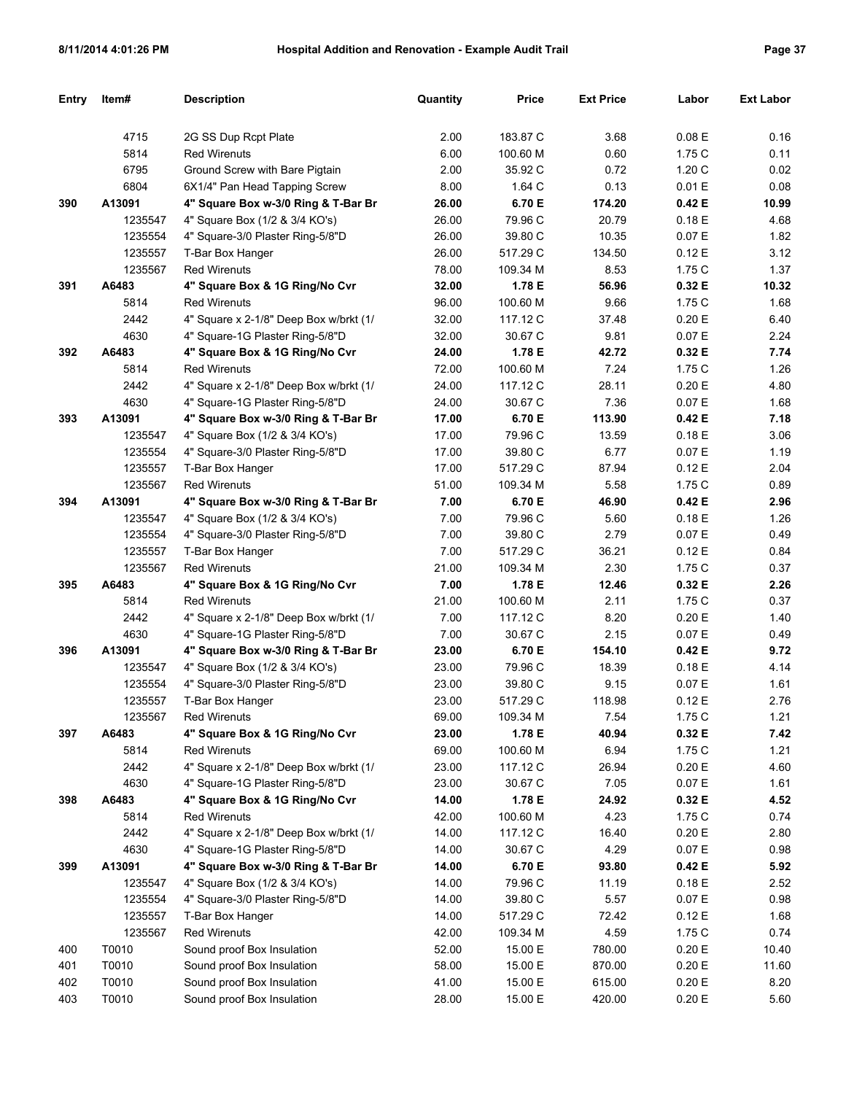| Entry      | ltem#              | <b>Description</b>                                                     | Quantity       | <b>Price</b>       | <b>Ext Price</b> | Labor            | <b>Ext Labor</b> |
|------------|--------------------|------------------------------------------------------------------------|----------------|--------------------|------------------|------------------|------------------|
|            |                    |                                                                        |                |                    |                  |                  |                  |
|            | 4715               | 2G SS Dup Rcpt Plate                                                   | 2.00           | 183.87 C           | 3.68             | 0.08 E           | 0.16             |
|            | 5814               | <b>Red Wirenuts</b>                                                    | 6.00           | 100.60 M           | 0.60             | 1.75 C           | 0.11             |
|            | 6795               | Ground Screw with Bare Pigtain                                         | 2.00           | 35.92 C            | 0.72             | 1.20C            | 0.02             |
|            | 6804               | 6X1/4" Pan Head Tapping Screw                                          | 8.00           | 1.64 C             | 0.13             | 0.01 E           | 0.08             |
| 390        | A13091             | 4" Square Box w-3/0 Ring & T-Bar Br                                    | 26.00          | 6.70 E             | 174.20           | 0.42 E           | 10.99            |
|            | 1235547            | 4" Square Box (1/2 & 3/4 KO's)                                         | 26.00          | 79.96 C            | 20.79            | 0.18E            | 4.68             |
|            | 1235554            | 4" Square-3/0 Plaster Ring-5/8"D                                       | 26.00          | 39.80 C            | 10.35            | 0.07 E           | 1.82             |
|            | 1235557            | T-Bar Box Hanger                                                       | 26.00          | 517.29 C           | 134.50           | 0.12 E           | 3.12             |
|            | 1235567            | <b>Red Wirenuts</b>                                                    | 78.00          | 109.34 M           | 8.53             | 1.75 C           | 1.37             |
| 391        | A6483              | 4" Square Box & 1G Ring/No Cvr                                         | 32.00          | 1.78 E             | 56.96            | 0.32 E           | 10.32            |
|            | 5814               | <b>Red Wirenuts</b>                                                    | 96.00          | 100.60 M           | 9.66             | 1.75 C           | 1.68             |
|            | 2442               | 4" Square x 2-1/8" Deep Box w/brkt (1/                                 | 32.00          | 117.12 C           | 37.48            | 0.20 E           | 6.40             |
|            | 4630               | 4" Square-1G Plaster Ring-5/8"D                                        | 32.00          | 30.67 C            | 9.81             | 0.07 E           | 2.24             |
| 392        | A6483              | 4" Square Box & 1G Ring/No Cvr                                         | 24.00          | 1.78 E             | 42.72            | 0.32 E           | 7.74             |
|            | 5814               | <b>Red Wirenuts</b>                                                    | 72.00          | 100.60 M           | 7.24             | 1.75 C           | 1.26             |
|            | 2442               | 4" Square x 2-1/8" Deep Box w/brkt (1/                                 | 24.00          | 117.12 C           | 28.11            | 0.20 E           | 4.80             |
|            | 4630               | 4" Square-1G Plaster Ring-5/8"D                                        | 24.00          | 30.67 C            | 7.36             | 0.07 E           | 1.68             |
| 393        | A13091             | 4" Square Box w-3/0 Ring & T-Bar Br                                    | 17.00          | 6.70 E             | 113.90           | 0.42 E           | 7.18             |
|            | 1235547            | 4" Square Box (1/2 & 3/4 KO's)                                         | 17.00          | 79.96 C            | 13.59            | 0.18E            | 3.06             |
|            | 1235554            | 4" Square-3/0 Plaster Ring-5/8"D                                       | 17.00          | 39.80 C            | 6.77             | 0.07 E           | 1.19             |
|            | 1235557            | T-Bar Box Hanger                                                       | 17.00          | 517.29 C           | 87.94            | 0.12 E           | 2.04             |
|            | 1235567            | <b>Red Wirenuts</b>                                                    | 51.00          | 109.34 M           | 5.58             | 1.75 C           | 0.89             |
| 394        | A13091             | 4" Square Box w-3/0 Ring & T-Bar Br                                    | 7.00           | 6.70 E             | 46.90            | 0.42 E           | 2.96             |
|            | 1235547            | 4" Square Box (1/2 & 3/4 KO's)                                         | 7.00           | 79.96 C            | 5.60             | 0.18E            | 1.26             |
|            | 1235554            | 4" Square-3/0 Plaster Ring-5/8"D                                       | 7.00           | 39.80 C            | 2.79             | 0.07 E           | 0.49             |
|            | 1235557            | T-Bar Box Hanger                                                       | 7.00           | 517.29 C           | 36.21            | 0.12 E           | 0.84             |
|            | 1235567            | <b>Red Wirenuts</b>                                                    | 21.00          | 109.34 M           | 2.30             | 1.75 C           | 0.37             |
| 395        | A6483              | 4" Square Box & 1G Ring/No Cvr                                         | 7.00           | 1.78 E             | 12.46            | 0.32 E           | 2.26             |
|            | 5814               | <b>Red Wirenuts</b>                                                    | 21.00          | 100.60 M           | 2.11             | 1.75 C           | 0.37             |
|            | 2442               | 4" Square x 2-1/8" Deep Box w/brkt (1/                                 | 7.00           | 117.12 C           | 8.20             | 0.20 E           | 1.40             |
|            | 4630               | 4" Square-1G Plaster Ring-5/8"D                                        | 7.00           | 30.67 C            | 2.15             | 0.07 E           | 0.49             |
| 396        | A13091             | 4" Square Box w-3/0 Ring & T-Bar Br                                    | 23.00          | 6.70 E             | 154.10           | 0.42 E           | 9.72             |
|            | 1235547            | 4" Square Box (1/2 & 3/4 KO's)                                         | 23.00          | 79.96 C            | 18.39            | 0.18E            | 4.14             |
|            | 1235554            | 4" Square-3/0 Plaster Ring-5/8"D                                       | 23.00          | 39.80 C            | 9.15             | 0.07 E           | 1.61             |
|            | 1235557            | T-Bar Box Hanger                                                       | 23.00          | 517.29 C           | 118.98           | 0.12 E           | 2.76             |
|            | 1235567            | Red Wirenuts                                                           | 69.00          | 109.34 M           | 7.54             | 1.75C            | 1.21             |
| 397        | A6483              | 4" Square Box & 1G Ring/No Cvr                                         | 23.00          | 1.78 E             | 40.94            | 0.32 E           | 7.42             |
|            | 5814               | <b>Red Wirenuts</b>                                                    | 69.00          | 100.60 M           | 6.94             | 1.75 C           | 1.21             |
|            | 2442               | 4" Square x 2-1/8" Deep Box w/brkt (1/                                 | 23.00          | 117.12 C           | 26.94            | 0.20 E           | 4.60             |
|            | 4630               | 4" Square-1G Plaster Ring-5/8"D<br>4" Square Box & 1G Ring/No Cvr      | 23.00          | 30.67 C            | 7.05             | 0.07 E           | 1.61             |
| 398        | A6483<br>5814      | <b>Red Wirenuts</b>                                                    | 14.00<br>42.00 | 1.78 E             | 24.92<br>4.23    | 0.32 E           | 4.52             |
|            |                    | 4" Square x 2-1/8" Deep Box w/brkt (1/                                 | 14.00          | 100.60 M           |                  | 1.75 C           | 0.74             |
|            | 2442               |                                                                        |                | 117.12 C           | 16.40            | 0.20 E           | 2.80             |
| 399        | 4630               | 4" Square-1G Plaster Ring-5/8"D<br>4" Square Box w-3/0 Ring & T-Bar Br | 14.00<br>14.00 | 30.67 C            | 4.29<br>93.80    | 0.07 E           | 0.98             |
|            | A13091<br>1235547  | 4" Square Box (1/2 & 3/4 KO's)                                         | 14.00          | 6.70 E             |                  | 0.42 E           | 5.92             |
|            | 1235554            | 4" Square-3/0 Plaster Ring-5/8"D                                       | 14.00          | 79.96 C            | 11.19<br>5.57    | 0.18 E           | 2.52             |
|            |                    |                                                                        |                | 39.80 C            |                  | 0.07 E           | 0.98             |
|            | 1235557<br>1235567 | T-Bar Box Hanger<br><b>Red Wirenuts</b>                                | 14.00<br>42.00 | 517.29 C           | 72.42<br>4.59    | 0.12 E           | 1.68<br>0.74     |
|            | T0010              | Sound proof Box Insulation                                             | 52.00          | 109.34 M           |                  | 1.75 C           |                  |
| 400<br>401 | T0010              | Sound proof Box Insulation                                             | 58.00          | 15.00 E<br>15.00 E | 780.00<br>870.00 | 0.20 E<br>0.20 E | 10.40<br>11.60   |
| 402        | T0010              | Sound proof Box Insulation                                             | 41.00          | 15.00 E            | 615.00           | 0.20 E           | 8.20             |
| 403        | T0010              | Sound proof Box Insulation                                             | 28.00          | 15.00 E            | 420.00           | 0.20 E           | 5.60             |
|            |                    |                                                                        |                |                    |                  |                  |                  |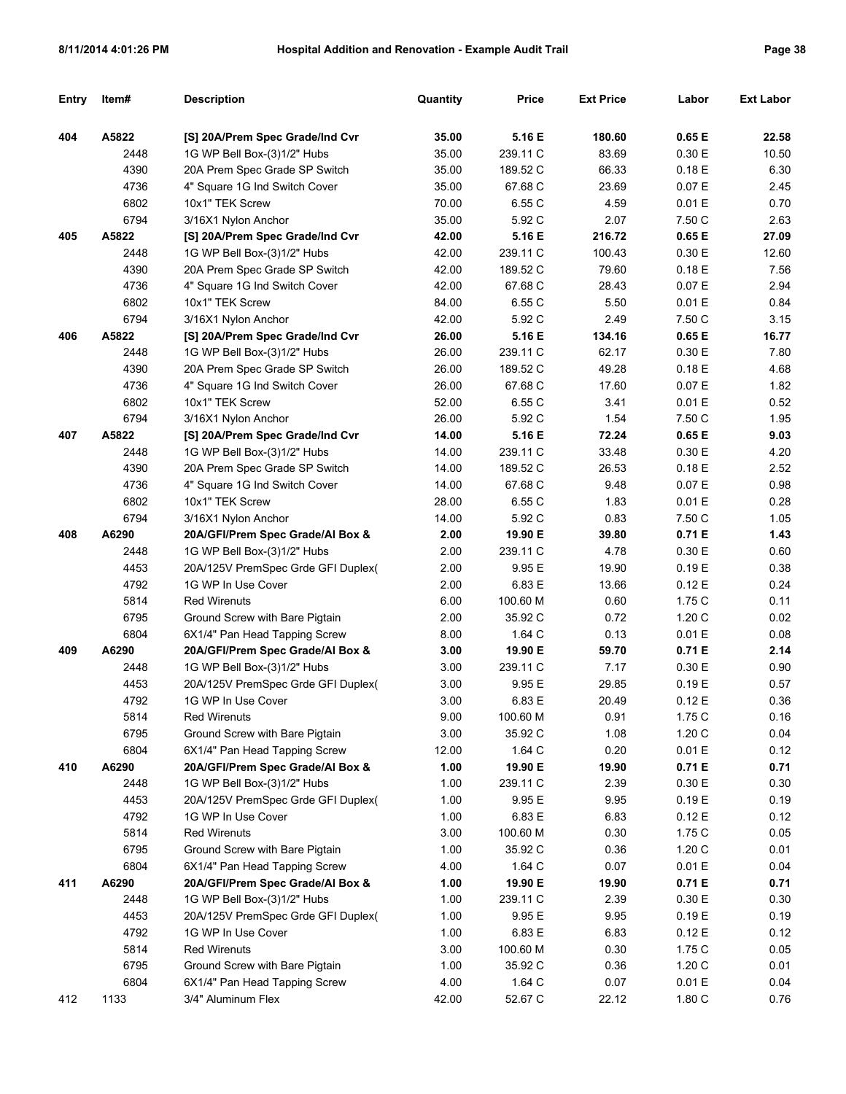| Entry | ltem# | <b>Description</b>                 | Quantity | <b>Price</b> | <b>Ext Price</b> | Labor  | <b>Ext Labor</b> |
|-------|-------|------------------------------------|----------|--------------|------------------|--------|------------------|
| 404   | A5822 | [S] 20A/Prem Spec Grade/Ind Cvr    | 35.00    | 5.16 E       | 180.60           | 0.65 E | 22.58            |
|       | 2448  | 1G WP Bell Box-(3)1/2" Hubs        | 35.00    | 239.11 C     | 83.69            | 0.30 E | 10.50            |
|       | 4390  | 20A Prem Spec Grade SP Switch      | 35.00    | 189.52 C     | 66.33            | 0.18E  | 6.30             |
|       | 4736  | 4" Square 1G Ind Switch Cover      | 35.00    | 67.68 C      | 23.69            | 0.07 E | 2.45             |
|       | 6802  | 10x1" TEK Screw                    | 70.00    | 6.55 C       | 4.59             | 0.01 E | 0.70             |
|       | 6794  | 3/16X1 Nylon Anchor                | 35.00    | 5.92 C       | 2.07             | 7.50 C | 2.63             |
| 405   | A5822 | [S] 20A/Prem Spec Grade/Ind Cvr    | 42.00    | 5.16 E       | 216.72           | 0.65 E | 27.09            |
|       | 2448  | 1G WP Bell Box-(3)1/2" Hubs        | 42.00    | 239.11 C     | 100.43           | 0.30 E | 12.60            |
|       | 4390  | 20A Prem Spec Grade SP Switch      | 42.00    | 189.52 C     | 79.60            | 0.18E  | 7.56             |
|       | 4736  | 4" Square 1G Ind Switch Cover      | 42.00    | 67.68 C      | 28.43            | 0.07 E | 2.94             |
|       | 6802  | 10x1" TEK Screw                    | 84.00    | 6.55 C       | 5.50             | 0.01 E | 0.84             |
|       | 6794  | 3/16X1 Nylon Anchor                | 42.00    | 5.92 C       | 2.49             | 7.50 C | 3.15             |
| 406   | A5822 | [S] 20A/Prem Spec Grade/Ind Cvr    | 26.00    | 5.16 E       | 134.16           | 0.65 E | 16.77            |
|       | 2448  | 1G WP Bell Box-(3)1/2" Hubs        | 26.00    | 239.11 C     | 62.17            | 0.30 E | 7.80             |
|       | 4390  | 20A Prem Spec Grade SP Switch      | 26.00    | 189.52 C     | 49.28            | 0.18E  | 4.68             |
|       | 4736  | 4" Square 1G Ind Switch Cover      | 26.00    | 67.68 C      | 17.60            | 0.07 E | 1.82             |
|       | 6802  | 10x1" TEK Screw                    | 52.00    | 6.55 C       | 3.41             | 0.01 E | 0.52             |
|       | 6794  | 3/16X1 Nylon Anchor                | 26.00    | 5.92 C       | 1.54             | 7.50 C | 1.95             |
| 407   | A5822 | [S] 20A/Prem Spec Grade/Ind Cvr    | 14.00    | 5.16 E       | 72.24            | 0.65 E | 9.03             |
|       | 2448  | 1G WP Bell Box-(3)1/2" Hubs        | 14.00    | 239.11 C     | 33.48            | 0.30 E | 4.20             |
|       | 4390  | 20A Prem Spec Grade SP Switch      | 14.00    | 189.52 C     | 26.53            | 0.18E  | 2.52             |
|       | 4736  | 4" Square 1G Ind Switch Cover      | 14.00    | 67.68 C      | 9.48             | 0.07 E | 0.98             |
|       | 6802  | 10x1" TEK Screw                    | 28.00    | 6.55 C       | 1.83             | 0.01 E | 0.28             |
|       | 6794  | 3/16X1 Nylon Anchor                | 14.00    | 5.92 C       | 0.83             | 7.50 C | 1.05             |
| 408   | A6290 | 20A/GFI/Prem Spec Grade/Al Box &   | 2.00     | 19.90 E      | 39.80            | 0.71E  | 1.43             |
|       | 2448  | 1G WP Bell Box-(3)1/2" Hubs        | 2.00     | 239.11 C     | 4.78             | 0.30 E | 0.60             |
|       | 4453  | 20A/125V PremSpec Grde GFI Duplex( | 2.00     | 9.95 E       | 19.90            | 0.19E  | 0.38             |
|       | 4792  | 1G WP In Use Cover                 | 2.00     | 6.83 E       | 13.66            | 0.12E  | 0.24             |
|       | 5814  | <b>Red Wirenuts</b>                | 6.00     | 100.60 M     | 0.60             | 1.75C  | 0.11             |
|       | 6795  | Ground Screw with Bare Pigtain     | 2.00     | 35.92 C      | 0.72             | 1.20C  | 0.02             |
|       | 6804  | 6X1/4" Pan Head Tapping Screw      | 8.00     | 1.64 C       | 0.13             | 0.01 E | 0.08             |
| 409   | A6290 | 20A/GFI/Prem Spec Grade/Al Box &   | 3.00     | 19.90 E      | 59.70            | 0.71 E | 2.14             |
|       | 2448  | 1G WP Bell Box-(3)1/2" Hubs        | 3.00     | 239.11 C     | 7.17             | 0.30 E | 0.90             |
|       | 4453  | 20A/125V PremSpec Grde GFI Duplex( | 3.00     | 9.95 E       | 29.85            | 0.19E  | 0.57             |
|       | 4792  | 1G WP In Use Cover                 | 3.00     | 6.83 E       | 20.49            | 0.12 E | 0.36             |
|       | 5814  | <b>Red Wirenuts</b>                | 9.00     | 100.60 M     | 0.91             | 1.75 C | 0.16             |
|       | 6795  | Ground Screw with Bare Pigtain     | 3.00     | 35.92 C      | 1.08             | 1.20 C | 0.04             |
|       | 6804  | 6X1/4" Pan Head Tapping Screw      | 12.00    | 1.64 C       | 0.20             | 0.01 E | 0.12             |
| 410   | A6290 | 20A/GFI/Prem Spec Grade/Al Box &   | 1.00     | 19.90 E      | 19.90            | 0.71 E | 0.71             |
|       | 2448  | 1G WP Bell Box-(3)1/2" Hubs        | 1.00     | 239.11 C     | 2.39             | 0.30 E | 0.30             |
|       | 4453  | 20A/125V PremSpec Grde GFI Duplex( | 1.00     | 9.95 E       | 9.95             | 0.19 E | 0.19             |
|       | 4792  | 1G WP In Use Cover                 | 1.00     | 6.83 E       | 6.83             | 0.12 E | 0.12             |
|       | 5814  | <b>Red Wirenuts</b>                | 3.00     | 100.60 M     | 0.30             | 1.75 C | 0.05             |
|       | 6795  | Ground Screw with Bare Pigtain     | 1.00     | 35.92 C      | 0.36             | 1.20 C | 0.01             |
|       | 6804  | 6X1/4" Pan Head Tapping Screw      | 4.00     | 1.64 C       | 0.07             | 0.01 E | 0.04             |
| 411   | A6290 | 20A/GFI/Prem Spec Grade/Al Box &   | 1.00     | 19.90 E      | 19.90            | 0.71 E | 0.71             |
|       | 2448  | 1G WP Bell Box-(3)1/2" Hubs        | 1.00     | 239.11 C     | 2.39             | 0.30 E | 0.30             |
|       | 4453  | 20A/125V PremSpec Grde GFI Duplex( | 1.00     | 9.95 E       | 9.95             | 0.19 E | 0.19             |
|       | 4792  | 1G WP In Use Cover                 | 1.00     | 6.83 E       | 6.83             | 0.12 E | 0.12             |
|       | 5814  | <b>Red Wirenuts</b>                | 3.00     | 100.60 M     | 0.30             | 1.75 C | 0.05             |
|       | 6795  | Ground Screw with Bare Pigtain     | 1.00     | 35.92 C      | 0.36             | 1.20 C | 0.01             |
|       | 6804  | 6X1/4" Pan Head Tapping Screw      | 4.00     | 1.64 C       | 0.07             | 0.01 E | 0.04             |
| 412   | 1133  | 3/4" Aluminum Flex                 | 42.00    | 52.67 C      | 22.12            | 1.80 C | 0.76             |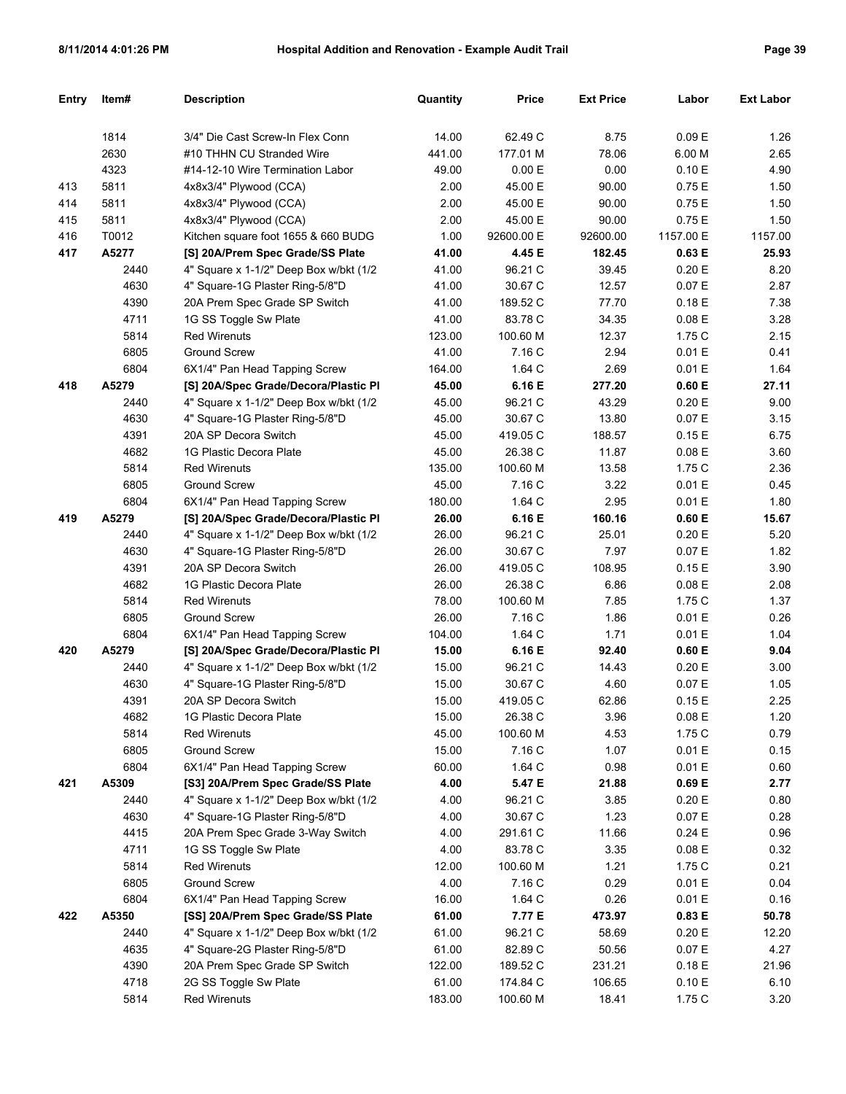| Entry | Item# | <b>Description</b>                      | Quantity | <b>Price</b> | <b>Ext Price</b> | Labor     | <b>Ext Labor</b> |
|-------|-------|-----------------------------------------|----------|--------------|------------------|-----------|------------------|
|       |       |                                         |          |              |                  |           |                  |
|       | 1814  | 3/4" Die Cast Screw-In Flex Conn        | 14.00    | 62.49 C      | 8.75             | 0.09 E    | 1.26             |
|       | 2630  | #10 THHN CU Stranded Wire               | 441.00   | 177.01 M     | 78.06            | 6.00 M    | 2.65             |
|       | 4323  | #14-12-10 Wire Termination Labor        | 49.00    | 0.00 E       | 0.00             | 0.10 E    | 4.90             |
| 413   | 5811  | 4x8x3/4" Plywood (CCA)                  | 2.00     | 45.00 E      | 90.00            | 0.75E     | 1.50             |
| 414   | 5811  | 4x8x3/4" Plywood (CCA)                  | 2.00     | 45.00 E      | 90.00            | 0.75E     | 1.50             |
| 415   | 5811  | 4x8x3/4" Plywood (CCA)                  | 2.00     | 45.00 E      | 90.00            | 0.75E     | 1.50             |
| 416   | T0012 | Kitchen square foot 1655 & 660 BUDG     | 1.00     | 92600.00 E   | 92600.00         | 1157.00 E | 1157.00          |
| 417   | A5277 | [S] 20A/Prem Spec Grade/SS Plate        | 41.00    | 4.45 E       | 182.45           | 0.63 E    | 25.93            |
|       | 2440  | 4" Square x 1-1/2" Deep Box w/bkt (1/2  | 41.00    | 96.21 C      | 39.45            | 0.20 E    | 8.20             |
|       | 4630  | 4" Square-1G Plaster Ring-5/8"D         | 41.00    | 30.67 C      | 12.57            | 0.07 E    | 2.87             |
|       | 4390  | 20A Prem Spec Grade SP Switch           | 41.00    | 189.52 C     | 77.70            | 0.18E     | 7.38             |
|       | 4711  | 1G SS Toggle Sw Plate                   | 41.00    | 83.78 C      | 34.35            | 0.08 E    | 3.28             |
|       | 5814  | <b>Red Wirenuts</b>                     | 123.00   | 100.60 M     | 12.37            | 1.75 C    | 2.15             |
|       | 6805  | <b>Ground Screw</b>                     | 41.00    | 7.16 C       | 2.94             | 0.01 E    | 0.41             |
|       | 6804  | 6X1/4" Pan Head Tapping Screw           | 164.00   | 1.64 C       | 2.69             | 0.01 E    | 1.64             |
| 418   | A5279 | [S] 20A/Spec Grade/Decora/Plastic Pl    | 45.00    | 6.16 E       | 277.20           | 0.60 E    | 27.11            |
|       | 2440  | 4" Square x 1-1/2" Deep Box w/bkt (1/2) | 45.00    | 96.21 C      | 43.29            | 0.20 E    | 9.00             |
|       | 4630  | 4" Square-1G Plaster Ring-5/8"D         | 45.00    | 30.67 C      | 13.80            | 0.07 E    | 3.15             |
|       | 4391  | 20A SP Decora Switch                    | 45.00    | 419.05 C     | 188.57           | 0.15E     | 6.75             |
|       | 4682  | 1G Plastic Decora Plate                 | 45.00    | 26.38 C      | 11.87            | 0.08 E    | 3.60             |
|       | 5814  | <b>Red Wirenuts</b>                     | 135.00   | 100.60 M     | 13.58            | 1.75 C    | 2.36             |
|       | 6805  | <b>Ground Screw</b>                     | 45.00    | 7.16 C       | 3.22             | 0.01 E    | 0.45             |
|       | 6804  | 6X1/4" Pan Head Tapping Screw           | 180.00   | 1.64 C       | 2.95             | 0.01 E    | 1.80             |
| 419   | A5279 | [S] 20A/Spec Grade/Decora/Plastic Pl    | 26.00    | 6.16 E       | 160.16           | 0.60 E    | 15.67            |
|       | 2440  | 4" Square x 1-1/2" Deep Box w/bkt (1/2  | 26.00    | 96.21 C      | 25.01            | 0.20 E    | 5.20             |
|       | 4630  | 4" Square-1G Plaster Ring-5/8"D         | 26.00    | 30.67 C      | 7.97             | 0.07 E    | 1.82             |
|       | 4391  | 20A SP Decora Switch                    | 26.00    | 419.05 C     | 108.95           | 0.15E     | 3.90             |
|       | 4682  | 1G Plastic Decora Plate                 | 26.00    | 26.38 C      | 6.86             | 0.08 E    | 2.08             |
|       | 5814  | <b>Red Wirenuts</b>                     | 78.00    | 100.60 M     | 7.85             | 1.75 C    | 1.37             |
|       | 6805  | <b>Ground Screw</b>                     | 26.00    | 7.16 C       | 1.86             | 0.01 E    | 0.26             |
|       | 6804  | 6X1/4" Pan Head Tapping Screw           | 104.00   | 1.64 C       | 1.71             | 0.01 E    | 1.04             |
| 420   | A5279 | [S] 20A/Spec Grade/Decora/Plastic Pl    | 15.00    | 6.16 E       | 92.40            | 0.60 E    | 9.04             |
|       | 2440  | 4" Square x 1-1/2" Deep Box w/bkt (1/2  | 15.00    | 96.21 C      | 14.43            | 0.20 E    | 3.00             |
|       | 4630  | 4" Square-1G Plaster Ring-5/8"D         | 15.00    | 30.67 C      | 4.60             | 0.07 E    | 1.05             |
|       | 4391  | 20A SP Decora Switch                    | 15.00    | 419.05 C     | 62.86            | 0.15E     | 2.25             |
|       | 4682  | 1G Plastic Decora Plate                 | 15.00    | 26.38 C      | 3.96             | 0.08 E    | 1.20             |
|       | 5814  | <b>Red Wirenuts</b>                     | 45.00    | 100.60 M     | 4.53             | 1.75 C    | 0.79             |
|       | 6805  | <b>Ground Screw</b>                     | 15.00    | 7.16 C       | 1.07             | 0.01 E    | 0.15             |
|       | 6804  | 6X1/4" Pan Head Tapping Screw           | 60.00    | 1.64 C       | 0.98             | 0.01 E    | 0.60             |
| 421   | A5309 | [S3] 20A/Prem Spec Grade/SS Plate       | 4.00     | 5.47 E       | 21.88            | 0.69 E    | 2.77             |
|       | 2440  | 4" Square x 1-1/2" Deep Box w/bkt (1/2  | 4.00     | 96.21 C      | 3.85             | 0.20 E    | 0.80             |
|       | 4630  | 4" Square-1G Plaster Ring-5/8"D         | 4.00     | 30.67 C      | 1.23             | 0.07 E    | 0.28             |
|       | 4415  | 20A Prem Spec Grade 3-Way Switch        | 4.00     | 291.61 C     | 11.66            | 0.24E     | 0.96             |
|       | 4711  | 1G SS Toggle Sw Plate                   | 4.00     | 83.78 C      | 3.35             | $0.08\to$ | 0.32             |
|       | 5814  | <b>Red Wirenuts</b>                     | 12.00    | 100.60 M     | 1.21             | 1.75 C    | 0.21             |
|       | 6805  | Ground Screw                            | 4.00     | 7.16 C       | 0.29             | 0.01 E    | 0.04             |
|       | 6804  | 6X1/4" Pan Head Tapping Screw           | 16.00    | 1.64 C       | 0.26             | 0.01 E    | 0.16             |
| 422   | A5350 | [SS] 20A/Prem Spec Grade/SS Plate       | 61.00    | 7.77 E       | 473.97           | 0.83 E    | 50.78            |
|       | 2440  | 4" Square x 1-1/2" Deep Box w/bkt (1/2  | 61.00    | 96.21 C      | 58.69            | 0.20 E    | 12.20            |
|       | 4635  | 4" Square-2G Plaster Ring-5/8"D         | 61.00    | 82.89 C      | 50.56            | 0.07 E    | 4.27             |
|       | 4390  | 20A Prem Spec Grade SP Switch           | 122.00   | 189.52 C     | 231.21           | 0.18E     | 21.96            |
|       | 4718  | 2G SS Toggle Sw Plate                   | 61.00    | 174.84 C     | 106.65           | 0.10 E    | 6.10             |
|       | 5814  | <b>Red Wirenuts</b>                     | 183.00   | 100.60 M     | 18.41            | 1.75C     | 3.20             |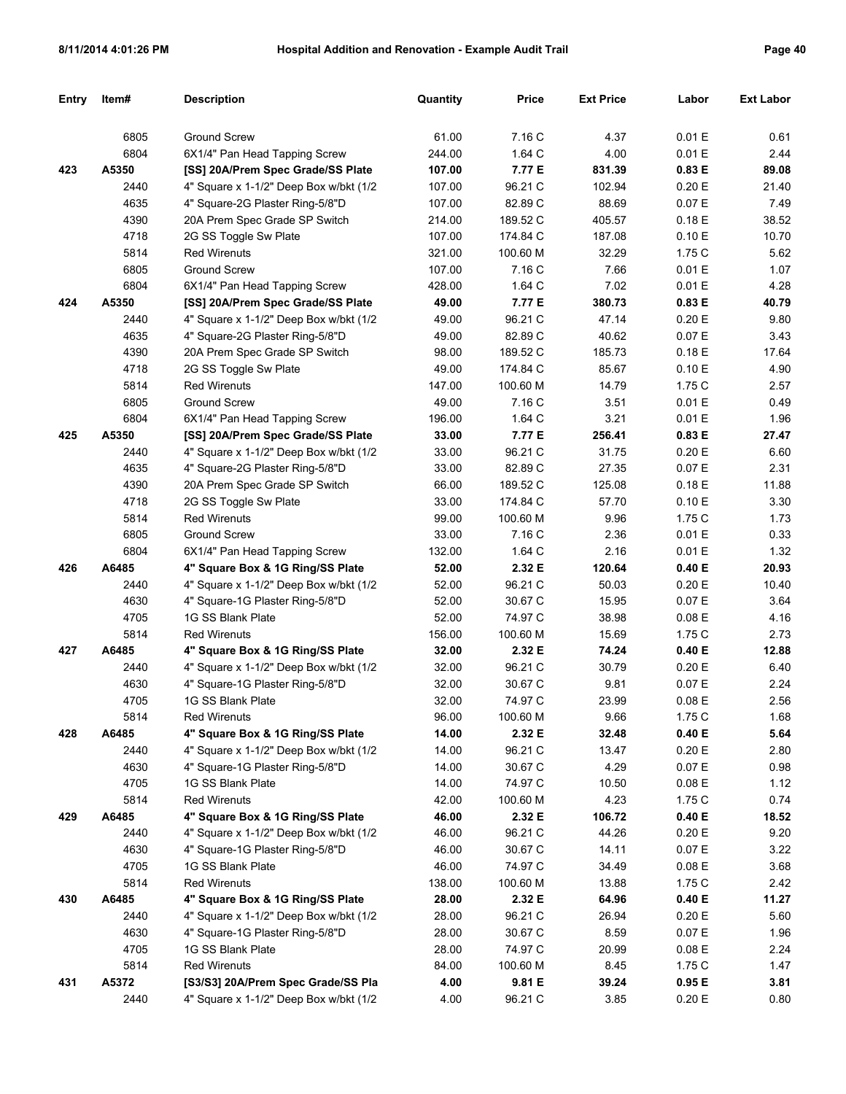| <b>Entry</b> | Item# | <b>Description</b>                      | Quantity | <b>Price</b> | <b>Ext Price</b> | Labor  | <b>Ext Labor</b> |
|--------------|-------|-----------------------------------------|----------|--------------|------------------|--------|------------------|
|              |       |                                         |          |              |                  |        |                  |
|              | 6805  | <b>Ground Screw</b>                     | 61.00    | 7.16 C       | 4.37             | 0.01 E | 0.61             |
|              | 6804  | 6X1/4" Pan Head Tapping Screw           | 244.00   | 1.64 C       | 4.00             | 0.01 E | 2.44             |
| 423          | A5350 | [SS] 20A/Prem Spec Grade/SS Plate       | 107.00   | 7.77 E       | 831.39           | 0.83 E | 89.08            |
|              | 2440  | 4" Square x 1-1/2" Deep Box w/bkt (1/2  | 107.00   | 96.21 C      | 102.94           | 0.20 E | 21.40            |
|              | 4635  | 4" Square-2G Plaster Ring-5/8"D         | 107.00   | 82.89 C      | 88.69            | 0.07 E | 7.49             |
|              | 4390  | 20A Prem Spec Grade SP Switch           | 214.00   | 189.52 C     | 405.57           | 0.18E  | 38.52            |
|              | 4718  | 2G SS Toggle Sw Plate                   | 107.00   | 174.84 C     | 187.08           | 0.10 E | 10.70            |
|              | 5814  | <b>Red Wirenuts</b>                     | 321.00   | 100.60 M     | 32.29            | 1.75C  | 5.62             |
|              | 6805  | <b>Ground Screw</b>                     | 107.00   | 7.16 C       | 7.66             | 0.01 E | 1.07             |
|              | 6804  | 6X1/4" Pan Head Tapping Screw           | 428.00   | 1.64 C       | 7.02             | 0.01 E | 4.28             |
| 424          | A5350 | [SS] 20A/Prem Spec Grade/SS Plate       | 49.00    | 7.77 E       | 380.73           | 0.83 E | 40.79            |
|              | 2440  | 4" Square x 1-1/2" Deep Box w/bkt (1/2  | 49.00    | 96.21 C      | 47.14            | 0.20 E | 9.80             |
|              | 4635  | 4" Square-2G Plaster Ring-5/8"D         | 49.00    | 82.89 C      | 40.62            | 0.07 E | 3.43             |
|              | 4390  | 20A Prem Spec Grade SP Switch           | 98.00    | 189.52 C     | 185.73           | 0.18E  | 17.64            |
|              | 4718  | 2G SS Toggle Sw Plate                   | 49.00    | 174.84 C     | 85.67            | 0.10 E | 4.90             |
|              | 5814  | <b>Red Wirenuts</b>                     | 147.00   | 100.60 M     | 14.79            | 1.75C  | 2.57             |
|              | 6805  | <b>Ground Screw</b>                     | 49.00    | 7.16 C       | 3.51             | 0.01 E | 0.49             |
|              | 6804  | 6X1/4" Pan Head Tapping Screw           | 196.00   | 1.64 C       | 3.21             | 0.01 E | 1.96             |
| 425          | A5350 | [SS] 20A/Prem Spec Grade/SS Plate       | 33.00    | 7.77 E       | 256.41           | 0.83 E | 27.47            |
|              | 2440  | 4" Square x 1-1/2" Deep Box w/bkt (1/2  | 33.00    | 96.21 C      | 31.75            | 0.20 E | 6.60             |
|              | 4635  | 4" Square-2G Plaster Ring-5/8"D         | 33.00    | 82.89 C      | 27.35            | 0.07 E | 2.31             |
|              | 4390  | 20A Prem Spec Grade SP Switch           | 66.00    | 189.52 C     | 125.08           | 0.18E  | 11.88            |
|              | 4718  | 2G SS Toggle Sw Plate                   | 33.00    | 174.84 C     | 57.70            | 0.10 E | 3.30             |
|              | 5814  | <b>Red Wirenuts</b>                     | 99.00    | 100.60 M     | 9.96             | 1.75C  | 1.73             |
|              | 6805  | <b>Ground Screw</b>                     | 33.00    | 7.16 C       | 2.36             | 0.01 E | 0.33             |
|              | 6804  | 6X1/4" Pan Head Tapping Screw           | 132.00   | 1.64 C       | 2.16             | 0.01 E | 1.32             |
| 426          | A6485 | 4" Square Box & 1G Ring/SS Plate        | 52.00    | 2.32 E       | 120.64           | 0.40 E | 20.93            |
|              | 2440  | 4" Square x 1-1/2" Deep Box w/bkt (1/2  | 52.00    | 96.21 C      | 50.03            | 0.20 E | 10.40            |
|              | 4630  | 4" Square-1G Plaster Ring-5/8"D         | 52.00    | 30.67 C      | 15.95            | 0.07 E | 3.64             |
|              | 4705  | 1G SS Blank Plate                       | 52.00    | 74.97 C      | 38.98            | 0.08 E | 4.16             |
|              | 5814  | <b>Red Wirenuts</b>                     | 156.00   | 100.60 M     | 15.69            | 1.75C  | 2.73             |
| 427          | A6485 | 4" Square Box & 1G Ring/SS Plate        | 32.00    | 2.32 E       | 74.24            | 0.40 E | 12.88            |
|              | 2440  | 4" Square x 1-1/2" Deep Box w/bkt (1/2  | 32.00    | 96.21 C      | 30.79            | 0.20 E | 6.40             |
|              | 4630  | 4" Square-1G Plaster Ring-5/8"D         | 32.00    | 30.67 C      | 9.81             | 0.07 E | 2.24             |
|              | 4705  | 1G SS Blank Plate                       | 32.00    | 74.97 C      | 23.99            | 0.08 E | 2.56             |
|              | 5814  | Red Wirenuts                            | 96.00    | 100.60 M     | 9.66             | 1.75 C | 1.68             |
| 428          | A6485 | 4" Square Box & 1G Ring/SS Plate        | 14.00    | 2.32 E       | 32.48            | 0.40 E | 5.64             |
|              | 2440  | 4" Square x 1-1/2" Deep Box w/bkt (1/2) | 14.00    | 96.21 C      | 13.47            | 0.20 E | 2.80             |
|              | 4630  | 4" Square-1G Plaster Ring-5/8"D         | 14.00    | 30.67 C      | 4.29             | 0.07 E | 0.98             |
|              | 4705  | 1G SS Blank Plate                       | 14.00    | 74.97 C      | 10.50            | 0.08 E | 1.12             |
|              | 5814  | <b>Red Wirenuts</b>                     | 42.00    | 100.60 M     | 4.23             | 1.75 C | 0.74             |
| 429          | A6485 | 4" Square Box & 1G Ring/SS Plate        | 46.00    | 2.32 E       | 106.72           | 0.40 E | 18.52            |
|              | 2440  | 4" Square x 1-1/2" Deep Box w/bkt (1/2  | 46.00    | 96.21 C      | 44.26            | 0.20 E | 9.20             |
|              | 4630  | 4" Square-1G Plaster Ring-5/8"D         | 46.00    | 30.67 C      | 14.11            | 0.07 E | 3.22             |
|              | 4705  | 1G SS Blank Plate                       | 46.00    | 74.97 C      | 34.49            | 0.08 E | 3.68             |
|              | 5814  | <b>Red Wirenuts</b>                     | 138.00   | 100.60 M     | 13.88            | 1.75C  | 2.42             |
| 430          | A6485 | 4" Square Box & 1G Ring/SS Plate        | 28.00    | 2.32 E       | 64.96            | 0.40 E | 11.27            |
|              | 2440  | 4" Square x 1-1/2" Deep Box w/bkt (1/2  | 28.00    | 96.21 C      | 26.94            | 0.20 E | 5.60             |
|              | 4630  | 4" Square-1G Plaster Ring-5/8"D         | 28.00    | 30.67 C      | 8.59             | 0.07 E | 1.96             |
|              | 4705  | 1G SS Blank Plate                       | 28.00    | 74.97 C      | 20.99            | 0.08 E | 2.24             |
|              | 5814  | <b>Red Wirenuts</b>                     | 84.00    | 100.60 M     | 8.45             | 1.75C  | 1.47             |
| 431          | A5372 | [S3/S3] 20A/Prem Spec Grade/SS Pla      | 4.00     | 9.81 E       | 39.24            | 0.95 E | 3.81             |
|              | 2440  | 4" Square x 1-1/2" Deep Box w/bkt (1/2  | 4.00     | 96.21 C      | 3.85             | 0.20 E | 0.80             |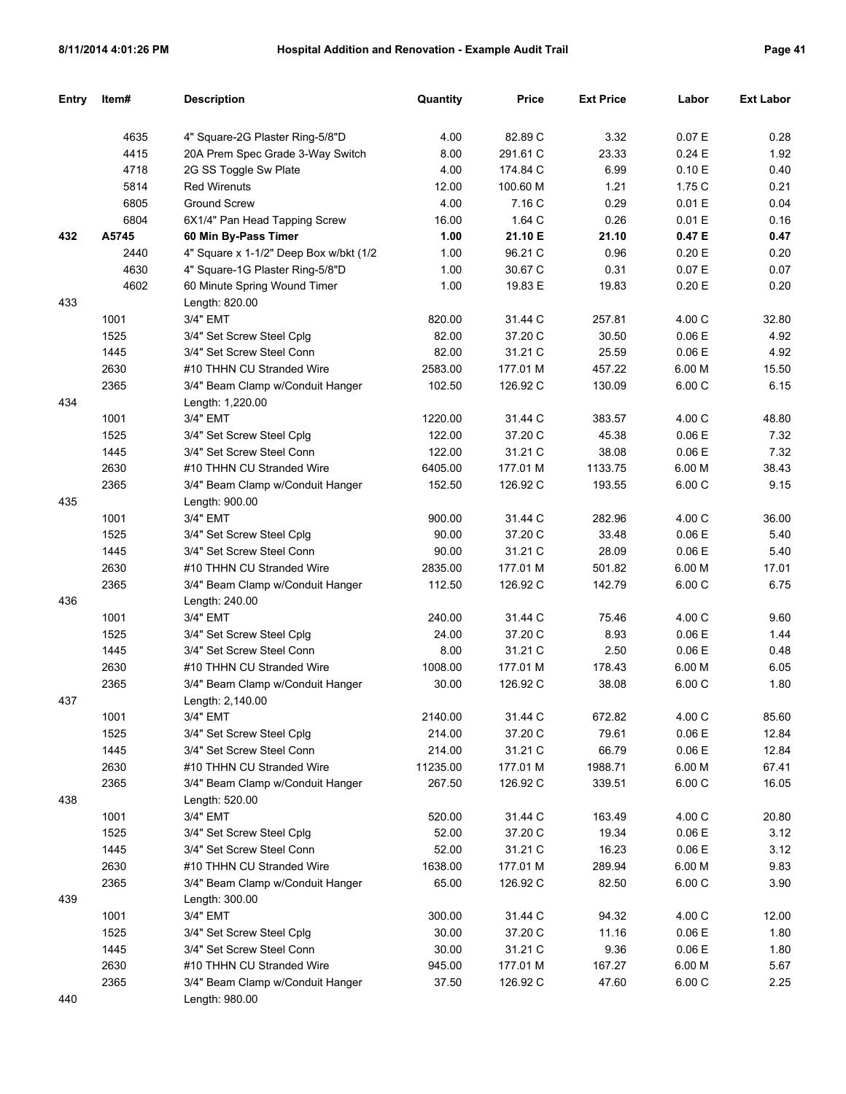| Entry | Item# | <b>Description</b>                                 | Quantity | Price    | <b>Ext Price</b> | Labor  | <b>Ext Labor</b> |
|-------|-------|----------------------------------------------------|----------|----------|------------------|--------|------------------|
|       |       |                                                    |          |          |                  |        |                  |
|       | 4635  | 4" Square-2G Plaster Ring-5/8"D                    | 4.00     | 82.89 C  | 3.32             | 0.07 E | 0.28             |
|       | 4415  | 20A Prem Spec Grade 3-Way Switch                   | 8.00     | 291.61 C | 23.33            | 0.24E  | 1.92             |
|       | 4718  | 2G SS Toggle Sw Plate                              | 4.00     | 174.84 C | 6.99             | 0.10 E | 0.40             |
|       | 5814  | <b>Red Wirenuts</b>                                | 12.00    | 100.60 M | 1.21             | 1.75 C | 0.21             |
|       | 6805  | <b>Ground Screw</b>                                | 4.00     | 7.16 C   | 0.29             | 0.01 E | 0.04             |
|       | 6804  | 6X1/4" Pan Head Tapping Screw                      | 16.00    | 1.64 C   | 0.26             | 0.01 E | 0.16             |
| 432   | A5745 | 60 Min By-Pass Timer                               | 1.00     | 21.10 E  | 21.10            | 0.47E  | 0.47             |
|       | 2440  | 4" Square x 1-1/2" Deep Box w/bkt (1/2             | 1.00     | 96.21 C  | 0.96             | 0.20 E | 0.20             |
|       | 4630  | 4" Square-1G Plaster Ring-5/8"D                    | 1.00     | 30.67 C  | 0.31             | 0.07 E | 0.07             |
|       | 4602  | 60 Minute Spring Wound Timer                       | 1.00     | 19.83 E  | 19.83            | 0.20 E | 0.20             |
| 433   |       | Length: 820.00                                     |          |          |                  |        |                  |
|       | 1001  | 3/4" EMT                                           | 820.00   | 31.44 C  | 257.81           | 4.00 C | 32.80            |
|       | 1525  | 3/4" Set Screw Steel Cplg                          | 82.00    | 37.20 C  | 30.50            | 0.06E  | 4.92             |
|       | 1445  | 3/4" Set Screw Steel Conn                          | 82.00    | 31.21 C  | 25.59            | 0.06E  | 4.92             |
|       | 2630  | #10 THHN CU Stranded Wire                          | 2583.00  | 177.01 M | 457.22           | 6.00 M | 15.50            |
|       | 2365  | 3/4" Beam Clamp w/Conduit Hanger                   | 102.50   | 126.92 C | 130.09           | 6.00 C | 6.15             |
| 434   |       | Length: 1,220.00                                   |          |          |                  |        |                  |
|       | 1001  | 3/4" EMT                                           | 1220.00  | 31.44 C  | 383.57           | 4.00 C | 48.80            |
|       | 1525  | 3/4" Set Screw Steel Cplg                          | 122.00   | 37.20 C  | 45.38            | 0.06E  | 7.32             |
|       | 1445  | 3/4" Set Screw Steel Conn                          | 122.00   | 31.21 C  | 38.08            | 0.06E  | 7.32             |
|       | 2630  | #10 THHN CU Stranded Wire                          | 6405.00  | 177.01 M | 1133.75          | 6.00 M | 38.43            |
|       | 2365  | 3/4" Beam Clamp w/Conduit Hanger                   | 152.50   | 126.92 C | 193.55           | 6.00 C | 9.15             |
| 435   |       | Length: 900.00                                     |          |          |                  |        |                  |
|       | 1001  | 3/4" EMT                                           | 900.00   | 31.44 C  | 282.96           | 4.00 C | 36.00            |
|       | 1525  | 3/4" Set Screw Steel Cplg                          | 90.00    | 37.20 C  | 33.48            | 0.06E  | 5.40             |
|       | 1445  | 3/4" Set Screw Steel Conn                          | 90.00    | 31.21 C  | 28.09            | 0.06E  | 5.40             |
|       | 2630  | #10 THHN CU Stranded Wire                          | 2835.00  | 177.01 M | 501.82           | 6.00 M | 17.01            |
|       | 2365  | 3/4" Beam Clamp w/Conduit Hanger                   | 112.50   | 126.92 C | 142.79           | 6.00 C | 6.75             |
| 436   |       | Length: 240.00                                     |          |          |                  |        |                  |
|       | 1001  | 3/4" EMT                                           | 240.00   | 31.44 C  | 75.46            | 4.00 C | 9.60             |
|       | 1525  | 3/4" Set Screw Steel Cplg                          | 24.00    | 37.20 C  | 8.93             | 0.06E  | 1.44             |
|       | 1445  | 3/4" Set Screw Steel Conn                          | 8.00     | 31.21 C  | 2.50             | 0.06E  | 0.48             |
|       | 2630  | #10 THHN CU Stranded Wire                          | 1008.00  | 177.01 M | 178.43           | 6.00 M | 6.05             |
|       | 2365  | 3/4" Beam Clamp w/Conduit Hanger                   | 30.00    | 126.92 C | 38.08            | 6.00 C | 1.80             |
| 437   |       | Length: 2,140.00                                   |          |          |                  |        |                  |
|       | 1001  | 3/4" EMT                                           | 2140.00  | 31.44 C  | 672.82           | 4.00 C | 85.60            |
|       | 1525  | 3/4" Set Screw Steel Cplg                          | 214.00   | 37.20 C  | 79.61            | 0.06E  | 12.84            |
|       | 1445  | 3/4" Set Screw Steel Conn                          | 214.00   | 31.21 C  | 66.79            | 0.06E  | 12.84            |
|       | 2630  | #10 THHN CU Stranded Wire                          | 11235.00 | 177.01 M | 1988.71          | 6.00 M | 67.41            |
|       | 2365  | 3/4" Beam Clamp w/Conduit Hanger                   | 267.50   | 126.92 C | 339.51           | 6.00C  | 16.05            |
| 438   |       | Length: 520.00                                     |          |          |                  |        |                  |
|       | 1001  | 3/4" EMT                                           | 520.00   | 31.44 C  | 163.49           | 4.00 C | 20.80            |
|       | 1525  | 3/4" Set Screw Steel Cplg                          | 52.00    | 37.20 C  | 19.34            | 0.06E  | 3.12             |
|       | 1445  | 3/4" Set Screw Steel Conn                          | 52.00    | 31.21 C  | 16.23            | 0.06E  | 3.12             |
|       | 2630  | #10 THHN CU Stranded Wire                          | 1638.00  | 177.01 M | 289.94           | 6.00 M | 9.83             |
|       | 2365  | 3/4" Beam Clamp w/Conduit Hanger                   | 65.00    | 126.92 C | 82.50            | 6.00C  | 3.90             |
| 439   |       | Length: 300.00                                     |          |          |                  |        |                  |
|       | 1001  | 3/4" EMT                                           | 300.00   | 31.44 C  | 94.32            | 4.00 C | 12.00            |
|       | 1525  | 3/4" Set Screw Steel Cplg                          | 30.00    | 37.20 C  | 11.16            | 0.06 E | 1.80             |
|       | 1445  | 3/4" Set Screw Steel Conn                          | 30.00    | 31.21 C  | 9.36             | 0.06E  | 1.80             |
|       | 2630  | #10 THHN CU Stranded Wire                          | 945.00   | 177.01 M | 167.27           | 6.00 M | 5.67             |
|       | 2365  |                                                    | 37.50    |          | 47.60            | 6.00C  | 2.25             |
| 440   |       | 3/4" Beam Clamp w/Conduit Hanger<br>Length: 980.00 |          | 126.92 C |                  |        |                  |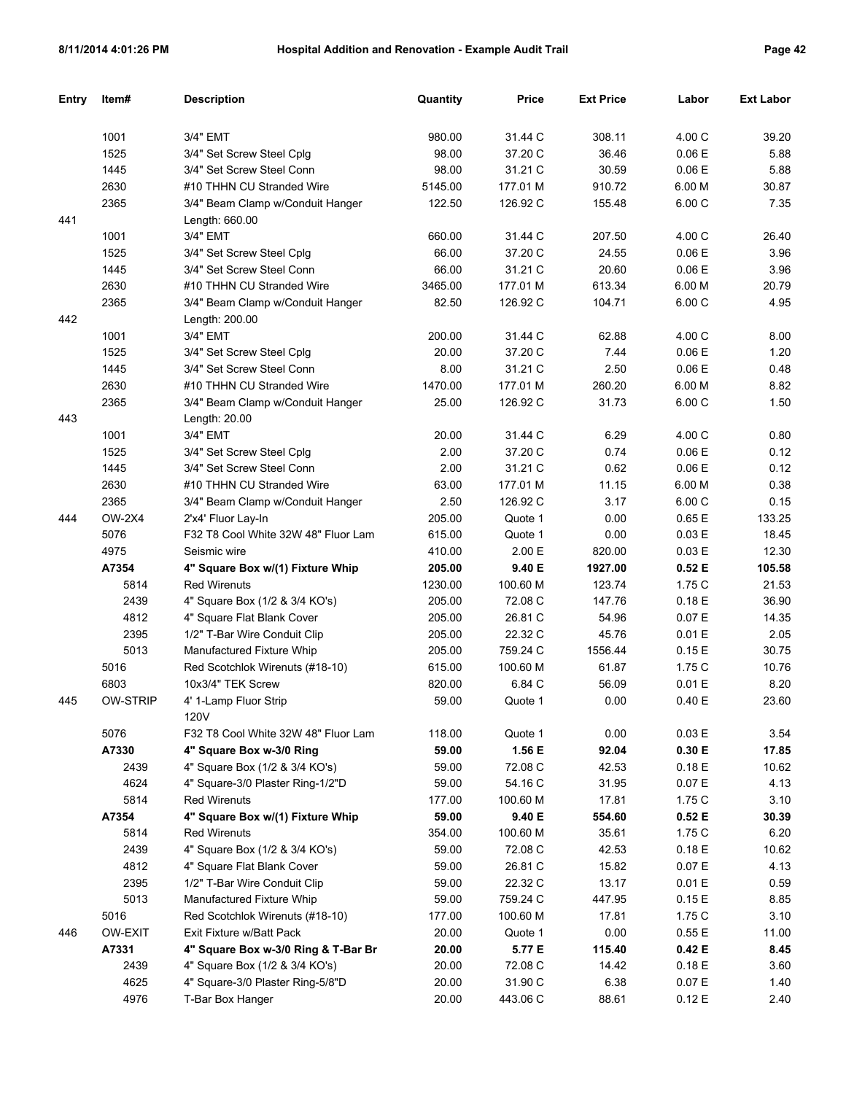| Entry | Item#           | <b>Description</b>                  | Quantity | <b>Price</b> | <b>Ext Price</b> | Labor  | <b>Ext Labor</b> |
|-------|-----------------|-------------------------------------|----------|--------------|------------------|--------|------------------|
|       |                 |                                     |          |              |                  |        |                  |
|       | 1001            | 3/4" EMT                            | 980.00   | 31.44 C      | 308.11           | 4.00 C | 39.20            |
|       | 1525            | 3/4" Set Screw Steel Cplg           | 98.00    | 37.20 C      | 36.46            | 0.06 E | 5.88             |
|       | 1445            | 3/4" Set Screw Steel Conn           | 98.00    | 31.21 C      | 30.59            | 0.06E  | 5.88             |
|       | 2630            | #10 THHN CU Stranded Wire           | 5145.00  | 177.01 M     | 910.72           | 6.00 M | 30.87            |
|       | 2365            | 3/4" Beam Clamp w/Conduit Hanger    | 122.50   | 126.92 C     | 155.48           | 6.00 C | 7.35             |
| 441   |                 | Length: 660.00                      |          |              |                  |        |                  |
|       | 1001            | 3/4" EMT                            | 660.00   | 31.44 C      | 207.50           | 4.00 C | 26.40            |
|       | 1525            | 3/4" Set Screw Steel Cplg           | 66.00    | 37.20 C      | 24.55            | 0.06E  | 3.96             |
|       | 1445            | 3/4" Set Screw Steel Conn           | 66.00    | 31.21 C      | 20.60            | 0.06E  | 3.96             |
|       | 2630            | #10 THHN CU Stranded Wire           | 3465.00  | 177.01 M     | 613.34           | 6.00 M | 20.79            |
|       | 2365            | 3/4" Beam Clamp w/Conduit Hanger    | 82.50    | 126.92 C     | 104.71           | 6.00 C | 4.95             |
| 442   |                 | Length: 200.00                      |          |              |                  |        |                  |
|       | 1001            | 3/4" EMT                            | 200.00   | 31.44 C      | 62.88            | 4.00 C | 8.00             |
|       | 1525            | 3/4" Set Screw Steel Cplg           | 20.00    | 37.20 C      | 7.44             | 0.06E  | 1.20             |
|       | 1445            | 3/4" Set Screw Steel Conn           | 8.00     | 31.21 C      | 2.50             | 0.06 E | 0.48             |
|       | 2630            | #10 THHN CU Stranded Wire           | 1470.00  | 177.01 M     | 260.20           | 6.00 M | 8.82             |
|       | 2365            | 3/4" Beam Clamp w/Conduit Hanger    | 25.00    | 126.92 C     | 31.73            | 6.00 C | 1.50             |
| 443   |                 | Length: 20.00                       |          |              |                  |        |                  |
|       | 1001            | 3/4" EMT                            | 20.00    | 31.44 C      | 6.29             | 4.00 C | 0.80             |
|       | 1525            | 3/4" Set Screw Steel Cplg           | 2.00     | 37.20 C      | 0.74             | 0.06 E | 0.12             |
|       | 1445            | 3/4" Set Screw Steel Conn           | 2.00     | 31.21 C      | 0.62             | 0.06 E | 0.12             |
|       | 2630            | #10 THHN CU Stranded Wire           | 63.00    | 177.01 M     | 11.15            | 6.00 M | 0.38             |
|       | 2365            | 3/4" Beam Clamp w/Conduit Hanger    | 2.50     | 126.92 C     | 3.17             | 6.00 C | 0.15             |
| 444   | <b>OW-2X4</b>   | 2'x4' Fluor Lay-In                  | 205.00   | Quote 1      | 0.00             | 0.65E  | 133.25           |
|       | 5076            | F32 T8 Cool White 32W 48" Fluor Lam | 615.00   | Quote 1      | 0.00             | 0.03 E | 18.45            |
|       | 4975            | Seismic wire                        | 410.00   | 2.00 E       | 820.00           | 0.03 E | 12.30            |
|       | A7354           | 4" Square Box w/(1) Fixture Whip    | 205.00   | 9.40 E       | 1927.00          | 0.52E  | 105.58           |
|       | 5814            | <b>Red Wirenuts</b>                 | 1230.00  | 100.60 M     | 123.74           | 1.75 C | 21.53            |
|       | 2439            | 4" Square Box (1/2 & 3/4 KO's)      | 205.00   | 72.08 C      | 147.76           | 0.18E  | 36.90            |
|       | 4812            | 4" Square Flat Blank Cover          | 205.00   | 26.81 C      | 54.96            | 0.07 E | 14.35            |
|       | 2395            | 1/2" T-Bar Wire Conduit Clip        | 205.00   | 22.32 C      | 45.76            | 0.01 E | 2.05             |
|       | 5013            | Manufactured Fixture Whip           | 205.00   | 759.24 C     | 1556.44          | 0.15E  | 30.75            |
|       | 5016            | Red Scotchlok Wirenuts (#18-10)     | 615.00   | 100.60 M     | 61.87            | 1.75 C | 10.76            |
|       | 6803            | 10x3/4" TEK Screw                   | 820.00   | 6.84 C       | 56.09            | 0.01 E | 8.20             |
| 445   | <b>OW-STRIP</b> | 4' 1-Lamp Fluor Strip               | 59.00    | Quote 1      | 0.00             | 0.40 E | 23.60            |
|       |                 | 120V                                |          |              |                  |        |                  |
|       | 5076            | F32 T8 Cool White 32W 48" Fluor Lam | 118.00   | Quote 1      | 0.00             | 0.03 E | 3.54             |
|       | A7330           | 4" Square Box w-3/0 Ring            | 59.00    | 1.56 E       | 92.04            | 0.30 E | 17.85            |
|       | 2439            | 4" Square Box (1/2 & 3/4 KO's)      | 59.00    | 72.08 C      | 42.53            | 0.18 E | 10.62            |
|       | 4624            | 4" Square-3/0 Plaster Ring-1/2"D    | 59.00    | 54.16 C      | 31.95            | 0.07 E | 4.13             |
|       | 5814            | <b>Red Wirenuts</b>                 | 177.00   | 100.60 M     | 17.81            | 1.75C  | 3.10             |
|       | A7354           | 4" Square Box w/(1) Fixture Whip    | 59.00    | 9.40 E       | 554.60           | 0.52E  | 30.39            |
|       | 5814            | <b>Red Wirenuts</b>                 | 354.00   | 100.60 M     | 35.61            | 1.75C  | 6.20             |
|       | 2439            | 4" Square Box (1/2 & 3/4 KO's)      | 59.00    | 72.08 C      | 42.53            | 0.18E  | 10.62            |
|       | 4812            | 4" Square Flat Blank Cover          | 59.00    | 26.81 C      | 15.82            | 0.07 E | 4.13             |
|       | 2395            | 1/2" T-Bar Wire Conduit Clip        | 59.00    | 22.32 C      | 13.17            | 0.01 E | 0.59             |
|       | 5013            | Manufactured Fixture Whip           | 59.00    | 759.24 C     | 447.95           | 0.15E  | 8.85             |
|       | 5016            | Red Scotchlok Wirenuts (#18-10)     | 177.00   | 100.60 M     | 17.81            | 1.75C  | 3.10             |
| 446   | OW-EXIT         | Exit Fixture w/Batt Pack            | 20.00    | Quote 1      | 0.00             | 0.55E  | 11.00            |
|       | A7331           | 4" Square Box w-3/0 Ring & T-Bar Br | 20.00    | 5.77 E       | 115.40           | 0.42 E | 8.45             |
|       | 2439            | 4" Square Box (1/2 & 3/4 KO's)      | 20.00    | 72.08 C      | 14.42            | 0.18E  | 3.60             |
|       | 4625            | 4" Square-3/0 Plaster Ring-5/8"D    | 20.00    | 31.90 C      | 6.38             | 0.07 E | 1.40             |
|       | 4976            | T-Bar Box Hanger                    | 20.00    | 443.06 C     | 88.61            | 0.12 E | 2.40             |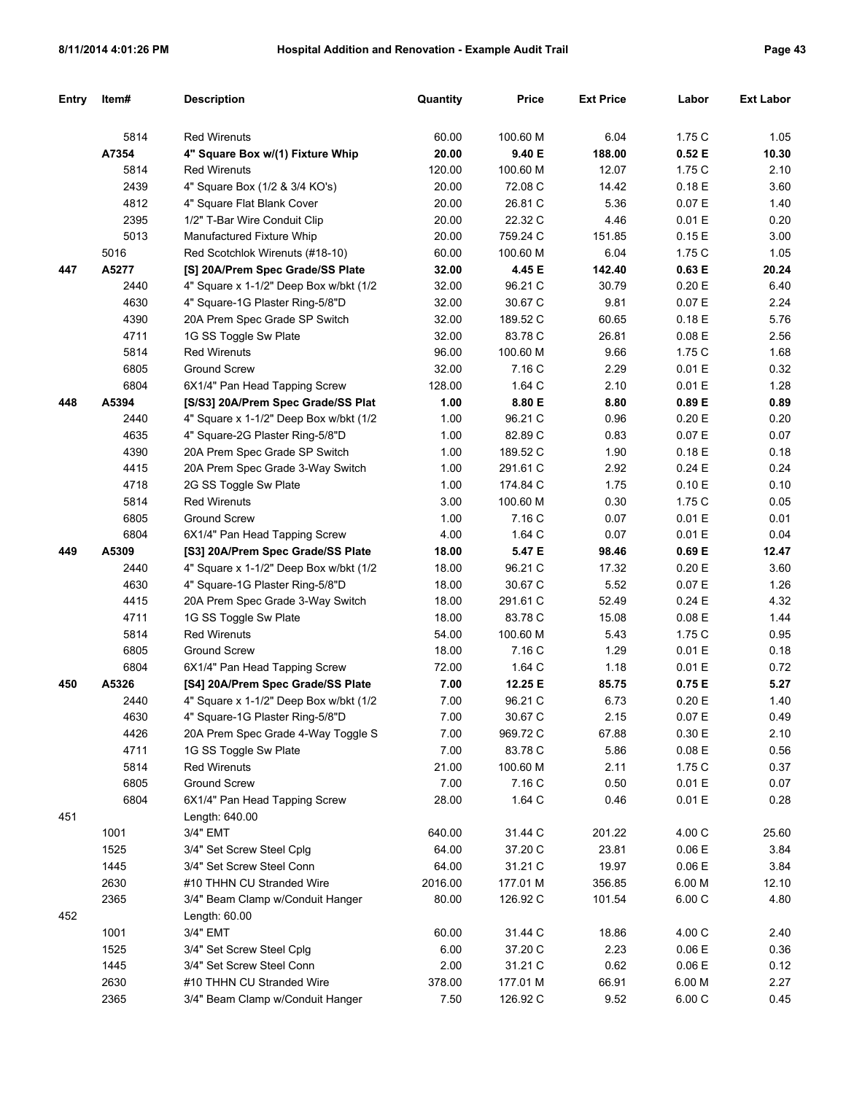| Entry | Item# | <b>Description</b>                      | Quantity | <b>Price</b> | <b>Ext Price</b> | Labor     | <b>Ext Labor</b> |
|-------|-------|-----------------------------------------|----------|--------------|------------------|-----------|------------------|
|       |       |                                         |          |              |                  |           |                  |
|       | 5814  | <b>Red Wirenuts</b>                     | 60.00    | 100.60 M     | 6.04             | 1.75C     | 1.05             |
|       | A7354 | 4" Square Box w/(1) Fixture Whip        | 20.00    | 9.40 E       | 188.00           | 0.52E     | 10.30            |
|       | 5814  | <b>Red Wirenuts</b>                     | 120.00   | 100.60 M     | 12.07            | 1.75 C    | 2.10             |
|       | 2439  | 4" Square Box (1/2 & 3/4 KO's)          | 20.00    | 72.08 C      | 14.42            | 0.18E     | 3.60             |
|       | 4812  | 4" Square Flat Blank Cover              | 20.00    | 26.81 C      | 5.36             | 0.07 E    | 1.40             |
|       | 2395  | 1/2" T-Bar Wire Conduit Clip            | 20.00    | 22.32 C      | 4.46             | 0.01 E    | 0.20             |
|       | 5013  | Manufactured Fixture Whip               | 20.00    | 759.24 C     | 151.85           | 0.15E     | 3.00             |
|       | 5016  | Red Scotchlok Wirenuts (#18-10)         | 60.00    | 100.60 M     | 6.04             | 1.75C     | 1.05             |
| 447   | A5277 | [S] 20A/Prem Spec Grade/SS Plate        | 32.00    | 4.45 E       | 142.40           | 0.63 E    | 20.24            |
|       | 2440  | 4" Square x 1-1/2" Deep Box w/bkt (1/2) | 32.00    | 96.21 C      | 30.79            | 0.20 E    | 6.40             |
|       | 4630  | 4" Square-1G Plaster Ring-5/8"D         | 32.00    | 30.67 C      | 9.81             | 0.07 E    | 2.24             |
|       | 4390  | 20A Prem Spec Grade SP Switch           | 32.00    | 189.52 C     | 60.65            | 0.18E     | 5.76             |
|       | 4711  | 1G SS Toggle Sw Plate                   | 32.00    | 83.78 C      | 26.81            | 0.08 E    | 2.56             |
|       | 5814  | <b>Red Wirenuts</b>                     | 96.00    | 100.60 M     | 9.66             | 1.75 C    | 1.68             |
|       | 6805  | <b>Ground Screw</b>                     | 32.00    | 7.16 C       | 2.29             | 0.01 E    | 0.32             |
|       | 6804  | 6X1/4" Pan Head Tapping Screw           | 128.00   | 1.64 C       | 2.10             | 0.01 E    | 1.28             |
| 448   | A5394 | [S/S3] 20A/Prem Spec Grade/SS Plat      | 1.00     | 8.80 E       | 8.80             | 0.89 E    | 0.89             |
|       | 2440  | 4" Square x 1-1/2" Deep Box w/bkt (1/2  | 1.00     | 96.21 C      | 0.96             | 0.20 E    | 0.20             |
|       | 4635  | 4" Square-2G Plaster Ring-5/8"D         | 1.00     | 82.89 C      | 0.83             | 0.07 E    | 0.07             |
|       | 4390  | 20A Prem Spec Grade SP Switch           | 1.00     | 189.52 C     | 1.90             | 0.18E     | 0.18             |
|       | 4415  | 20A Prem Spec Grade 3-Way Switch        | 1.00     | 291.61 C     | 2.92             | 0.24E     | 0.24             |
|       | 4718  | 2G SS Toggle Sw Plate                   | 1.00     | 174.84 C     | 1.75             | 0.10 E    | 0.10             |
|       | 5814  | <b>Red Wirenuts</b>                     | 3.00     | 100.60 M     | 0.30             | 1.75 C    | 0.05             |
|       | 6805  | <b>Ground Screw</b>                     | 1.00     | 7.16 C       | 0.07             | 0.01 E    | 0.01             |
|       | 6804  | 6X1/4" Pan Head Tapping Screw           | 4.00     | 1.64 C       | 0.07             | 0.01 E    | 0.04             |
| 449   | A5309 | [S3] 20A/Prem Spec Grade/SS Plate       | 18.00    | 5.47 E       | 98.46            | 0.69 E    | 12.47            |
|       | 2440  | 4" Square x 1-1/2" Deep Box w/bkt (1/2) | 18.00    | 96.21 C      | 17.32            | 0.20 E    | 3.60             |
|       | 4630  | 4" Square-1G Plaster Ring-5/8"D         | 18.00    | 30.67 C      | 5.52             | 0.07 E    | 1.26             |
|       | 4415  | 20A Prem Spec Grade 3-Way Switch        | 18.00    | 291.61 C     | 52.49            | 0.24 E    | 4.32             |
|       | 4711  | 1G SS Toggle Sw Plate                   | 18.00    | 83.78 C      | 15.08            | 0.08 E    | 1.44             |
|       | 5814  | <b>Red Wirenuts</b>                     | 54.00    | 100.60 M     | 5.43             | 1.75 C    | 0.95             |
|       | 6805  | <b>Ground Screw</b>                     | 18.00    | 7.16 C       | 1.29             | 0.01 E    | 0.18             |
|       | 6804  | 6X1/4" Pan Head Tapping Screw           | 72.00    | 1.64 C       | 1.18             | 0.01 E    | 0.72             |
| 450   | A5326 | [S4] 20A/Prem Spec Grade/SS Plate       | 7.00     | 12.25 E      | 85.75            | 0.75E     | 5.27             |
|       | 2440  | 4" Square x 1-1/2" Deep Box w/bkt (1/2  | 7.00     | 96.21 C      | 6.73             | 0.20 E    | 1.40             |
|       | 4630  | 4" Square-1G Plaster Ring-5/8"D         | 7.00     | 30.67 C      | 2.15             | $0.07\to$ | 0.49             |
|       | 4426  | 20A Prem Spec Grade 4-Way Toggle S      | 7.00     | 969.72 C     | 67.88            | 0.30 E    | 2.10             |
|       | 4711  | 1G SS Toggle Sw Plate                   | 7.00     | 83.78 C      | 5.86             | 0.08 E    | 0.56             |
|       | 5814  | <b>Red Wirenuts</b>                     | 21.00    | 100.60 M     | 2.11             | 1.75C     | 0.37             |
|       | 6805  | <b>Ground Screw</b>                     | 7.00     | 7.16 C       | 0.50             | 0.01 E    | 0.07             |
|       | 6804  | 6X1/4" Pan Head Tapping Screw           | 28.00    | 1.64 C       | 0.46             | 0.01 E    | 0.28             |
| 451   |       | Length: 640.00                          |          |              |                  |           |                  |
|       | 1001  | 3/4" EMT                                | 640.00   | 31.44 C      | 201.22           | 4.00 C    | 25.60            |
|       | 1525  | 3/4" Set Screw Steel Cplg               | 64.00    | 37.20 C      | 23.81            | 0.06 E    | 3.84             |
|       | 1445  | 3/4" Set Screw Steel Conn               | 64.00    | 31.21 C      | 19.97            | 0.06 E    | 3.84             |
|       | 2630  | #10 THHN CU Stranded Wire               | 2016.00  | 177.01 M     | 356.85           | 6.00 M    | 12.10            |
|       | 2365  | 3/4" Beam Clamp w/Conduit Hanger        | 80.00    | 126.92 C     | 101.54           | 6.00 C    | 4.80             |
| 452   |       | Length: 60.00                           |          |              |                  |           |                  |
|       | 1001  | 3/4" EMT                                | 60.00    | 31.44 C      | 18.86            | 4.00 C    | 2.40             |
|       | 1525  | 3/4" Set Screw Steel Cplg               | 6.00     | 37.20 C      | 2.23             | 0.06 E    | 0.36             |
|       | 1445  | 3/4" Set Screw Steel Conn               | 2.00     | 31.21 C      | 0.62             | 0.06 E    | 0.12             |
|       | 2630  | #10 THHN CU Stranded Wire               | 378.00   | 177.01 M     | 66.91            | 6.00 M    | 2.27             |
|       | 2365  | 3/4" Beam Clamp w/Conduit Hanger        | 7.50     | 126.92 C     | 9.52             | 6.00 C    | 0.45             |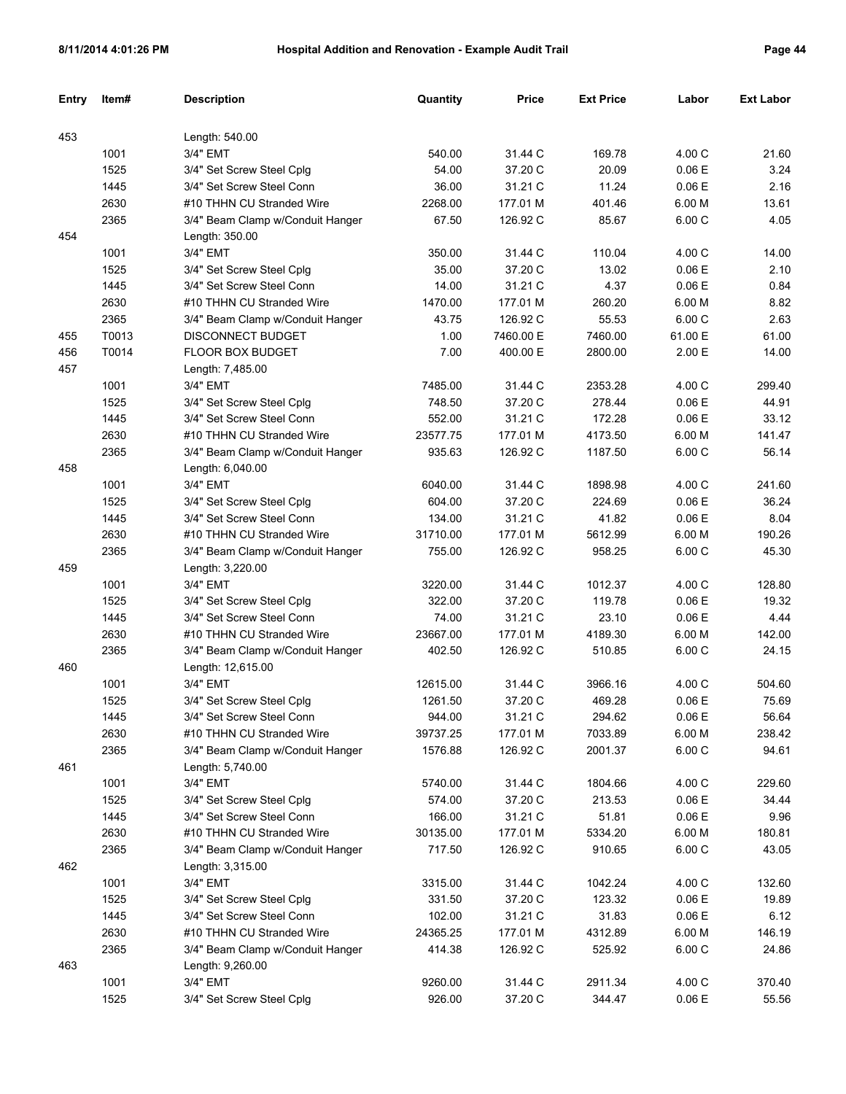| аα<br>œ | 4 |
|---------|---|
|---------|---|

| Entry | Item# | <b>Description</b>               | Quantity | Price     | <b>Ext Price</b> | Labor   | <b>Ext Labor</b> |
|-------|-------|----------------------------------|----------|-----------|------------------|---------|------------------|
|       |       |                                  |          |           |                  |         |                  |
| 453   |       | Length: 540.00                   |          |           |                  |         |                  |
|       | 1001  | 3/4" EMT                         | 540.00   | 31.44 C   | 169.78           | 4.00 C  | 21.60            |
|       | 1525  | 3/4" Set Screw Steel Cplg        | 54.00    | 37.20 C   | 20.09            | 0.06E   | 3.24             |
|       | 1445  | 3/4" Set Screw Steel Conn        | 36.00    | 31.21 C   | 11.24            | 0.06 E  | 2.16             |
|       | 2630  | #10 THHN CU Stranded Wire        | 2268.00  | 177.01 M  | 401.46           | 6.00 M  | 13.61            |
|       | 2365  | 3/4" Beam Clamp w/Conduit Hanger | 67.50    | 126.92 C  | 85.67            | 6.00 C  | 4.05             |
| 454   |       | Length: 350.00                   |          |           |                  |         |                  |
|       | 1001  | 3/4" EMT                         | 350.00   | 31.44 C   | 110.04           | 4.00 C  | 14.00            |
|       | 1525  | 3/4" Set Screw Steel Cplg        | 35.00    | 37.20 C   | 13.02            | 0.06E   | 2.10             |
|       | 1445  | 3/4" Set Screw Steel Conn        | 14.00    | 31.21 C   | 4.37             | 0.06 E  | 0.84             |
|       | 2630  | #10 THHN CU Stranded Wire        | 1470.00  | 177.01 M  | 260.20           | 6.00 M  | 8.82             |
|       | 2365  | 3/4" Beam Clamp w/Conduit Hanger | 43.75    | 126.92 C  | 55.53            | 6.00 C  | 2.63             |
| 455   | T0013 | <b>DISCONNECT BUDGET</b>         | 1.00     | 7460.00 E | 7460.00          | 61.00 E | 61.00            |
| 456   | T0014 | FLOOR BOX BUDGET                 | 7.00     | 400.00 E  | 2800.00          | 2.00 E  | 14.00            |
| 457   |       | Length: 7,485.00                 |          |           |                  |         |                  |
|       | 1001  | 3/4" EMT                         | 7485.00  | 31.44 C   | 2353.28          | 4.00 C  | 299.40           |
|       | 1525  | 3/4" Set Screw Steel Cplg        | 748.50   | 37.20 C   | 278.44           | 0.06E   | 44.91            |
|       | 1445  | 3/4" Set Screw Steel Conn        | 552.00   | 31.21 C   | 172.28           | 0.06 E  | 33.12            |
|       | 2630  | #10 THHN CU Stranded Wire        | 23577.75 | 177.01 M  | 4173.50          | 6.00 M  | 141.47           |
|       | 2365  | 3/4" Beam Clamp w/Conduit Hanger | 935.63   | 126.92 C  | 1187.50          | 6.00 C  | 56.14            |
| 458   |       | Length: 6,040.00                 |          |           |                  |         |                  |
|       | 1001  | 3/4" EMT                         | 6040.00  | 31.44 C   | 1898.98          | 4.00 C  | 241.60           |
|       | 1525  | 3/4" Set Screw Steel Cplg        | 604.00   | 37.20 C   | 224.69           | 0.06E   | 36.24            |
|       | 1445  | 3/4" Set Screw Steel Conn        | 134.00   | 31.21 C   | 41.82            | 0.06 E  | 8.04             |
|       | 2630  | #10 THHN CU Stranded Wire        | 31710.00 | 177.01 M  | 5612.99          | 6.00 M  | 190.26           |
|       | 2365  | 3/4" Beam Clamp w/Conduit Hanger | 755.00   | 126.92 C  | 958.25           | 6.00 C  | 45.30            |
| 459   |       | Length: 3,220.00                 |          |           |                  |         |                  |
|       | 1001  | 3/4" EMT                         | 3220.00  | 31.44 C   | 1012.37          | 4.00 C  | 128.80           |
|       | 1525  | 3/4" Set Screw Steel Cplg        | 322.00   | 37.20 C   | 119.78           | 0.06E   | 19.32            |
|       | 1445  | 3/4" Set Screw Steel Conn        | 74.00    | 31.21 C   | 23.10            | 0.06 E  | 4.44             |
|       | 2630  | #10 THHN CU Stranded Wire        | 23667.00 | 177.01 M  | 4189.30          | 6.00 M  | 142.00           |
|       | 2365  | 3/4" Beam Clamp w/Conduit Hanger | 402.50   | 126.92 C  | 510.85           | 6.00 C  | 24.15            |
| 460   |       | Length: 12,615.00                |          |           |                  |         |                  |
|       | 1001  | 3/4" EMT                         | 12615.00 | 31.44 C   | 3966.16          | 4.00 C  | 504.60           |
|       | 1525  | 3/4" Set Screw Steel Cplg        | 1261.50  | 37.20 C   | 469.28           | 0.06E   | 75.69            |
|       | 1445  | 3/4" Set Screw Steel Conn        | 944.00   | 31.21 C   | 294.62           | 0.06E   | 56.64            |
|       | 2630  | #10 THHN CU Stranded Wire        | 39737.25 | 177.01 M  | 7033.89          | 6.00 M  | 238.42           |
|       | 2365  | 3/4" Beam Clamp w/Conduit Hanger | 1576.88  | 126.92 C  | 2001.37          | 6.00C   | 94.61            |
| 461   |       | Length: 5,740.00                 |          |           |                  |         |                  |
|       | 1001  | 3/4" EMT                         | 5740.00  | 31.44 C   | 1804.66          | 4.00 C  | 229.60           |
|       | 1525  | 3/4" Set Screw Steel Cplg        | 574.00   | 37.20 C   | 213.53           | 0.06 E  | 34.44            |
|       | 1445  | 3/4" Set Screw Steel Conn        | 166.00   | 31.21 C   | 51.81            | 0.06E   | 9.96             |
|       | 2630  | #10 THHN CU Stranded Wire        | 30135.00 | 177.01 M  | 5334.20          | 6.00 M  | 180.81           |
|       | 2365  | 3/4" Beam Clamp w/Conduit Hanger | 717.50   | 126.92 C  | 910.65           | 6.00C   | 43.05            |
| 462   |       | Length: 3,315.00                 |          |           |                  |         |                  |
|       | 1001  | 3/4" EMT                         | 3315.00  | 31.44 C   | 1042.24          | 4.00 C  | 132.60           |
|       | 1525  | 3/4" Set Screw Steel Cplg        | 331.50   | 37.20 C   | 123.32           | 0.06E   | 19.89            |
|       | 1445  | 3/4" Set Screw Steel Conn        | 102.00   | 31.21 C   | 31.83            | 0.06E   | 6.12             |
|       | 2630  | #10 THHN CU Stranded Wire        | 24365.25 | 177.01 M  | 4312.89          | 6.00 M  | 146.19           |
|       | 2365  | 3/4" Beam Clamp w/Conduit Hanger | 414.38   | 126.92 C  | 525.92           | 6.00C   | 24.86            |
| 463   |       | Length: 9,260.00                 |          |           |                  |         |                  |
|       | 1001  | 3/4" EMT                         | 9260.00  | 31.44 C   | 2911.34          | 4.00 C  | 370.40           |
|       | 1525  | 3/4" Set Screw Steel Cplg        | 926.00   | 37.20 C   | 344.47           | 0.06E   | 55.56            |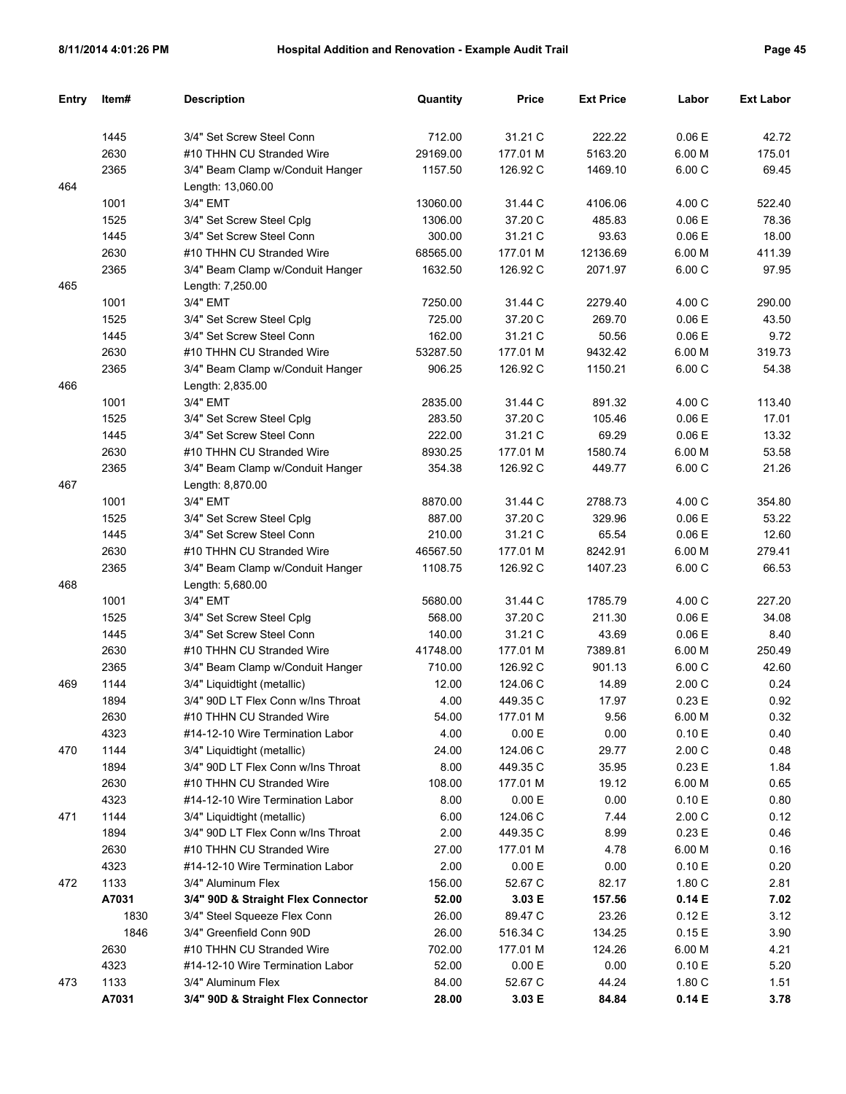| Entry | Item# | <b>Description</b>                 | Quantity | <b>Price</b> | <b>Ext Price</b> | Labor  | <b>Ext Labor</b> |
|-------|-------|------------------------------------|----------|--------------|------------------|--------|------------------|
|       |       |                                    |          |              |                  |        |                  |
|       | 1445  | 3/4" Set Screw Steel Conn          | 712.00   | 31.21 C      | 222.22           | 0.06 E | 42.72            |
|       | 2630  | #10 THHN CU Stranded Wire          | 29169.00 | 177.01 M     | 5163.20          | 6.00 M | 175.01           |
|       | 2365  | 3/4" Beam Clamp w/Conduit Hanger   | 1157.50  | 126.92 C     | 1469.10          | 6.00 C | 69.45            |
| 464   |       | Length: 13,060.00                  |          |              |                  |        |                  |
|       | 1001  | 3/4" EMT                           | 13060.00 | 31.44 C      | 4106.06          | 4.00 C | 522.40           |
|       | 1525  | 3/4" Set Screw Steel Cplg          | 1306.00  | 37.20 C      | 485.83           | 0.06 E | 78.36            |
|       | 1445  | 3/4" Set Screw Steel Conn          | 300.00   | 31.21 C      | 93.63            | 0.06 E | 18.00            |
|       | 2630  | #10 THHN CU Stranded Wire          | 68565.00 | 177.01 M     | 12136.69         | 6.00 M | 411.39           |
|       | 2365  | 3/4" Beam Clamp w/Conduit Hanger   | 1632.50  | 126.92 C     | 2071.97          | 6.00 C | 97.95            |
| 465   |       | Length: 7,250.00                   |          |              |                  |        |                  |
|       | 1001  | 3/4" EMT                           | 7250.00  | 31.44 C      | 2279.40          | 4.00 C | 290.00           |
|       | 1525  | 3/4" Set Screw Steel Cplg          | 725.00   | 37.20 C      | 269.70           | 0.06 E | 43.50            |
|       | 1445  | 3/4" Set Screw Steel Conn          | 162.00   | 31.21 C      | 50.56            | 0.06 E | 9.72             |
|       | 2630  | #10 THHN CU Stranded Wire          | 53287.50 | 177.01 M     | 9432.42          | 6.00 M | 319.73           |
|       | 2365  | 3/4" Beam Clamp w/Conduit Hanger   | 906.25   | 126.92 C     | 1150.21          | 6.00 C | 54.38            |
| 466   |       | Length: 2,835.00                   |          |              |                  |        |                  |
|       | 1001  | 3/4" EMT                           | 2835.00  | 31.44 C      | 891.32           | 4.00 C | 113.40           |
|       | 1525  | 3/4" Set Screw Steel Cplg          | 283.50   | 37.20 C      | 105.46           | 0.06 E | 17.01            |
|       | 1445  | 3/4" Set Screw Steel Conn          | 222.00   | 31.21 C      | 69.29            | 0.06 E | 13.32            |
|       | 2630  | #10 THHN CU Stranded Wire          | 8930.25  | 177.01 M     | 1580.74          | 6.00 M | 53.58            |
|       | 2365  | 3/4" Beam Clamp w/Conduit Hanger   | 354.38   | 126.92 C     | 449.77           | 6.00 C | 21.26            |
| 467   |       | Length: 8,870.00                   |          |              |                  |        |                  |
|       | 1001  | 3/4" EMT                           | 8870.00  | 31.44 C      | 2788.73          | 4.00 C | 354.80           |
|       | 1525  | 3/4" Set Screw Steel Cplg          | 887.00   | 37.20 C      | 329.96           | 0.06 E | 53.22            |
|       | 1445  | 3/4" Set Screw Steel Conn          | 210.00   | 31.21 C      | 65.54            | 0.06 E | 12.60            |
|       | 2630  | #10 THHN CU Stranded Wire          | 46567.50 | 177.01 M     | 8242.91          | 6.00 M | 279.41           |
|       | 2365  | 3/4" Beam Clamp w/Conduit Hanger   | 1108.75  | 126.92 C     | 1407.23          | 6.00 C | 66.53            |
| 468   |       | Length: 5,680.00                   |          |              |                  |        |                  |
|       | 1001  | 3/4" EMT                           | 5680.00  | 31.44 C      | 1785.79          | 4.00 C | 227.20           |
|       | 1525  | 3/4" Set Screw Steel Cplg          | 568.00   | 37.20 C      | 211.30           | 0.06 E | 34.08            |
|       | 1445  | 3/4" Set Screw Steel Conn          | 140.00   | 31.21 C      | 43.69            | 0.06 E | 8.40             |
|       | 2630  | #10 THHN CU Stranded Wire          | 41748.00 | 177.01 M     | 7389.81          | 6.00 M | 250.49           |
|       | 2365  | 3/4" Beam Clamp w/Conduit Hanger   | 710.00   | 126.92 C     | 901.13           | 6.00 C | 42.60            |
| 469   | 1144  | 3/4" Liquidtight (metallic)        | 12.00    | 124.06 C     | 14.89            | 2.00C  | 0.24             |
|       | 1894  | 3/4" 90D LT Flex Conn w/Ins Throat | 4.00     | 449.35 C     | 17.97            | 0.23E  | 0.92             |
|       | 2630  | #10 THHN CU Stranded Wire          | 54.00    | 177.01 M     | 9.56             | 6.00 M | 0.32             |
|       | 4323  | #14-12-10 Wire Termination Labor   | 4.00     | 0.00 E       | 0.00             | 0.10 E | 0.40             |
| 470   | 1144  | 3/4" Liquidtight (metallic)        | 24.00    | 124.06 C     | 29.77            | 2.00C  | 0.48             |
|       | 1894  | 3/4" 90D LT Flex Conn w/Ins Throat | 8.00     | 449.35 C     | 35.95            | 0.23 E | 1.84             |
|       | 2630  | #10 THHN CU Stranded Wire          | 108.00   | 177.01 M     | 19.12            | 6.00 M | 0.65             |
|       | 4323  | #14-12-10 Wire Termination Labor   | 8.00     | 0.00 E       | 0.00             | 0.10 E | 0.80             |
| 471   | 1144  | 3/4" Liquidtight (metallic)        | 6.00     | 124.06 C     | 7.44             | 2.00C  | 0.12             |
|       | 1894  | 3/4" 90D LT Flex Conn w/Ins Throat | 2.00     | 449.35 C     | 8.99             | 0.23 E | 0.46             |
|       | 2630  | #10 THHN CU Stranded Wire          | 27.00    | 177.01 M     | 4.78             | 6.00 M | 0.16             |
|       | 4323  | #14-12-10 Wire Termination Labor   | 2.00     | 0.00 E       | 0.00             | 0.10 E | 0.20             |
| 472   | 1133  | 3/4" Aluminum Flex                 | 156.00   | 52.67 C      | 82.17            | 1.80C  | 2.81             |
|       | A7031 | 3/4" 90D & Straight Flex Connector | 52.00    | 3.03 E       | 157.56           | 0.14E  | 7.02             |
|       | 1830  | 3/4" Steel Squeeze Flex Conn       | 26.00    | 89.47 C      | 23.26            | 0.12 E | 3.12             |
|       | 1846  | 3/4" Greenfield Conn 90D           | 26.00    | 516.34 C     | 134.25           | 0.15E  | 3.90             |
|       | 2630  | #10 THHN CU Stranded Wire          | 702.00   | 177.01 M     | 124.26           | 6.00 M | 4.21             |
|       | 4323  | #14-12-10 Wire Termination Labor   | 52.00    | 0.00 E       | 0.00             | 0.10 E | 5.20             |
| 473   | 1133  | 3/4" Aluminum Flex                 | 84.00    | 52.67 C      | 44.24            | 1.80 C | 1.51             |
|       | A7031 | 3/4" 90D & Straight Flex Connector | 28.00    | 3.03 E       | 84.84            | 0.14E  | 3.78             |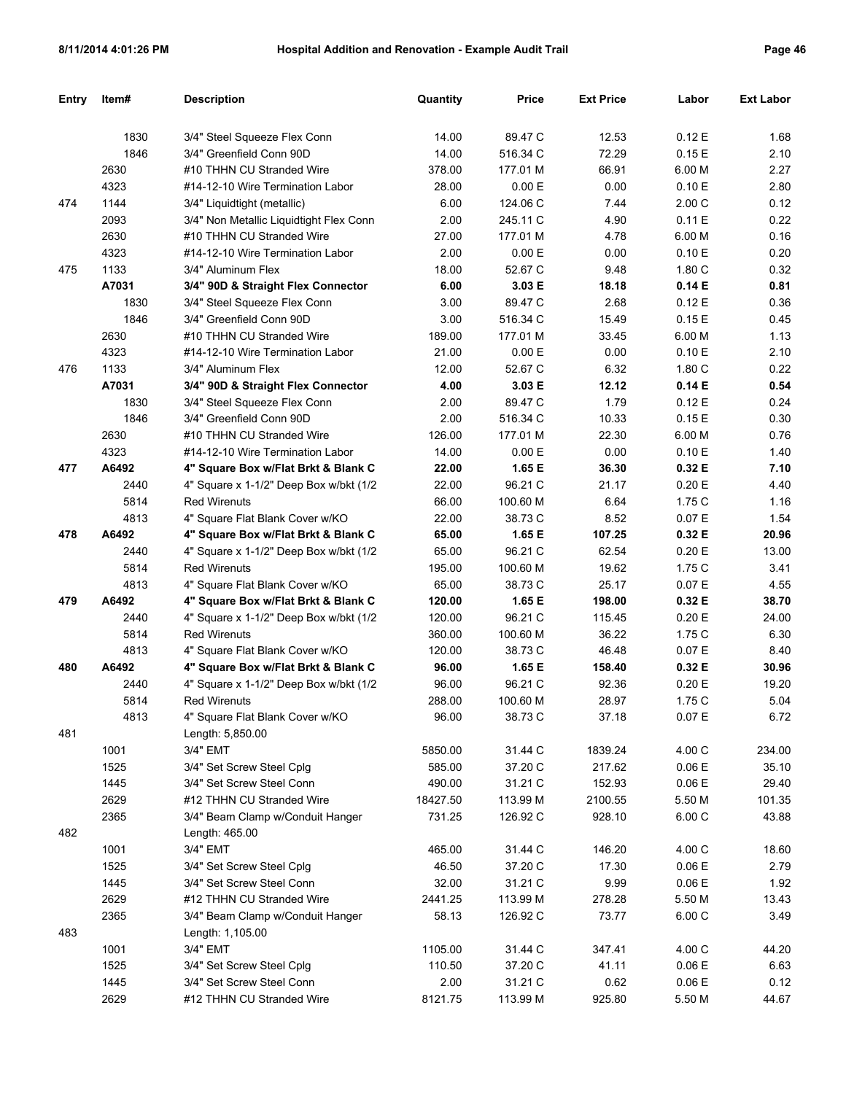| Entry | Item# | <b>Description</b>                      | Quantity | <b>Price</b> | <b>Ext Price</b> | Labor  | <b>Ext Labor</b> |
|-------|-------|-----------------------------------------|----------|--------------|------------------|--------|------------------|
|       |       |                                         |          |              |                  |        |                  |
|       | 1830  | 3/4" Steel Squeeze Flex Conn            | 14.00    | 89.47 C      | 12.53            | 0.12E  | 1.68             |
|       | 1846  | 3/4" Greenfield Conn 90D                | 14.00    | 516.34 C     | 72.29            | 0.15E  | 2.10             |
|       | 2630  | #10 THHN CU Stranded Wire               | 378.00   | 177.01 M     | 66.91            | 6.00 M | 2.27             |
|       | 4323  | #14-12-10 Wire Termination Labor        | 28.00    | 0.00 E       | 0.00             | 0.10 E | 2.80             |
| 474   | 1144  | 3/4" Liquidtight (metallic)             | 6.00     | 124.06 C     | 7.44             | 2.00C  | 0.12             |
|       | 2093  | 3/4" Non Metallic Liquidtight Flex Conn | 2.00     | 245.11 C     | 4.90             | 0.11 E | 0.22             |
|       | 2630  | #10 THHN CU Stranded Wire               | 27.00    | 177.01 M     | 4.78             | 6.00 M | 0.16             |
|       | 4323  | #14-12-10 Wire Termination Labor        | 2.00     | 0.00 E       | 0.00             | 0.10 E | 0.20             |
| 475   | 1133  | 3/4" Aluminum Flex                      | 18.00    | 52.67 C      | 9.48             | 1.80 C | 0.32             |
|       | A7031 | 3/4" 90D & Straight Flex Connector      | 6.00     | 3.03 E       | 18.18            | 0.14E  | 0.81             |
|       | 1830  | 3/4" Steel Squeeze Flex Conn            | 3.00     | 89.47 C      | 2.68             | 0.12E  | 0.36             |
|       | 1846  | 3/4" Greenfield Conn 90D                | 3.00     | 516.34 C     | 15.49            | 0.15E  | 0.45             |
|       | 2630  | #10 THHN CU Stranded Wire               | 189.00   | 177.01 M     | 33.45            | 6.00 M | 1.13             |
|       | 4323  | #14-12-10 Wire Termination Labor        | 21.00    | 0.00 E       | 0.00             | 0.10 E | 2.10             |
| 476   | 1133  | 3/4" Aluminum Flex                      | 12.00    | 52.67 C      | 6.32             | 1.80 C | 0.22             |
|       | A7031 | 3/4" 90D & Straight Flex Connector      | 4.00     | 3.03 E       | 12.12            | 0.14E  | 0.54             |
|       | 1830  | 3/4" Steel Squeeze Flex Conn            | 2.00     | 89.47 C      | 1.79             | 0.12E  | 0.24             |
|       | 1846  | 3/4" Greenfield Conn 90D                | 2.00     | 516.34 C     | 10.33            | 0.15E  | 0.30             |
|       | 2630  | #10 THHN CU Stranded Wire               | 126.00   | 177.01 M     | 22.30            | 6.00 M | 0.76             |
|       | 4323  | #14-12-10 Wire Termination Labor        | 14.00    | 0.00 E       | 0.00             | 0.10 E | 1.40             |
| 477   | A6492 | 4" Square Box w/Flat Brkt & Blank C     | 22.00    | 1.65 E       | 36.30            | 0.32E  | 7.10             |
|       | 2440  | 4" Square x 1-1/2" Deep Box w/bkt (1/2  | 22.00    | 96.21 C      | 21.17            | 0.20 E | 4.40             |
|       | 5814  | <b>Red Wirenuts</b>                     | 66.00    | 100.60 M     | 6.64             | 1.75 C | 1.16             |
|       | 4813  | 4" Square Flat Blank Cover w/KO         | 22.00    | 38.73 C      | 8.52             | 0.07 E | 1.54             |
| 478   | A6492 | 4" Square Box w/Flat Brkt & Blank C     | 65.00    | 1.65 E       | 107.25           | 0.32E  | 20.96            |
|       | 2440  | 4" Square x 1-1/2" Deep Box w/bkt (1/2  | 65.00    | 96.21 C      | 62.54            | 0.20 E | 13.00            |
|       | 5814  | <b>Red Wirenuts</b>                     | 195.00   | 100.60 M     | 19.62            | 1.75 C | 3.41             |
|       | 4813  | 4" Square Flat Blank Cover w/KO         | 65.00    | 38.73 C      | 25.17            | 0.07 E | 4.55             |
| 479   | A6492 | 4" Square Box w/Flat Brkt & Blank C     | 120.00   | 1.65 E       | 198.00           | 0.32E  | 38.70            |
|       | 2440  | 4" Square x 1-1/2" Deep Box w/bkt (1/2  | 120.00   | 96.21 C      | 115.45           | 0.20 E | 24.00            |
|       | 5814  | <b>Red Wirenuts</b>                     | 360.00   | 100.60 M     | 36.22            | 1.75 C | 6.30             |
|       | 4813  | 4" Square Flat Blank Cover w/KO         | 120.00   | 38.73 C      | 46.48            | 0.07 E | 8.40             |
| 480   | A6492 | 4" Square Box w/Flat Brkt & Blank C     | 96.00    | 1.65 E       | 158.40           | 0.32E  | 30.96            |
|       | 2440  | 4" Square x 1-1/2" Deep Box w/bkt (1/2  | 96.00    | 96.21 C      | 92.36            | 0.20 E | 19.20            |
|       | 5814  | <b>Red Wirenuts</b>                     | 288.00   | 100.60 M     | 28.97            | 1.75 C | 5.04             |
|       | 4813  | 4" Square Flat Blank Cover w/KO         | 96.00    | 38.73 C      | 37.18            | 0.07 E | 6.72             |
| 481   |       | Length: 5,850.00                        |          |              |                  |        |                  |
|       | 1001  | 3/4" EMT                                | 5850.00  | 31.44 C      | 1839.24          | 4.00 C | 234.00           |
|       | 1525  | 3/4" Set Screw Steel Cplg               | 585.00   | 37.20 C      | 217.62           | 0.06E  | 35.10            |
|       | 1445  | 3/4" Set Screw Steel Conn               | 490.00   | 31.21 C      | 152.93           | 0.06E  | 29.40            |
|       | 2629  | #12 THHN CU Stranded Wire               | 18427.50 | 113.99 M     | 2100.55          | 5.50 M | 101.35           |
|       | 2365  | 3/4" Beam Clamp w/Conduit Hanger        | 731.25   | 126.92 C     | 928.10           | 6.00C  | 43.88            |
| 482   |       | Length: 465.00                          |          |              |                  |        |                  |
|       | 1001  | 3/4" EMT                                | 465.00   | 31.44 C      | 146.20           | 4.00 C | 18.60            |
|       | 1525  | 3/4" Set Screw Steel Cplg               | 46.50    | 37.20 C      | 17.30            | 0.06E  | 2.79             |
|       | 1445  | 3/4" Set Screw Steel Conn               | 32.00    | 31.21 C      | 9.99             | 0.06 E | 1.92             |
|       | 2629  | #12 THHN CU Stranded Wire               | 2441.25  | 113.99 M     | 278.28           | 5.50 M | 13.43            |
|       | 2365  | 3/4" Beam Clamp w/Conduit Hanger        | 58.13    | 126.92 C     | 73.77            | 6.00C  | 3.49             |
| 483   |       | Length: 1,105.00                        |          |              |                  |        |                  |
|       | 1001  | 3/4" EMT                                | 1105.00  | 31.44 C      | 347.41           | 4.00 C | 44.20            |
|       | 1525  | 3/4" Set Screw Steel Cplg               | 110.50   | 37.20 C      | 41.11            | 0.06E  | 6.63             |
|       | 1445  | 3/4" Set Screw Steel Conn               | 2.00     | 31.21 C      | 0.62             | 0.06 E | 0.12             |
|       | 2629  | #12 THHN CU Stranded Wire               | 8121.75  | 113.99 M     | 925.80           | 5.50 M | 44.67            |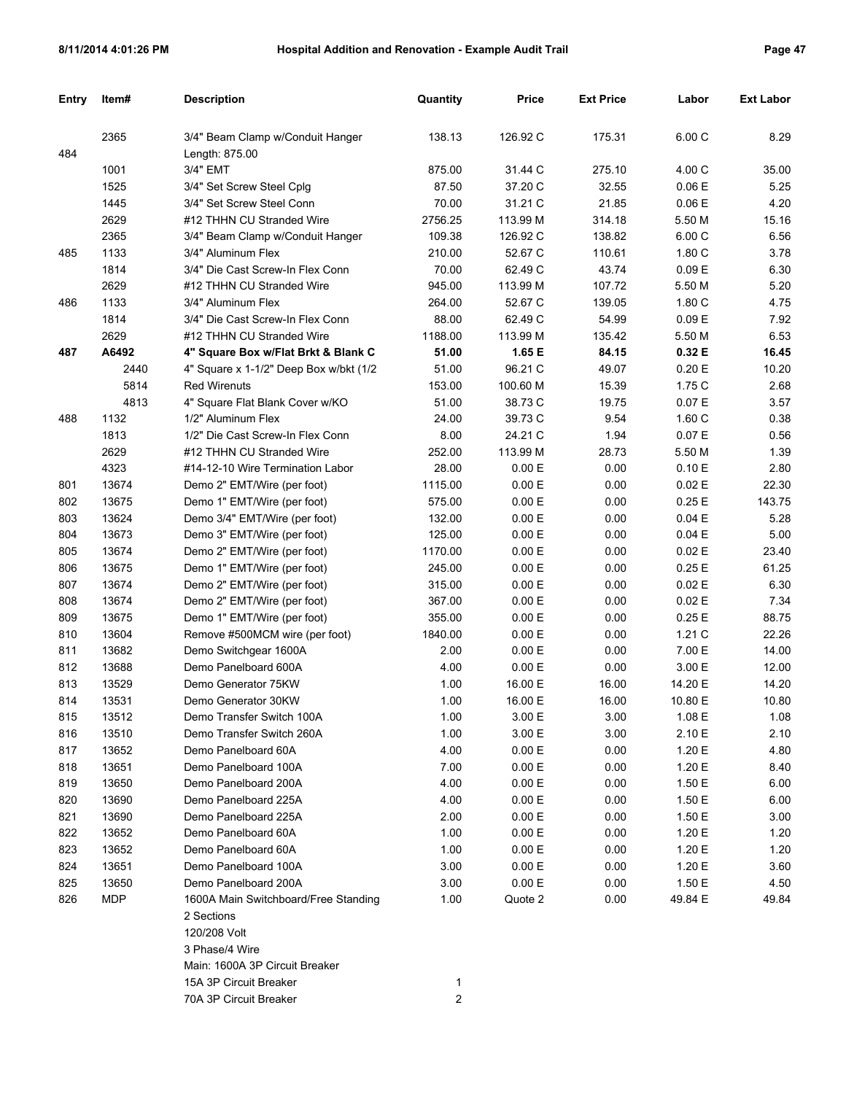| Entry | Item#      | <b>Description</b>                     | Quantity | <b>Price</b> | <b>Ext Price</b> | Labor   | <b>Ext Labor</b> |
|-------|------------|----------------------------------------|----------|--------------|------------------|---------|------------------|
|       |            |                                        |          |              |                  |         |                  |
|       | 2365       | 3/4" Beam Clamp w/Conduit Hanger       | 138.13   | 126.92 C     | 175.31           | 6.00C   | 8.29             |
| 484   |            | Length: 875.00                         |          |              |                  |         |                  |
|       | 1001       | 3/4" EMT                               | 875.00   | 31.44 C      | 275.10           | 4.00 C  | 35.00            |
|       | 1525       | 3/4" Set Screw Steel Cplg              | 87.50    | 37.20 C      | 32.55            | 0.06E   | 5.25             |
|       | 1445       | 3/4" Set Screw Steel Conn              | 70.00    | 31.21 C      | 21.85            | 0.06E   | 4.20             |
|       | 2629       | #12 THHN CU Stranded Wire              | 2756.25  | 113.99 M     | 314.18           | 5.50 M  | 15.16            |
|       | 2365       | 3/4" Beam Clamp w/Conduit Hanger       | 109.38   | 126.92 C     | 138.82           | 6.00 C  | 6.56             |
| 485   | 1133       | 3/4" Aluminum Flex                     | 210.00   | 52.67 C      | 110.61           | 1.80C   | 3.78             |
|       | 1814       | 3/4" Die Cast Screw-In Flex Conn       | 70.00    | 62.49 C      | 43.74            | 0.09 E  | 6.30             |
|       | 2629       | #12 THHN CU Stranded Wire              | 945.00   | 113.99 M     | 107.72           | 5.50 M  | 5.20             |
| 486   | 1133       | 3/4" Aluminum Flex                     | 264.00   | 52.67 C      | 139.05           | 1.80 C  | 4.75             |
|       | 1814       | 3/4" Die Cast Screw-In Flex Conn       | 88.00    | 62.49 C      | 54.99            | 0.09 E  | 7.92             |
|       | 2629       | #12 THHN CU Stranded Wire              | 1188.00  | 113.99 M     | 135.42           | 5.50 M  | 6.53             |
| 487   | A6492      | 4" Square Box w/Flat Brkt & Blank C    | 51.00    | 1.65 E       | 84.15            | 0.32 E  | 16.45            |
|       | 2440       | 4" Square x 1-1/2" Deep Box w/bkt (1/2 | 51.00    | 96.21 C      | 49.07            | 0.20 E  | 10.20            |
|       | 5814       | <b>Red Wirenuts</b>                    | 153.00   | 100.60 M     | 15.39            | 1.75 C  | 2.68             |
|       | 4813       | 4" Square Flat Blank Cover w/KO        | 51.00    | 38.73 C      | 19.75            | 0.07 E  | 3.57             |
| 488   | 1132       | 1/2" Aluminum Flex                     | 24.00    | 39.73 C      | 9.54             | 1.60 C  | 0.38             |
|       | 1813       | 1/2" Die Cast Screw-In Flex Conn       | 8.00     | 24.21 C      | 1.94             | 0.07E   | 0.56             |
|       | 2629       | #12 THHN CU Stranded Wire              | 252.00   | 113.99 M     | 28.73            | 5.50 M  | 1.39             |
|       | 4323       | #14-12-10 Wire Termination Labor       | 28.00    | 0.00 E       | 0.00             | 0.10 E  | 2.80             |
| 801   | 13674      | Demo 2" EMT/Wire (per foot)            | 1115.00  | 0.00 E       | 0.00             | 0.02 E  | 22.30            |
| 802   | 13675      | Demo 1" EMT/Wire (per foot)            | 575.00   | 0.00 E       | 0.00             | 0.25E   | 143.75           |
| 803   | 13624      | Demo 3/4" EMT/Wire (per foot)          | 132.00   | 0.00 E       | 0.00             | 0.04 E  | 5.28             |
| 804   | 13673      | Demo 3" EMT/Wire (per foot)            | 125.00   | 0.00 E       | 0.00             | 0.04 E  | 5.00             |
| 805   | 13674      | Demo 2" EMT/Wire (per foot)            | 1170.00  | 0.00 E       | 0.00             | 0.02 E  | 23.40            |
| 806   | 13675      | Demo 1" EMT/Wire (per foot)            | 245.00   | 0.00 E       | 0.00             | 0.25 E  | 61.25            |
| 807   | 13674      | Demo 2" EMT/Wire (per foot)            | 315.00   | 0.00 E       | 0.00             | 0.02E   | 6.30             |
| 808   | 13674      | Demo 2" EMT/Wire (per foot)            | 367.00   | 0.00 E       | 0.00             | 0.02 E  | 7.34             |
| 809   | 13675      | Demo 1" EMT/Wire (per foot)            | 355.00   | 0.00 E       | 0.00             | 0.25 E  | 88.75            |
| 810   | 13604      | Remove #500MCM wire (per foot)         | 1840.00  | 0.00 E       | 0.00             | 1.21C   | 22.26            |
| 811   | 13682      | Demo Switchgear 1600A                  | 2.00     | 0.00 E       | 0.00             | 7.00 E  | 14.00            |
| 812   | 13688      | Demo Panelboard 600A                   | 4.00     | 0.00 E       | 0.00             | 3.00 E  | 12.00            |
| 813   | 13529      | Demo Generator 75KW                    | 1.00     | 16.00 E      | 16.00            | 14.20 E | 14.20            |
| 814   | 13531      | Demo Generator 30KW                    | 1.00     | 16.00 E      | 16.00            | 10.80 E | 10.80            |
| 815   | 13512      | Demo Transfer Switch 100A              | 1.00     | 3.00 E       | 3.00             | 1.08 E  | 1.08             |
| 816   | 13510      | Demo Transfer Switch 260A              | 1.00     | 3.00 E       | 3.00             | 2.10 E  | 2.10             |
| 817   | 13652      | Demo Panelboard 60A                    | 4.00     | 0.00 E       | 0.00             | 1.20 E  | 4.80             |
| 818   | 13651      | Demo Panelboard 100A                   | 7.00     | 0.00 E       | 0.00             | 1.20 E  | 8.40             |
| 819   | 13650      | Demo Panelboard 200A                   | 4.00     | 0.00 E       | 0.00             | 1.50 E  | 6.00             |
| 820   | 13690      | Demo Panelboard 225A                   | 4.00     | 0.00 E       | 0.00             | 1.50 E  | 6.00             |
| 821   | 13690      | Demo Panelboard 225A                   | 2.00     | 0.00 E       | 0.00             | 1.50 E  | 3.00             |
| 822   | 13652      | Demo Panelboard 60A                    | 1.00     | 0.00 E       | 0.00             | 1.20 E  | 1.20             |
| 823   | 13652      | Demo Panelboard 60A                    | 1.00     | 0.00 E       | 0.00             | 1.20 E  | 1.20             |
| 824   | 13651      | Demo Panelboard 100A                   | 3.00     | 0.00 E       | 0.00             | 1.20 E  | 3.60             |
| 825   | 13650      | Demo Panelboard 200A                   | 3.00     | 0.00 E       | 0.00             | 1.50 E  | 4.50             |
| 826   | <b>MDP</b> | 1600A Main Switchboard/Free Standing   | 1.00     | Quote 2      | 0.00             | 49.84 E | 49.84            |
|       |            | 2 Sections                             |          |              |                  |         |                  |
|       |            | 120/208 Volt                           |          |              |                  |         |                  |
|       |            | 3 Phase/4 Wire                         |          |              |                  |         |                  |
|       |            | Main: 1600A 3P Circuit Breaker         |          |              |                  |         |                  |
|       |            | 15A 3P Circuit Breaker                 | 1        |              |                  |         |                  |

70A 3P Circuit Breaker 2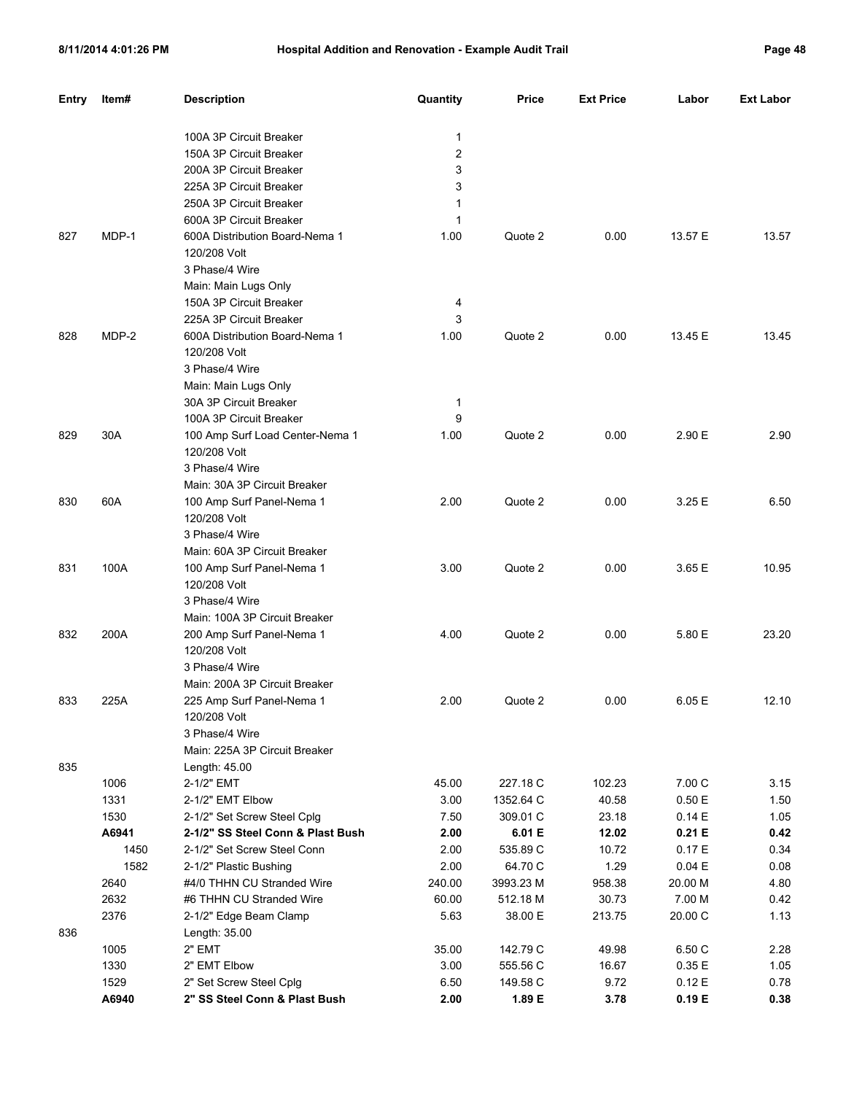| ad<br>œ | 48 |
|---------|----|
|---------|----|

| 100A 3P Circuit Breaker<br>1<br>2<br>150A 3P Circuit Breaker<br>3<br>200A 3P Circuit Breaker<br>3<br>225A 3P Circuit Breaker<br>250A 3P Circuit Breaker<br>1<br>600A 3P Circuit Breaker<br>1<br>MDP-1<br>827<br>600A Distribution Board-Nema 1<br>1.00<br>Quote 2<br>0.00<br>13.57 E<br>13.57<br>120/208 Volt<br>3 Phase/4 Wire<br>Main: Main Lugs Only<br>150A 3P Circuit Breaker<br>4<br>3<br>225A 3P Circuit Breaker<br>MDP-2<br>Quote 2<br>13.45 E<br>828<br>600A Distribution Board-Nema 1<br>1.00<br>0.00<br>13.45<br>120/208 Volt<br>3 Phase/4 Wire<br>Main: Main Lugs Only<br>30A 3P Circuit Breaker<br>$\mathbf 1$<br>9<br>100A 3P Circuit Breaker<br>2.90 E<br>829<br>30A<br>100 Amp Surf Load Center-Nema 1<br>1.00<br>Quote 2<br>0.00<br>2.90<br>120/208 Volt<br>3 Phase/4 Wire<br>Main: 30A 3P Circuit Breaker<br>60A<br>3.25 E<br>100 Amp Surf Panel-Nema 1<br>2.00<br>Quote 2<br>0.00<br>6.50<br>120/208 Volt<br>3 Phase/4 Wire<br>Main: 60A 3P Circuit Breaker<br>100A<br>3.65 E<br>100 Amp Surf Panel-Nema 1<br>3.00<br>Quote 2<br>0.00<br>10.95<br>120/208 Volt<br>3 Phase/4 Wire<br>Main: 100A 3P Circuit Breaker<br>200A<br>5.80 E<br>200 Amp Surf Panel-Nema 1<br>4.00<br>Quote 2<br>0.00<br>23.20<br>120/208 Volt<br>3 Phase/4 Wire<br>Main: 200A 3P Circuit Breaker<br>225A<br>2.00<br>Quote 2<br>0.00<br>6.05 E<br>12.10<br>225 Amp Surf Panel-Nema 1<br>120/208 Volt<br>3 Phase/4 Wire<br>Main: 225A 3P Circuit Breaker<br>Length: 45.00<br>1006<br>227.18 C<br>102.23<br>7.00 C<br>2-1/2" EMT<br>45.00<br>3.15<br>1331<br>2-1/2" EMT Elbow<br>3.00<br>1352.64 C<br>40.58<br>0.50E<br>1.50<br>1530<br>2-1/2" Set Screw Steel Cplg<br>7.50<br>309.01 C<br>23.18<br>0.14E<br>1.05<br>A6941<br>2-1/2" SS Steel Conn & Plast Bush<br>2.00<br>6.01 E<br>12.02<br>0.21 E<br>0.42<br>2-1/2" Set Screw Steel Conn<br>2.00<br>535.89 C<br>10.72<br>0.17E<br>1450<br>0.34<br>1.29<br>1582<br>2.00<br>64.70 C<br>0.04 E<br>2-1/2" Plastic Bushing<br>0.08<br>2640<br>#4/0 THHN CU Stranded Wire<br>240.00<br>3993.23 M<br>958.38<br>20.00 M<br>4.80<br>2632<br>#6 THHN CU Stranded Wire<br>60.00<br>30.73<br>7.00 M<br>512.18 M<br>0.42<br>2376<br>5.63<br>38.00 E<br>213.75<br>20.00 C<br>2-1/2" Edge Beam Clamp<br>1.13<br>836<br>Length: 35.00<br>1005<br>2" EMT<br>142.79 C<br>49.98<br>35.00<br>6.50 C<br>2.28<br>1330<br>2" EMT Elbow<br>3.00<br>16.67<br>0.35 E<br>555.56 C<br>1.05<br>1529<br>2" Set Screw Steel Cplg<br>6.50<br>9.72<br>0.12 E<br>149.58 C<br>0.78 | <b>Entry</b> | Item# | <b>Description</b> | Quantity | <b>Price</b> | <b>Ext Price</b> | Labor | <b>Ext Labor</b> |
|-------------------------------------------------------------------------------------------------------------------------------------------------------------------------------------------------------------------------------------------------------------------------------------------------------------------------------------------------------------------------------------------------------------------------------------------------------------------------------------------------------------------------------------------------------------------------------------------------------------------------------------------------------------------------------------------------------------------------------------------------------------------------------------------------------------------------------------------------------------------------------------------------------------------------------------------------------------------------------------------------------------------------------------------------------------------------------------------------------------------------------------------------------------------------------------------------------------------------------------------------------------------------------------------------------------------------------------------------------------------------------------------------------------------------------------------------------------------------------------------------------------------------------------------------------------------------------------------------------------------------------------------------------------------------------------------------------------------------------------------------------------------------------------------------------------------------------------------------------------------------------------------------------------------------------------------------------------------------------------------------------------------------------------------------------------------------------------------------------------------------------------------------------------------------------------------------------------------------------------------------------------------------------------------------------------------------------------------------------------------------------------------------------------------------------------------------------------------------------------------|--------------|-------|--------------------|----------|--------------|------------------|-------|------------------|
|                                                                                                                                                                                                                                                                                                                                                                                                                                                                                                                                                                                                                                                                                                                                                                                                                                                                                                                                                                                                                                                                                                                                                                                                                                                                                                                                                                                                                                                                                                                                                                                                                                                                                                                                                                                                                                                                                                                                                                                                                                                                                                                                                                                                                                                                                                                                                                                                                                                                                           |              |       |                    |          |              |                  |       |                  |
|                                                                                                                                                                                                                                                                                                                                                                                                                                                                                                                                                                                                                                                                                                                                                                                                                                                                                                                                                                                                                                                                                                                                                                                                                                                                                                                                                                                                                                                                                                                                                                                                                                                                                                                                                                                                                                                                                                                                                                                                                                                                                                                                                                                                                                                                                                                                                                                                                                                                                           |              |       |                    |          |              |                  |       |                  |
|                                                                                                                                                                                                                                                                                                                                                                                                                                                                                                                                                                                                                                                                                                                                                                                                                                                                                                                                                                                                                                                                                                                                                                                                                                                                                                                                                                                                                                                                                                                                                                                                                                                                                                                                                                                                                                                                                                                                                                                                                                                                                                                                                                                                                                                                                                                                                                                                                                                                                           |              |       |                    |          |              |                  |       |                  |
|                                                                                                                                                                                                                                                                                                                                                                                                                                                                                                                                                                                                                                                                                                                                                                                                                                                                                                                                                                                                                                                                                                                                                                                                                                                                                                                                                                                                                                                                                                                                                                                                                                                                                                                                                                                                                                                                                                                                                                                                                                                                                                                                                                                                                                                                                                                                                                                                                                                                                           |              |       |                    |          |              |                  |       |                  |
|                                                                                                                                                                                                                                                                                                                                                                                                                                                                                                                                                                                                                                                                                                                                                                                                                                                                                                                                                                                                                                                                                                                                                                                                                                                                                                                                                                                                                                                                                                                                                                                                                                                                                                                                                                                                                                                                                                                                                                                                                                                                                                                                                                                                                                                                                                                                                                                                                                                                                           |              |       |                    |          |              |                  |       |                  |
|                                                                                                                                                                                                                                                                                                                                                                                                                                                                                                                                                                                                                                                                                                                                                                                                                                                                                                                                                                                                                                                                                                                                                                                                                                                                                                                                                                                                                                                                                                                                                                                                                                                                                                                                                                                                                                                                                                                                                                                                                                                                                                                                                                                                                                                                                                                                                                                                                                                                                           |              |       |                    |          |              |                  |       |                  |
|                                                                                                                                                                                                                                                                                                                                                                                                                                                                                                                                                                                                                                                                                                                                                                                                                                                                                                                                                                                                                                                                                                                                                                                                                                                                                                                                                                                                                                                                                                                                                                                                                                                                                                                                                                                                                                                                                                                                                                                                                                                                                                                                                                                                                                                                                                                                                                                                                                                                                           |              |       |                    |          |              |                  |       |                  |
|                                                                                                                                                                                                                                                                                                                                                                                                                                                                                                                                                                                                                                                                                                                                                                                                                                                                                                                                                                                                                                                                                                                                                                                                                                                                                                                                                                                                                                                                                                                                                                                                                                                                                                                                                                                                                                                                                                                                                                                                                                                                                                                                                                                                                                                                                                                                                                                                                                                                                           |              |       |                    |          |              |                  |       |                  |
|                                                                                                                                                                                                                                                                                                                                                                                                                                                                                                                                                                                                                                                                                                                                                                                                                                                                                                                                                                                                                                                                                                                                                                                                                                                                                                                                                                                                                                                                                                                                                                                                                                                                                                                                                                                                                                                                                                                                                                                                                                                                                                                                                                                                                                                                                                                                                                                                                                                                                           |              |       |                    |          |              |                  |       |                  |
|                                                                                                                                                                                                                                                                                                                                                                                                                                                                                                                                                                                                                                                                                                                                                                                                                                                                                                                                                                                                                                                                                                                                                                                                                                                                                                                                                                                                                                                                                                                                                                                                                                                                                                                                                                                                                                                                                                                                                                                                                                                                                                                                                                                                                                                                                                                                                                                                                                                                                           |              |       |                    |          |              |                  |       |                  |
|                                                                                                                                                                                                                                                                                                                                                                                                                                                                                                                                                                                                                                                                                                                                                                                                                                                                                                                                                                                                                                                                                                                                                                                                                                                                                                                                                                                                                                                                                                                                                                                                                                                                                                                                                                                                                                                                                                                                                                                                                                                                                                                                                                                                                                                                                                                                                                                                                                                                                           |              |       |                    |          |              |                  |       |                  |
|                                                                                                                                                                                                                                                                                                                                                                                                                                                                                                                                                                                                                                                                                                                                                                                                                                                                                                                                                                                                                                                                                                                                                                                                                                                                                                                                                                                                                                                                                                                                                                                                                                                                                                                                                                                                                                                                                                                                                                                                                                                                                                                                                                                                                                                                                                                                                                                                                                                                                           |              |       |                    |          |              |                  |       |                  |
|                                                                                                                                                                                                                                                                                                                                                                                                                                                                                                                                                                                                                                                                                                                                                                                                                                                                                                                                                                                                                                                                                                                                                                                                                                                                                                                                                                                                                                                                                                                                                                                                                                                                                                                                                                                                                                                                                                                                                                                                                                                                                                                                                                                                                                                                                                                                                                                                                                                                                           |              |       |                    |          |              |                  |       |                  |
|                                                                                                                                                                                                                                                                                                                                                                                                                                                                                                                                                                                                                                                                                                                                                                                                                                                                                                                                                                                                                                                                                                                                                                                                                                                                                                                                                                                                                                                                                                                                                                                                                                                                                                                                                                                                                                                                                                                                                                                                                                                                                                                                                                                                                                                                                                                                                                                                                                                                                           |              |       |                    |          |              |                  |       |                  |
|                                                                                                                                                                                                                                                                                                                                                                                                                                                                                                                                                                                                                                                                                                                                                                                                                                                                                                                                                                                                                                                                                                                                                                                                                                                                                                                                                                                                                                                                                                                                                                                                                                                                                                                                                                                                                                                                                                                                                                                                                                                                                                                                                                                                                                                                                                                                                                                                                                                                                           |              |       |                    |          |              |                  |       |                  |
|                                                                                                                                                                                                                                                                                                                                                                                                                                                                                                                                                                                                                                                                                                                                                                                                                                                                                                                                                                                                                                                                                                                                                                                                                                                                                                                                                                                                                                                                                                                                                                                                                                                                                                                                                                                                                                                                                                                                                                                                                                                                                                                                                                                                                                                                                                                                                                                                                                                                                           |              |       |                    |          |              |                  |       |                  |
|                                                                                                                                                                                                                                                                                                                                                                                                                                                                                                                                                                                                                                                                                                                                                                                                                                                                                                                                                                                                                                                                                                                                                                                                                                                                                                                                                                                                                                                                                                                                                                                                                                                                                                                                                                                                                                                                                                                                                                                                                                                                                                                                                                                                                                                                                                                                                                                                                                                                                           |              |       |                    |          |              |                  |       |                  |
|                                                                                                                                                                                                                                                                                                                                                                                                                                                                                                                                                                                                                                                                                                                                                                                                                                                                                                                                                                                                                                                                                                                                                                                                                                                                                                                                                                                                                                                                                                                                                                                                                                                                                                                                                                                                                                                                                                                                                                                                                                                                                                                                                                                                                                                                                                                                                                                                                                                                                           |              |       |                    |          |              |                  |       |                  |
|                                                                                                                                                                                                                                                                                                                                                                                                                                                                                                                                                                                                                                                                                                                                                                                                                                                                                                                                                                                                                                                                                                                                                                                                                                                                                                                                                                                                                                                                                                                                                                                                                                                                                                                                                                                                                                                                                                                                                                                                                                                                                                                                                                                                                                                                                                                                                                                                                                                                                           |              |       |                    |          |              |                  |       |                  |
|                                                                                                                                                                                                                                                                                                                                                                                                                                                                                                                                                                                                                                                                                                                                                                                                                                                                                                                                                                                                                                                                                                                                                                                                                                                                                                                                                                                                                                                                                                                                                                                                                                                                                                                                                                                                                                                                                                                                                                                                                                                                                                                                                                                                                                                                                                                                                                                                                                                                                           |              |       |                    |          |              |                  |       |                  |
|                                                                                                                                                                                                                                                                                                                                                                                                                                                                                                                                                                                                                                                                                                                                                                                                                                                                                                                                                                                                                                                                                                                                                                                                                                                                                                                                                                                                                                                                                                                                                                                                                                                                                                                                                                                                                                                                                                                                                                                                                                                                                                                                                                                                                                                                                                                                                                                                                                                                                           |              |       |                    |          |              |                  |       |                  |
|                                                                                                                                                                                                                                                                                                                                                                                                                                                                                                                                                                                                                                                                                                                                                                                                                                                                                                                                                                                                                                                                                                                                                                                                                                                                                                                                                                                                                                                                                                                                                                                                                                                                                                                                                                                                                                                                                                                                                                                                                                                                                                                                                                                                                                                                                                                                                                                                                                                                                           |              |       |                    |          |              |                  |       |                  |
|                                                                                                                                                                                                                                                                                                                                                                                                                                                                                                                                                                                                                                                                                                                                                                                                                                                                                                                                                                                                                                                                                                                                                                                                                                                                                                                                                                                                                                                                                                                                                                                                                                                                                                                                                                                                                                                                                                                                                                                                                                                                                                                                                                                                                                                                                                                                                                                                                                                                                           |              |       |                    |          |              |                  |       |                  |
|                                                                                                                                                                                                                                                                                                                                                                                                                                                                                                                                                                                                                                                                                                                                                                                                                                                                                                                                                                                                                                                                                                                                                                                                                                                                                                                                                                                                                                                                                                                                                                                                                                                                                                                                                                                                                                                                                                                                                                                                                                                                                                                                                                                                                                                                                                                                                                                                                                                                                           | 830          |       |                    |          |              |                  |       |                  |
|                                                                                                                                                                                                                                                                                                                                                                                                                                                                                                                                                                                                                                                                                                                                                                                                                                                                                                                                                                                                                                                                                                                                                                                                                                                                                                                                                                                                                                                                                                                                                                                                                                                                                                                                                                                                                                                                                                                                                                                                                                                                                                                                                                                                                                                                                                                                                                                                                                                                                           |              |       |                    |          |              |                  |       |                  |
|                                                                                                                                                                                                                                                                                                                                                                                                                                                                                                                                                                                                                                                                                                                                                                                                                                                                                                                                                                                                                                                                                                                                                                                                                                                                                                                                                                                                                                                                                                                                                                                                                                                                                                                                                                                                                                                                                                                                                                                                                                                                                                                                                                                                                                                                                                                                                                                                                                                                                           |              |       |                    |          |              |                  |       |                  |
|                                                                                                                                                                                                                                                                                                                                                                                                                                                                                                                                                                                                                                                                                                                                                                                                                                                                                                                                                                                                                                                                                                                                                                                                                                                                                                                                                                                                                                                                                                                                                                                                                                                                                                                                                                                                                                                                                                                                                                                                                                                                                                                                                                                                                                                                                                                                                                                                                                                                                           |              |       |                    |          |              |                  |       |                  |
|                                                                                                                                                                                                                                                                                                                                                                                                                                                                                                                                                                                                                                                                                                                                                                                                                                                                                                                                                                                                                                                                                                                                                                                                                                                                                                                                                                                                                                                                                                                                                                                                                                                                                                                                                                                                                                                                                                                                                                                                                                                                                                                                                                                                                                                                                                                                                                                                                                                                                           | 831          |       |                    |          |              |                  |       |                  |
|                                                                                                                                                                                                                                                                                                                                                                                                                                                                                                                                                                                                                                                                                                                                                                                                                                                                                                                                                                                                                                                                                                                                                                                                                                                                                                                                                                                                                                                                                                                                                                                                                                                                                                                                                                                                                                                                                                                                                                                                                                                                                                                                                                                                                                                                                                                                                                                                                                                                                           |              |       |                    |          |              |                  |       |                  |
|                                                                                                                                                                                                                                                                                                                                                                                                                                                                                                                                                                                                                                                                                                                                                                                                                                                                                                                                                                                                                                                                                                                                                                                                                                                                                                                                                                                                                                                                                                                                                                                                                                                                                                                                                                                                                                                                                                                                                                                                                                                                                                                                                                                                                                                                                                                                                                                                                                                                                           |              |       |                    |          |              |                  |       |                  |
|                                                                                                                                                                                                                                                                                                                                                                                                                                                                                                                                                                                                                                                                                                                                                                                                                                                                                                                                                                                                                                                                                                                                                                                                                                                                                                                                                                                                                                                                                                                                                                                                                                                                                                                                                                                                                                                                                                                                                                                                                                                                                                                                                                                                                                                                                                                                                                                                                                                                                           |              |       |                    |          |              |                  |       |                  |
|                                                                                                                                                                                                                                                                                                                                                                                                                                                                                                                                                                                                                                                                                                                                                                                                                                                                                                                                                                                                                                                                                                                                                                                                                                                                                                                                                                                                                                                                                                                                                                                                                                                                                                                                                                                                                                                                                                                                                                                                                                                                                                                                                                                                                                                                                                                                                                                                                                                                                           | 832          |       |                    |          |              |                  |       |                  |
|                                                                                                                                                                                                                                                                                                                                                                                                                                                                                                                                                                                                                                                                                                                                                                                                                                                                                                                                                                                                                                                                                                                                                                                                                                                                                                                                                                                                                                                                                                                                                                                                                                                                                                                                                                                                                                                                                                                                                                                                                                                                                                                                                                                                                                                                                                                                                                                                                                                                                           |              |       |                    |          |              |                  |       |                  |
|                                                                                                                                                                                                                                                                                                                                                                                                                                                                                                                                                                                                                                                                                                                                                                                                                                                                                                                                                                                                                                                                                                                                                                                                                                                                                                                                                                                                                                                                                                                                                                                                                                                                                                                                                                                                                                                                                                                                                                                                                                                                                                                                                                                                                                                                                                                                                                                                                                                                                           |              |       |                    |          |              |                  |       |                  |
|                                                                                                                                                                                                                                                                                                                                                                                                                                                                                                                                                                                                                                                                                                                                                                                                                                                                                                                                                                                                                                                                                                                                                                                                                                                                                                                                                                                                                                                                                                                                                                                                                                                                                                                                                                                                                                                                                                                                                                                                                                                                                                                                                                                                                                                                                                                                                                                                                                                                                           |              |       |                    |          |              |                  |       |                  |
|                                                                                                                                                                                                                                                                                                                                                                                                                                                                                                                                                                                                                                                                                                                                                                                                                                                                                                                                                                                                                                                                                                                                                                                                                                                                                                                                                                                                                                                                                                                                                                                                                                                                                                                                                                                                                                                                                                                                                                                                                                                                                                                                                                                                                                                                                                                                                                                                                                                                                           | 833          |       |                    |          |              |                  |       |                  |
|                                                                                                                                                                                                                                                                                                                                                                                                                                                                                                                                                                                                                                                                                                                                                                                                                                                                                                                                                                                                                                                                                                                                                                                                                                                                                                                                                                                                                                                                                                                                                                                                                                                                                                                                                                                                                                                                                                                                                                                                                                                                                                                                                                                                                                                                                                                                                                                                                                                                                           |              |       |                    |          |              |                  |       |                  |
|                                                                                                                                                                                                                                                                                                                                                                                                                                                                                                                                                                                                                                                                                                                                                                                                                                                                                                                                                                                                                                                                                                                                                                                                                                                                                                                                                                                                                                                                                                                                                                                                                                                                                                                                                                                                                                                                                                                                                                                                                                                                                                                                                                                                                                                                                                                                                                                                                                                                                           |              |       |                    |          |              |                  |       |                  |
|                                                                                                                                                                                                                                                                                                                                                                                                                                                                                                                                                                                                                                                                                                                                                                                                                                                                                                                                                                                                                                                                                                                                                                                                                                                                                                                                                                                                                                                                                                                                                                                                                                                                                                                                                                                                                                                                                                                                                                                                                                                                                                                                                                                                                                                                                                                                                                                                                                                                                           |              |       |                    |          |              |                  |       |                  |
|                                                                                                                                                                                                                                                                                                                                                                                                                                                                                                                                                                                                                                                                                                                                                                                                                                                                                                                                                                                                                                                                                                                                                                                                                                                                                                                                                                                                                                                                                                                                                                                                                                                                                                                                                                                                                                                                                                                                                                                                                                                                                                                                                                                                                                                                                                                                                                                                                                                                                           | 835          |       |                    |          |              |                  |       |                  |
|                                                                                                                                                                                                                                                                                                                                                                                                                                                                                                                                                                                                                                                                                                                                                                                                                                                                                                                                                                                                                                                                                                                                                                                                                                                                                                                                                                                                                                                                                                                                                                                                                                                                                                                                                                                                                                                                                                                                                                                                                                                                                                                                                                                                                                                                                                                                                                                                                                                                                           |              |       |                    |          |              |                  |       |                  |
|                                                                                                                                                                                                                                                                                                                                                                                                                                                                                                                                                                                                                                                                                                                                                                                                                                                                                                                                                                                                                                                                                                                                                                                                                                                                                                                                                                                                                                                                                                                                                                                                                                                                                                                                                                                                                                                                                                                                                                                                                                                                                                                                                                                                                                                                                                                                                                                                                                                                                           |              |       |                    |          |              |                  |       |                  |
|                                                                                                                                                                                                                                                                                                                                                                                                                                                                                                                                                                                                                                                                                                                                                                                                                                                                                                                                                                                                                                                                                                                                                                                                                                                                                                                                                                                                                                                                                                                                                                                                                                                                                                                                                                                                                                                                                                                                                                                                                                                                                                                                                                                                                                                                                                                                                                                                                                                                                           |              |       |                    |          |              |                  |       |                  |
|                                                                                                                                                                                                                                                                                                                                                                                                                                                                                                                                                                                                                                                                                                                                                                                                                                                                                                                                                                                                                                                                                                                                                                                                                                                                                                                                                                                                                                                                                                                                                                                                                                                                                                                                                                                                                                                                                                                                                                                                                                                                                                                                                                                                                                                                                                                                                                                                                                                                                           |              |       |                    |          |              |                  |       |                  |
|                                                                                                                                                                                                                                                                                                                                                                                                                                                                                                                                                                                                                                                                                                                                                                                                                                                                                                                                                                                                                                                                                                                                                                                                                                                                                                                                                                                                                                                                                                                                                                                                                                                                                                                                                                                                                                                                                                                                                                                                                                                                                                                                                                                                                                                                                                                                                                                                                                                                                           |              |       |                    |          |              |                  |       |                  |
|                                                                                                                                                                                                                                                                                                                                                                                                                                                                                                                                                                                                                                                                                                                                                                                                                                                                                                                                                                                                                                                                                                                                                                                                                                                                                                                                                                                                                                                                                                                                                                                                                                                                                                                                                                                                                                                                                                                                                                                                                                                                                                                                                                                                                                                                                                                                                                                                                                                                                           |              |       |                    |          |              |                  |       |                  |
|                                                                                                                                                                                                                                                                                                                                                                                                                                                                                                                                                                                                                                                                                                                                                                                                                                                                                                                                                                                                                                                                                                                                                                                                                                                                                                                                                                                                                                                                                                                                                                                                                                                                                                                                                                                                                                                                                                                                                                                                                                                                                                                                                                                                                                                                                                                                                                                                                                                                                           |              |       |                    |          |              |                  |       |                  |
|                                                                                                                                                                                                                                                                                                                                                                                                                                                                                                                                                                                                                                                                                                                                                                                                                                                                                                                                                                                                                                                                                                                                                                                                                                                                                                                                                                                                                                                                                                                                                                                                                                                                                                                                                                                                                                                                                                                                                                                                                                                                                                                                                                                                                                                                                                                                                                                                                                                                                           |              |       |                    |          |              |                  |       |                  |
|                                                                                                                                                                                                                                                                                                                                                                                                                                                                                                                                                                                                                                                                                                                                                                                                                                                                                                                                                                                                                                                                                                                                                                                                                                                                                                                                                                                                                                                                                                                                                                                                                                                                                                                                                                                                                                                                                                                                                                                                                                                                                                                                                                                                                                                                                                                                                                                                                                                                                           |              |       |                    |          |              |                  |       |                  |
|                                                                                                                                                                                                                                                                                                                                                                                                                                                                                                                                                                                                                                                                                                                                                                                                                                                                                                                                                                                                                                                                                                                                                                                                                                                                                                                                                                                                                                                                                                                                                                                                                                                                                                                                                                                                                                                                                                                                                                                                                                                                                                                                                                                                                                                                                                                                                                                                                                                                                           |              |       |                    |          |              |                  |       |                  |
|                                                                                                                                                                                                                                                                                                                                                                                                                                                                                                                                                                                                                                                                                                                                                                                                                                                                                                                                                                                                                                                                                                                                                                                                                                                                                                                                                                                                                                                                                                                                                                                                                                                                                                                                                                                                                                                                                                                                                                                                                                                                                                                                                                                                                                                                                                                                                                                                                                                                                           |              |       |                    |          |              |                  |       |                  |
|                                                                                                                                                                                                                                                                                                                                                                                                                                                                                                                                                                                                                                                                                                                                                                                                                                                                                                                                                                                                                                                                                                                                                                                                                                                                                                                                                                                                                                                                                                                                                                                                                                                                                                                                                                                                                                                                                                                                                                                                                                                                                                                                                                                                                                                                                                                                                                                                                                                                                           |              |       |                    |          |              |                  |       |                  |
|                                                                                                                                                                                                                                                                                                                                                                                                                                                                                                                                                                                                                                                                                                                                                                                                                                                                                                                                                                                                                                                                                                                                                                                                                                                                                                                                                                                                                                                                                                                                                                                                                                                                                                                                                                                                                                                                                                                                                                                                                                                                                                                                                                                                                                                                                                                                                                                                                                                                                           |              |       |                    |          |              |                  |       |                  |
| 2" SS Steel Conn & Plast Bush<br>A6940<br>2.00<br>1.89 E<br>3.78<br>0.19 E<br>0.38                                                                                                                                                                                                                                                                                                                                                                                                                                                                                                                                                                                                                                                                                                                                                                                                                                                                                                                                                                                                                                                                                                                                                                                                                                                                                                                                                                                                                                                                                                                                                                                                                                                                                                                                                                                                                                                                                                                                                                                                                                                                                                                                                                                                                                                                                                                                                                                                        |              |       |                    |          |              |                  |       |                  |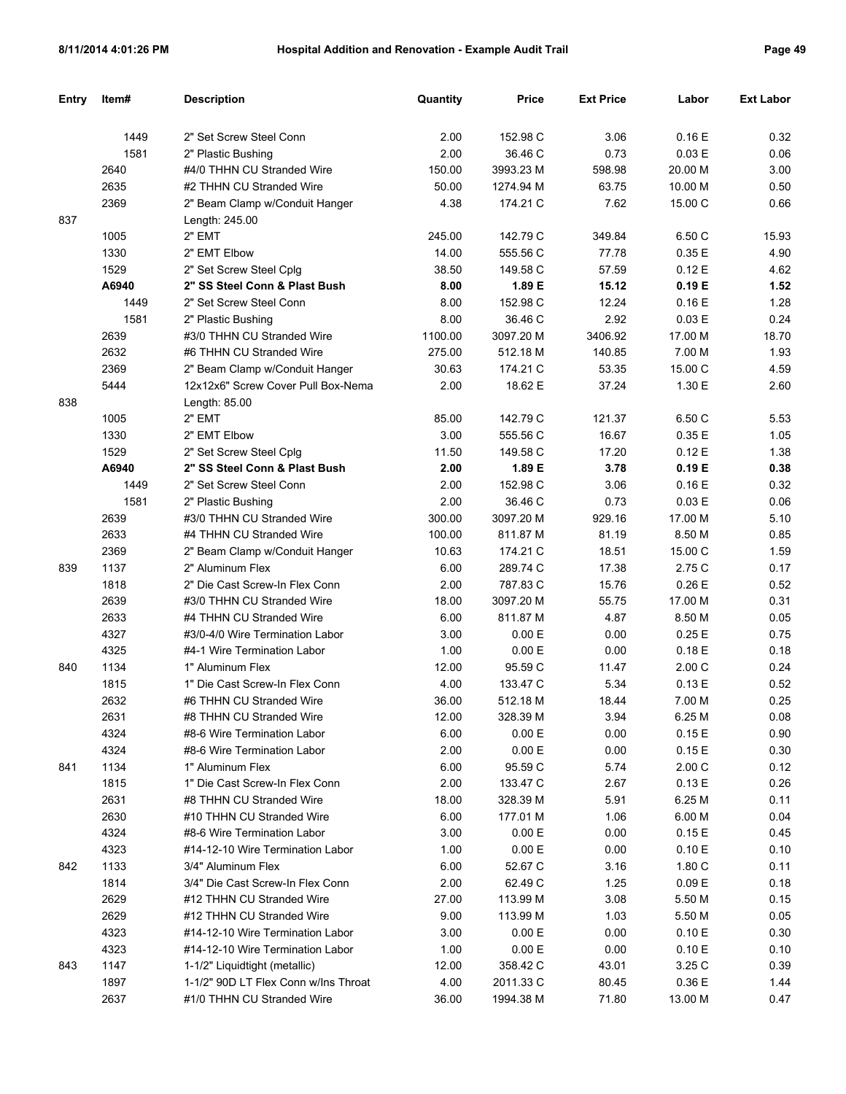| Entry | Item# | <b>Description</b>                   | Quantity | <b>Price</b> | <b>Ext Price</b> | Labor           | <b>Ext Labor</b> |
|-------|-------|--------------------------------------|----------|--------------|------------------|-----------------|------------------|
|       |       |                                      |          |              |                  |                 |                  |
|       | 1449  | 2" Set Screw Steel Conn              | 2.00     | 152.98 C     | 3.06             | 0.16E           | 0.32             |
|       | 1581  | 2" Plastic Bushing                   | 2.00     | 36.46 C      | 0.73             | 0.03 E          | 0.06             |
|       | 2640  | #4/0 THHN CU Stranded Wire           | 150.00   | 3993.23 M    | 598.98           | 20.00 M         | 3.00             |
|       | 2635  | #2 THHN CU Stranded Wire             | 50.00    | 1274.94 M    | 63.75            | 10.00 M         | 0.50             |
|       | 2369  | 2" Beam Clamp w/Conduit Hanger       | 4.38     | 174.21 C     | 7.62             | 15.00 C         | 0.66             |
| 837   |       | Length: 245.00                       |          |              |                  |                 |                  |
|       | 1005  | 2" EMT                               | 245.00   | 142.79 C     | 349.84           | 6.50 C          | 15.93            |
|       | 1330  | 2" EMT Elbow                         | 14.00    | 555.56 C     | 77.78            | 0.35E           | 4.90             |
|       | 1529  | 2" Set Screw Steel Cplg              | 38.50    | 149.58 C     | 57.59            | 0.12E           | 4.62             |
|       | A6940 | 2" SS Steel Conn & Plast Bush        | 8.00     | 1.89 E       | 15.12            | 0.19 E          | 1.52             |
|       | 1449  | 2" Set Screw Steel Conn              | 8.00     | 152.98 C     | 12.24            | 0.16E           | 1.28             |
|       | 1581  | 2" Plastic Bushing                   | 8.00     | 36.46 C      | 2.92             | 0.03 E          | 0.24             |
|       | 2639  | #3/0 THHN CU Stranded Wire           | 1100.00  | 3097.20 M    | 3406.92          | 17.00 M         | 18.70            |
|       | 2632  | #6 THHN CU Stranded Wire             | 275.00   | 512.18 M     | 140.85           | 7.00 M          | 1.93             |
|       | 2369  | 2" Beam Clamp w/Conduit Hanger       | 30.63    | 174.21 C     | 53.35            | 15.00 C         | 4.59             |
|       | 5444  | 12x12x6" Screw Cover Pull Box-Nema   | 2.00     | 18.62 E      | 37.24            | 1.30 E          | 2.60             |
| 838   |       | Length: 85.00                        |          |              |                  |                 |                  |
|       | 1005  | 2" EMT                               | 85.00    | 142.79 C     | 121.37           | 6.50 C          | 5.53             |
|       | 1330  | 2" EMT Elbow                         | 3.00     | 555.56 C     | 16.67            | 0.35E           | 1.05             |
|       | 1529  | 2" Set Screw Steel Cplg              | 11.50    | 149.58 C     | 17.20            | 0.12E           | 1.38             |
|       | A6940 | 2" SS Steel Conn & Plast Bush        | 2.00     | 1.89 E       | 3.78             | 0.19 E          | 0.38             |
|       | 1449  | 2" Set Screw Steel Conn              | 2.00     | 152.98 C     | 3.06             | 0.16E           | 0.32             |
|       | 1581  | 2" Plastic Bushing                   | 2.00     | 36.46 C      | 0.73             | 0.03 E          | 0.06             |
|       | 2639  | #3/0 THHN CU Stranded Wire           | 300.00   | 3097.20 M    | 929.16           | 17.00 M         | 5.10             |
|       | 2633  | #4 THHN CU Stranded Wire             | 100.00   | 811.87 M     | 81.19            | 8.50 M          | 0.85             |
|       | 2369  | 2" Beam Clamp w/Conduit Hanger       | 10.63    | 174.21 C     | 18.51            | 15.00 C         | 1.59             |
| 839   | 1137  | 2" Aluminum Flex                     | 6.00     | 289.74 C     | 17.38            | 2.75 C          | 0.17             |
|       | 1818  | 2" Die Cast Screw-In Flex Conn       | 2.00     | 787.83 C     | 15.76            | 0.26E           | 0.52             |
|       | 2639  | #3/0 THHN CU Stranded Wire           | 18.00    | 3097.20 M    | 55.75            | 17.00 M         | 0.31             |
|       | 2633  | #4 THHN CU Stranded Wire             | 6.00     | 811.87 M     | 4.87             | 8.50 M          | 0.05             |
|       | 4327  | #3/0-4/0 Wire Termination Labor      | 3.00     | 0.00 E       | 0.00             | 0.25E           | 0.75             |
|       | 4325  | #4-1 Wire Termination Labor          | 1.00     | 0.00 E       | 0.00             | 0.18E           | 0.18             |
| 840   | 1134  | 1" Aluminum Flex                     | 12.00    | 95.59 C      | 11.47            | 2.00C           | 0.24             |
|       | 1815  | 1" Die Cast Screw-In Flex Conn       | 4.00     | 133.47 C     | 5.34             | 0.13E           | 0.52             |
|       | 2632  | #6 THHN CU Stranded Wire             | 36.00    | 512.18 M     | 18.44            | 7.00 M          | 0.25             |
|       | 2631  | #8 THHN CU Stranded Wire             | 12.00    | 328.39 M     | 3.94             | 6.25 M          | 0.08             |
|       | 4324  | #8-6 Wire Termination Labor          | 6.00     | 0.00 E       | 0.00             | 0.15 E          | 0.90             |
|       | 4324  | #8-6 Wire Termination Labor          | 2.00     | 0.00 E       |                  |                 | 0.30             |
| 841   | 1134  | 1" Aluminum Flex                     | 6.00     | 95.59 C      | 0.00<br>5.74     | 0.15 E<br>2.00C | 0.12             |
|       |       | 1" Die Cast Screw-In Flex Conn       |          |              |                  |                 |                  |
|       | 1815  |                                      | 2.00     | 133.47 C     | 2.67             | 0.13 E          | 0.26             |
|       | 2631  | #8 THHN CU Stranded Wire             | 18.00    | 328.39 M     | 5.91             | 6.25 M          | 0.11             |
|       | 2630  | #10 THHN CU Stranded Wire            | 6.00     | 177.01 M     | 1.06             | 6.00 M          | 0.04             |
|       | 4324  | #8-6 Wire Termination Labor          | 3.00     | 0.00 E       | 0.00             | 0.15E           | 0.45             |
|       | 4323  | #14-12-10 Wire Termination Labor     | 1.00     | 0.00 E       | 0.00             | 0.10 E          | 0.10             |
| 842   | 1133  | 3/4" Aluminum Flex                   | 6.00     | 52.67 C      | 3.16             | 1.80 C          | 0.11             |
|       | 1814  | 3/4" Die Cast Screw-In Flex Conn     | 2.00     | 62.49 C      | 1.25             | 0.09 E          | 0.18             |
|       | 2629  | #12 THHN CU Stranded Wire            | 27.00    | 113.99 M     | 3.08             | 5.50 M          | 0.15             |
|       | 2629  | #12 THHN CU Stranded Wire            | 9.00     | 113.99 M     | 1.03             | 5.50 M          | 0.05             |
|       | 4323  | #14-12-10 Wire Termination Labor     | 3.00     | 0.00 E       | 0.00             | 0.10 E          | 0.30             |
|       | 4323  | #14-12-10 Wire Termination Labor     | 1.00     | 0.00 E       | 0.00             | 0.10 E          | 0.10             |
| 843   | 1147  | 1-1/2" Liquidtight (metallic)        | 12.00    | 358.42 C     | 43.01            | 3.25 C          | 0.39             |
|       | 1897  | 1-1/2" 90D LT Flex Conn w/Ins Throat | 4.00     | 2011.33 C    | 80.45            | 0.36 E          | 1.44             |
|       | 2637  | #1/0 THHN CU Stranded Wire           | 36.00    | 1994.38 M    | 71.80            | 13.00 M         | 0.47             |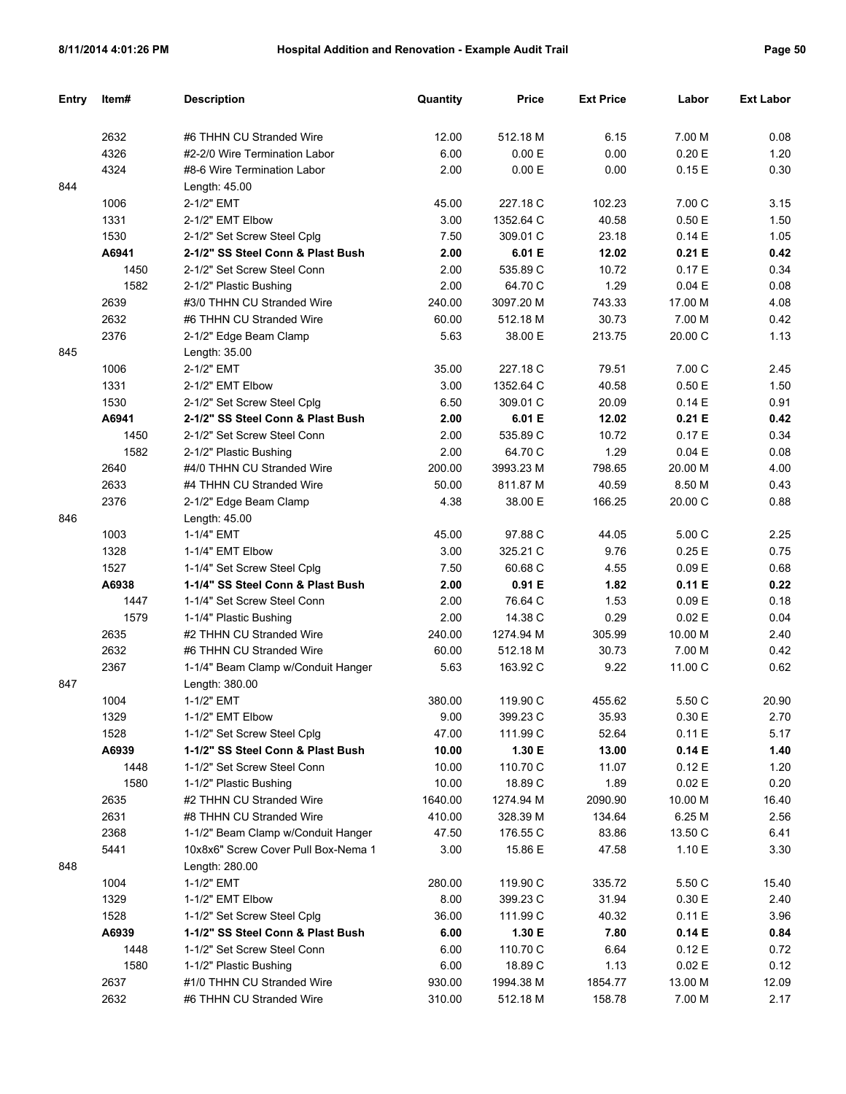| <b>Entry</b> | Item# | <b>Description</b>                  | Quantity | Price     | <b>Ext Price</b> | Labor   | <b>Ext Labor</b> |
|--------------|-------|-------------------------------------|----------|-----------|------------------|---------|------------------|
|              |       |                                     |          |           |                  |         |                  |
|              | 2632  | #6 THHN CU Stranded Wire            | 12.00    | 512.18 M  | 6.15             | 7.00 M  | 0.08             |
|              | 4326  | #2-2/0 Wire Termination Labor       | 6.00     | 0.00 E    | 0.00             | 0.20 E  | 1.20             |
|              | 4324  | #8-6 Wire Termination Labor         | 2.00     | 0.00 E    | 0.00             | 0.15E   | 0.30             |
| 844          |       | Length: 45.00                       |          |           |                  |         |                  |
|              | 1006  | 2-1/2" EMT                          | 45.00    | 227.18 C  | 102.23           | 7.00 C  | 3.15             |
|              | 1331  | 2-1/2" EMT Elbow                    | 3.00     | 1352.64 C | 40.58            | 0.50E   | 1.50             |
|              | 1530  | 2-1/2" Set Screw Steel Cplg         | 7.50     | 309.01 C  | 23.18            | 0.14E   | 1.05             |
|              | A6941 | 2-1/2" SS Steel Conn & Plast Bush   | 2.00     | 6.01 E    | 12.02            | 0.21 E  | 0.42             |
|              | 1450  | 2-1/2" Set Screw Steel Conn         | 2.00     | 535.89 C  | 10.72            | 0.17E   | 0.34             |
|              | 1582  | 2-1/2" Plastic Bushing              | 2.00     | 64.70 C   | 1.29             | 0.04 E  | 0.08             |
|              | 2639  | #3/0 THHN CU Stranded Wire          | 240.00   | 3097.20 M | 743.33           | 17.00 M | 4.08             |
|              | 2632  | #6 THHN CU Stranded Wire            | 60.00    | 512.18 M  | 30.73            | 7.00 M  | 0.42             |
|              | 2376  | 2-1/2" Edge Beam Clamp              | 5.63     | 38.00 E   | 213.75           | 20.00 C | 1.13             |
| 845          |       | Length: 35.00                       |          |           |                  |         |                  |
|              | 1006  | 2-1/2" EMT                          | 35.00    | 227.18 C  | 79.51            | 7.00 C  | 2.45             |
|              | 1331  | 2-1/2" EMT Elbow                    | 3.00     | 1352.64 C | 40.58            | 0.50E   | 1.50             |
|              | 1530  | 2-1/2" Set Screw Steel Cplg         | 6.50     | 309.01 C  | 20.09            | 0.14E   | 0.91             |
|              | A6941 | 2-1/2" SS Steel Conn & Plast Bush   | 2.00     | 6.01 E    | 12.02            | 0.21 E  | 0.42             |
|              | 1450  | 2-1/2" Set Screw Steel Conn         | 2.00     | 535.89 C  | 10.72            | 0.17E   | 0.34             |
|              | 1582  | 2-1/2" Plastic Bushing              | 2.00     | 64.70 C   | 1.29             | 0.04 E  | 0.08             |
|              | 2640  | #4/0 THHN CU Stranded Wire          | 200.00   | 3993.23 M | 798.65           | 20.00 M | 4.00             |
|              | 2633  | #4 THHN CU Stranded Wire            | 50.00    | 811.87 M  | 40.59            | 8.50 M  | 0.43             |
|              | 2376  | 2-1/2" Edge Beam Clamp              | 4.38     | 38.00 E   | 166.25           | 20.00 C | 0.88             |
| 846          |       | Length: 45.00                       |          |           |                  |         |                  |
|              | 1003  | 1-1/4" EMT                          | 45.00    | 97.88 C   | 44.05            | 5.00 C  | 2.25             |
|              | 1328  | 1-1/4" EMT Elbow                    | 3.00     | 325.21 C  | 9.76             | 0.25E   | 0.75             |
|              | 1527  | 1-1/4" Set Screw Steel Cplg         | 7.50     | 60.68 C   | 4.55             | 0.09 E  | 0.68             |
|              | A6938 | 1-1/4" SS Steel Conn & Plast Bush   | 2.00     | 0.91 E    | 1.82             | 0.11 E  | 0.22             |
|              | 1447  | 1-1/4" Set Screw Steel Conn         | 2.00     | 76.64 C   | 1.53             | 0.09 E  | 0.18             |
|              | 1579  | 1-1/4" Plastic Bushing              | 2.00     | 14.38 C   | 0.29             | 0.02 E  | 0.04             |
|              | 2635  | #2 THHN CU Stranded Wire            | 240.00   | 1274.94 M | 305.99           | 10.00 M | 2.40             |
|              | 2632  | #6 THHN CU Stranded Wire            | 60.00    | 512.18 M  | 30.73            | 7.00 M  | 0.42             |
|              | 2367  | 1-1/4" Beam Clamp w/Conduit Hanger  | 5.63     | 163.92 C  | 9.22             | 11.00 C | 0.62             |
| 847          |       | Length: 380.00                      |          |           |                  |         |                  |
|              | 1004  | 1-1/2" EMT                          | 380.00   | 119.90 C  | 455.62           | 5.50 C  | 20.90            |
|              | 1329  | 1-1/2" EMT Elbow                    | 9.00     | 399.23 C  | 35.93            | 0.30 E  | 2.70             |
|              | 1528  | 1-1/2" Set Screw Steel Cplg         | 47.00    | 111.99 C  | 52.64            | 0.11 E  | 5.17             |
|              | A6939 | 1-1/2" SS Steel Conn & Plast Bush   | 10.00    | 1.30 E    | 13.00            | 0.14E   | 1.40             |
|              | 1448  | 1-1/2" Set Screw Steel Conn         | 10.00    | 110.70 C  | 11.07            | 0.12 E  | 1.20             |
|              | 1580  | 1-1/2" Plastic Bushing              | 10.00    | 18.89 C   | 1.89             | 0.02 E  | 0.20             |
|              | 2635  | #2 THHN CU Stranded Wire            | 1640.00  | 1274.94 M | 2090.90          | 10.00 M | 16.40            |
|              | 2631  | #8 THHN CU Stranded Wire            | 410.00   | 328.39 M  | 134.64           | 6.25 M  | 2.56             |
|              | 2368  | 1-1/2" Beam Clamp w/Conduit Hanger  | 47.50    | 176.55 C  | 83.86            | 13.50 C | 6.41             |
|              | 5441  | 10x8x6" Screw Cover Pull Box-Nema 1 | 3.00     | 15.86 E   | 47.58            | 1.10 E  | 3.30             |
| 848          |       | Length: 280.00                      |          |           |                  |         |                  |
|              | 1004  | 1-1/2" EMT                          | 280.00   | 119.90 C  | 335.72           | 5.50 C  | 15.40            |
|              | 1329  | 1-1/2" EMT Elbow                    | 8.00     | 399.23 C  | 31.94            | 0.30 E  | 2.40             |
|              | 1528  | 1-1/2" Set Screw Steel Cplg         | 36.00    | 111.99 C  | 40.32            | 0.11 E  | 3.96             |
|              | A6939 | 1-1/2" SS Steel Conn & Plast Bush   | 6.00     | 1.30 E    | 7.80             | 0.14E   | 0.84             |
|              | 1448  | 1-1/2" Set Screw Steel Conn         | 6.00     | 110.70 C  | 6.64             | 0.12 E  | 0.72             |
|              | 1580  | 1-1/2" Plastic Bushing              | 6.00     | 18.89 C   | 1.13             | 0.02 E  | 0.12             |
|              | 2637  | #1/0 THHN CU Stranded Wire          | 930.00   | 1994.38 M | 1854.77          | 13.00 M | 12.09            |
|              | 2632  | #6 THHN CU Stranded Wire            | 310.00   | 512.18 M  | 158.78           | 7.00 M  | 2.17             |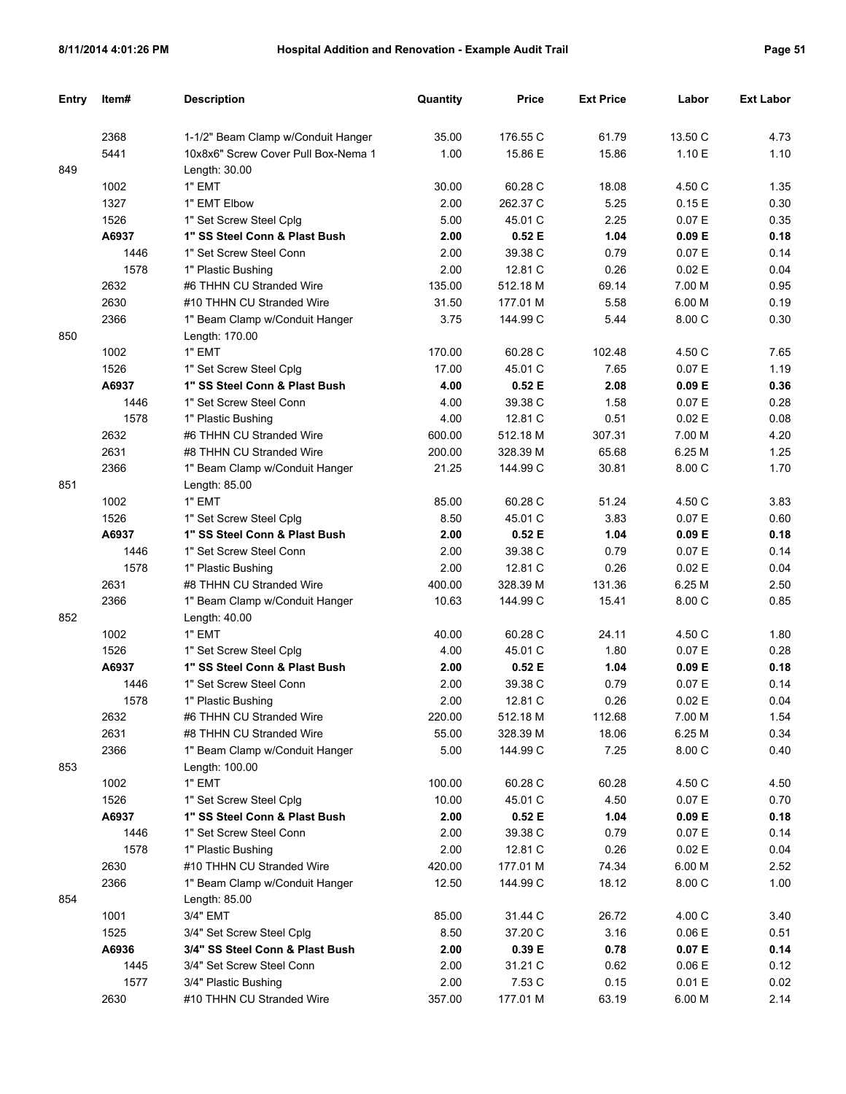| Entry | Item# | <b>Description</b>                  | Quantity | <b>Price</b> | <b>Ext Price</b> | Labor   | <b>Ext Labor</b> |
|-------|-------|-------------------------------------|----------|--------------|------------------|---------|------------------|
|       | 2368  | 1-1/2" Beam Clamp w/Conduit Hanger  | 35.00    | 176.55 C     | 61.79            | 13.50 C | 4.73             |
|       | 5441  | 10x8x6" Screw Cover Pull Box-Nema 1 | 1.00     | 15.86 E      | 15.86            | 1.10 E  | 1.10             |
| 849   |       | Length: 30.00                       |          |              |                  |         |                  |
|       | 1002  | 1" EMT                              | 30.00    | 60.28 C      | 18.08            | 4.50 C  | 1.35             |
|       | 1327  | 1" EMT Elbow                        | 2.00     | 262.37 C     | 5.25             | 0.15E   | 0.30             |
|       | 1526  | 1" Set Screw Steel Cplg             | 5.00     | 45.01 C      | 2.25             | 0.07 E  | 0.35             |
|       | A6937 | 1" SS Steel Conn & Plast Bush       | 2.00     | 0.52E        | 1.04             | 0.09 E  | 0.18             |
|       | 1446  | 1" Set Screw Steel Conn             | 2.00     | 39.38 C      | 0.79             | 0.07 E  | 0.14             |
|       | 1578  | 1" Plastic Bushing                  | 2.00     | 12.81 C      | 0.26             | 0.02E   | 0.04             |
|       | 2632  | #6 THHN CU Stranded Wire            | 135.00   | 512.18 M     | 69.14            | 7.00 M  | 0.95             |
|       |       |                                     |          |              |                  |         |                  |
|       | 2630  | #10 THHN CU Stranded Wire           | 31.50    | 177.01 M     | 5.58             | 6.00 M  | 0.19             |
|       | 2366  | 1" Beam Clamp w/Conduit Hanger      | 3.75     | 144.99 C     | 5.44             | 8.00 C  | 0.30             |
| 850   |       | Length: 170.00                      |          |              |                  |         |                  |
|       | 1002  | 1" EMT                              | 170.00   | 60.28 C      | 102.48           | 4.50 C  | 7.65             |
|       | 1526  | 1" Set Screw Steel Cplg             | 17.00    | 45.01 C      | 7.65             | 0.07 E  | 1.19             |
|       | A6937 | 1" SS Steel Conn & Plast Bush       | 4.00     | 0.52E        | 2.08             | 0.09 E  | 0.36             |
|       | 1446  | 1" Set Screw Steel Conn             | 4.00     | 39.38 C      | 1.58             | 0.07 E  | 0.28             |
|       | 1578  | 1" Plastic Bushing                  | 4.00     | 12.81 C      | 0.51             | 0.02E   | 0.08             |
|       | 2632  | #6 THHN CU Stranded Wire            | 600.00   | 512.18 M     | 307.31           | 7.00 M  | 4.20             |
|       | 2631  | #8 THHN CU Stranded Wire            | 200.00   | 328.39 M     | 65.68            | 6.25 M  | 1.25             |
|       | 2366  | 1" Beam Clamp w/Conduit Hanger      | 21.25    | 144.99 C     | 30.81            | 8.00 C  | 1.70             |
| 851   |       | Length: 85.00                       |          |              |                  |         |                  |
|       | 1002  | 1" EMT                              | 85.00    | 60.28 C      | 51.24            | 4.50 C  | 3.83             |
|       | 1526  | 1" Set Screw Steel Cplg             | 8.50     | 45.01 C      | 3.83             | 0.07 E  | 0.60             |
|       | A6937 | 1" SS Steel Conn & Plast Bush       | 2.00     | 0.52E        | 1.04             | 0.09 E  | 0.18             |
|       | 1446  | 1" Set Screw Steel Conn             | 2.00     | 39.38 C      | 0.79             | 0.07 E  | 0.14             |
|       | 1578  | 1" Plastic Bushing                  | 2.00     | 12.81 C      | 0.26             | 0.02 E  | 0.04             |
|       | 2631  | #8 THHN CU Stranded Wire            | 400.00   | 328.39 M     | 131.36           | 6.25 M  | 2.50             |
|       | 2366  | 1" Beam Clamp w/Conduit Hanger      | 10.63    | 144.99 C     | 15.41            | 8.00 C  | 0.85             |
| 852   |       | Length: 40.00                       |          |              |                  |         |                  |
|       | 1002  | 1" EMT                              | 40.00    | 60.28 C      | 24.11            | 4.50 C  | 1.80             |
|       | 1526  | 1" Set Screw Steel Cplg             | 4.00     | 45.01 C      | 1.80             | 0.07 E  | 0.28             |
|       | A6937 | 1" SS Steel Conn & Plast Bush       | 2.00     | 0.52E        | 1.04             | 0.09 E  | 0.18             |
|       | 1446  | 1" Set Screw Steel Conn             | 2.00     | 39.38 C      | 0.79             | 0.07 E  | 0.14             |
|       | 1578  | 1" Plastic Bushing                  | 2.00     | 12.81 C      | 0.26             | 0.02 E  | 0.04             |
|       | 2632  | #6 THHN CU Stranded Wire            | 220.00   | 512.18 M     | 112.68           | 7.00 M  | 1.54             |
|       | 2631  | #8 THHN CU Stranded Wire            | 55.00    | 328.39 M     | 18.06            | 6.25 M  | 0.34             |
|       | 2366  | 1" Beam Clamp w/Conduit Hanger      | 5.00     | 144.99 C     | 7.25             | 8.00 C  | 0.40             |
| 853   |       | Length: 100.00                      |          |              |                  |         |                  |
|       | 1002  | 1" EMT                              | 100.00   | 60.28 C      | 60.28            | 4.50 C  | 4.50             |
|       | 1526  | 1" Set Screw Steel Cplg             | 10.00    | 45.01 C      | 4.50             | 0.07 E  | 0.70             |
|       | A6937 | 1" SS Steel Conn & Plast Bush       | 2.00     | 0.52 E       | 1.04             | 0.09 E  | 0.18             |
|       | 1446  | 1" Set Screw Steel Conn             | 2.00     | 39.38 C      | 0.79             | 0.07 E  | 0.14             |
|       | 1578  | 1" Plastic Bushing                  | 2.00     | 12.81 C      | 0.26             | 0.02 E  | 0.04             |
|       | 2630  | #10 THHN CU Stranded Wire           | 420.00   | 177.01 M     | 74.34            | 6.00 M  | 2.52             |
|       | 2366  | 1" Beam Clamp w/Conduit Hanger      | 12.50    | 144.99 C     | 18.12            | 8.00 C  | 1.00             |
| 854   |       | Length: 85.00                       |          |              |                  |         |                  |
|       |       |                                     |          |              |                  |         |                  |
|       | 1001  | 3/4" EMT                            | 85.00    | 31.44 C      | 26.72            | 4.00 C  | 3.40             |
|       | 1525  | 3/4" Set Screw Steel Cplg           | 8.50     | 37.20 C      | 3.16             | 0.06 E  | 0.51             |
|       | A6936 | 3/4" SS Steel Conn & Plast Bush     | 2.00     | 0.39 E       | 0.78             | 0.07 E  | 0.14             |
|       | 1445  | 3/4" Set Screw Steel Conn           | 2.00     | 31.21 C      | 0.62             | 0.06 E  | 0.12             |
|       | 1577  | 3/4" Plastic Bushing                | 2.00     | 7.53 C       | 0.15             | 0.01 E  | 0.02             |
|       | 2630  | #10 THHN CU Stranded Wire           | 357.00   | 177.01 M     | 63.19            | 6.00 M  | 2.14             |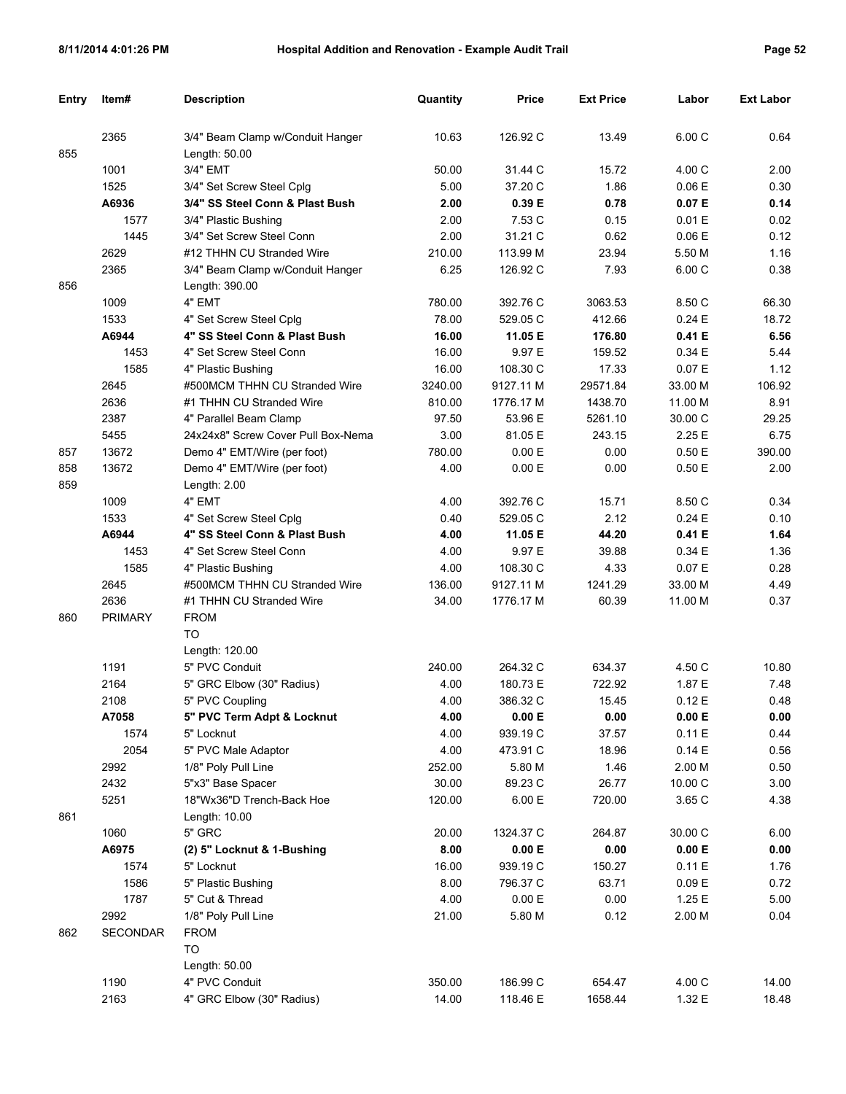| Entry | Item#          | <b>Description</b>                 | Quantity | Price     | <b>Ext Price</b> | Labor   | <b>Ext Labor</b> |
|-------|----------------|------------------------------------|----------|-----------|------------------|---------|------------------|
|       | 2365           | 3/4" Beam Clamp w/Conduit Hanger   | 10.63    | 126.92 C  | 13.49            | 6.00 C  | 0.64             |
| 855   |                | Length: $50.00$                    |          |           |                  |         |                  |
|       | 1001           | 3/4" EMT                           | 50.00    | 31.44 C   | 15.72            | 4.00 C  | 2.00             |
|       | 1525           | 3/4" Set Screw Steel Cplg          | 5.00     | 37.20 C   | 1.86             | 0.06 E  | 0.30             |
|       | A6936          | 3/4" SS Steel Conn & Plast Bush    | 2.00     | 0.39 E    | 0.78             | 0.07 E  | 0.14             |
|       | 1577           | 3/4" Plastic Bushing               | 2.00     | 7.53 C    | 0.15             | 0.01 E  | 0.02             |
|       | 1445           | 3/4" Set Screw Steel Conn          | 2.00     | 31.21 C   | 0.62             | 0.06 E  | 0.12             |
|       | 2629           | #12 THHN CU Stranded Wire          | 210.00   | 113.99 M  | 23.94            | 5.50 M  | 1.16             |
|       | 2365           | 3/4" Beam Clamp w/Conduit Hanger   | 6.25     | 126.92 C  | 7.93             | 6.00 C  | 0.38             |
| 856   |                | Length: 390.00                     |          |           |                  |         |                  |
|       | 1009           | 4" EMT                             | 780.00   | 392.76 C  | 3063.53          | 8.50 C  | 66.30            |
|       | 1533           | 4" Set Screw Steel Cplg            | 78.00    | 529.05 C  | 412.66           | 0.24E   | 18.72            |
|       | A6944          | 4" SS Steel Conn & Plast Bush      | 16.00    | 11.05 E   | 176.80           | 0.41 E  | 6.56             |
|       | 1453           | 4" Set Screw Steel Conn            | 16.00    | 9.97 E    | 159.52           | 0.34 E  | 5.44             |
|       | 1585           | 4" Plastic Bushing                 | 16.00    | 108.30 C  | 17.33            | 0.07 E  | 1.12             |
|       | 2645           | #500MCM THHN CU Stranded Wire      | 3240.00  | 9127.11 M | 29571.84         | 33.00 M | 106.92           |
|       | 2636           | #1 THHN CU Stranded Wire           | 810.00   | 1776.17 M | 1438.70          | 11.00 M | 8.91             |
|       | 2387           | 4" Parallel Beam Clamp             | 97.50    | 53.96 E   | 5261.10          | 30.00 C | 29.25            |
|       | 5455           | 24x24x8" Screw Cover Pull Box-Nema | 3.00     | 81.05 E   | 243.15           | 2.25 E  | 6.75             |
| 857   | 13672          | Demo 4" EMT/Wire (per foot)        | 780.00   | 0.00 E    | 0.00             | 0.50E   | 390.00           |
| 858   | 13672          | Demo 4" EMT/Wire (per foot)        | 4.00     | 0.00 E    | 0.00             | 0.50 E  | 2.00             |
| 859   |                | Length: $2.00$                     |          |           |                  |         |                  |
|       | 1009           | 4" EMT                             | 4.00     | 392.76 C  | 15.71            | 8.50 C  | 0.34             |
|       | 1533           | 4" Set Screw Steel Cplg            | 0.40     | 529.05 C  | 2.12             | 0.24E   | 0.10             |
|       | A6944          | 4" SS Steel Conn & Plast Bush      | 4.00     | 11.05 E   | 44.20            | 0.41 E  | 1.64             |
|       | 1453           | 4" Set Screw Steel Conn            | 4.00     | 9.97 E    | 39.88            | 0.34 E  | 1.36             |
|       | 1585           | 4" Plastic Bushing                 | 4.00     | 108.30 C  | 4.33             | 0.07 E  | 0.28             |
|       | 2645           | #500MCM THHN CU Stranded Wire      | 136.00   | 9127.11 M | 1241.29          | 33.00 M | 4.49             |
|       | 2636           | #1 THHN CU Stranded Wire           | 34.00    | 1776.17 M | 60.39            | 11.00 M | 0.37             |
| 860   | <b>PRIMARY</b> | <b>FROM</b>                        |          |           |                  |         |                  |
|       |                | <b>TO</b>                          |          |           |                  |         |                  |
|       |                | Length: 120.00                     |          |           |                  |         |                  |
|       | 1191           | 5" PVC Conduit                     | 240.00   | 264.32 C  | 634.37           | 4.50 C  | 10.80            |
|       | 2164           | 5" GRC Elbow (30" Radius)          | 4.00     | 180.73 E  | 722.92           | 1.87 E  | 7.48             |
|       | 2108           | 5" PVC Coupling                    | 4.00     | 386.32 C  | 15.45            | 0.12 E  | 0.48             |
|       | A7058          | 5" PVC Term Adpt & Locknut         | 4.00     | 0.00 E    | 0.00             | 0.00 E  | 0.00             |
|       | 1574           | 5" Locknut                         | 4.00     | 939.19 C  | 37.57            | 0.11 E  | 0.44             |
|       | 2054           | 5" PVC Male Adaptor                | 4.00     | 473.91 C  | 18.96            | 0.14E   | 0.56             |
|       | 2992           | 1/8" Poly Pull Line                | 252.00   | 5.80 M    | 1.46             | 2.00 M  | 0.50             |
|       | 2432           | 5"x3" Base Spacer                  | 30.00    | 89.23 C   | 26.77            | 10.00 C | 3.00             |
|       | 5251           | 18"Wx36"D Trench-Back Hoe          | 120.00   | 6.00 E    | 720.00           | 3.65 C  | 4.38             |
| 861   |                | Length: 10.00                      |          |           |                  |         |                  |
|       | 1060           | 5" GRC                             | 20.00    | 1324.37 C | 264.87           | 30.00 C | 6.00             |
|       | A6975          | (2) 5" Locknut & 1-Bushing         | 8.00     | 0.00 E    | $0.00\,$         | 0.00 E  | 0.00             |
|       | 1574           | 5" Locknut                         | 16.00    | 939.19 C  | 150.27           | 0.11 E  | 1.76             |
|       | 1586           | 5" Plastic Bushing                 | 8.00     | 796.37 C  | 63.71            | 0.09 E  | 0.72             |
|       | 1787           | 5" Cut & Thread                    | 4.00     | 0.00 E    | 0.00             | 1.25 E  | 5.00             |
|       | 2992           | 1/8" Poly Pull Line                | 21.00    | 5.80 M    | 0.12             | 2.00 M  | 0.04             |
| 862   | SECONDAR       | <b>FROM</b>                        |          |           |                  |         |                  |
|       |                | <b>TO</b>                          |          |           |                  |         |                  |
|       |                | Length: 50.00                      |          |           |                  |         |                  |
|       | 1190           | 4" PVC Conduit                     | 350.00   | 186.99 C  | 654.47           | 4.00 C  | 14.00            |
|       | 2163           | 4" GRC Elbow (30" Radius)          | 14.00    | 118.46 E  | 1658.44          | 1.32 E  | 18.48            |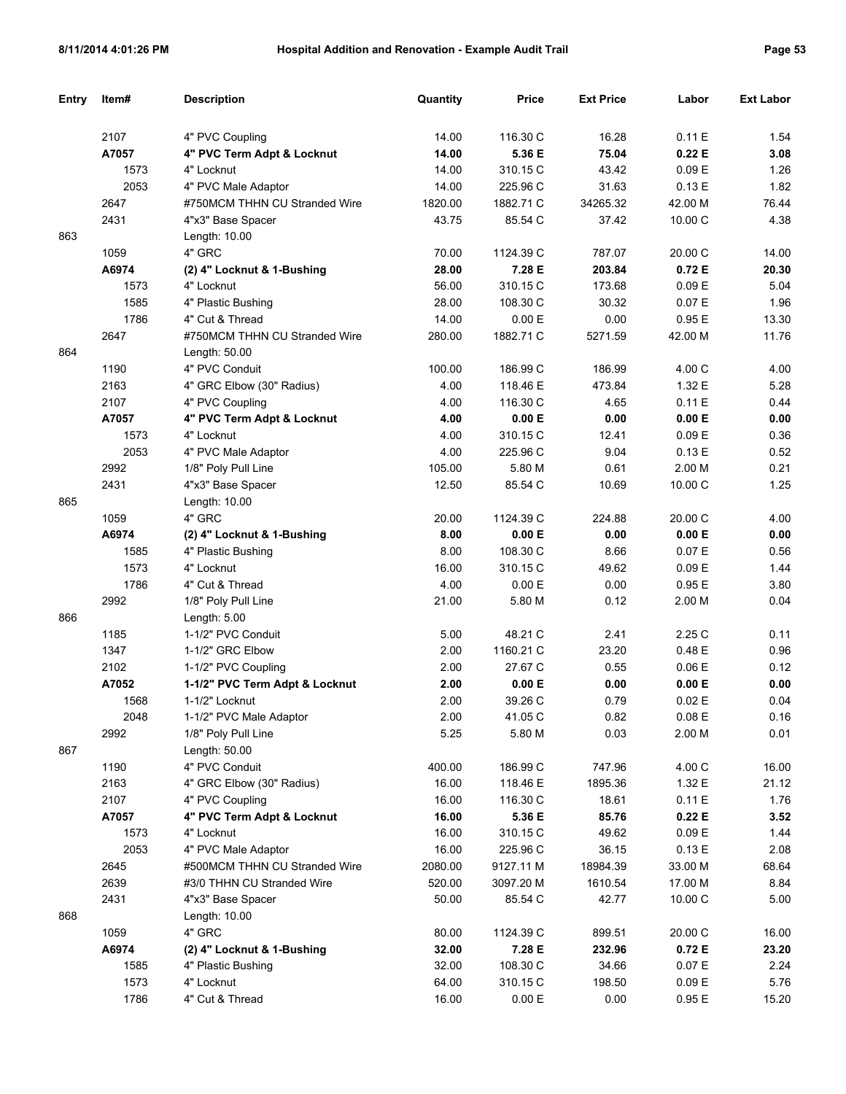| Entry | Item# | <b>Description</b>             | Quantity | Price     | <b>Ext Price</b> | Labor     | <b>Ext Labor</b> |
|-------|-------|--------------------------------|----------|-----------|------------------|-----------|------------------|
|       |       |                                |          |           |                  |           |                  |
|       | 2107  | 4" PVC Coupling                | 14.00    | 116.30 C  | 16.28            | 0.11E     | 1.54             |
|       | A7057 | 4" PVC Term Adpt & Locknut     | 14.00    | 5.36 E    | 75.04            | 0.22E     | 3.08             |
|       | 1573  | 4" Locknut                     | 14.00    | 310.15 C  | 43.42            | 0.09 E    | 1.26             |
|       | 2053  | 4" PVC Male Adaptor            | 14.00    | 225.96 C  | 31.63            | 0.13E     | 1.82             |
|       | 2647  | #750MCM THHN CU Stranded Wire  | 1820.00  | 1882.71 C | 34265.32         | 42.00 M   | 76.44            |
|       | 2431  | 4"x3" Base Spacer              | 43.75    | 85.54 C   | 37.42            | 10.00 C   | 4.38             |
| 863   |       | Length: 10.00                  |          |           |                  |           |                  |
|       | 1059  | 4" GRC                         | 70.00    | 1124.39 C | 787.07           | 20.00 C   | 14.00            |
|       | A6974 | (2) 4" Locknut & 1-Bushing     | 28.00    | 7.28 E    | 203.84           | 0.72E     | 20.30            |
|       | 1573  | 4" Locknut                     | 56.00    | 310.15 C  | 173.68           | 0.09 E    | 5.04             |
|       | 1585  | 4" Plastic Bushing             | 28.00    | 108.30 C  | 30.32            | 0.07 E    | 1.96             |
|       | 1786  | 4" Cut & Thread                | 14.00    | 0.00 E    | 0.00             | 0.95E     | 13.30            |
|       | 2647  | #750MCM THHN CU Stranded Wire  | 280.00   | 1882.71 C | 5271.59          | 42.00 M   | 11.76            |
| 864   |       | Length: 50.00                  |          |           |                  |           |                  |
|       | 1190  | 4" PVC Conduit                 | 100.00   | 186.99 C  | 186.99           | 4.00 C    | 4.00             |
|       | 2163  | 4" GRC Elbow (30" Radius)      | 4.00     | 118.46 E  | 473.84           | 1.32 E    | 5.28             |
|       | 2107  | 4" PVC Coupling                | 4.00     | 116.30 C  | 4.65             | 0.11E     | 0.44             |
|       | A7057 | 4" PVC Term Adpt & Locknut     | 4.00     | 0.00 E    | 0.00             | 0.00 E    | 0.00             |
|       | 1573  | 4" Locknut                     | 4.00     | 310.15 C  | 12.41            | 0.09 E    | 0.36             |
|       | 2053  | 4" PVC Male Adaptor            | 4.00     | 225.96 C  | 9.04             | 0.13E     | 0.52             |
|       | 2992  | 1/8" Poly Pull Line            | 105.00   | 5.80 M    | 0.61             | 2.00 M    | 0.21             |
|       | 2431  | 4"x3" Base Spacer              | 12.50    | 85.54 C   | 10.69            | 10.00 C   | 1.25             |
| 865   |       | Length: 10.00                  |          |           |                  |           |                  |
|       | 1059  | 4" GRC                         | 20.00    | 1124.39 C | 224.88           | 20.00 C   | 4.00             |
|       | A6974 | (2) 4" Locknut & 1-Bushing     | 8.00     | 0.00 E    | 0.00             | 0.00 E    | 0.00             |
|       | 1585  | 4" Plastic Bushing             | 8.00     | 108.30 C  | 8.66             | 0.07 E    | 0.56             |
|       | 1573  | 4" Locknut                     | 16.00    | 310.15 C  | 49.62            | 0.09 E    | 1.44             |
|       | 1786  | 4" Cut & Thread                | 4.00     | 0.00 E    | 0.00             | 0.95E     | 3.80             |
|       | 2992  | 1/8" Poly Pull Line            | 21.00    | 5.80 M    | 0.12             | 2.00 M    | 0.04             |
| 866   |       | Length: 5.00                   |          |           |                  |           |                  |
|       | 1185  | 1-1/2" PVC Conduit             | 5.00     | 48.21 C   | 2.41             | 2.25 C    | 0.11             |
|       | 1347  | 1-1/2" GRC Elbow               | 2.00     | 1160.21 C | 23.20            | 0.48E     | 0.96             |
|       | 2102  | 1-1/2" PVC Coupling            | 2.00     | 27.67 C   | 0.55             | 0.06E     | 0.12             |
|       | A7052 | 1-1/2" PVC Term Adpt & Locknut | 2.00     | 0.00 E    | 0.00             | 0.00 E    | 0.00             |
|       | 1568  | 1-1/2" Locknut                 | 2.00     | 39.26 C   | 0.79             | 0.02E     | 0.04             |
|       | 2048  | 1-1/2" PVC Male Adaptor        | 2.00     | 41.05 C   | 0.82             | $0.08\to$ | 0.16             |
|       | 2992  | 1/8" Poly Pull Line            | 5.25     | 5.80 M    | 0.03             | 2.00 M    | 0.01             |
| 867   |       | Length: 50.00                  |          |           |                  |           |                  |
|       | 1190  | 4" PVC Conduit                 | 400.00   | 186.99 C  | 747.96           | 4.00 C    | 16.00            |
|       | 2163  | 4" GRC Elbow (30" Radius)      | 16.00    | 118.46 E  | 1895.36          | 1.32 E    | 21.12            |
|       | 2107  | 4" PVC Coupling                | 16.00    | 116.30 C  | 18.61            | 0.11E     | 1.76             |
|       | A7057 | 4" PVC Term Adpt & Locknut     | 16.00    | 5.36 E    | 85.76            | 0.22E     | 3.52             |
|       | 1573  | 4" Locknut                     | 16.00    | 310.15 C  | 49.62            | 0.09 E    | 1.44             |
|       | 2053  | 4" PVC Male Adaptor            | 16.00    | 225.96 C  | 36.15            | 0.13 E    | 2.08             |
|       | 2645  | #500MCM THHN CU Stranded Wire  | 2080.00  | 9127.11 M | 18984.39         | 33.00 M   | 68.64            |
|       | 2639  | #3/0 THHN CU Stranded Wire     | 520.00   | 3097.20 M | 1610.54          | 17.00 M   | 8.84             |
|       | 2431  | 4"x3" Base Spacer              | 50.00    | 85.54 C   | 42.77            | 10.00 C   | 5.00             |
| 868   |       | Length: 10.00                  |          |           |                  |           |                  |
|       | 1059  | 4" GRC                         | 80.00    | 1124.39 C | 899.51           | 20.00 C   | 16.00            |
|       | A6974 | (2) 4" Locknut & 1-Bushing     | 32.00    | 7.28 E    | 232.96           | 0.72 E    | 23.20            |
|       | 1585  | 4" Plastic Bushing             | 32.00    | 108.30 C  | 34.66            | 0.07 E    | 2.24             |
|       | 1573  | 4" Locknut                     | 64.00    | 310.15 C  | 198.50           | 0.09 E    | 5.76             |
|       | 1786  | 4" Cut & Thread                | 16.00    | 0.00 E    | 0.00             | 0.95E     | 15.20            |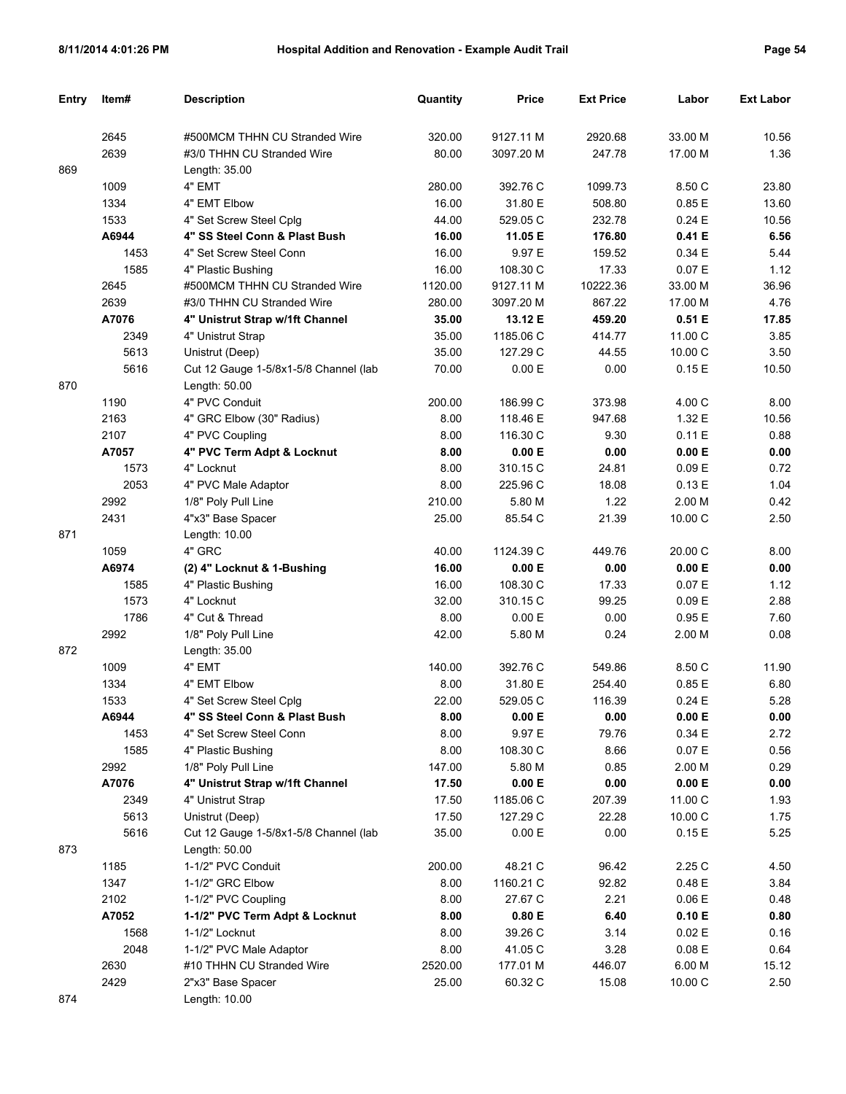| Entry | Item# | <b>Description</b>                                     | Quantity | Price     | <b>Ext Price</b> | Labor             | <b>Ext Labor</b> |
|-------|-------|--------------------------------------------------------|----------|-----------|------------------|-------------------|------------------|
|       |       |                                                        |          |           |                  |                   |                  |
|       | 2645  | #500MCM THHN CU Stranded Wire                          | 320.00   | 9127.11 M | 2920.68          | 33.00 M           | 10.56            |
|       | 2639  | #3/0 THHN CU Stranded Wire                             | 80.00    | 3097.20 M | 247.78           | 17.00 M           | 1.36             |
| 869   |       | Length: 35.00                                          |          |           |                  |                   |                  |
|       | 1009  | 4" EMT                                                 | 280.00   | 392.76 C  | 1099.73          | 8.50 C            | 23.80            |
|       | 1334  | 4" EMT Elbow                                           | 16.00    | 31.80 E   | 508.80           | 0.85E             | 13.60            |
|       | 1533  | 4" Set Screw Steel Cplg                                | 44.00    | 529.05 C  | 232.78           | 0.24E             | 10.56            |
|       | A6944 | 4" SS Steel Conn & Plast Bush                          | 16.00    | 11.05 E   | 176.80           | 0.41 E            | 6.56             |
|       | 1453  | 4" Set Screw Steel Conn                                | 16.00    | 9.97 E    | 159.52           | 0.34E             | 5.44             |
|       | 1585  | 4" Plastic Bushing                                     | 16.00    | 108.30 C  | 17.33            | 0.07 E            | 1.12             |
|       | 2645  | #500MCM THHN CU Stranded Wire                          | 1120.00  | 9127.11 M | 10222.36         | 33.00 M           | 36.96            |
|       | 2639  | #3/0 THHN CU Stranded Wire                             | 280.00   | 3097.20 M | 867.22           | 17.00 M           | 4.76             |
|       | A7076 | 4" Unistrut Strap w/1ft Channel                        | 35.00    | 13.12 E   | 459.20           | 0.51 E            | 17.85            |
|       | 2349  | 4" Unistrut Strap                                      | 35.00    | 1185.06 C | 414.77           | 11.00 C           | 3.85             |
|       | 5613  | Unistrut (Deep)                                        | 35.00    | 127.29 C  | 44.55            | 10.00 C           | 3.50             |
| 870   | 5616  | Cut 12 Gauge 1-5/8x1-5/8 Channel (lab<br>Length: 50.00 | 70.00    | 0.00 E    | 0.00             | 0.15E             | 10.50            |
|       | 1190  | 4" PVC Conduit                                         | 200.00   | 186.99 C  | 373.98           | 4.00 C            | 8.00             |
|       | 2163  | 4" GRC Elbow (30" Radius)                              | 8.00     | 118.46 E  | 947.68           | 1.32 E            | 10.56            |
|       | 2107  | 4" PVC Coupling                                        | 8.00     | 116.30 C  | 9.30             | 0.11E             | 0.88             |
|       | A7057 | 4" PVC Term Adpt & Locknut                             | 8.00     | 0.00 E    | 0.00             | 0.00 E            | 0.00             |
|       | 1573  | 4" Locknut                                             | 8.00     | 310.15 C  | 24.81            | 0.09 <sub>E</sub> | 0.72             |
|       | 2053  | 4" PVC Male Adaptor                                    | 8.00     | 225.96 C  | 18.08            | 0.13E             | 1.04             |
|       | 2992  | 1/8" Poly Pull Line                                    | 210.00   | 5.80 M    | 1.22             | 2.00 M            | 0.42             |
|       | 2431  | 4"x3" Base Spacer                                      | 25.00    | 85.54 C   | 21.39            | 10.00 C           | 2.50             |
| 871   |       | Length: 10.00                                          |          |           |                  |                   |                  |
|       | 1059  | 4" GRC                                                 | 40.00    | 1124.39 C | 449.76           | 20.00 C           | 8.00             |
|       | A6974 | (2) 4" Locknut & 1-Bushing                             | 16.00    | 0.00 E    | 0.00             | 0.00 E            | 0.00             |
|       | 1585  | 4" Plastic Bushing                                     | 16.00    | 108.30 C  | 17.33            | 0.07 E            | 1.12             |
|       | 1573  | 4" Locknut                                             | 32.00    | 310.15 C  | 99.25            | 0.09 E            | 2.88             |
|       | 1786  | 4" Cut & Thread                                        | 8.00     | 0.00 E    | 0.00             | 0.95E             | 7.60             |
|       | 2992  | 1/8" Poly Pull Line                                    | 42.00    | 5.80 M    | 0.24             | 2.00 M            | 0.08             |
| 872   |       | Length: 35.00                                          |          |           |                  |                   |                  |
|       | 1009  | 4" EMT                                                 | 140.00   | 392.76 C  | 549.86           | 8.50 C            | 11.90            |
|       | 1334  | 4" EMT Elbow                                           | 8.00     | 31.80 E   | 254.40           | 0.85E             | 6.80             |
|       | 1533  | 4" Set Screw Steel Cplq                                | 22.00    | 529.05 C  | 116.39           | 0.24E             | 5.28             |
|       | A6944 | 4" SS Steel Conn & Plast Bush                          | 8.00     | 0.00 E    | 0.00             | 0.00 E            | 0.00             |
|       | 1453  | 4" Set Screw Steel Conn                                | 8.00     | 9.97 E    | 79.76            | 0.34 E            | 2.72             |
|       | 1585  | 4" Plastic Bushing                                     | 8.00     | 108.30 C  | 8.66             | 0.07 E            | 0.56             |
|       | 2992  | 1/8" Poly Pull Line                                    | 147.00   | 5.80 M    | 0.85             | 2.00 M            | 0.29             |
|       | A7076 | 4" Unistrut Strap w/1ft Channel                        | 17.50    | 0.00 E    | 0.00             | 0.00 E            | 0.00             |
|       | 2349  | 4" Unistrut Strap                                      | 17.50    | 1185.06 C | 207.39           | 11.00 C           | 1.93             |
|       | 5613  | Unistrut (Deep)                                        | 17.50    | 127.29 C  | 22.28            | 10.00 C           | 1.75             |
|       | 5616  | Cut 12 Gauge 1-5/8x1-5/8 Channel (lab                  | 35.00    | 0.00 E    | 0.00             | 0.15E             | 5.25             |
| 873   |       | Length: 50.00                                          |          |           |                  |                   |                  |
|       | 1185  | 1-1/2" PVC Conduit                                     | 200.00   | 48.21 C   | 96.42            | 2.25 C            | 4.50             |
|       | 1347  | 1-1/2" GRC Elbow                                       | 8.00     | 1160.21 C | 92.82            | 0.48 E            | 3.84             |
|       | 2102  | 1-1/2" PVC Coupling                                    | 8.00     | 27.67 C   | 2.21             | 0.06E             | 0.48             |
|       | A7052 | 1-1/2" PVC Term Adpt & Locknut                         | 8.00     | 0.80 E    | 6.40             | 0.10 E            | 0.80             |
|       | 1568  | 1-1/2" Locknut                                         | 8.00     | 39.26 C   | 3.14             | 0.02 E            | 0.16             |
|       | 2048  | 1-1/2" PVC Male Adaptor                                | 8.00     | 41.05 C   | 3.28             | 0.08 E            | 0.64             |
|       | 2630  | #10 THHN CU Stranded Wire                              | 2520.00  | 177.01 M  | 446.07           | 6.00 M            | 15.12            |
|       | 2429  | 2"x3" Base Spacer                                      | 25.00    | 60.32 C   | 15.08            | 10.00 C           | 2.50             |
| 874   |       | Length: 10.00                                          |          |           |                  |                   |                  |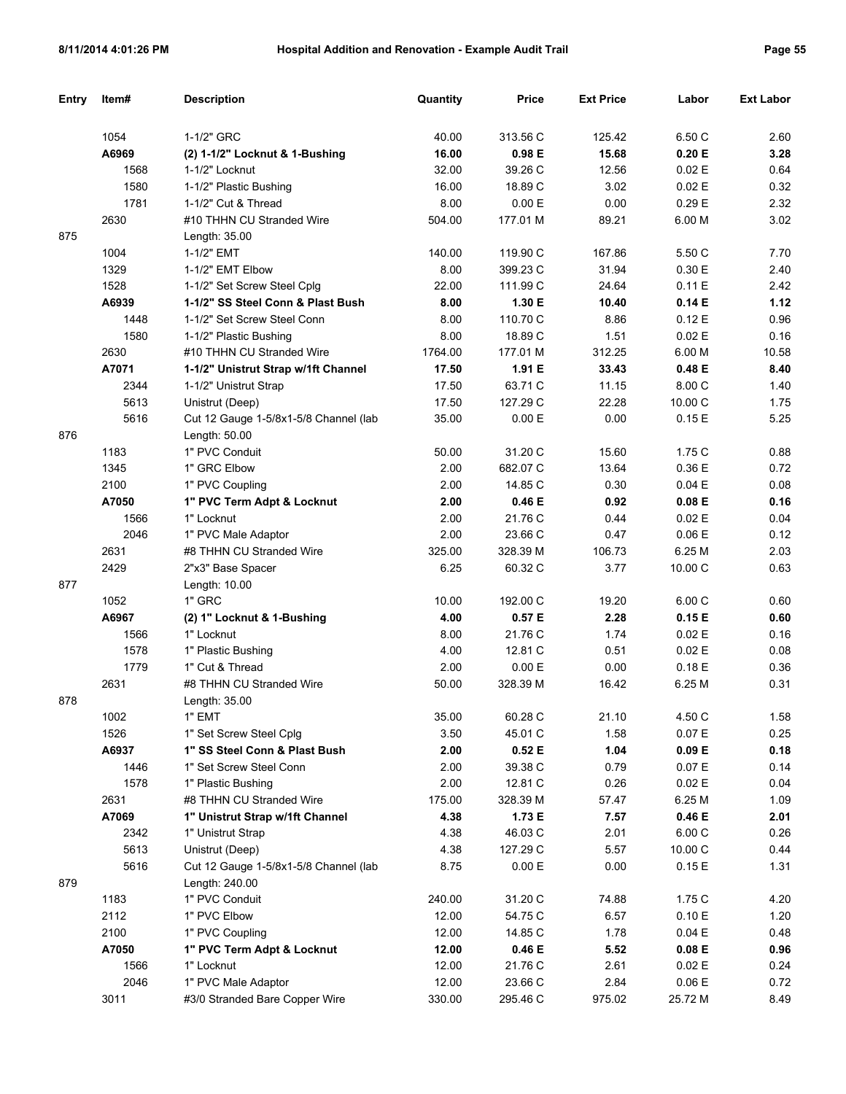| <b>Entry</b> | Item# | <b>Description</b>                    | Quantity | Price    | <b>Ext Price</b> | Labor     | <b>Ext Labor</b> |
|--------------|-------|---------------------------------------|----------|----------|------------------|-----------|------------------|
|              |       |                                       |          |          |                  |           |                  |
|              | 1054  | 1-1/2" GRC                            | 40.00    | 313.56 C | 125.42           | 6.50 C    | 2.60             |
|              | A6969 | (2) 1-1/2" Locknut & 1-Bushing        | 16.00    | 0.98E    | 15.68            | 0.20 E    | 3.28             |
|              | 1568  | 1-1/2" Locknut                        | 32.00    | 39.26 C  | 12.56            | 0.02 E    | 0.64             |
|              | 1580  | 1-1/2" Plastic Bushing                | 16.00    | 18.89 C  | 3.02             | 0.02 E    | 0.32             |
|              | 1781  | 1-1/2" Cut & Thread                   | 8.00     | 0.00 E   | 0.00             | 0.29E     | 2.32             |
|              | 2630  | #10 THHN CU Stranded Wire             | 504.00   | 177.01 M | 89.21            | 6.00 M    | 3.02             |
| 875          |       | Length: 35.00                         |          |          |                  |           |                  |
|              | 1004  | 1-1/2" EMT                            | 140.00   | 119.90 C | 167.86           | 5.50 C    | 7.70             |
|              | 1329  | 1-1/2" EMT Elbow                      | 8.00     | 399.23 C | 31.94            | 0.30 E    | 2.40             |
|              | 1528  | 1-1/2" Set Screw Steel Cplg           | 22.00    | 111.99 C | 24.64            | 0.11E     | 2.42             |
|              | A6939 | 1-1/2" SS Steel Conn & Plast Bush     | 8.00     | 1.30 E   | 10.40            | 0.14E     | 1.12             |
|              | 1448  | 1-1/2" Set Screw Steel Conn           | 8.00     | 110.70 C | 8.86             | 0.12E     | 0.96             |
|              | 1580  | 1-1/2" Plastic Bushing                | 8.00     | 18.89 C  | 1.51             | 0.02 E    | 0.16             |
|              | 2630  | #10 THHN CU Stranded Wire             | 1764.00  | 177.01 M | 312.25           | 6.00 M    | 10.58            |
|              | A7071 | 1-1/2" Unistrut Strap w/1ft Channel   | 17.50    | 1.91 E   | 33.43            | 0.48 E    | 8.40             |
|              | 2344  | 1-1/2" Unistrut Strap                 | 17.50    | 63.71 C  | 11.15            | 8.00 C    | 1.40             |
|              | 5613  | Unistrut (Deep)                       | 17.50    | 127.29 C | 22.28            | 10.00 C   | 1.75             |
|              | 5616  | Cut 12 Gauge 1-5/8x1-5/8 Channel (lab | 35.00    | 0.00 E   | 0.00             | 0.15E     | 5.25             |
| 876          |       | Length: 50.00                         |          |          |                  |           |                  |
|              | 1183  | 1" PVC Conduit                        | 50.00    | 31.20 C  | 15.60            | 1.75 C    | 0.88             |
|              | 1345  | 1" GRC Elbow                          | 2.00     | 682.07 C | 13.64            | 0.36 E    | 0.72             |
|              | 2100  | 1" PVC Coupling                       | 2.00     | 14.85 C  | 0.30             | 0.04 E    | 0.08             |
|              | A7050 | 1" PVC Term Adpt & Locknut            | 2.00     | 0.46E    | 0.92             | 0.08 E    | 0.16             |
|              | 1566  | 1" Locknut                            | 2.00     | 21.76 C  | 0.44             | 0.02 E    | 0.04             |
|              | 2046  | 1" PVC Male Adaptor                   | 2.00     | 23.66 C  | 0.47             | 0.06 E    | 0.12             |
|              | 2631  | #8 THHN CU Stranded Wire              | 325.00   | 328.39 M | 106.73           | 6.25 M    | 2.03             |
|              | 2429  | 2"x3" Base Spacer                     | 6.25     | 60.32 C  | 3.77             | 10.00 C   | 0.63             |
| 877          |       | Length: 10.00                         |          |          |                  |           |                  |
|              | 1052  | 1" GRC                                | 10.00    | 192.00 C | 19.20            | 6.00C     | 0.60             |
|              | A6967 | (2) 1" Locknut & 1-Bushing            | 4.00     | 0.57E    | 2.28             | 0.15E     | 0.60             |
|              | 1566  | 1" Locknut                            | 8.00     | 21.76 C  | 1.74             | 0.02E     | 0.16             |
|              | 1578  | 1" Plastic Bushing                    | 4.00     | 12.81 C  | 0.51             | 0.02E     | 0.08             |
|              | 1779  | 1" Cut & Thread                       | 2.00     | 0.00 E   | 0.00             | 0.18E     | 0.36             |
|              | 2631  | #8 THHN CU Stranded Wire              | 50.00    | 328.39 M | 16.42            | 6.25 M    | 0.31             |
| 878          |       | Length: 35.00                         |          |          |                  |           |                  |
|              | 1002  | 1" EMT                                | 35.00    | 60.28 C  | 21.10            | 4.50 C    | 1.58             |
|              | 1526  | 1" Set Screw Steel Cplg               | 3.50     | 45.01 C  | 1.58             | 0.07 E    | 0.25             |
|              | A6937 | 1" SS Steel Conn & Plast Bush         | 2.00     | 0.52 E   | 1.04             | 0.09 E    | 0.18             |
|              | 1446  | 1" Set Screw Steel Conn               | 2.00     | 39.38 C  | 0.79             | 0.07 E    | 0.14             |
|              | 1578  | 1" Plastic Bushing                    | 2.00     | 12.81 C  | 0.26             | 0.02 E    | 0.04             |
|              | 2631  | #8 THHN CU Stranded Wire              | 175.00   | 328.39 M | 57.47            | 6.25 M    | 1.09             |
|              | A7069 | 1" Unistrut Strap w/1ft Channel       | 4.38     | 1.73 E   | 7.57             | 0.46 E    | 2.01             |
|              | 2342  | 1" Unistrut Strap                     | 4.38     | 46.03 C  | 2.01             | 6.00C     | 0.26             |
|              | 5613  | Unistrut (Deep)                       | 4.38     | 127.29 C | 5.57             | 10.00 C   | 0.44             |
|              | 5616  | Cut 12 Gauge 1-5/8x1-5/8 Channel (lab | 8.75     | 0.00 E   | 0.00             | 0.15E     | 1.31             |
| 879          |       | Length: 240.00                        |          |          |                  |           |                  |
|              | 1183  | 1" PVC Conduit                        | 240.00   | 31.20 C  | 74.88            | 1.75C     | 4.20             |
|              | 2112  | 1" PVC Elbow                          | 12.00    | 54.75 C  | 6.57             | 0.10 E    | 1.20             |
|              | 2100  | 1" PVC Coupling                       | 12.00    | 14.85 C  | 1.78             | 0.04 E    | 0.48             |
|              | A7050 | 1" PVC Term Adpt & Locknut            | 12.00    | 0.46 E   | 5.52             | 0.08 E    | 0.96             |
|              | 1566  | 1" Locknut                            | 12.00    | 21.76 C  | 2.61             | 0.02 E    | 0.24             |
|              | 2046  | 1" PVC Male Adaptor                   | 12.00    | 23.66 C  | 2.84             | $0.06\to$ | 0.72             |
|              | 3011  | #3/0 Stranded Bare Copper Wire        | 330.00   | 295.46 C | 975.02           | 25.72 M   | 8.49             |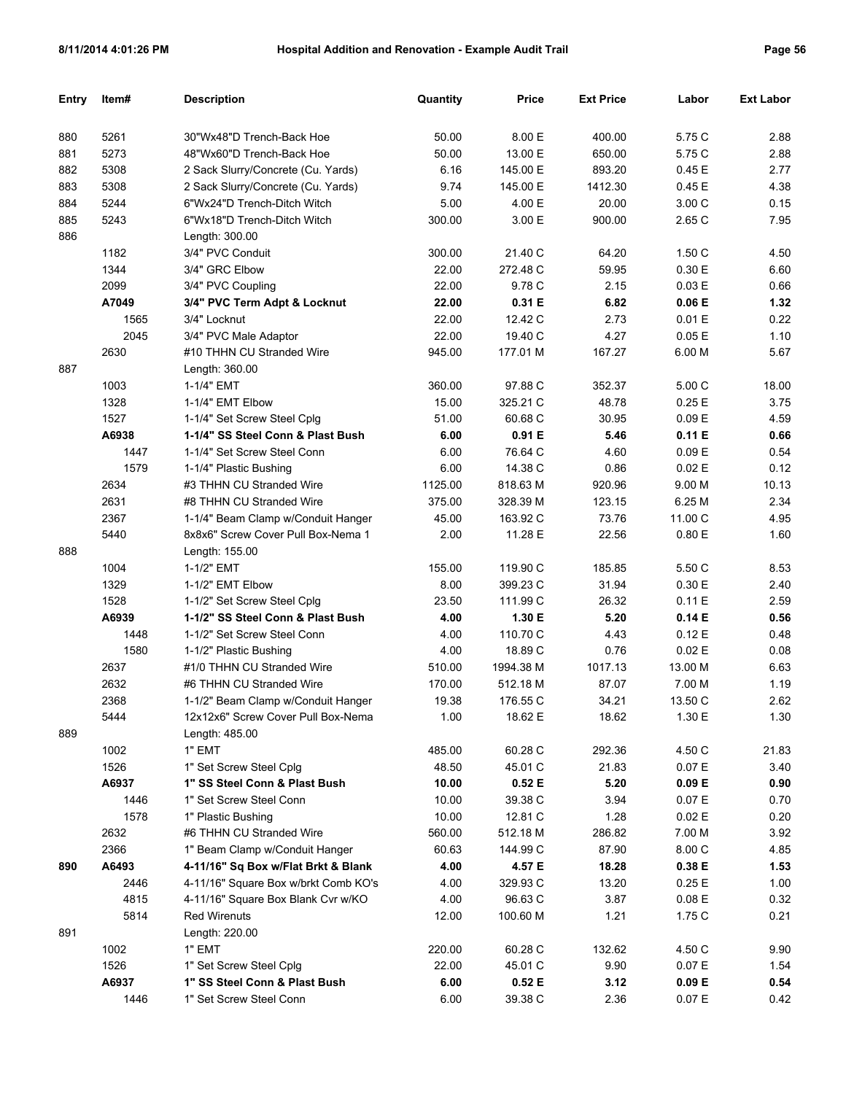| Entry | Item# | <b>Description</b>                   | Quantity | <b>Price</b> | <b>Ext Price</b> | Labor   | <b>Ext Labor</b> |
|-------|-------|--------------------------------------|----------|--------------|------------------|---------|------------------|
|       |       |                                      |          |              |                  |         |                  |
| 880   | 5261  | 30"Wx48"D Trench-Back Hoe            | 50.00    | 8.00 E       | 400.00           | 5.75 C  | 2.88             |
| 881   | 5273  | 48"Wx60"D Trench-Back Hoe            | 50.00    | 13.00 E      | 650.00           | 5.75 C  | 2.88             |
| 882   | 5308  | 2 Sack Slurry/Concrete (Cu. Yards)   | 6.16     | 145.00 E     | 893.20           | 0.45 E  | 2.77             |
| 883   | 5308  | 2 Sack Slurry/Concrete (Cu. Yards)   | 9.74     | 145.00 E     | 1412.30          | 0.45E   | 4.38             |
| 884   | 5244  | 6"Wx24"D Trench-Ditch Witch          | 5.00     | 4.00 E       | 20.00            | 3.00 C  | 0.15             |
| 885   | 5243  | 6"Wx18"D Trench-Ditch Witch          | 300.00   | 3.00 E       | 900.00           | 2.65 C  | 7.95             |
| 886   |       | Length: 300.00                       |          |              |                  |         |                  |
|       | 1182  | 3/4" PVC Conduit                     | 300.00   | 21.40 C      | 64.20            | 1.50C   | 4.50             |
|       | 1344  | 3/4" GRC Elbow                       | 22.00    | 272.48 C     | 59.95            | 0.30 E  | 6.60             |
|       | 2099  | 3/4" PVC Coupling                    | 22.00    | 9.78 C       | 2.15             | 0.03 E  | 0.66             |
|       | A7049 | 3/4" PVC Term Adpt & Locknut         | 22.00    | 0.31 E       | 6.82             | 0.06 E  | 1.32             |
|       | 1565  | 3/4" Locknut                         | 22.00    | 12.42 C      | 2.73             | 0.01 E  | 0.22             |
|       | 2045  | 3/4" PVC Male Adaptor                | 22.00    | 19.40 C      | 4.27             | 0.05E   | 1.10             |
|       | 2630  | #10 THHN CU Stranded Wire            | 945.00   | 177.01 M     | 167.27           | 6.00 M  | 5.67             |
| 887   |       | Length: 360.00                       |          |              |                  |         |                  |
|       | 1003  | 1-1/4" EMT                           | 360.00   | 97.88 C      | 352.37           | 5.00C   | 18.00            |
|       | 1328  | 1-1/4" EMT Elbow                     | 15.00    | 325.21 C     | 48.78            | 0.25E   | 3.75             |
|       | 1527  | 1-1/4" Set Screw Steel Cplg          | 51.00    | 60.68 C      | 30.95            | 0.09 E  | 4.59             |
|       | A6938 | 1-1/4" SS Steel Conn & Plast Bush    | 6.00     | 0.91 E       | 5.46             | 0.11E   | 0.66             |
|       | 1447  | 1-1/4" Set Screw Steel Conn          | 6.00     | 76.64 C      | 4.60             | 0.09 E  | 0.54             |
|       | 1579  | 1-1/4" Plastic Bushing               | 6.00     | 14.38 C      | 0.86             | 0.02 E  | 0.12             |
|       | 2634  | #3 THHN CU Stranded Wire             | 1125.00  | 818.63 M     | 920.96           | 9.00 M  | 10.13            |
|       | 2631  | #8 THHN CU Stranded Wire             | 375.00   | 328.39 M     | 123.15           | 6.25 M  | 2.34             |
|       | 2367  | 1-1/4" Beam Clamp w/Conduit Hanger   | 45.00    | 163.92 C     | 73.76            | 11.00 C | 4.95             |
|       | 5440  | 8x8x6" Screw Cover Pull Box-Nema 1   | 2.00     | 11.28 E      | 22.56            | 0.80 E  | 1.60             |
| 888   |       | Length: 155.00                       |          |              |                  |         |                  |
|       | 1004  | 1-1/2" EMT                           | 155.00   | 119.90 C     | 185.85           | 5.50 C  | 8.53             |
|       | 1329  | 1-1/2" EMT Elbow                     | 8.00     | 399.23 C     | 31.94            | 0.30 E  | 2.40             |
|       | 1528  | 1-1/2" Set Screw Steel Cplg          | 23.50    | 111.99 C     | 26.32            | 0.11 E  | 2.59             |
|       | A6939 | 1-1/2" SS Steel Conn & Plast Bush    | 4.00     | 1.30 E       | 5.20             | 0.14E   | 0.56             |
|       | 1448  | 1-1/2" Set Screw Steel Conn          | 4.00     | 110.70 C     | 4.43             | 0.12E   | 0.48             |
|       | 1580  | 1-1/2" Plastic Bushing               | 4.00     | 18.89 C      | 0.76             | 0.02 E  | 0.08             |
|       | 2637  | #1/0 THHN CU Stranded Wire           | 510.00   | 1994.38 M    | 1017.13          | 13.00 M | 6.63             |
|       | 2632  | #6 THHN CU Stranded Wire             | 170.00   | 512.18 M     | 87.07            | 7.00 M  | 1.19             |
|       | 2368  | 1-1/2" Beam Clamp w/Conduit Hanger   | 19.38    | 176.55 C     | 34.21            | 13.50 C | 2.62             |
|       | 5444  | 12x12x6" Screw Cover Pull Box-Nema   | 1.00     | 18.62 E      | 18.62            | 1.30 E  | 1.30             |
| 889   |       | Length: 485.00                       |          |              |                  |         |                  |
|       | 1002  | 1" EMT                               | 485.00   | 60.28 C      | 292.36           | 4.50 C  | 21.83            |
|       | 1526  | 1" Set Screw Steel Cplg              | 48.50    | 45.01 C      | 21.83            | 0.07 E  | 3.40             |
|       | A6937 | 1" SS Steel Conn & Plast Bush        | 10.00    | 0.52 E       | 5.20             | 0.09 E  | 0.90             |
|       | 1446  | 1" Set Screw Steel Conn              | 10.00    | 39.38 C      | 3.94             | 0.07 E  | 0.70             |
|       | 1578  | 1" Plastic Bushing                   | 10.00    | 12.81 C      | 1.28             | 0.02 E  | 0.20             |
|       | 2632  | #6 THHN CU Stranded Wire             | 560.00   | 512.18 M     | 286.82           | 7.00 M  | 3.92             |
|       | 2366  | 1" Beam Clamp w/Conduit Hanger       | 60.63    | 144.99 C     | 87.90            | 8.00 C  | 4.85             |
| 890   | A6493 | 4-11/16" Sq Box w/Flat Brkt & Blank  | 4.00     | 4.57 E       | 18.28            | 0.38 E  | 1.53             |
|       | 2446  | 4-11/16" Square Box w/brkt Comb KO's | 4.00     | 329.93 C     | 13.20            | 0.25E   | 1.00             |
|       | 4815  | 4-11/16" Square Box Blank Cvr w/KO   | 4.00     | 96.63 C      | 3.87             | 0.08 E  | 0.32             |
|       | 5814  | <b>Red Wirenuts</b>                  | 12.00    | 100.60 M     | 1.21             | 1.75 C  | 0.21             |
| 891   |       | Length: 220.00                       |          |              |                  |         |                  |
|       | 1002  | 1" EMT                               | 220.00   | 60.28 C      | 132.62           | 4.50 C  | 9.90             |
|       | 1526  | 1" Set Screw Steel Cplg              | 22.00    | 45.01 C      | 9.90             | 0.07 E  | 1.54             |
|       | A6937 | 1" SS Steel Conn & Plast Bush        | 6.00     | 0.52 E       | 3.12             | 0.09 E  | 0.54             |
|       | 1446  | 1" Set Screw Steel Conn              | 6.00     | 39.38 C      | 2.36             | 0.07 E  | 0.42             |
|       |       |                                      |          |              |                  |         |                  |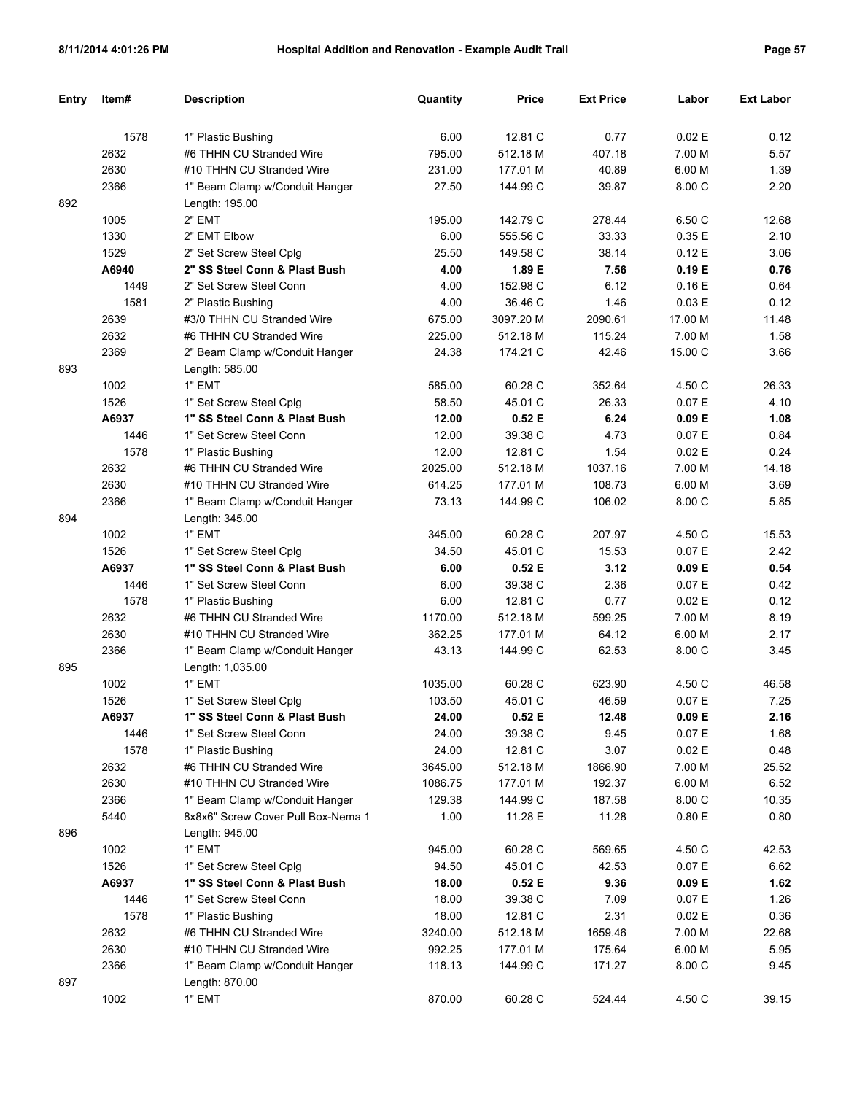| <b>Entry</b> | Item# | <b>Description</b>                 | Quantity | <b>Price</b> | <b>Ext Price</b> | Labor   | <b>Ext Labor</b> |
|--------------|-------|------------------------------------|----------|--------------|------------------|---------|------------------|
|              |       |                                    |          |              |                  |         |                  |
|              | 1578  | 1" Plastic Bushing                 | 6.00     | 12.81 C      | 0.77             | 0.02 E  | 0.12             |
|              | 2632  | #6 THHN CU Stranded Wire           | 795.00   | 512.18 M     | 407.18           | 7.00 M  | 5.57             |
|              | 2630  | #10 THHN CU Stranded Wire          | 231.00   | 177.01 M     | 40.89            | 6.00 M  | 1.39             |
|              | 2366  | 1" Beam Clamp w/Conduit Hanger     | 27.50    | 144.99 C     | 39.87            | 8.00 C  | 2.20             |
| 892          |       | Length: 195.00                     |          |              |                  |         |                  |
|              | 1005  | 2" EMT                             | 195.00   | 142.79 C     | 278.44           | 6.50 C  | 12.68            |
|              | 1330  | 2" EMT Elbow                       | 6.00     | 555.56 C     | 33.33            | 0.35E   | 2.10             |
|              | 1529  | 2" Set Screw Steel Cplg            | 25.50    | 149.58 C     | 38.14            | 0.12E   | 3.06             |
|              | A6940 | 2" SS Steel Conn & Plast Bush      | 4.00     | 1.89 E       | 7.56             | 0.19E   | 0.76             |
|              | 1449  | 2" Set Screw Steel Conn            | 4.00     | 152.98 C     | 6.12             | 0.16E   | 0.64             |
|              | 1581  | 2" Plastic Bushing                 | 4.00     | 36.46 C      | 1.46             | 0.03 E  | 0.12             |
|              | 2639  | #3/0 THHN CU Stranded Wire         | 675.00   | 3097.20 M    | 2090.61          | 17.00 M | 11.48            |
|              | 2632  | #6 THHN CU Stranded Wire           | 225.00   | 512.18 M     | 115.24           | 7.00 M  | 1.58             |
|              | 2369  | 2" Beam Clamp w/Conduit Hanger     | 24.38    | 174.21 C     | 42.46            | 15.00 C | 3.66             |
| 893          |       | Length: 585.00                     |          |              |                  |         |                  |
|              | 1002  | 1" EMT                             | 585.00   | 60.28 C      | 352.64           | 4.50 C  | 26.33            |
|              | 1526  | 1" Set Screw Steel Cplg            | 58.50    | 45.01 C      | 26.33            | 0.07 E  | 4.10             |
|              | A6937 | 1" SS Steel Conn & Plast Bush      | 12.00    | 0.52E        | 6.24             | 0.09 E  | 1.08             |
|              | 1446  | 1" Set Screw Steel Conn            | 12.00    | 39.38 C      | 4.73             | 0.07 E  | 0.84             |
|              | 1578  | 1" Plastic Bushing                 | 12.00    | 12.81 C      | 1.54             | 0.02 E  | 0.24             |
|              | 2632  | #6 THHN CU Stranded Wire           | 2025.00  | 512.18 M     | 1037.16          | 7.00 M  | 14.18            |
|              | 2630  | #10 THHN CU Stranded Wire          | 614.25   | 177.01 M     | 108.73           | 6.00 M  | 3.69             |
|              | 2366  | 1" Beam Clamp w/Conduit Hanger     | 73.13    | 144.99 C     | 106.02           | 8.00 C  | 5.85             |
| 894          |       | Length: 345.00                     |          |              |                  |         |                  |
|              | 1002  | 1" EMT                             | 345.00   | 60.28 C      | 207.97           | 4.50 C  | 15.53            |
|              | 1526  | 1" Set Screw Steel Cplg            | 34.50    | 45.01 C      | 15.53            | 0.07 E  | 2.42             |
|              | A6937 | 1" SS Steel Conn & Plast Bush      | 6.00     | 0.52E        | 3.12             | 0.09 E  | 0.54             |
|              | 1446  | 1" Set Screw Steel Conn            | 6.00     | 39.38 C      | 2.36             | 0.07 E  | 0.42             |
|              | 1578  | 1" Plastic Bushing                 | 6.00     | 12.81 C      | 0.77             | 0.02 E  | 0.12             |
|              | 2632  | #6 THHN CU Stranded Wire           | 1170.00  | 512.18 M     | 599.25           | 7.00 M  | 8.19             |
|              | 2630  | #10 THHN CU Stranded Wire          | 362.25   | 177.01 M     | 64.12            | 6.00 M  | 2.17             |
|              | 2366  | 1" Beam Clamp w/Conduit Hanger     | 43.13    | 144.99 C     | 62.53            | 8.00 C  | 3.45             |
| 895          |       | Length: 1,035.00                   |          |              |                  |         |                  |
|              | 1002  | 1" EMT                             | 1035.00  | 60.28 C      | 623.90           | 4.50 C  | 46.58            |
|              | 1526  | 1" Set Screw Steel Cplg            | 103.50   | 45.01 C      | 46.59            | 0.07 E  | 7.25             |
|              | A6937 | 1" SS Steel Conn & Plast Bush      | 24.00    | 0.52 E       | 12.48            | 0.09 E  | 2.16             |
|              | 1446  | 1" Set Screw Steel Conn            | 24.00    | 39.38 C      | 9.45             | 0.07 E  | 1.68             |
|              | 1578  | 1" Plastic Bushing                 | 24.00    | 12.81 C      | 3.07             | 0.02 E  | 0.48             |
|              | 2632  | #6 THHN CU Stranded Wire           | 3645.00  | 512.18 M     | 1866.90          | 7.00 M  | 25.52            |
|              | 2630  | #10 THHN CU Stranded Wire          | 1086.75  | 177.01 M     | 192.37           | 6.00 M  | 6.52             |
|              | 2366  | 1" Beam Clamp w/Conduit Hanger     | 129.38   | 144.99 C     | 187.58           | 8.00 C  | 10.35            |
|              | 5440  | 8x8x6" Screw Cover Pull Box-Nema 1 | 1.00     | 11.28 E      | 11.28            | 0.80 E  | 0.80             |
| 896          |       | Length: 945.00                     |          |              |                  |         |                  |
|              | 1002  | 1" EMT                             | 945.00   | 60.28 C      | 569.65           | 4.50 C  | 42.53            |
|              | 1526  | 1" Set Screw Steel Cplg            | 94.50    | 45.01 C      | 42.53            | 0.07 E  | 6.62             |
|              | A6937 | 1" SS Steel Conn & Plast Bush      | 18.00    | 0.52 E       | 9.36             | 0.09 E  | 1.62             |
|              | 1446  | 1" Set Screw Steel Conn            | 18.00    | 39.38 C      | 7.09             | 0.07 E  | 1.26             |
|              | 1578  | 1" Plastic Bushing                 | 18.00    | 12.81 C      | 2.31             | 0.02 E  | 0.36             |
|              | 2632  | #6 THHN CU Stranded Wire           | 3240.00  | 512.18 M     | 1659.46          | 7.00 M  | 22.68            |
|              | 2630  | #10 THHN CU Stranded Wire          | 992.25   | 177.01 M     | 175.64           | 6.00 M  | 5.95             |
|              | 2366  | 1" Beam Clamp w/Conduit Hanger     | 118.13   | 144.99 C     | 171.27           | 8.00 C  | 9.45             |
| 897          |       | Length: 870.00                     |          |              |                  |         |                  |
|              | 1002  | 1" EMT                             | 870.00   | 60.28 C      | 524.44           | 4.50 C  | 39.15            |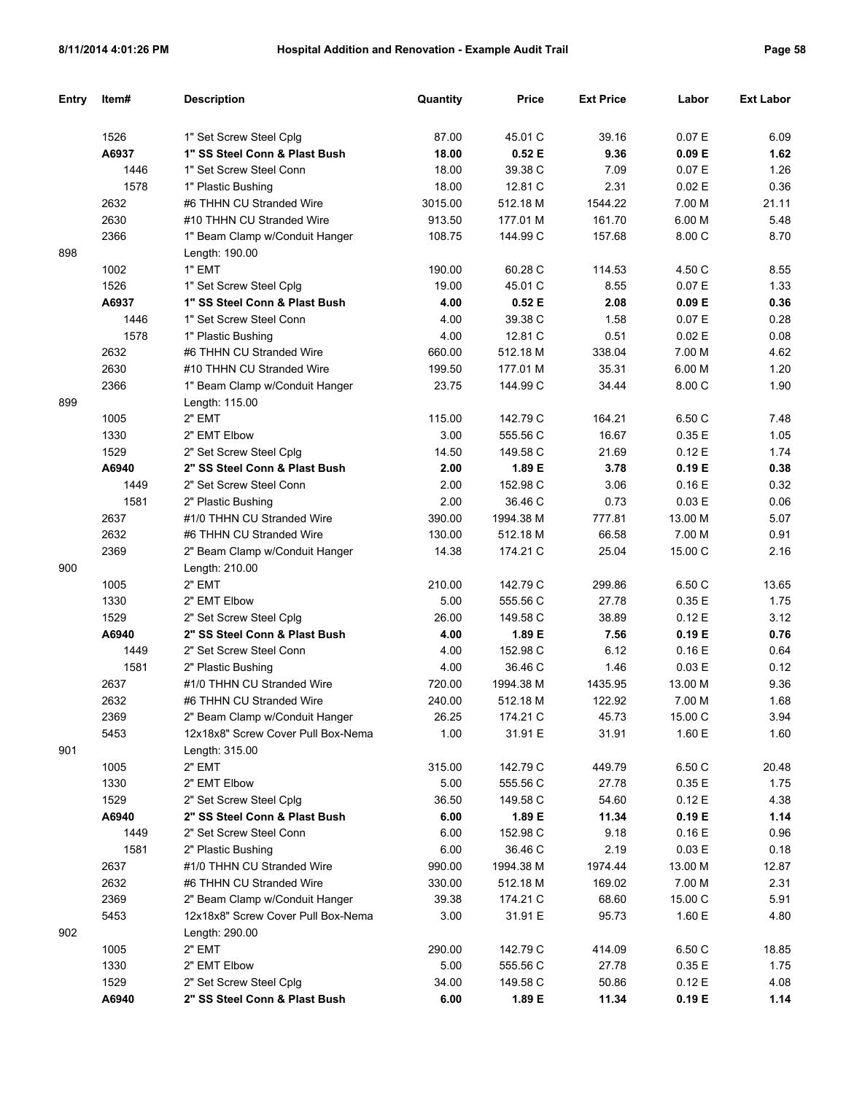| Entry | Item#        | <b>Description</b>                                   | Quantity       | <b>Price</b>        | <b>Ext Price</b>  | Labor             | <b>Ext Labor</b> |
|-------|--------------|------------------------------------------------------|----------------|---------------------|-------------------|-------------------|------------------|
|       |              |                                                      |                |                     |                   |                   |                  |
|       | 1526         | 1" Set Screw Steel Cplg                              | 87.00          | 45.01 C             | 39.16             | 0.07 E            | 6.09             |
|       | A6937        | 1" SS Steel Conn & Plast Bush                        | 18.00          | 0.52E               | 9.36              | 0.09 E            | 1.62             |
|       | 1446         | 1" Set Screw Steel Conn                              | 18.00          | 39.38 C             | 7.09              | 0.07 E            | 1.26             |
|       | 1578         | 1" Plastic Bushing                                   | 18.00          | 12.81 C             | 2.31              | 0.02 E            | 0.36             |
|       | 2632         | #6 THHN CU Stranded Wire                             | 3015.00        | 512.18 M            | 1544.22           | 7.00 M            | 21.11            |
|       | 2630         | #10 THHN CU Stranded Wire                            | 913.50         | 177.01 M            | 161.70            | 6.00 M            | 5.48             |
|       | 2366         | 1" Beam Clamp w/Conduit Hanger                       | 108.75         | 144.99 C            | 157.68            | 8.00 C            | 8.70             |
| 898   |              | Length: 190.00                                       |                |                     |                   |                   |                  |
|       | 1002         | 1" EMT                                               | 190.00         | 60.28 C             | 114.53            | 4.50 C            | 8.55             |
|       | 1526         | 1" Set Screw Steel Cplg                              | 19.00          | 45.01 C             | 8.55              | 0.07 E            | 1.33             |
|       | A6937        | 1" SS Steel Conn & Plast Bush                        | 4.00           | 0.52E               | 2.08              | 0.09 E            | 0.36             |
|       | 1446         | 1" Set Screw Steel Conn                              | 4.00           | 39.38 C             | 1.58              | 0.07 E            | 0.28             |
|       | 1578         | 1" Plastic Bushing                                   | 4.00           | 12.81 C             | 0.51              | 0.02 E            | 0.08             |
|       | 2632         | #6 THHN CU Stranded Wire                             | 660.00         | 512.18 M            | 338.04            | 7.00 M            | 4.62             |
|       | 2630         | #10 THHN CU Stranded Wire                            | 199.50         | 177.01 M            | 35.31             | 6.00 M            | 1.20             |
|       | 2366         | 1" Beam Clamp w/Conduit Hanger                       | 23.75          | 144.99 C            | 34.44             | 8.00 C            | 1.90             |
| 899   |              | Length: 115.00                                       |                |                     |                   |                   |                  |
|       | 1005         | 2" EMT                                               | 115.00         | 142.79 C            | 164.21            | 6.50 C            | 7.48             |
|       | 1330         | 2" EMT Elbow                                         | 3.00           | 555.56 C            | 16.67             | 0.35E             | 1.05             |
|       | 1529         | 2" Set Screw Steel Cplg                              | 14.50          | 149.58 C            | 21.69             | 0.12E             | 1.74             |
|       | A6940        | 2" SS Steel Conn & Plast Bush                        | 2.00           | 1.89 E              | 3.78              | 0.19 E            | 0.38             |
|       | 1449         | 2" Set Screw Steel Conn                              | 2.00           | 152.98 C            | 3.06              | 0.16E             | 0.32             |
|       | 1581         | 2" Plastic Bushing                                   | 2.00           | 36.46 C             | 0.73              | 0.03 E            | 0.06             |
|       | 2637         | #1/0 THHN CU Stranded Wire                           | 390.00         | 1994.38 M           | 777.81            | 13.00 M           | 5.07             |
|       | 2632         | #6 THHN CU Stranded Wire                             | 130.00         | 512.18 M            | 66.58             | 7.00 M            | 0.91             |
|       | 2369         | 2" Beam Clamp w/Conduit Hanger                       | 14.38          | 174.21 C            | 25.04             | 15.00 C           | 2.16             |
| 900   |              | Length: 210.00                                       |                |                     |                   |                   |                  |
|       | 1005         | 2" EMT                                               | 210.00         | 142.79 C            | 299.86            | 6.50 C            | 13.65            |
|       | 1330         | 2" EMT Elbow                                         | 5.00           | 555.56 C            | 27.78             | 0.35E             | 1.75             |
|       | 1529         | 2" Set Screw Steel Cplg                              | 26.00          | 149.58 C            | 38.89             | 0.12E             | 3.12             |
|       | A6940        | 2" SS Steel Conn & Plast Bush                        | 4.00           | 1.89 E              | 7.56              | 0.19 E            | 0.76             |
|       | 1449         | 2" Set Screw Steel Conn                              | 4.00           | 152.98 C<br>36.46 C | 6.12              | 0.16E             | 0.64             |
|       | 1581<br>2637 | 2" Plastic Bushing<br>#1/0 THHN CU Stranded Wire     | 4.00<br>720.00 | 1994.38 M           | 1.46              | 0.03 E<br>13.00 M | 0.12<br>9.36     |
|       | 2632         | #6 THHN CU Stranded Wire                             | 240.00         | 512.18 M            | 1435.95<br>122.92 | 7.00 M            | 1.68             |
|       |              |                                                      |                |                     |                   |                   |                  |
|       | 2369         | 2" Beam Clamp w/Conduit Hanger                       | 26.25          | 174.21 C            | 45.73             | 15.00 C<br>1.60 E | 3.94             |
|       | 5453         | 12x18x8" Screw Cover Pull Box-Nema<br>Length: 315.00 | 1.00           | 31.91 E             | 31.91             |                   | 1.60             |
| 901   | 1005         | 2" EMT                                               | 315.00         | 142.79 C            | 449.79            |                   | 20.48            |
|       | 1330         | 2" EMT Elbow                                         | 5.00           | 555.56 C            | 27.78             | 6.50 C<br>0.35E   |                  |
|       | 1529         | 2" Set Screw Steel Cplg                              | 36.50          | 149.58 C            | 54.60             | 0.12E             | 1.75<br>4.38     |
|       | A6940        | 2" SS Steel Conn & Plast Bush                        | 6.00           | 1.89 E              | 11.34             | 0.19 E            | 1.14             |
|       | 1449         | 2" Set Screw Steel Conn                              | 6.00           | 152.98 C            | 9.18              | 0.16E             | 0.96             |
|       | 1581         | 2" Plastic Bushing                                   | 6.00           | 36.46 C             | 2.19              | 0.03 E            | 0.18             |
|       | 2637         | #1/0 THHN CU Stranded Wire                           | 990.00         | 1994.38 M           | 1974.44           | 13.00 M           | 12.87            |
|       | 2632         | #6 THHN CU Stranded Wire                             | 330.00         | 512.18 M            | 169.02            | 7.00 M            | 2.31             |
|       | 2369         | 2" Beam Clamp w/Conduit Hanger                       | 39.38          | 174.21 C            | 68.60             | 15.00 C           | 5.91             |
|       | 5453         | 12x18x8" Screw Cover Pull Box-Nema                   | 3.00           | 31.91 E             | 95.73             | 1.60 E            | 4.80             |
| 902   |              | Length: 290.00                                       |                |                     |                   |                   |                  |
|       | 1005         | 2" EMT                                               | 290.00         | 142.79 C            | 414.09            | 6.50 C            | 18.85            |
|       | 1330         | 2" EMT Elbow                                         | 5.00           | 555.56 C            | 27.78             | 0.35E             | 1.75             |
|       | 1529         | 2" Set Screw Steel Cplg                              | 34.00          | 149.58 C            | 50.86             | 0.12 E            | 4.08             |
|       | A6940        | 2" SS Steel Conn & Plast Bush                        | 6.00           | 1.89 E              | 11.34             | 0.19 E            | 1.14             |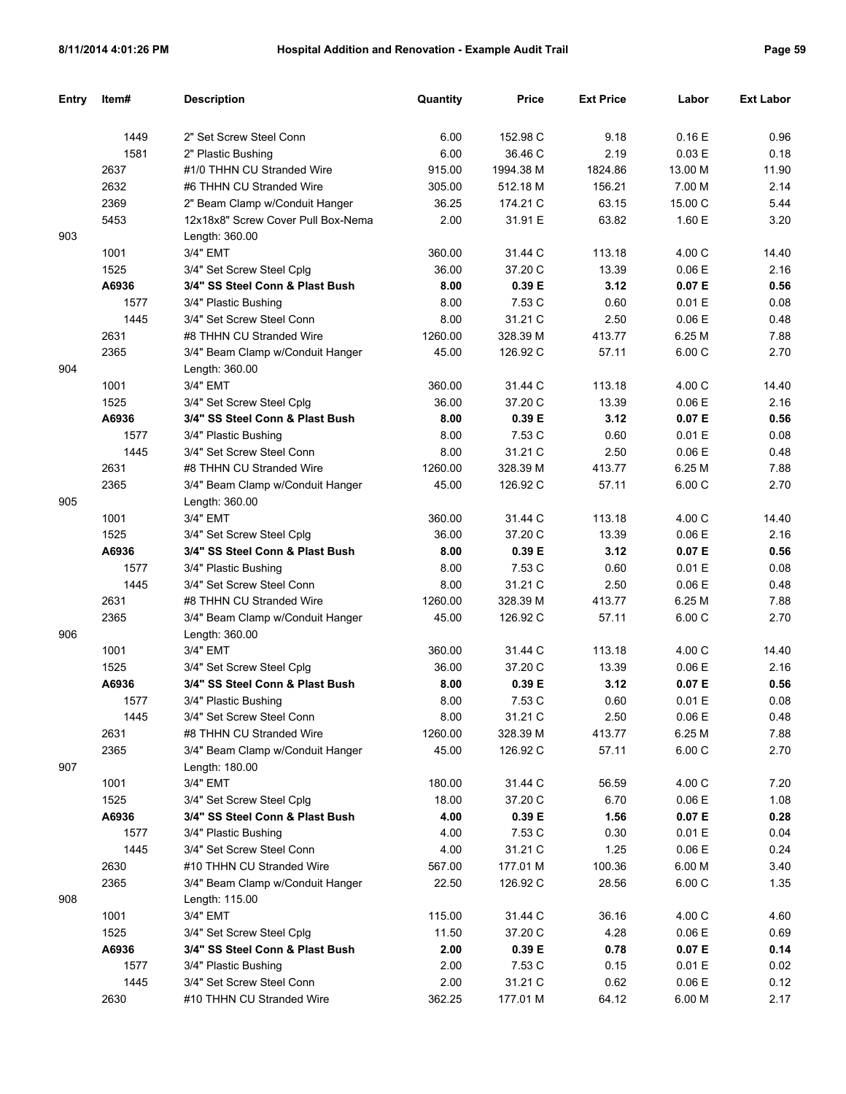| Entry | Item# | <b>Description</b>                 | Quantity | <b>Price</b> | <b>Ext Price</b> | Labor   | <b>Ext Labor</b> |
|-------|-------|------------------------------------|----------|--------------|------------------|---------|------------------|
|       |       |                                    |          |              |                  |         |                  |
|       | 1449  | 2" Set Screw Steel Conn            | 6.00     | 152.98 C     | 9.18             | 0.16E   | 0.96             |
|       | 1581  | 2" Plastic Bushing                 | 6.00     | 36.46 C      | 2.19             | 0.03 E  | 0.18             |
|       | 2637  | #1/0 THHN CU Stranded Wire         | 915.00   | 1994.38 M    | 1824.86          | 13.00 M | 11.90            |
|       | 2632  | #6 THHN CU Stranded Wire           | 305.00   | 512.18 M     | 156.21           | 7.00 M  | 2.14             |
|       | 2369  | 2" Beam Clamp w/Conduit Hanger     | 36.25    | 174.21 C     | 63.15            | 15.00 C | 5.44             |
|       | 5453  | 12x18x8" Screw Cover Pull Box-Nema | 2.00     | 31.91 E      | 63.82            | 1.60 E  | 3.20             |
| 903   |       | Length: 360.00                     |          |              |                  |         |                  |
|       | 1001  | 3/4" EMT                           | 360.00   | 31.44 C      | 113.18           | 4.00 C  | 14.40            |
|       | 1525  | 3/4" Set Screw Steel Cplg          | 36.00    | 37.20 C      | 13.39            | 0.06E   | 2.16             |
|       | A6936 | 3/4" SS Steel Conn & Plast Bush    | 8.00     | 0.39 E       | 3.12             | 0.07 E  | 0.56             |
|       | 1577  | 3/4" Plastic Bushing               | 8.00     | 7.53 C       | 0.60             | 0.01 E  | 0.08             |
|       | 1445  | 3/4" Set Screw Steel Conn          | 8.00     | 31.21 C      | 2.50             | 0.06E   | 0.48             |
|       | 2631  | #8 THHN CU Stranded Wire           | 1260.00  | 328.39 M     | 413.77           | 6.25 M  | 7.88             |
|       | 2365  | 3/4" Beam Clamp w/Conduit Hanger   | 45.00    | 126.92 C     | 57.11            | 6.00 C  | 2.70             |
| 904   |       | Length: 360.00                     |          |              |                  |         |                  |
|       | 1001  | 3/4" EMT                           | 360.00   | 31.44 C      | 113.18           | 4.00 C  | 14.40            |
|       | 1525  | 3/4" Set Screw Steel Cplg          | 36.00    | 37.20 C      | 13.39            | 0.06E   | 2.16             |
|       | A6936 | 3/4" SS Steel Conn & Plast Bush    | 8.00     | 0.39 E       | 3.12             | 0.07 E  | 0.56             |
|       | 1577  | 3/4" Plastic Bushing               | 8.00     | 7.53 C       | 0.60             | 0.01 E  | 0.08             |
|       | 1445  | 3/4" Set Screw Steel Conn          | 8.00     | 31.21 C      | 2.50             | 0.06E   | 0.48             |
|       | 2631  | #8 THHN CU Stranded Wire           | 1260.00  | 328.39 M     | 413.77           | 6.25 M  | 7.88             |
|       | 2365  | 3/4" Beam Clamp w/Conduit Hanger   | 45.00    | 126.92 C     | 57.11            | 6.00 C  | 2.70             |
| 905   |       | Length: 360.00                     |          |              |                  |         |                  |
|       | 1001  | 3/4" EMT                           | 360.00   | 31.44 C      | 113.18           | 4.00 C  | 14.40            |
|       | 1525  | 3/4" Set Screw Steel Cplg          | 36.00    | 37.20 C      | 13.39            | 0.06E   | 2.16             |
|       | A6936 | 3/4" SS Steel Conn & Plast Bush    | 8.00     | 0.39 E       | 3.12             | 0.07 E  | 0.56             |
|       | 1577  | 3/4" Plastic Bushing               | 8.00     | 7.53 C       | 0.60             | 0.01 E  | 0.08             |
|       | 1445  | 3/4" Set Screw Steel Conn          | 8.00     | 31.21 C      | 2.50             | 0.06E   | 0.48             |
|       | 2631  | #8 THHN CU Stranded Wire           | 1260.00  | 328.39 M     | 413.77           | 6.25 M  | 7.88             |
|       | 2365  | 3/4" Beam Clamp w/Conduit Hanger   | 45.00    | 126.92 C     | 57.11            | 6.00 C  | 2.70             |
| 906   |       | Length: 360.00                     |          |              |                  |         |                  |
|       | 1001  | 3/4" EMT                           | 360.00   | 31.44 C      | 113.18           | 4.00 C  | 14.40            |
|       | 1525  | 3/4" Set Screw Steel Cplg          | 36.00    | 37.20 C      | 13.39            | 0.06 E  | 2.16             |
|       | A6936 | 3/4" SS Steel Conn & Plast Bush    | 8.00     | 0.39 E       | 3.12             | 0.07 E  | 0.56             |
|       | 1577  | 3/4" Plastic Bushing               | 8.00     | 7.53 C       | 0.60             | 0.01 E  | 0.08             |
|       | 1445  | 3/4" Set Screw Steel Conn          | 8.00     | 31.21 C      | 2.50             | 0.06 E  | 0.48             |
|       | 2631  | #8 THHN CU Stranded Wire           | 1260.00  | 328.39 M     | 413.77           | 6.25 M  | 7.88             |
|       | 2365  | 3/4" Beam Clamp w/Conduit Hanger   | 45.00    | 126.92 C     | 57.11            | 6.00C   | 2.70             |
| 907   |       | Length: 180.00                     |          |              |                  |         |                  |
|       | 1001  | 3/4" EMT                           | 180.00   | 31.44 C      | 56.59            | 4.00 C  | 7.20             |
|       | 1525  | 3/4" Set Screw Steel Cplg          | 18.00    | 37.20 C      | 6.70             | 0.06 E  | 1.08             |
|       | A6936 | 3/4" SS Steel Conn & Plast Bush    | 4.00     | 0.39 E       | 1.56             | 0.07 E  | 0.28             |
|       | 1577  | 3/4" Plastic Bushing               | 4.00     | 7.53 C       | 0.30             | 0.01 E  | 0.04             |
|       | 1445  | 3/4" Set Screw Steel Conn          | 4.00     | 31.21 C      | 1.25             | 0.06 E  | 0.24             |
|       | 2630  | #10 THHN CU Stranded Wire          | 567.00   | 177.01 M     | 100.36           | 6.00 M  | 3.40             |
|       | 2365  | 3/4" Beam Clamp w/Conduit Hanger   | 22.50    | 126.92 C     | 28.56            | 6.00C   | 1.35             |
| 908   |       | Length: 115.00                     |          |              |                  |         |                  |
|       | 1001  | 3/4" EMT                           | 115.00   | 31.44 C      | 36.16            | 4.00 C  | 4.60             |
|       | 1525  | 3/4" Set Screw Steel Cplg          | 11.50    | 37.20 C      | 4.28             | 0.06 E  | 0.69             |
|       | A6936 | 3/4" SS Steel Conn & Plast Bush    | 2.00     | 0.39 E       | 0.78             | 0.07 E  | 0.14             |
|       | 1577  | 3/4" Plastic Bushing               | 2.00     | 7.53 C       | 0.15             | 0.01 E  | 0.02             |
|       | 1445  | 3/4" Set Screw Steel Conn          | 2.00     | 31.21 C      | 0.62             | 0.06 E  | 0.12             |
|       | 2630  | #10 THHN CU Stranded Wire          | 362.25   | 177.01 M     | 64.12            | 6.00 M  | 2.17             |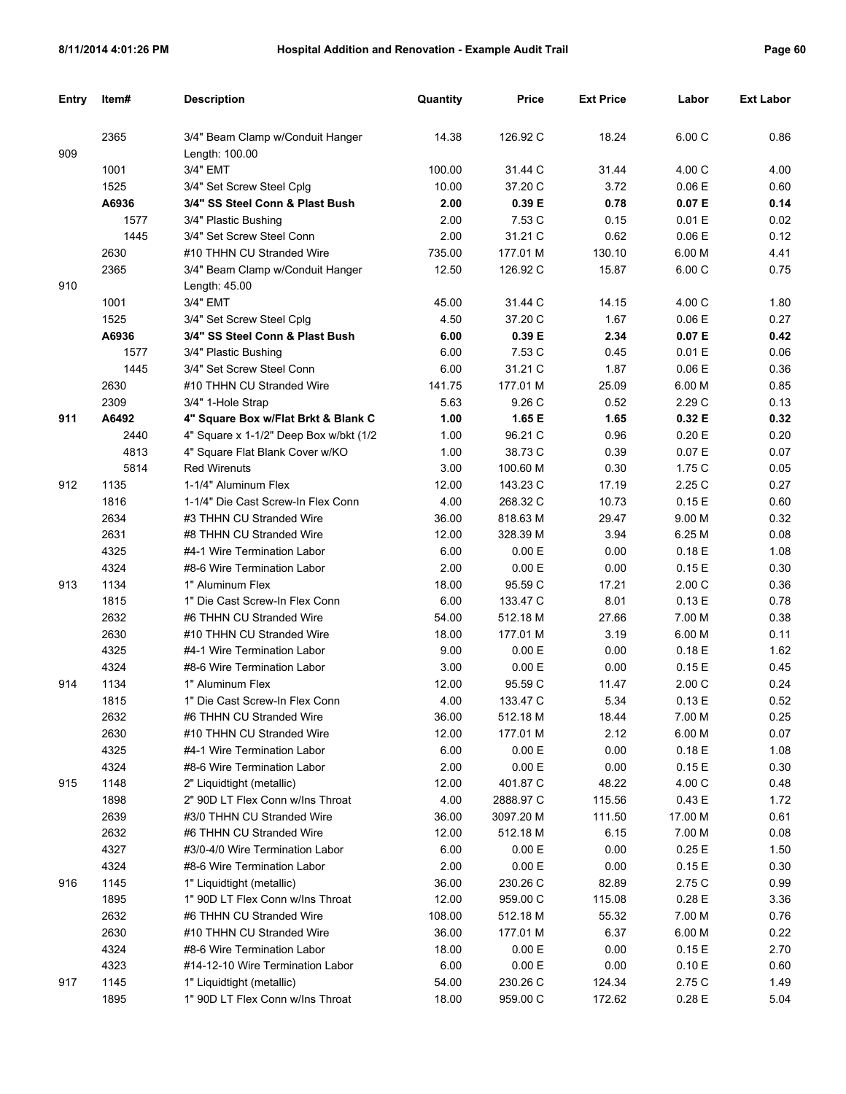| Entry | Item# | <b>Description</b>                      | Quantity | Price     | <b>Ext Price</b> | Labor   | <b>Ext Labor</b> |
|-------|-------|-----------------------------------------|----------|-----------|------------------|---------|------------------|
|       | 2365  | 3/4" Beam Clamp w/Conduit Hanger        | 14.38    | 126.92 C  | 18.24            | 6.00C   | 0.86             |
| 909   |       | Length: 100.00                          |          |           |                  |         |                  |
|       | 1001  | 3/4" EMT                                | 100.00   | 31.44 C   | 31.44            | 4.00 C  | 4.00             |
|       | 1525  | 3/4" Set Screw Steel Cplg               | 10.00    | 37.20 C   | 3.72             | 0.06 E  | 0.60             |
|       | A6936 | 3/4" SS Steel Conn & Plast Bush         | 2.00     | 0.39 E    | 0.78             | 0.07 E  | 0.14             |
|       | 1577  | 3/4" Plastic Bushing                    | 2.00     | 7.53 C    | 0.15             | 0.01 E  | 0.02             |
|       | 1445  | 3/4" Set Screw Steel Conn               | 2.00     | 31.21 C   | 0.62             | 0.06 E  | 0.12             |
|       | 2630  | #10 THHN CU Stranded Wire               | 735.00   | 177.01 M  | 130.10           | 6.00 M  | 4.41             |
|       | 2365  | 3/4" Beam Clamp w/Conduit Hanger        | 12.50    | 126.92 C  | 15.87            | 6.00 C  | 0.75             |
| 910   |       | Length: $45.00$                         |          |           |                  |         |                  |
|       | 1001  | 3/4" EMT                                | 45.00    | 31.44 C   | 14.15            | 4.00 C  | 1.80             |
|       | 1525  | 3/4" Set Screw Steel Cplg               | 4.50     | 37.20 C   | 1.67             | 0.06 E  | 0.27             |
|       | A6936 | 3/4" SS Steel Conn & Plast Bush         | 6.00     | 0.39E     | 2.34             | 0.07 E  | 0.42             |
|       | 1577  | 3/4" Plastic Bushing                    | 6.00     | 7.53 C    | 0.45             | 0.01 E  | 0.06             |
|       | 1445  | 3/4" Set Screw Steel Conn               | 6.00     | 31.21 C   | 1.87             | 0.06E   | 0.36             |
|       | 2630  | #10 THHN CU Stranded Wire               | 141.75   | 177.01 M  | 25.09            | 6.00 M  | 0.85             |
|       | 2309  | 3/4" 1-Hole Strap                       | 5.63     | 9.26 C    | 0.52             | 2.29 C  | 0.13             |
| 911   | A6492 | 4" Square Box w/Flat Brkt & Blank C     | 1.00     | 1.65 E    | 1.65             | 0.32E   | 0.32             |
|       | 2440  | 4" Square x 1-1/2" Deep Box w/bkt (1/2) | 1.00     | 96.21 C   | 0.96             | 0.20 E  | 0.20             |
|       | 4813  | 4" Square Flat Blank Cover w/KO         | 1.00     | 38.73 C   | 0.39             | 0.07 E  | 0.07             |
|       | 5814  | <b>Red Wirenuts</b>                     | 3.00     | 100.60 M  | 0.30             | 1.75C   | 0.05             |
| 912   | 1135  | 1-1/4" Aluminum Flex                    | 12.00    | 143.23 C  | 17.19            | 2.25 C  | 0.27             |
|       | 1816  | 1-1/4" Die Cast Screw-In Flex Conn      | 4.00     | 268.32 C  | 10.73            | 0.15E   | 0.60             |
|       | 2634  |                                         |          |           |                  | 9.00 M  | 0.32             |
|       |       | #3 THHN CU Stranded Wire                | 36.00    | 818.63 M  | 29.47            | 6.25 M  |                  |
|       | 2631  | #8 THHN CU Stranded Wire                | 12.00    | 328.39 M  | 3.94             | 0.18E   | 0.08             |
|       | 4325  | #4-1 Wire Termination Labor             | 6.00     | 0.00 E    | 0.00             |         | 1.08             |
|       | 4324  | #8-6 Wire Termination Labor             | 2.00     | 0.00 E    | 0.00             | 0.15E   | 0.30             |
| 913   | 1134  | 1" Aluminum Flex                        | 18.00    | 95.59 C   | 17.21            | 2.00C   | 0.36             |
|       | 1815  | 1" Die Cast Screw-In Flex Conn          | 6.00     | 133.47 C  | 8.01             | 0.13E   | 0.78             |
|       | 2632  | #6 THHN CU Stranded Wire                | 54.00    | 512.18 M  | 27.66            | 7.00 M  | 0.38             |
|       | 2630  | #10 THHN CU Stranded Wire               | 18.00    | 177.01 M  | 3.19             | 6.00 M  | 0.11             |
|       | 4325  | #4-1 Wire Termination Labor             | 9.00     | 0.00 E    | 0.00             | 0.18E   | 1.62             |
|       | 4324  | #8-6 Wire Termination Labor             | 3.00     | 0.00 E    | 0.00             | 0.15E   | 0.45             |
| 914   | 1134  | 1" Aluminum Flex                        | 12.00    | 95.59 C   | 11.47            | 2.00C   | 0.24             |
|       | 1815  | 1" Die Cast Screw-In Flex Conn          | 4.00     | 133.47 C  | 5.34             | 0.13 E  | 0.52             |
|       | 2632  | #6 THHN CU Stranded Wire                | 36.00    | 512.18 M  | 18.44            | 7.00 M  | 0.25             |
|       | 2630  | #10 THHN CU Stranded Wire               | 12.00    | 177.01 M  | 2.12             | 6.00 M  | 0.07             |
|       | 4325  | #4-1 Wire Termination Labor             | 6.00     | 0.00 E    | 0.00             | 0.18 E  | 1.08             |
|       | 4324  | #8-6 Wire Termination Labor             | 2.00     | 0.00 E    | 0.00             | 0.15E   | 0.30             |
| 915   | 1148  | 2" Liquidtight (metallic)               | 12.00    | 401.87 C  | 48.22            | 4.00 C  | 0.48             |
|       | 1898  | 2" 90D LT Flex Conn w/Ins Throat        | 4.00     | 2888.97 C | 115.56           | 0.43 E  | 1.72             |
|       | 2639  | #3/0 THHN CU Stranded Wire              | 36.00    | 3097.20 M | 111.50           | 17.00 M | 0.61             |
|       | 2632  | #6 THHN CU Stranded Wire                | 12.00    | 512.18 M  | 6.15             | 7.00 M  | 0.08             |
|       | 4327  | #3/0-4/0 Wire Termination Labor         | 6.00     | 0.00 E    | 0.00             | 0.25E   | 1.50             |
|       | 4324  | #8-6 Wire Termination Labor             | 2.00     | 0.00 E    | 0.00             | 0.15 E  | 0.30             |
| 916   | 1145  | 1" Liquidtight (metallic)               | 36.00    | 230.26 C  | 82.89            | 2.75 C  | 0.99             |
|       | 1895  | 1" 90D LT Flex Conn w/Ins Throat        | 12.00    | 959.00 C  | 115.08           | 0.28 E  | 3.36             |
|       | 2632  | #6 THHN CU Stranded Wire                | 108.00   | 512.18 M  | 55.32            | 7.00 M  | 0.76             |
|       | 2630  | #10 THHN CU Stranded Wire               | 36.00    | 177.01 M  | 6.37             | 6.00 M  | 0.22             |
|       | 4324  | #8-6 Wire Termination Labor             | 18.00    | 0.00 E    | 0.00             | 0.15E   | 2.70             |
|       | 4323  | #14-12-10 Wire Termination Labor        | 6.00     | 0.00 E    | 0.00             | 0.10 E  | 0.60             |
| 917   | 1145  | 1" Liquidtight (metallic)               | 54.00    | 230.26 C  | 124.34           | 2.75 C  | 1.49             |
|       | 1895  | 1" 90D LT Flex Conn w/Ins Throat        | 18.00    | 959.00 C  | 172.62           | 0.28 E  | 5.04             |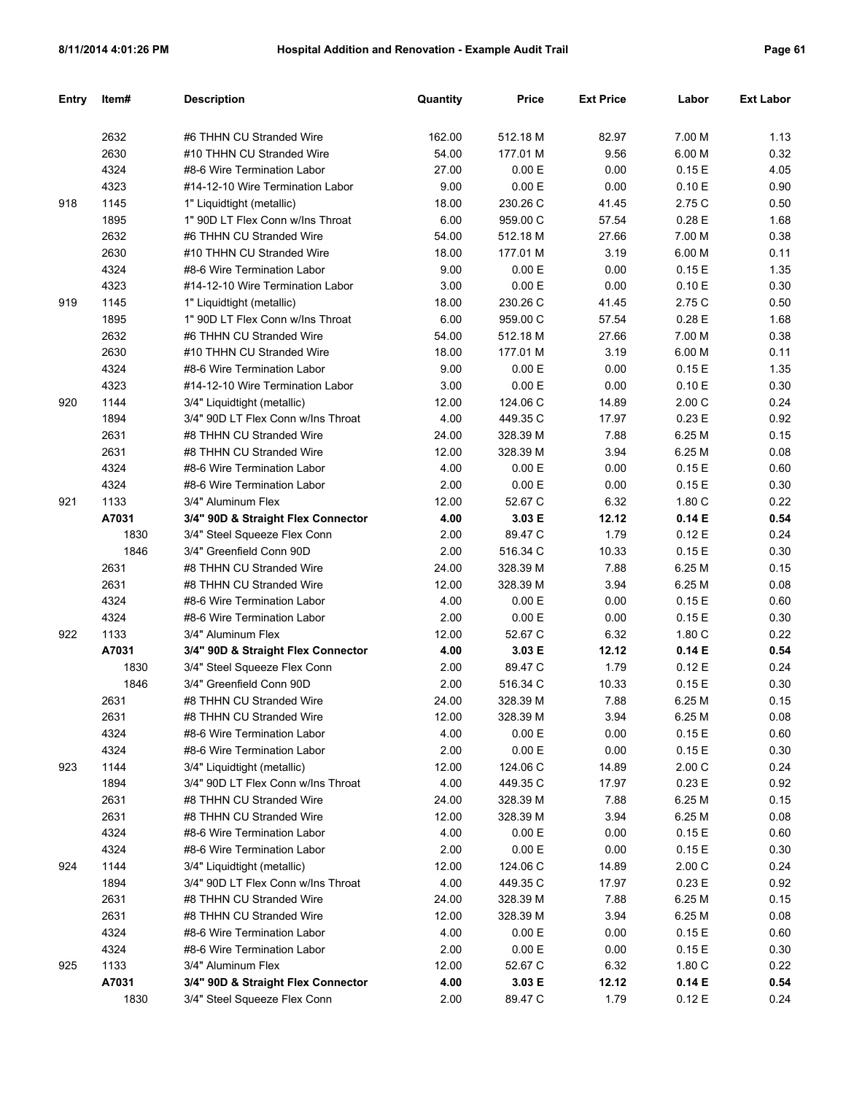| <b>Entry</b> | Item#         | <b>Description</b>                                       | Quantity      | <b>Price</b>      | <b>Ext Price</b> | Labor            | <b>Ext Labor</b> |
|--------------|---------------|----------------------------------------------------------|---------------|-------------------|------------------|------------------|------------------|
|              |               |                                                          |               |                   |                  |                  |                  |
|              | 2632          | #6 THHN CU Stranded Wire                                 | 162.00        | 512.18 M          | 82.97            | 7.00 M           | 1.13             |
|              | 2630          | #10 THHN CU Stranded Wire                                | 54.00         | 177.01 M          | 9.56             | 6.00 M           | 0.32             |
|              | 4324          | #8-6 Wire Termination Labor                              | 27.00         | 0.00 E            | 0.00             | 0.15E            | 4.05             |
|              | 4323          | #14-12-10 Wire Termination Labor                         | 9.00          | 0.00 E            | 0.00             | 0.10 E           | 0.90             |
| 918          | 1145          | 1" Liquidtight (metallic)                                | 18.00         | 230.26 C          | 41.45            | 2.75 C           | 0.50             |
|              | 1895          | 1" 90D LT Flex Conn w/Ins Throat                         | 6.00          | 959.00 C          | 57.54            | 0.28E            | 1.68             |
|              | 2632          | #6 THHN CU Stranded Wire                                 | 54.00         | 512.18 M          | 27.66            | 7.00 M           | 0.38             |
|              | 2630          | #10 THHN CU Stranded Wire                                | 18.00         | 177.01 M          | 3.19             | 6.00 M           | 0.11             |
|              | 4324          | #8-6 Wire Termination Labor                              | 9.00          | 0.00 E            | 0.00             | 0.15E            | 1.35             |
|              | 4323          | #14-12-10 Wire Termination Labor                         | 3.00          | 0.00 E            | 0.00             | 0.10 E           | 0.30             |
| 919          | 1145          | 1" Liquidtight (metallic)                                | 18.00         | 230.26 C          | 41.45            | 2.75 C           | 0.50             |
|              | 1895          | 1" 90D LT Flex Conn w/Ins Throat                         | 6.00          | 959.00 C          | 57.54            | 0.28E            | 1.68             |
|              | 2632          | #6 THHN CU Stranded Wire                                 | 54.00         | 512.18 M          | 27.66            | 7.00 M           | 0.38             |
|              | 2630          | #10 THHN CU Stranded Wire                                | 18.00         | 177.01 M          | 3.19             | 6.00 M           | 0.11             |
|              | 4324          | #8-6 Wire Termination Labor                              | 9.00          | 0.00 E            | 0.00             | 0.15E            | 1.35             |
|              | 4323          | #14-12-10 Wire Termination Labor                         | 3.00          | 0.00 E            | 0.00             | 0.10 E           | 0.30             |
| 920          | 1144          | 3/4" Liquidtight (metallic)                              | 12.00         | 124.06 C          | 14.89            | 2.00C            | 0.24             |
|              | 1894          | 3/4" 90D LT Flex Conn w/Ins Throat                       | 4.00          | 449.35 C          | 17.97            | 0.23E            | 0.92             |
|              | 2631          | #8 THHN CU Stranded Wire                                 | 24.00         | 328.39 M          | 7.88             | 6.25 M           | 0.15             |
|              | 2631          | #8 THHN CU Stranded Wire                                 | 12.00         | 328.39 M          | 3.94             | 6.25 M           | 0.08             |
|              | 4324          | #8-6 Wire Termination Labor                              | 4.00          | 0.00 E            | 0.00             | 0.15E            | 0.60             |
|              | 4324          | #8-6 Wire Termination Labor                              | 2.00          | 0.00 E            | 0.00             | 0.15E            | 0.30             |
| 921          | 1133          | 3/4" Aluminum Flex                                       | 12.00         | 52.67 C           | 6.32             | 1.80 C           | 0.22             |
|              | A7031         | 3/4" 90D & Straight Flex Connector                       | 4.00          | 3.03 E            | 12.12            | 0.14E            | 0.54             |
|              | 1830          | 3/4" Steel Squeeze Flex Conn                             | 2.00          | 89.47 C           | 1.79             | 0.12E            | 0.24             |
|              | 1846          | 3/4" Greenfield Conn 90D                                 | 2.00          | 516.34 C          | 10.33            | 0.15E            | 0.30             |
|              | 2631          | #8 THHN CU Stranded Wire                                 | 24.00         | 328.39 M          | 7.88             | 6.25 M           | 0.15             |
|              | 2631          | #8 THHN CU Stranded Wire                                 | 12.00         | 328.39 M          | 3.94             | 6.25 M           | 0.08             |
|              | 4324          | #8-6 Wire Termination Labor                              | 4.00          | 0.00 E            | 0.00             | 0.15E            | 0.60             |
|              | 4324          | #8-6 Wire Termination Labor                              | 2.00          | 0.00 E            | 0.00             | 0.15E            | 0.30             |
| 922          | 1133          | 3/4" Aluminum Flex                                       | 12.00         | 52.67 C           | 6.32             | 1.80C            | 0.22             |
|              | A7031         | 3/4" 90D & Straight Flex Connector                       | 4.00          | 3.03 E            | 12.12            | 0.14E            | 0.54             |
|              | 1830          | 3/4" Steel Squeeze Flex Conn                             | 2.00          | 89.47 C           | 1.79             | 0.12E            | 0.24             |
|              | 1846          | 3/4" Greenfield Conn 90D                                 | 2.00          | 516.34 C          | 10.33            | 0.15E            | 0.30             |
|              | 2631          | #8 THHN CU Stranded Wire                                 | 24.00         | 328.39 M          | 7.88             | 6.25 M           | 0.15             |
|              | 2631          | #8 THHN CU Stranded Wire                                 | 12.00         | 328.39 M          | 3.94             | 6.25 M           | 0.08             |
|              | 4324          | #8-6 Wire Termination Labor                              | 4.00          | 0.00 E            | 0.00             | 0.15 E           | 0.60             |
|              | 4324          | #8-6 Wire Termination Labor                              | 2.00          | 0.00 E            | 0.00             | 0.15E            | 0.30             |
| 923          | 1144          | 3/4" Liquidtight (metallic)                              | 12.00         | 124.06 C          | 14.89            | 2.00C            | 0.24             |
|              | 1894          | 3/4" 90D LT Flex Conn w/Ins Throat                       | 4.00          | 449.35 C          | 17.97            | 0.23 E           | 0.92             |
|              | 2631          | #8 THHN CU Stranded Wire                                 | 24.00         | 328.39 M          | 7.88             | 6.25 M           | 0.15             |
|              | 2631          | #8 THHN CU Stranded Wire                                 | 12.00         | 328.39 M          | 3.94             | 6.25 M           | 0.08             |
|              | 4324          | #8-6 Wire Termination Labor                              | 4.00          | 0.00 E            | 0.00             | 0.15E            | 0.60             |
|              | 4324          | #8-6 Wire Termination Labor                              | 2.00          | 0.00 E            | 0.00             | 0.15E            | 0.30             |
| 924          | 1144          | 3/4" Liquidtight (metallic)                              | 12.00         | 124.06 C          | 14.89            | 2.00C            | 0.24             |
|              | 1894          | 3/4" 90D LT Flex Conn w/Ins Throat                       | 4.00          | 449.35 C          | 17.97            | 0.23 E           | 0.92             |
|              | 2631          | #8 THHN CU Stranded Wire                                 | 24.00         | 328.39 M          | 7.88             | 6.25 M           | 0.15             |
|              | 2631          | #8 THHN CU Stranded Wire                                 | 12.00         | 328.39 M          | 3.94             | 6.25 M           | 0.08             |
|              | 4324          | #8-6 Wire Termination Labor                              | 4.00          | 0.00 E            | 0.00             | 0.15E            | 0.60             |
|              | 4324          | #8-6 Wire Termination Labor                              | 2.00          | 0.00 E            | 0.00             | 0.15E            | 0.30             |
| 925          | 1133<br>A7031 | 3/4" Aluminum Flex<br>3/4" 90D & Straight Flex Connector | 12.00<br>4.00 | 52.67 C           | 6.32             | 1.80C            | 0.22<br>0.54     |
|              | 1830          | 3/4" Steel Squeeze Flex Conn                             | 2.00          | 3.03 E<br>89.47 C | 12.12<br>1.79    | 0.14 E<br>0.12 E | 0.24             |
|              |               |                                                          |               |                   |                  |                  |                  |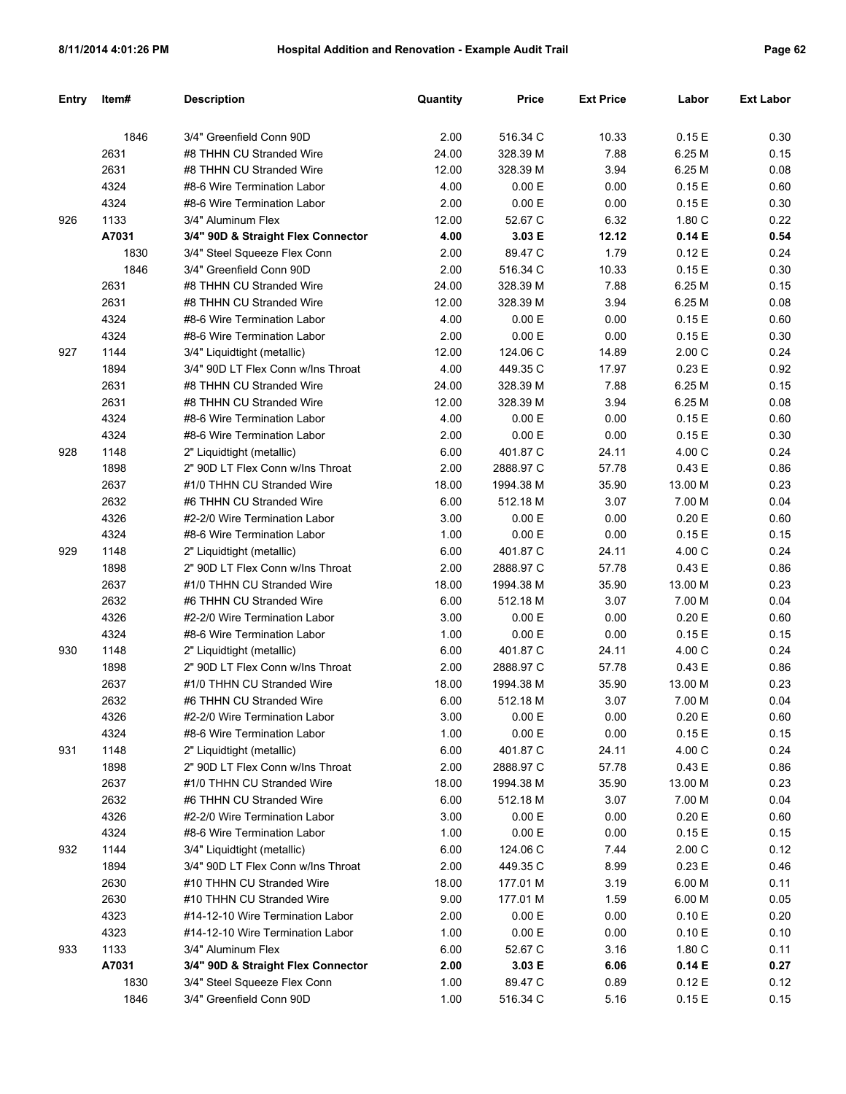| <b>Entry</b> | Item# | <b>Description</b>                 | Quantity      | Price     | <b>Ext Price</b> | Labor     | <b>Ext Labor</b> |
|--------------|-------|------------------------------------|---------------|-----------|------------------|-----------|------------------|
|              | 1846  | 3/4" Greenfield Conn 90D           | 2.00          | 516.34 C  | 10.33            | 0.15 E    | 0.30             |
|              | 2631  | #8 THHN CU Stranded Wire           | 24.00         | 328.39 M  | 7.88             | 6.25 M    | 0.15             |
|              | 2631  | #8 THHN CU Stranded Wire           | 12.00         | 328.39 M  | 3.94             | 6.25 M    | 0.08             |
|              | 4324  | #8-6 Wire Termination Labor        | 4.00          | 0.00 E    | 0.00             | 0.15E     | 0.60             |
|              | 4324  | #8-6 Wire Termination Labor        | 2.00          | 0.00 E    | 0.00             | 0.15E     | 0.30             |
| 926          | 1133  | 3/4" Aluminum Flex                 | 12.00         | 52.67 C   | 6.32             | 1.80 C    | 0.22             |
|              | A7031 | 3/4" 90D & Straight Flex Connector | 4.00          | 3.03 E    | 12.12            | 0.14E     | 0.54             |
|              | 1830  | 3/4" Steel Squeeze Flex Conn       | 2.00          | 89.47 C   | 1.79             | 0.12E     | 0.24             |
|              | 1846  | 3/4" Greenfield Conn 90D           | 2.00          | 516.34 C  | 10.33            | 0.15E     | 0.30             |
|              | 2631  | #8 THHN CU Stranded Wire           | 24.00         | 328.39 M  | 7.88             | 6.25 M    | 0.15             |
|              | 2631  | #8 THHN CU Stranded Wire           | 12.00         | 328.39 M  | 3.94             | 6.25 M    | 0.08             |
|              | 4324  | #8-6 Wire Termination Labor        | 4.00          | 0.00 E    | 0.00             | 0.15E     | 0.60             |
|              | 4324  | #8-6 Wire Termination Labor        | 2.00          | 0.00 E    | 0.00             | 0.15E     | 0.30             |
|              |       |                                    |               |           |                  |           |                  |
| 927          | 1144  | 3/4" Liquidtight (metallic)        | 12.00<br>4.00 | 124.06 C  | 14.89            | 2.00C     | 0.24             |
|              | 1894  | 3/4" 90D LT Flex Conn w/Ins Throat |               | 449.35 C  | 17.97            | 0.23 E    | 0.92             |
|              | 2631  | #8 THHN CU Stranded Wire           | 24.00         | 328.39 M  | 7.88             | 6.25 M    | 0.15             |
|              | 2631  | #8 THHN CU Stranded Wire           | 12.00         | 328.39 M  | 3.94             | 6.25 M    | 0.08             |
|              | 4324  | #8-6 Wire Termination Labor        | 4.00          | 0.00 E    | 0.00             | 0.15E     | 0.60             |
|              | 4324  | #8-6 Wire Termination Labor        | 2.00          | 0.00 E    | 0.00             | 0.15E     | 0.30             |
| 928          | 1148  | 2" Liquidtight (metallic)          | 6.00          | 401.87 C  | 24.11            | 4.00 C    | 0.24             |
|              | 1898  | 2" 90D LT Flex Conn w/Ins Throat   | 2.00          | 2888.97 C | 57.78            | 0.43 E    | 0.86             |
|              | 2637  | #1/0 THHN CU Stranded Wire         | 18.00         | 1994.38 M | 35.90            | 13.00 M   | 0.23             |
|              | 2632  | #6 THHN CU Stranded Wire           | 6.00          | 512.18 M  | 3.07             | 7.00 M    | 0.04             |
|              | 4326  | #2-2/0 Wire Termination Labor      | 3.00          | 0.00 E    | 0.00             | 0.20 E    | 0.60             |
|              | 4324  | #8-6 Wire Termination Labor        | 1.00          | 0.00 E    | 0.00             | 0.15E     | 0.15             |
| 929          | 1148  | 2" Liquidtight (metallic)          | 6.00          | 401.87 C  | 24.11            | 4.00 C    | 0.24             |
|              | 1898  | 2" 90D LT Flex Conn w/Ins Throat   | 2.00          | 2888.97 C | 57.78            | 0.43 E    | 0.86             |
|              | 2637  | #1/0 THHN CU Stranded Wire         | 18.00         | 1994.38 M | 35.90            | 13.00 M   | 0.23             |
|              | 2632  | #6 THHN CU Stranded Wire           | 6.00          | 512.18 M  | 3.07             | 7.00 M    | 0.04             |
|              | 4326  | #2-2/0 Wire Termination Labor      | 3.00          | 0.00 E    | 0.00             | 0.20 E    | 0.60             |
|              | 4324  | #8-6 Wire Termination Labor        | 1.00          | 0.00 E    | 0.00             | 0.15 E    | 0.15             |
| 930          | 1148  | 2" Liquidtight (metallic)          | 6.00          | 401.87 C  | 24.11            | 4.00 C    | 0.24             |
|              | 1898  | 2" 90D LT Flex Conn w/Ins Throat   | 2.00          | 2888.97 C | 57.78            | 0.43E     | 0.86             |
|              | 2637  | #1/0 THHN CU Stranded Wire         | 18.00         | 1994.38 M | 35.90            | 13.00 M   | 0.23             |
|              | 2632  | #6 THHN CU Stranded Wire           | 6.00          | 512.18 M  | 3.07             | 7.00 M    | 0.04             |
|              | 4326  | #2-2/0 Wire Termination Labor      | 3.00          | $0.00 E$  | 0.00             | $0.20\to$ | 0.60             |
|              | 4324  | #8-6 Wire Termination Labor        | 1.00          | 0.00 E    | 0.00             | 0.15 E    | 0.15             |
| 931          | 1148  | 2" Liquidtight (metallic)          | 6.00          | 401.87 C  | 24.11            | 4.00 C    | 0.24             |
|              | 1898  | 2" 90D LT Flex Conn w/Ins Throat   | 2.00          | 2888.97 C | 57.78            | 0.43 E    | 0.86             |
|              | 2637  | #1/0 THHN CU Stranded Wire         | 18.00         | 1994.38 M | 35.90            | 13.00 M   | 0.23             |
|              | 2632  | #6 THHN CU Stranded Wire           | 6.00          | 512.18 M  | 3.07             | 7.00 M    | 0.04             |
|              | 4326  | #2-2/0 Wire Termination Labor      | 3.00          | 0.00 E    | 0.00             | 0.20 E    | 0.60             |
|              | 4324  | #8-6 Wire Termination Labor        | 1.00          | 0.00 E    | 0.00             | 0.15 E    | 0.15             |
| 932          | 1144  | 3/4" Liquidtight (metallic)        | 6.00          | 124.06 C  | 7.44             | 2.00C     | 0.12             |
|              | 1894  | 3/4" 90D LT Flex Conn w/Ins Throat | 2.00          | 449.35 C  | 8.99             | 0.23 E    | 0.46             |
|              | 2630  | #10 THHN CU Stranded Wire          | 18.00         | 177.01 M  | 3.19             | 6.00 M    | 0.11             |
|              | 2630  | #10 THHN CU Stranded Wire          | 9.00          | 177.01 M  | 1.59             | 6.00 M    | 0.05             |
|              | 4323  | #14-12-10 Wire Termination Labor   | 2.00          | 0.00 E    | 0.00             | 0.10 E    | 0.20             |
|              | 4323  | #14-12-10 Wire Termination Labor   | 1.00          | 0.00 E    | 0.00             | 0.10 E    | 0.10             |
| 933          | 1133  | 3/4" Aluminum Flex                 | 6.00          | 52.67 C   | 3.16             | 1.80 C    | 0.11             |
|              | A7031 | 3/4" 90D & Straight Flex Connector | 2.00          | 3.03 E    | 6.06             | 0.14 E    | 0.27             |
|              | 1830  | 3/4" Steel Squeeze Flex Conn       | 1.00          | 89.47 C   | 0.89             | 0.12 E    | 0.12             |
|              | 1846  | 3/4" Greenfield Conn 90D           | 1.00          | 516.34 C  | 5.16             | 0.15E     | 0.15             |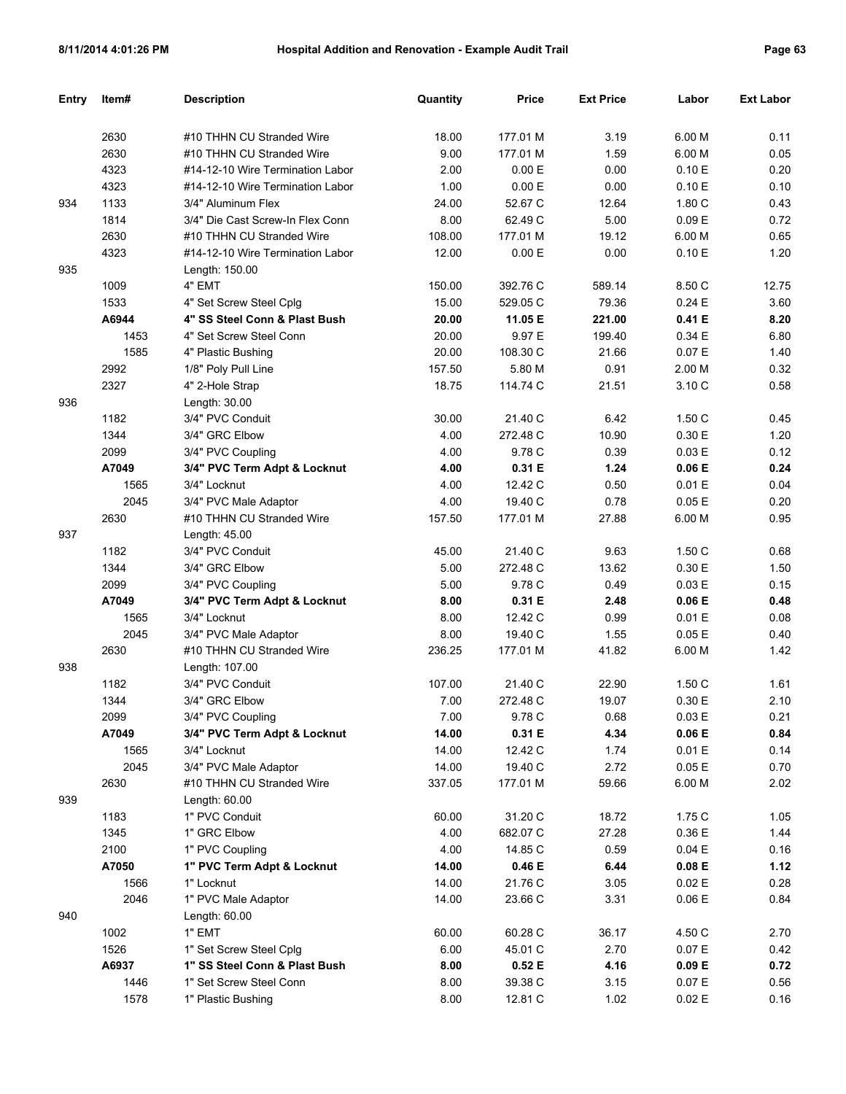| <b>Entry</b> | Item# | <b>Description</b>               | Quantity | <b>Price</b> | <b>Ext Price</b> | Labor  | <b>Ext Labor</b> |
|--------------|-------|----------------------------------|----------|--------------|------------------|--------|------------------|
|              |       |                                  |          |              |                  |        |                  |
|              | 2630  | #10 THHN CU Stranded Wire        | 18.00    | 177.01 M     | 3.19             | 6.00 M | 0.11             |
|              | 2630  | #10 THHN CU Stranded Wire        | 9.00     | 177.01 M     | 1.59             | 6.00 M | 0.05             |
|              | 4323  | #14-12-10 Wire Termination Labor | 2.00     | 0.00 E       | 0.00             | 0.10 E | 0.20             |
|              | 4323  | #14-12-10 Wire Termination Labor | 1.00     | 0.00 E       | 0.00             | 0.10 E | 0.10             |
| 934          | 1133  | 3/4" Aluminum Flex               | 24.00    | 52.67 C      | 12.64            | 1.80 C | 0.43             |
|              | 1814  | 3/4" Die Cast Screw-In Flex Conn | 8.00     | 62.49 C      | 5.00             | 0.09 E | 0.72             |
|              | 2630  | #10 THHN CU Stranded Wire        | 108.00   | 177.01 M     | 19.12            | 6.00 M | 0.65             |
|              | 4323  | #14-12-10 Wire Termination Labor | 12.00    | 0.00 E       | 0.00             | 0.10 E | 1.20             |
| 935          |       | Length: 150.00                   |          |              |                  |        |                  |
|              | 1009  | 4" EMT                           | 150.00   | 392.76 C     | 589.14           | 8.50 C | 12.75            |
|              | 1533  | 4" Set Screw Steel Cplg          | 15.00    | 529.05 C     | 79.36            | 0.24E  | 3.60             |
|              | A6944 | 4" SS Steel Conn & Plast Bush    | 20.00    | 11.05 E      | 221.00           | 0.41 E | 8.20             |
|              | 1453  | 4" Set Screw Steel Conn          | 20.00    | 9.97 E       | 199.40           | 0.34 E | 6.80             |
|              | 1585  | 4" Plastic Bushing               | 20.00    | 108.30 C     | 21.66            | 0.07 E | 1.40             |
|              | 2992  | 1/8" Poly Pull Line              | 157.50   | 5.80 M       | 0.91             | 2.00 M | 0.32             |
|              | 2327  | 4" 2-Hole Strap                  | 18.75    | 114.74 C     | 21.51            | 3.10 C | 0.58             |
| 936          |       | Length: 30.00                    |          |              |                  |        |                  |
|              | 1182  | 3/4" PVC Conduit                 | 30.00    | 21.40 C      | 6.42             | 1.50 C | 0.45             |
|              | 1344  | 3/4" GRC Elbow                   | 4.00     | 272.48 C     | 10.90            | 0.30 E | 1.20             |
|              | 2099  | 3/4" PVC Coupling                | 4.00     | 9.78 C       | 0.39             | 0.03 E | 0.12             |
|              | A7049 | 3/4" PVC Term Adpt & Locknut     | 4.00     | 0.31 E       | 1.24             | 0.06 E | 0.24             |
|              | 1565  | 3/4" Locknut                     | 4.00     | 12.42 C      | 0.50             | 0.01 E | 0.04             |
|              | 2045  | 3/4" PVC Male Adaptor            | 4.00     | 19.40 C      | 0.78             | 0.05E  | 0.20             |
|              | 2630  | #10 THHN CU Stranded Wire        | 157.50   | 177.01 M     | 27.88            | 6.00 M | 0.95             |
| 937          |       | Length: 45.00                    |          |              |                  |        |                  |
|              | 1182  | 3/4" PVC Conduit                 | 45.00    | 21.40 C      | 9.63             | 1.50 C | 0.68             |
|              | 1344  | 3/4" GRC Elbow                   | 5.00     | 272.48 C     | 13.62            | 0.30 E | 1.50             |
|              | 2099  | 3/4" PVC Coupling                | 5.00     | 9.78 C       | 0.49             | 0.03 E | 0.15             |
|              | A7049 | 3/4" PVC Term Adpt & Locknut     | 8.00     | 0.31 E       | 2.48             | 0.06 E | 0.48             |
|              | 1565  | 3/4" Locknut                     | 8.00     | 12.42 C      | 0.99             | 0.01 E | 0.08             |
|              | 2045  | 3/4" PVC Male Adaptor            | 8.00     | 19.40 C      | 1.55             | 0.05E  | 0.40             |
|              | 2630  | #10 THHN CU Stranded Wire        | 236.25   | 177.01 M     | 41.82            | 6.00 M | 1.42             |
| 938          |       | Length: 107.00                   |          |              |                  |        |                  |
|              | 1182  | 3/4" PVC Conduit                 | 107.00   | 21.40 C      | 22.90            | 1.50 C | 1.61             |
|              | 1344  | 3/4" GRC Elbow                   | 7.00     | 272.48 C     | 19.07            | 0.30 E | 2.10             |
|              | 2099  | 3/4" PVC Coupling                | 7.00     | 9.78 C       | 0.68             | 0.03 E | 0.21             |
|              | A7049 | 3/4" PVC Term Adpt & Locknut     | 14.00    | 0.31 E       | 4.34             | 0.06 E | 0.84             |
|              | 1565  | 3/4" Locknut                     | 14.00    | 12.42 C      | 1.74             | 0.01 E | 0.14             |
|              | 2045  | 3/4" PVC Male Adaptor            | 14.00    | 19.40 C      | 2.72             | 0.05 E | 0.70             |
|              | 2630  | #10 THHN CU Stranded Wire        | 337.05   | 177.01 M     | 59.66            | 6.00 M | 2.02             |
| 939          |       | Length: 60.00                    |          |              |                  |        |                  |
|              | 1183  | 1" PVC Conduit                   | 60.00    | 31.20 C      | 18.72            | 1.75 C | 1.05             |
|              | 1345  | 1" GRC Elbow                     | 4.00     | 682.07 C     | 27.28            | 0.36 E | 1.44             |
|              | 2100  | 1" PVC Coupling                  | 4.00     | 14.85 C      | 0.59             | 0.04 E | 0.16             |
|              | A7050 | 1" PVC Term Adpt & Locknut       | 14.00    | 0.46 E       | 6.44             | 0.08 E | 1.12             |
|              | 1566  | 1" Locknut                       | 14.00    | 21.76 C      | 3.05             | 0.02 E | 0.28             |
|              | 2046  | 1" PVC Male Adaptor              | 14.00    | 23.66 C      | 3.31             | 0.06 E | 0.84             |
| 940          |       | Length: 60.00                    |          |              |                  |        |                  |
|              | 1002  | 1" EMT                           | 60.00    | 60.28 C      | 36.17            | 4.50 C | 2.70             |
|              | 1526  | 1" Set Screw Steel Cplg          | 6.00     | 45.01 C      | 2.70             | 0.07 E | 0.42             |
|              | A6937 | 1" SS Steel Conn & Plast Bush    | 8.00     | 0.52 E       | 4.16             | 0.09 E | 0.72             |
|              | 1446  | 1" Set Screw Steel Conn          | 8.00     | 39.38 C      | 3.15             | 0.07 E | 0.56             |
|              | 1578  | 1" Plastic Bushing               | 8.00     | 12.81 C      | 1.02             | 0.02 E | 0.16             |